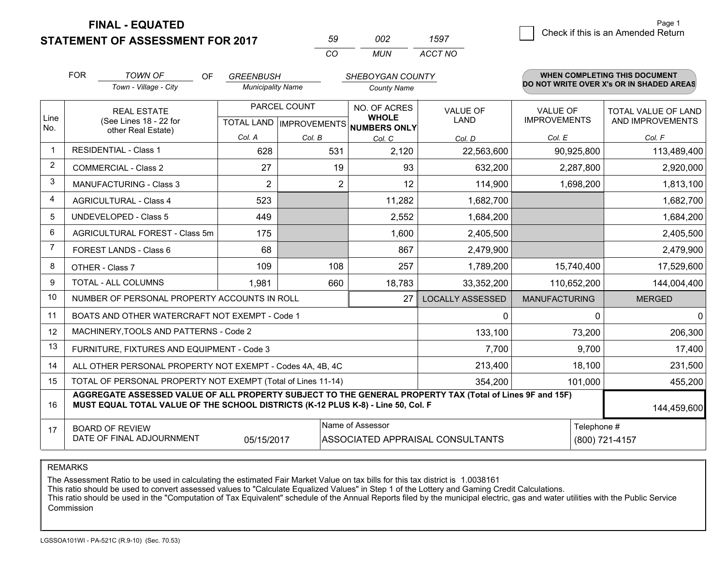**STATEMENT OF ASSESSMENT FOR 2017** 

| 59  | nnə | 1597    |
|-----|-----|---------|
| CO. | MUN | ACCT NO |

|                | <b>FOR</b>                                                         | <b>TOWN OF</b><br>OF                                                                                                                                                                         | <b>GREENBUSH</b>         |              | SHEBOYGAN COUNTY                                                    |                                  |                                        | <b>WHEN COMPLETING THIS DOCUMENT</b>           |
|----------------|--------------------------------------------------------------------|----------------------------------------------------------------------------------------------------------------------------------------------------------------------------------------------|--------------------------|--------------|---------------------------------------------------------------------|----------------------------------|----------------------------------------|------------------------------------------------|
|                |                                                                    | Town - Village - City                                                                                                                                                                        | <b>Municipality Name</b> |              | <b>County Name</b>                                                  |                                  |                                        | DO NOT WRITE OVER X's OR IN SHADED AREAS       |
| Line<br>No.    | <b>REAL ESTATE</b><br>(See Lines 18 - 22 for<br>other Real Estate) |                                                                                                                                                                                              |                          | PARCEL COUNT | NO. OF ACRES<br><b>WHOLE</b><br>TOTAL LAND MPROVEMENTS NUMBERS ONLY | <b>VALUE OF</b><br>LAND          | <b>VALUE OF</b><br><b>IMPROVEMENTS</b> | <b>TOTAL VALUE OF LAND</b><br>AND IMPROVEMENTS |
|                |                                                                    |                                                                                                                                                                                              | Col. A                   | Col. B       | Col. C                                                              | Col. D                           | Col. E                                 | Col. F                                         |
| $\mathbf 1$    |                                                                    | <b>RESIDENTIAL - Class 1</b>                                                                                                                                                                 | 628                      | 531          | 2,120                                                               | 22,563,600                       | 90,925,800                             | 113,489,400                                    |
| $\overline{2}$ |                                                                    | <b>COMMERCIAL - Class 2</b>                                                                                                                                                                  | 27                       | 19           | 93                                                                  | 632,200                          | 2,287,800                              | 2,920,000                                      |
| 3              |                                                                    | <b>MANUFACTURING - Class 3</b>                                                                                                                                                               | $\overline{2}$           | 2            | 12                                                                  | 114,900                          | 1,698,200                              | 1,813,100                                      |
| $\overline{4}$ |                                                                    | <b>AGRICULTURAL - Class 4</b>                                                                                                                                                                | 523                      |              | 11,282                                                              | 1,682,700                        |                                        | 1,682,700                                      |
| 5              | <b>UNDEVELOPED - Class 5</b>                                       |                                                                                                                                                                                              | 449                      |              | 2,552                                                               | 1,684,200                        |                                        | 1,684,200                                      |
| 6              | AGRICULTURAL FOREST - Class 5m                                     |                                                                                                                                                                                              | 175                      |              | 1.600                                                               | 2,405,500                        |                                        | 2,405,500                                      |
| $\overline{7}$ | FOREST LANDS - Class 6                                             |                                                                                                                                                                                              | 68                       |              | 867                                                                 | 2,479,900                        |                                        | 2,479,900                                      |
| 8              |                                                                    | OTHER - Class 7                                                                                                                                                                              | 109                      | 108          | 257                                                                 | 1,789,200                        | 15,740,400                             | 17,529,600                                     |
| 9              |                                                                    | TOTAL - ALL COLUMNS                                                                                                                                                                          | 1,981                    | 660          | 18,783                                                              | 33,352,200                       | 110,652,200                            | 144,004,400                                    |
| 10             |                                                                    | NUMBER OF PERSONAL PROPERTY ACCOUNTS IN ROLL                                                                                                                                                 |                          |              | 27                                                                  | <b>LOCALLY ASSESSED</b>          | <b>MANUFACTURING</b>                   | <b>MERGED</b>                                  |
| 11             |                                                                    | BOATS AND OTHER WATERCRAFT NOT EXEMPT - Code 1                                                                                                                                               |                          |              |                                                                     | $\mathbf{0}$                     | $\Omega$                               | $\mathbf 0$                                    |
| 12             |                                                                    | MACHINERY, TOOLS AND PATTERNS - Code 2                                                                                                                                                       |                          |              |                                                                     | 133,100                          | 73,200                                 | 206,300                                        |
| 13             |                                                                    | FURNITURE, FIXTURES AND EQUIPMENT - Code 3                                                                                                                                                   |                          |              |                                                                     | 7,700                            | 9,700                                  | 17,400                                         |
| 14             |                                                                    | ALL OTHER PERSONAL PROPERTY NOT EXEMPT - Codes 4A, 4B, 4C                                                                                                                                    |                          |              |                                                                     | 213,400                          | 18,100                                 | 231,500                                        |
| 15             |                                                                    | TOTAL OF PERSONAL PROPERTY NOT EXEMPT (Total of Lines 11-14)                                                                                                                                 |                          |              |                                                                     | 354,200                          | 101,000                                | 455,200                                        |
| 16             |                                                                    | AGGREGATE ASSESSED VALUE OF ALL PROPERTY SUBJECT TO THE GENERAL PROPERTY TAX (Total of Lines 9F and 15F)<br>MUST EQUAL TOTAL VALUE OF THE SCHOOL DISTRICTS (K-12 PLUS K-8) - Line 50, Col. F |                          |              |                                                                     |                                  |                                        | 144,459,600                                    |
| 17             |                                                                    | <b>BOARD OF REVIEW</b><br>DATE OF FINAL ADJOURNMENT                                                                                                                                          | 05/15/2017               |              | Name of Assessor                                                    | ASSOCIATED APPRAISAL CONSULTANTS | Telephone #                            | (800) 721-4157                                 |

REMARKS

The Assessment Ratio to be used in calculating the estimated Fair Market Value on tax bills for this tax district is 1.0038161

This ratio should be used to convert assessed values to "Calculate Equalized Values" in Step 1 of the Lottery and Gaming Credit Calculations.<br>This ratio should be used in the "Computation of Tax Equivalent" schedule of the Commission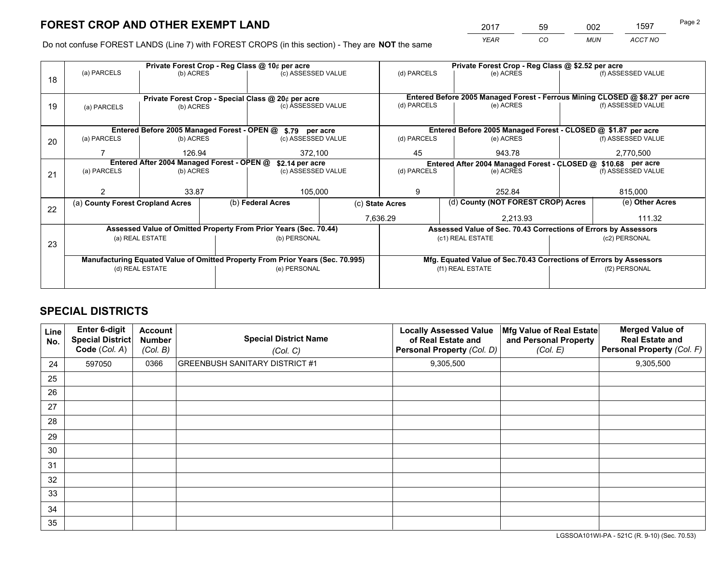*YEAR CO MUN ACCT NO* <sup>2017</sup> <sup>59</sup> <sup>002</sup> <sup>1597</sup>

Do not confuse FOREST LANDS (Line 7) with FOREST CROPS (in this section) - They are **NOT** the same

|    |                                                               |                 |  | Private Forest Crop - Reg Class @ 10¢ per acre                                 |                 | Private Forest Crop - Reg Class @ \$2.52 per acre |                                    |           |                                                               |                                                                              |  |
|----|---------------------------------------------------------------|-----------------|--|--------------------------------------------------------------------------------|-----------------|---------------------------------------------------|------------------------------------|-----------|---------------------------------------------------------------|------------------------------------------------------------------------------|--|
| 18 | (a) PARCELS                                                   | (b) ACRES       |  | (c) ASSESSED VALUE                                                             |                 | (d) PARCELS                                       | (e) ACRES                          |           |                                                               | (f) ASSESSED VALUE                                                           |  |
|    |                                                               |                 |  |                                                                                |                 |                                                   |                                    |           |                                                               |                                                                              |  |
|    |                                                               |                 |  | Private Forest Crop - Special Class @ 20¢ per acre                             |                 |                                                   |                                    |           |                                                               | Entered Before 2005 Managed Forest - Ferrous Mining CLOSED @ \$8.27 per acre |  |
| 19 | (a) PARCELS                                                   | (b) ACRES       |  | (c) ASSESSED VALUE                                                             |                 | (d) PARCELS                                       | (e) ACRES                          |           |                                                               | (f) ASSESSED VALUE                                                           |  |
|    |                                                               |                 |  |                                                                                |                 |                                                   |                                    |           |                                                               |                                                                              |  |
|    |                                                               |                 |  | Entered Before 2005 Managed Forest - OPEN @ \$.79 per acre                     |                 |                                                   |                                    |           |                                                               | Entered Before 2005 Managed Forest - CLOSED @ \$1.87 per acre                |  |
| 20 | (a) PARCELS                                                   | (b) ACRES       |  | (c) ASSESSED VALUE                                                             |                 | (d) PARCELS                                       |                                    | (e) ACRES |                                                               | (f) ASSESSED VALUE                                                           |  |
|    |                                                               | 126.94          |  | 372,100                                                                        |                 | 45                                                |                                    | 943.78    |                                                               | 2,770,500                                                                    |  |
|    | Entered After 2004 Managed Forest - OPEN @<br>\$2.14 per acre |                 |  |                                                                                |                 |                                                   |                                    |           | Entered After 2004 Managed Forest - CLOSED @ \$10.68 per acre |                                                                              |  |
| 21 | (a) PARCELS                                                   | (b) ACRES       |  | (c) ASSESSED VALUE                                                             |                 | (d) PARCELS<br>(e) ACRES                          |                                    |           | (f) ASSESSED VALUE                                            |                                                                              |  |
|    |                                                               |                 |  |                                                                                |                 |                                                   |                                    |           |                                                               |                                                                              |  |
|    |                                                               | 33.87           |  | 105,000                                                                        | 9               |                                                   |                                    | 252.84    |                                                               | 815,000                                                                      |  |
| 22 | (a) County Forest Cropland Acres                              |                 |  | (b) Federal Acres                                                              | (c) State Acres |                                                   | (d) County (NOT FOREST CROP) Acres |           |                                                               | (e) Other Acres                                                              |  |
|    |                                                               |                 |  |                                                                                |                 | 7,636.29                                          |                                    | 2,213.93  |                                                               | 111.32                                                                       |  |
|    |                                                               |                 |  | Assessed Value of Omitted Property From Prior Years (Sec. 70.44)               |                 |                                                   |                                    |           |                                                               | Assessed Value of Sec. 70.43 Corrections of Errors by Assessors              |  |
| 23 |                                                               | (a) REAL ESTATE |  | (b) PERSONAL                                                                   |                 |                                                   | (c1) REAL ESTATE                   |           |                                                               | (c2) PERSONAL                                                                |  |
|    |                                                               |                 |  |                                                                                |                 |                                                   |                                    |           |                                                               |                                                                              |  |
|    |                                                               |                 |  | Manufacturing Equated Value of Omitted Property From Prior Years (Sec. 70.995) |                 |                                                   |                                    |           |                                                               | Mfg. Equated Value of Sec.70.43 Corrections of Errors by Assessors           |  |
|    | (d) REAL ESTATE                                               |                 |  | (e) PERSONAL                                                                   |                 | (f1) REAL ESTATE                                  |                                    |           | (f2) PERSONAL                                                 |                                                                              |  |
|    |                                                               |                 |  |                                                                                |                 |                                                   |                                    |           |                                                               |                                                                              |  |

## **SPECIAL DISTRICTS**

| <b>Line</b><br>No. | Enter 6-digit<br><b>Special District</b><br>Code (Col. A) | <b>Account</b><br><b>Number</b><br>(Col. B) | <b>Special District Name</b><br>(Col. C) | <b>Locally Assessed Value</b><br>of Real Estate and<br>Personal Property (Col. D) | Mfg Value of Real Estate<br>and Personal Property<br>(Col. E) | <b>Merged Value of</b><br><b>Real Estate and</b><br>Personal Property (Col. F) |
|--------------------|-----------------------------------------------------------|---------------------------------------------|------------------------------------------|-----------------------------------------------------------------------------------|---------------------------------------------------------------|--------------------------------------------------------------------------------|
| 24                 | 597050                                                    | 0366                                        | <b>GREENBUSH SANITARY DISTRICT #1</b>    | 9,305,500                                                                         |                                                               | 9,305,500                                                                      |
| 25                 |                                                           |                                             |                                          |                                                                                   |                                                               |                                                                                |
| 26                 |                                                           |                                             |                                          |                                                                                   |                                                               |                                                                                |
| 27                 |                                                           |                                             |                                          |                                                                                   |                                                               |                                                                                |
| 28                 |                                                           |                                             |                                          |                                                                                   |                                                               |                                                                                |
| 29                 |                                                           |                                             |                                          |                                                                                   |                                                               |                                                                                |
| 30                 |                                                           |                                             |                                          |                                                                                   |                                                               |                                                                                |
| 31                 |                                                           |                                             |                                          |                                                                                   |                                                               |                                                                                |
| 32                 |                                                           |                                             |                                          |                                                                                   |                                                               |                                                                                |
| 33                 |                                                           |                                             |                                          |                                                                                   |                                                               |                                                                                |
| 34                 |                                                           |                                             |                                          |                                                                                   |                                                               |                                                                                |
| 35                 |                                                           |                                             |                                          |                                                                                   |                                                               |                                                                                |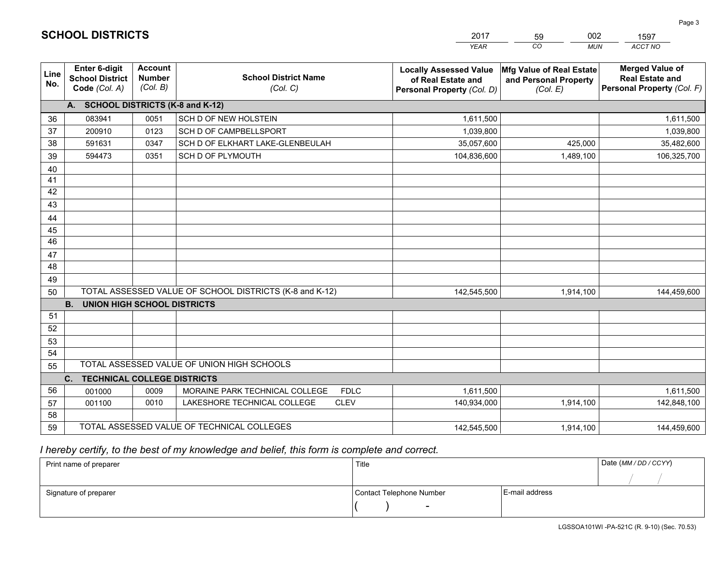|             |                                                          |                                             |                                                         | <b>YEAR</b>                                                                       | CO<br><b>MUN</b>                                              | <b>ACCT NO</b>                                                                 |
|-------------|----------------------------------------------------------|---------------------------------------------|---------------------------------------------------------|-----------------------------------------------------------------------------------|---------------------------------------------------------------|--------------------------------------------------------------------------------|
| Line<br>No. | Enter 6-digit<br><b>School District</b><br>Code (Col. A) | <b>Account</b><br><b>Number</b><br>(Col. B) | <b>School District Name</b><br>(Col. C)                 | <b>Locally Assessed Value</b><br>of Real Estate and<br>Personal Property (Col. D) | Mfg Value of Real Estate<br>and Personal Property<br>(Col. E) | <b>Merged Value of</b><br><b>Real Estate and</b><br>Personal Property (Col. F) |
|             | A. SCHOOL DISTRICTS (K-8 and K-12)                       |                                             |                                                         |                                                                                   |                                                               |                                                                                |
| 36          | 083941                                                   | 0051                                        | <b>SCH D OF NEW HOLSTEIN</b>                            | 1,611,500                                                                         |                                                               | 1,611,500                                                                      |
| 37          | 200910                                                   | 0123                                        | SCH D OF CAMPBELLSPORT                                  | 1,039,800                                                                         |                                                               | 1,039,800                                                                      |
| 38          | 591631                                                   | 0347                                        | SCH D OF ELKHART LAKE-GLENBEULAH                        | 35,057,600                                                                        | 425,000                                                       | 35,482,600                                                                     |
| 39          | 594473                                                   | 0351                                        | <b>SCH D OF PLYMOUTH</b>                                | 104,836,600                                                                       | 1,489,100                                                     | 106,325,700                                                                    |
| 40          |                                                          |                                             |                                                         |                                                                                   |                                                               |                                                                                |
| 41          |                                                          |                                             |                                                         |                                                                                   |                                                               |                                                                                |
| 42          |                                                          |                                             |                                                         |                                                                                   |                                                               |                                                                                |
| 43          |                                                          |                                             |                                                         |                                                                                   |                                                               |                                                                                |
| 44          |                                                          |                                             |                                                         |                                                                                   |                                                               |                                                                                |
| 45          |                                                          |                                             |                                                         |                                                                                   |                                                               |                                                                                |
| 46          |                                                          |                                             |                                                         |                                                                                   |                                                               |                                                                                |
| 47          |                                                          |                                             |                                                         |                                                                                   |                                                               |                                                                                |
| 48          |                                                          |                                             |                                                         |                                                                                   |                                                               |                                                                                |
| 49          |                                                          |                                             |                                                         |                                                                                   |                                                               |                                                                                |
| 50          |                                                          |                                             | TOTAL ASSESSED VALUE OF SCHOOL DISTRICTS (K-8 and K-12) | 142,545,500                                                                       | 1,914,100                                                     | 144,459,600                                                                    |
|             | <b>B. UNION HIGH SCHOOL DISTRICTS</b>                    |                                             |                                                         |                                                                                   |                                                               |                                                                                |
| 51          |                                                          |                                             |                                                         |                                                                                   |                                                               |                                                                                |
| 52          |                                                          |                                             |                                                         |                                                                                   |                                                               |                                                                                |
| 53          |                                                          |                                             |                                                         |                                                                                   |                                                               |                                                                                |
| 54          |                                                          |                                             |                                                         |                                                                                   |                                                               |                                                                                |
| 55          |                                                          |                                             | TOTAL ASSESSED VALUE OF UNION HIGH SCHOOLS              |                                                                                   |                                                               |                                                                                |
|             | C.<br><b>TECHNICAL COLLEGE DISTRICTS</b>                 |                                             |                                                         |                                                                                   |                                                               |                                                                                |
| 56          | 001000                                                   | 0009                                        | MORAINE PARK TECHNICAL COLLEGE<br><b>FDLC</b>           | 1,611,500                                                                         |                                                               | 1,611,500                                                                      |
| 57          | 001100                                                   | 0010                                        | <b>CLEV</b><br>LAKESHORE TECHNICAL COLLEGE              | 140,934,000                                                                       | 1,914,100                                                     | 142,848,100                                                                    |
| 58          |                                                          |                                             |                                                         |                                                                                   |                                                               |                                                                                |
| 59          |                                                          |                                             | TOTAL ASSESSED VALUE OF TECHNICAL COLLEGES              | 142,545,500                                                                       | 1,914,100                                                     | 144,459,600                                                                    |

59

002

1597

 *I hereby certify, to the best of my knowledge and belief, this form is complete and correct.*

**SCHOOL DISTRICTS**

| Print name of preparer | Title                    | Date (MM / DD / CCYY) |  |
|------------------------|--------------------------|-----------------------|--|
|                        |                          |                       |  |
| Signature of preparer  | Contact Telephone Number | E-mail address        |  |
|                        | $\sim$                   |                       |  |

Page 3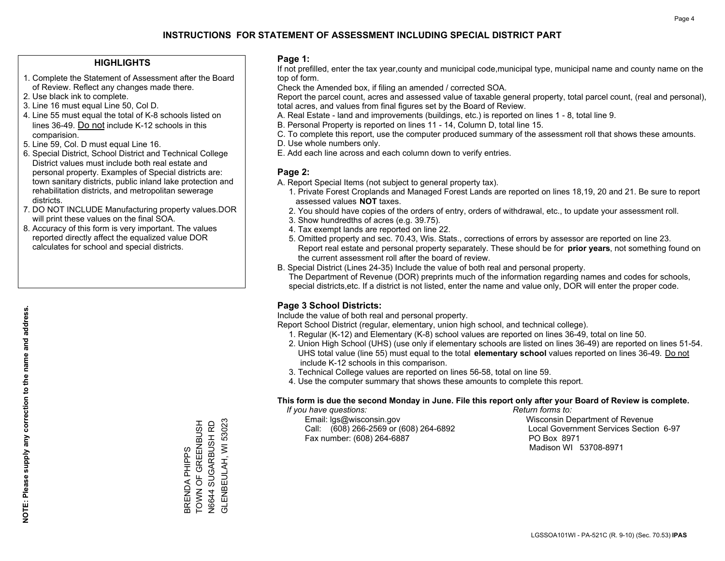#### **HIGHLIGHTS**

- 1. Complete the Statement of Assessment after the Board of Review. Reflect any changes made there.
- 2. Use black ink to complete.
- 3. Line 16 must equal Line 50, Col D.
- 4. Line 55 must equal the total of K-8 schools listed on lines 36-49. Do not include K-12 schools in this comparision.
- 5. Line 59, Col. D must equal Line 16.
- 6. Special District, School District and Technical College District values must include both real estate and personal property. Examples of Special districts are: town sanitary districts, public inland lake protection and rehabilitation districts, and metropolitan sewerage districts.
- 7. DO NOT INCLUDE Manufacturing property values.DOR will print these values on the final SOA.
- 8. Accuracy of this form is very important. The values reported directly affect the equalized value DOR calculates for school and special districts.

#### **Page 1:**

 If not prefilled, enter the tax year,county and municipal code,municipal type, municipal name and county name on the top of form.

Check the Amended box, if filing an amended / corrected SOA.

 Report the parcel count, acres and assessed value of taxable general property, total parcel count, (real and personal), total acres, and values from final figures set by the Board of Review.

- A. Real Estate land and improvements (buildings, etc.) is reported on lines 1 8, total line 9.
- B. Personal Property is reported on lines 11 14, Column D, total line 15.
- C. To complete this report, use the computer produced summary of the assessment roll that shows these amounts.
- D. Use whole numbers only.
- E. Add each line across and each column down to verify entries.

### **Page 2:**

- A. Report Special Items (not subject to general property tax).
- 1. Private Forest Croplands and Managed Forest Lands are reported on lines 18,19, 20 and 21. Be sure to report assessed values **NOT** taxes.
- 2. You should have copies of the orders of entry, orders of withdrawal, etc., to update your assessment roll.
	- 3. Show hundredths of acres (e.g. 39.75).
- 4. Tax exempt lands are reported on line 22.
- 5. Omitted property and sec. 70.43, Wis. Stats., corrections of errors by assessor are reported on line 23. Report real estate and personal property separately. These should be for **prior years**, not something found on the current assessment roll after the board of review.
- B. Special District (Lines 24-35) Include the value of both real and personal property.
- The Department of Revenue (DOR) preprints much of the information regarding names and codes for schools, special districts,etc. If a district is not listed, enter the name and value only, DOR will enter the proper code.

## **Page 3 School Districts:**

Include the value of both real and personal property.

Report School District (regular, elementary, union high school, and technical college).

- 1. Regular (K-12) and Elementary (K-8) school values are reported on lines 36-49, total on line 50.
- 2. Union High School (UHS) (use only if elementary schools are listed on lines 36-49) are reported on lines 51-54. UHS total value (line 55) must equal to the total **elementary school** values reported on lines 36-49. Do notinclude K-12 schools in this comparison.
- 3. Technical College values are reported on lines 56-58, total on line 59.
- 4. Use the computer summary that shows these amounts to complete this report.

#### **This form is due the second Monday in June. File this report only after your Board of Review is complete.**

 *If you have questions: Return forms to:*

 Email: lgs@wisconsin.gov Wisconsin Department of RevenueCall:  $(608)$  266-2569 or  $(608)$  264-6892 Fax number: (608) 264-6887 PO Box 8971

Local Government Services Section 6-97 Madison WI 53708-8971

TOWN OF GREENBUSH N6644 SUGARBUSH RD<br>GLENBEULAH, WI 53023 GLENBEULAH, WI 53023 BRENDA PHIPPS<br>TOWN OF GREENBUSH N6644 SUGARBUSH RD BRENDA PHIPPS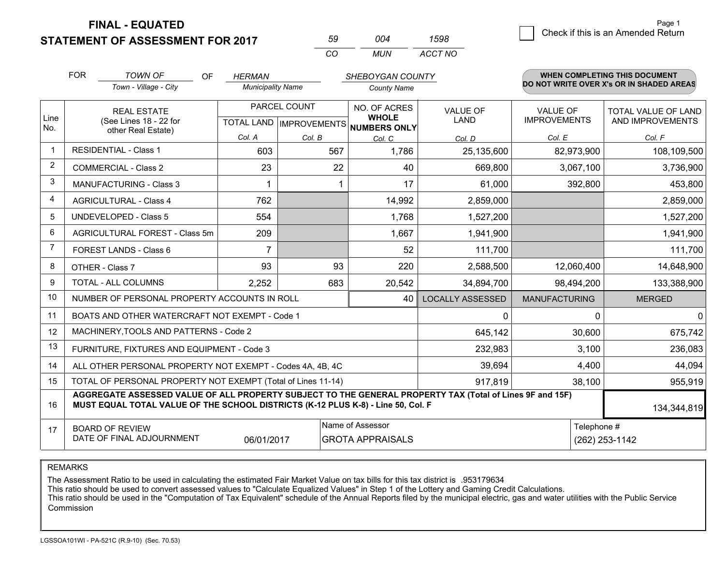**STATEMENT OF ASSESSMENT FOR 2017** 

| 59 | ∩∩⊿ | 1598    |
|----|-----|---------|
| Γn | MUN | ACCT NO |

|                | <b>FOR</b>                                                                                                                                                                                   | <b>TOWN OF</b><br>OF                                         | <b>HERMAN</b>            |              | SHEBOYGAN COUNTY                         |                                |                                        | <b>WHEN COMPLETING THIS DOCUMENT</b>     |
|----------------|----------------------------------------------------------------------------------------------------------------------------------------------------------------------------------------------|--------------------------------------------------------------|--------------------------|--------------|------------------------------------------|--------------------------------|----------------------------------------|------------------------------------------|
|                |                                                                                                                                                                                              | Town - Village - City                                        | <b>Municipality Name</b> |              | <b>County Name</b>                       |                                |                                        | DO NOT WRITE OVER X's OR IN SHADED AREAS |
| Line           |                                                                                                                                                                                              | <b>REAL ESTATE</b><br>(See Lines 18 - 22 for                 |                          | PARCEL COUNT | NO. OF ACRES<br><b>WHOLE</b>             | <b>VALUE OF</b><br><b>LAND</b> | <b>VALUE OF</b><br><b>IMPROVEMENTS</b> | TOTAL VALUE OF LAND<br>AND IMPROVEMENTS  |
| No.            |                                                                                                                                                                                              | other Real Estate)                                           |                          |              | TOTAL LAND   IMPROVEMENTS   NUMBERS ONLY |                                |                                        |                                          |
|                |                                                                                                                                                                                              |                                                              | Col. A                   | Col. B       | Col. C                                   | Col. D                         | Col. E                                 | Col. F                                   |
| -1             |                                                                                                                                                                                              | <b>RESIDENTIAL - Class 1</b>                                 | 603                      | 567          | 1,786                                    | 25,135,600                     | 82,973,900                             | 108,109,500                              |
| 2              |                                                                                                                                                                                              | <b>COMMERCIAL - Class 2</b>                                  | 23                       | 22           | 40                                       | 669,800                        | 3,067,100                              | 3,736,900                                |
| 3              |                                                                                                                                                                                              | <b>MANUFACTURING - Class 3</b>                               | 1                        |              | 17                                       | 61,000                         | 392,800                                | 453,800                                  |
| 4              |                                                                                                                                                                                              | <b>AGRICULTURAL - Class 4</b>                                | 762                      |              | 14,992                                   | 2,859,000                      |                                        | 2,859,000                                |
| 5              | <b>UNDEVELOPED - Class 5</b>                                                                                                                                                                 |                                                              | 554                      |              | 1,768                                    | 1,527,200                      |                                        | 1,527,200                                |
| 6              | <b>AGRICULTURAL FOREST - Class 5m</b>                                                                                                                                                        |                                                              | 209                      |              | 1,667                                    | 1,941,900                      |                                        | 1,941,900                                |
| $\overline{7}$ |                                                                                                                                                                                              | FOREST LANDS - Class 6                                       | $\overline{7}$           |              | 52                                       | 111,700                        |                                        | 111,700                                  |
| 8              |                                                                                                                                                                                              | OTHER - Class 7                                              | 93                       | 93           | 220                                      | 2,588,500                      | 12,060,400                             | 14,648,900                               |
| 9              |                                                                                                                                                                                              | TOTAL - ALL COLUMNS                                          | 2,252                    | 683          | 20,542                                   | 34,894,700                     | 98,494,200                             | 133,388,900                              |
| 10             |                                                                                                                                                                                              | NUMBER OF PERSONAL PROPERTY ACCOUNTS IN ROLL                 |                          |              | 40                                       | <b>LOCALLY ASSESSED</b>        | <b>MANUFACTURING</b>                   | <b>MERGED</b>                            |
| 11             |                                                                                                                                                                                              | BOATS AND OTHER WATERCRAFT NOT EXEMPT - Code 1               |                          |              |                                          | 0                              | $\Omega$                               | $\mathbf{0}$                             |
| 12             |                                                                                                                                                                                              | MACHINERY, TOOLS AND PATTERNS - Code 2                       |                          |              |                                          | 645,142                        | 30,600                                 | 675,742                                  |
| 13             |                                                                                                                                                                                              | FURNITURE, FIXTURES AND EQUIPMENT - Code 3                   |                          |              |                                          | 232,983                        | 3,100                                  | 236,083                                  |
| 14             |                                                                                                                                                                                              | ALL OTHER PERSONAL PROPERTY NOT EXEMPT - Codes 4A, 4B, 4C    |                          |              |                                          | 39,694                         | 4,400                                  | 44,094                                   |
| 15             |                                                                                                                                                                                              | TOTAL OF PERSONAL PROPERTY NOT EXEMPT (Total of Lines 11-14) |                          |              |                                          | 917,819                        | 38,100                                 | 955,919                                  |
| 16             | AGGREGATE ASSESSED VALUE OF ALL PROPERTY SUBJECT TO THE GENERAL PROPERTY TAX (Total of Lines 9F and 15F)<br>MUST EQUAL TOTAL VALUE OF THE SCHOOL DISTRICTS (K-12 PLUS K-8) - Line 50, Col. F |                                                              |                          |              |                                          |                                |                                        | 134,344,819                              |
| 17             |                                                                                                                                                                                              | <b>BOARD OF REVIEW</b>                                       |                          |              | Name of Assessor                         |                                | Telephone #                            |                                          |
|                |                                                                                                                                                                                              | DATE OF FINAL ADJOURNMENT                                    | 06/01/2017               |              | <b>GROTA APPRAISALS</b>                  |                                |                                        | (262) 253-1142                           |

REMARKS

The Assessment Ratio to be used in calculating the estimated Fair Market Value on tax bills for this tax district is .953179634

This ratio should be used to convert assessed values to "Calculate Equalized Values" in Step 1 of the Lottery and Gaming Credit Calculations.<br>This ratio should be used in the "Computation of Tax Equivalent" schedule of the Commission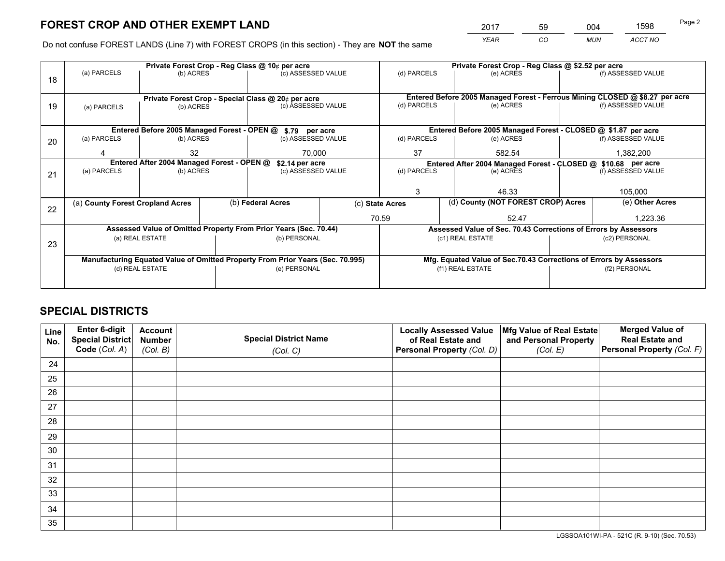*YEAR CO MUN ACCT NO* <sup>2017</sup> <sup>59</sup> <sup>004</sup> <sup>1598</sup>

Do not confuse FOREST LANDS (Line 7) with FOREST CROPS (in this section) - They are **NOT** the same

|    |                                                    |                                             |  | Private Forest Crop - Reg Class @ 10¢ per acre                                 |                                   | Private Forest Crop - Reg Class @ \$2.52 per acre                                   |                                                                    |               |                    |  |
|----|----------------------------------------------------|---------------------------------------------|--|--------------------------------------------------------------------------------|-----------------------------------|-------------------------------------------------------------------------------------|--------------------------------------------------------------------|---------------|--------------------|--|
| 18 | (a) PARCELS                                        | (b) ACRES                                   |  | (c) ASSESSED VALUE                                                             |                                   | (d) PARCELS                                                                         | (e) ACRES                                                          |               | (f) ASSESSED VALUE |  |
|    |                                                    |                                             |  |                                                                                |                                   |                                                                                     |                                                                    |               |                    |  |
|    | Private Forest Crop - Special Class @ 20¢ per acre |                                             |  |                                                                                |                                   | Entered Before 2005 Managed Forest - Ferrous Mining CLOSED @ \$8.27 per acre        |                                                                    |               |                    |  |
| 19 | (a) PARCELS                                        | (b) ACRES                                   |  | (c) ASSESSED VALUE                                                             |                                   | (d) PARCELS                                                                         | (e) ACRES                                                          |               | (f) ASSESSED VALUE |  |
|    |                                                    |                                             |  |                                                                                |                                   |                                                                                     |                                                                    |               |                    |  |
|    |                                                    | Entered Before 2005 Managed Forest - OPEN @ |  | \$.79 per acre                                                                 |                                   |                                                                                     | Entered Before 2005 Managed Forest - CLOSED @ \$1.87 per acre      |               |                    |  |
| 20 | (a) PARCELS                                        | (b) ACRES                                   |  | (c) ASSESSED VALUE                                                             |                                   | (d) PARCELS                                                                         | (e) ACRES                                                          |               | (f) ASSESSED VALUE |  |
|    |                                                    | 32                                          |  | 70.000                                                                         | 37                                |                                                                                     | 582.54                                                             |               | 1,382,200          |  |
|    | Entered After 2004 Managed Forest - OPEN @         |                                             |  | \$2.14 per acre                                                                |                                   | Entered After 2004 Managed Forest - CLOSED @ \$10.68 per acre<br>(f) ASSESSED VALUE |                                                                    |               |                    |  |
| 21 | (a) PARCELS                                        | (b) ACRES                                   |  |                                                                                | (d) PARCELS<br>(c) ASSESSED VALUE |                                                                                     | (e) ACRES                                                          |               |                    |  |
|    |                                                    |                                             |  |                                                                                |                                   |                                                                                     |                                                                    |               |                    |  |
|    |                                                    |                                             |  |                                                                                |                                   | 3                                                                                   | 46.33                                                              |               | 105,000            |  |
| 22 | (a) County Forest Cropland Acres                   |                                             |  | (b) Federal Acres                                                              | (c) State Acres                   |                                                                                     | (d) County (NOT FOREST CROP) Acres                                 |               | (e) Other Acres    |  |
|    |                                                    |                                             |  |                                                                                |                                   | 70.59                                                                               | 52.47                                                              |               | 1,223.36           |  |
|    |                                                    |                                             |  | Assessed Value of Omitted Property From Prior Years (Sec. 70.44)               |                                   |                                                                                     | Assessed Value of Sec. 70.43 Corrections of Errors by Assessors    |               |                    |  |
| 23 |                                                    | (a) REAL ESTATE                             |  | (b) PERSONAL                                                                   |                                   |                                                                                     | (c1) REAL ESTATE                                                   |               | (c2) PERSONAL      |  |
|    |                                                    |                                             |  |                                                                                |                                   |                                                                                     |                                                                    |               |                    |  |
|    |                                                    |                                             |  | Manufacturing Equated Value of Omitted Property From Prior Years (Sec. 70.995) |                                   |                                                                                     | Mfg. Equated Value of Sec.70.43 Corrections of Errors by Assessors |               |                    |  |
|    |                                                    | (d) REAL ESTATE                             |  | (e) PERSONAL                                                                   |                                   | (f1) REAL ESTATE                                                                    |                                                                    | (f2) PERSONAL |                    |  |
|    |                                                    |                                             |  |                                                                                |                                   |                                                                                     |                                                                    |               |                    |  |

## **SPECIAL DISTRICTS**

| Line<br>No. | Enter 6-digit<br><b>Special District</b> | <b>Account</b><br><b>Number</b> | <b>Special District Name</b> | <b>Locally Assessed Value</b><br>of Real Estate and | Mfg Value of Real Estate<br>and Personal Property | <b>Merged Value of</b><br><b>Real Estate and</b> |
|-------------|------------------------------------------|---------------------------------|------------------------------|-----------------------------------------------------|---------------------------------------------------|--------------------------------------------------|
|             | Code (Col. A)                            | (Col. B)                        | (Col. C)                     | Personal Property (Col. D)                          | (Col. E)                                          | Personal Property (Col. F)                       |
| 24          |                                          |                                 |                              |                                                     |                                                   |                                                  |
| 25          |                                          |                                 |                              |                                                     |                                                   |                                                  |
| 26          |                                          |                                 |                              |                                                     |                                                   |                                                  |
| 27          |                                          |                                 |                              |                                                     |                                                   |                                                  |
| 28          |                                          |                                 |                              |                                                     |                                                   |                                                  |
| 29          |                                          |                                 |                              |                                                     |                                                   |                                                  |
| 30          |                                          |                                 |                              |                                                     |                                                   |                                                  |
| 31          |                                          |                                 |                              |                                                     |                                                   |                                                  |
| 32          |                                          |                                 |                              |                                                     |                                                   |                                                  |
| 33          |                                          |                                 |                              |                                                     |                                                   |                                                  |
| 34          |                                          |                                 |                              |                                                     |                                                   |                                                  |
| 35          |                                          |                                 |                              |                                                     |                                                   |                                                  |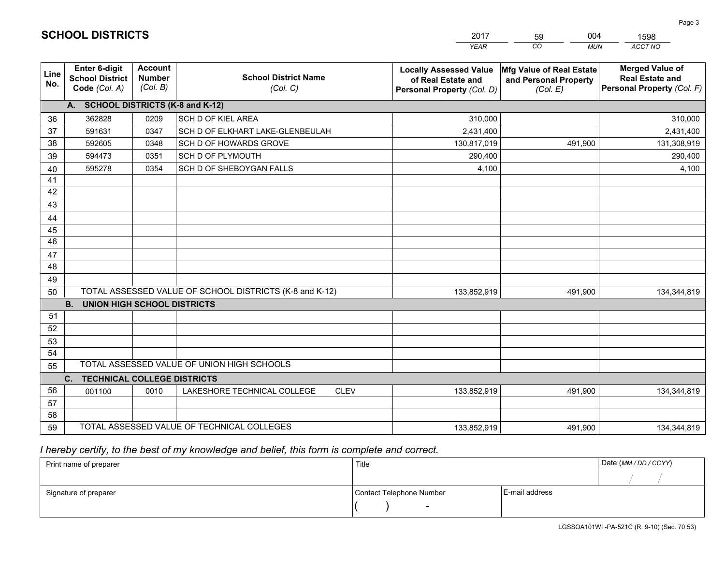|             |                                                          |                                             |                                                         | <b>YEAR</b>                                                                       | $\overline{co}$<br><b>MUN</b>                                 | ACCT NO                                                                        |
|-------------|----------------------------------------------------------|---------------------------------------------|---------------------------------------------------------|-----------------------------------------------------------------------------------|---------------------------------------------------------------|--------------------------------------------------------------------------------|
| Line<br>No. | Enter 6-digit<br><b>School District</b><br>Code (Col. A) | <b>Account</b><br><b>Number</b><br>(Col. B) | <b>School District Name</b><br>(Col. C)                 | <b>Locally Assessed Value</b><br>of Real Estate and<br>Personal Property (Col. D) | Mfg Value of Real Estate<br>and Personal Property<br>(Col. E) | <b>Merged Value of</b><br><b>Real Estate and</b><br>Personal Property (Col. F) |
|             | A. SCHOOL DISTRICTS (K-8 and K-12)                       |                                             |                                                         |                                                                                   |                                                               |                                                                                |
| 36          | 362828                                                   | 0209                                        | <b>SCH D OF KIEL AREA</b>                               | 310,000                                                                           |                                                               | 310,000                                                                        |
| 37          | 591631                                                   | 0347                                        | SCH D OF ELKHART LAKE-GLENBEULAH                        | 2,431,400                                                                         |                                                               | 2,431,400                                                                      |
| 38          | 592605                                                   | 0348                                        | SCH D OF HOWARDS GROVE                                  | 130,817,019                                                                       | 491,900                                                       | 131,308,919                                                                    |
| 39          | 594473                                                   | 0351                                        | SCH D OF PLYMOUTH                                       | 290,400                                                                           |                                                               | 290,400                                                                        |
| 40          | 595278                                                   | 0354                                        | SCH D OF SHEBOYGAN FALLS                                | 4,100                                                                             |                                                               | 4,100                                                                          |
| 41          |                                                          |                                             |                                                         |                                                                                   |                                                               |                                                                                |
| 42          |                                                          |                                             |                                                         |                                                                                   |                                                               |                                                                                |
| 43          |                                                          |                                             |                                                         |                                                                                   |                                                               |                                                                                |
| 44          |                                                          |                                             |                                                         |                                                                                   |                                                               |                                                                                |
| 45          |                                                          |                                             |                                                         |                                                                                   |                                                               |                                                                                |
| 46          |                                                          |                                             |                                                         |                                                                                   |                                                               |                                                                                |
| 47          |                                                          |                                             |                                                         |                                                                                   |                                                               |                                                                                |
| 48          |                                                          |                                             |                                                         |                                                                                   |                                                               |                                                                                |
| 49          |                                                          |                                             |                                                         |                                                                                   |                                                               |                                                                                |
| 50          |                                                          |                                             | TOTAL ASSESSED VALUE OF SCHOOL DISTRICTS (K-8 and K-12) | 133,852,919                                                                       | 491,900                                                       | 134,344,819                                                                    |
|             | <b>B.</b><br><b>UNION HIGH SCHOOL DISTRICTS</b>          |                                             |                                                         |                                                                                   |                                                               |                                                                                |
| 51          |                                                          |                                             |                                                         |                                                                                   |                                                               |                                                                                |
| 52          |                                                          |                                             |                                                         |                                                                                   |                                                               |                                                                                |
| 53          |                                                          |                                             |                                                         |                                                                                   |                                                               |                                                                                |
| 54          |                                                          |                                             |                                                         |                                                                                   |                                                               |                                                                                |
| 55          |                                                          |                                             | TOTAL ASSESSED VALUE OF UNION HIGH SCHOOLS              |                                                                                   |                                                               |                                                                                |
|             | C.<br><b>TECHNICAL COLLEGE DISTRICTS</b>                 |                                             |                                                         |                                                                                   |                                                               |                                                                                |
| 56          | 001100                                                   | 0010                                        | LAKESHORE TECHNICAL COLLEGE<br><b>CLEV</b>              | 133,852,919                                                                       | 491,900                                                       | 134,344,819                                                                    |
| 57          |                                                          |                                             |                                                         |                                                                                   |                                                               |                                                                                |
| 58          |                                                          |                                             |                                                         |                                                                                   |                                                               |                                                                                |
| 59          |                                                          |                                             | TOTAL ASSESSED VALUE OF TECHNICAL COLLEGES              | 133,852,919                                                                       | 491,900                                                       | 134,344,819                                                                    |

59

004

 *I hereby certify, to the best of my knowledge and belief, this form is complete and correct.*

**SCHOOL DISTRICTS**

| Print name of preparer | Title                    |                | Date (MM/DD/CCYY) |
|------------------------|--------------------------|----------------|-------------------|
|                        |                          |                |                   |
| Signature of preparer  | Contact Telephone Number | E-mail address |                   |
|                        | $\overline{\phantom{0}}$ |                |                   |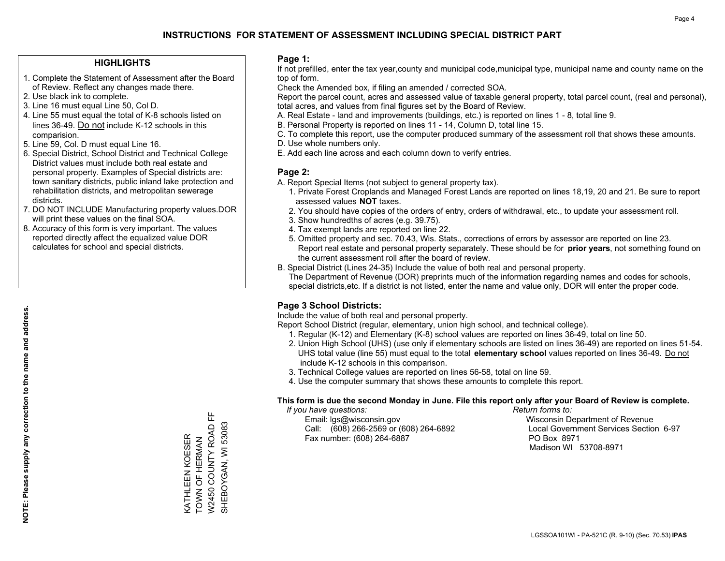#### **HIGHLIGHTS**

- 1. Complete the Statement of Assessment after the Board of Review. Reflect any changes made there.
- 2. Use black ink to complete.
- 3. Line 16 must equal Line 50, Col D.
- 4. Line 55 must equal the total of K-8 schools listed on lines 36-49. Do not include K-12 schools in this comparision.
- 5. Line 59, Col. D must equal Line 16.
- 6. Special District, School District and Technical College District values must include both real estate and personal property. Examples of Special districts are: town sanitary districts, public inland lake protection and rehabilitation districts, and metropolitan sewerage districts.
- 7. DO NOT INCLUDE Manufacturing property values.DOR will print these values on the final SOA.
- 8. Accuracy of this form is very important. The values reported directly affect the equalized value DOR calculates for school and special districts.

#### **Page 1:**

 If not prefilled, enter the tax year,county and municipal code,municipal type, municipal name and county name on the top of form.

Check the Amended box, if filing an amended / corrected SOA.

 Report the parcel count, acres and assessed value of taxable general property, total parcel count, (real and personal), total acres, and values from final figures set by the Board of Review.

- A. Real Estate land and improvements (buildings, etc.) is reported on lines 1 8, total line 9.
- B. Personal Property is reported on lines 11 14, Column D, total line 15.
- C. To complete this report, use the computer produced summary of the assessment roll that shows these amounts.
- D. Use whole numbers only.
- E. Add each line across and each column down to verify entries.

### **Page 2:**

- A. Report Special Items (not subject to general property tax).
- 1. Private Forest Croplands and Managed Forest Lands are reported on lines 18,19, 20 and 21. Be sure to report assessed values **NOT** taxes.
- 2. You should have copies of the orders of entry, orders of withdrawal, etc., to update your assessment roll.
	- 3. Show hundredths of acres (e.g. 39.75).
- 4. Tax exempt lands are reported on line 22.
- 5. Omitted property and sec. 70.43, Wis. Stats., corrections of errors by assessor are reported on line 23. Report real estate and personal property separately. These should be for **prior years**, not something found on the current assessment roll after the board of review.
- B. Special District (Lines 24-35) Include the value of both real and personal property.

 The Department of Revenue (DOR) preprints much of the information regarding names and codes for schools, special districts,etc. If a district is not listed, enter the name and value only, DOR will enter the proper code.

## **Page 3 School Districts:**

Include the value of both real and personal property.

Report School District (regular, elementary, union high school, and technical college).

- 1. Regular (K-12) and Elementary (K-8) school values are reported on lines 36-49, total on line 50.
- 2. Union High School (UHS) (use only if elementary schools are listed on lines 36-49) are reported on lines 51-54. UHS total value (line 55) must equal to the total **elementary school** values reported on lines 36-49. Do notinclude K-12 schools in this comparison.
- 3. Technical College values are reported on lines 56-58, total on line 59.
- 4. Use the computer summary that shows these amounts to complete this report.

#### **This form is due the second Monday in June. File this report only after your Board of Review is complete.**

 *If you have questions: Return forms to:*

 Email: lgs@wisconsin.gov Wisconsin Department of RevenueCall:  $(608)$  266-2569 or  $(608)$  264-6892 Fax number: (608) 264-6887 PO Box 8971

Local Government Services Section 6-97 Madison WI 53708-8971

W2450 COUNTY ROAD FF SHEBOYGAN, WI 53083 W2450 COUNTY ROAD SHEBOYGAN, WI 53083 **VATHLEEN KOESER** KATHLEEN KOESER TOWN OF HERMAN TOWN OF HERMAN

뜐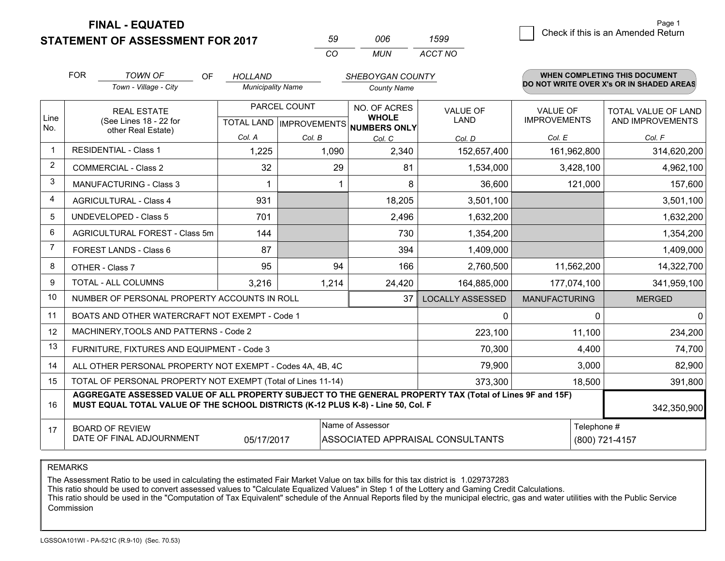**STATEMENT OF ASSESSMENT FOR 2017** 

| 59  | nnr | 1599    |
|-----|-----|---------|
| CO. | MUN | ACCT NO |

|                | <b>FOR</b> | <b>TOWN OF</b><br>OF                                                                                                                                                                         | <b>HOLLAND</b>           |              | <b>SHEBOYGAN COUNTY</b>                             |                                  |                      | WHEN COMPLETING THIS DOCUMENT            |
|----------------|------------|----------------------------------------------------------------------------------------------------------------------------------------------------------------------------------------------|--------------------------|--------------|-----------------------------------------------------|----------------------------------|----------------------|------------------------------------------|
|                |            | Town - Village - City                                                                                                                                                                        | <b>Municipality Name</b> |              | <b>County Name</b>                                  |                                  |                      | DO NOT WRITE OVER X's OR IN SHADED AREAS |
|                |            | <b>REAL ESTATE</b>                                                                                                                                                                           |                          | PARCEL COUNT | NO. OF ACRES                                        | <b>VALUE OF</b>                  | <b>VALUE OF</b>      | <b>TOTAL VALUE OF LAND</b>               |
| Line<br>No.    |            | (See Lines 18 - 22 for<br>other Real Estate)                                                                                                                                                 |                          |              | <b>WHOLE</b><br>TOTAL LAND MPROVEMENTS NUMBERS ONLY | <b>LAND</b>                      | <b>IMPROVEMENTS</b>  | AND IMPROVEMENTS                         |
|                |            |                                                                                                                                                                                              | Col. A                   | Col. B       | Col. C                                              | Col. D                           | Col. E               | Col. F                                   |
| $\mathbf 1$    |            | <b>RESIDENTIAL - Class 1</b>                                                                                                                                                                 | 1,225                    | 1,090        | 2,340                                               | 152,657,400                      | 161,962,800          | 314,620,200                              |
| $\overline{2}$ |            | <b>COMMERCIAL - Class 2</b>                                                                                                                                                                  | 32                       | 29           | 81                                                  | 1,534,000                        | 3,428,100            | 4,962,100                                |
| 3              |            | <b>MANUFACTURING - Class 3</b>                                                                                                                                                               | 1                        |              | 8                                                   | 36,600                           | 121,000              | 157,600                                  |
| 4              |            | <b>AGRICULTURAL - Class 4</b>                                                                                                                                                                | 931                      |              | 18,205                                              | 3,501,100                        |                      | 3,501,100                                |
| 5              |            | <b>UNDEVELOPED - Class 5</b>                                                                                                                                                                 | 701                      |              | 2,496                                               | 1,632,200                        |                      | 1,632,200                                |
| 6              |            | AGRICULTURAL FOREST - Class 5m                                                                                                                                                               | 144                      |              | 730                                                 | 1,354,200                        |                      | 1,354,200                                |
| $\overline{7}$ |            | FOREST LANDS - Class 6                                                                                                                                                                       | 87                       |              | 394                                                 | 1,409,000                        |                      | 1,409,000                                |
| 8              |            | OTHER - Class 7                                                                                                                                                                              | 95                       | 94           | 166                                                 | 2,760,500                        | 11,562,200           | 14,322,700                               |
| 9              |            | <b>TOTAL - ALL COLUMNS</b>                                                                                                                                                                   | 3,216                    | 1,214        | 24,420                                              | 164,885,000                      | 177,074,100          | 341,959,100                              |
| 10             |            | NUMBER OF PERSONAL PROPERTY ACCOUNTS IN ROLL                                                                                                                                                 |                          |              | 37                                                  | <b>LOCALLY ASSESSED</b>          | <b>MANUFACTURING</b> | <b>MERGED</b>                            |
| 11             |            | BOATS AND OTHER WATERCRAFT NOT EXEMPT - Code 1                                                                                                                                               |                          |              |                                                     | 0                                | $\Omega$             | $\mathbf{0}$                             |
| 12             |            | MACHINERY, TOOLS AND PATTERNS - Code 2                                                                                                                                                       |                          |              |                                                     | 223,100                          | 11,100               | 234,200                                  |
| 13             |            | FURNITURE, FIXTURES AND EQUIPMENT - Code 3                                                                                                                                                   |                          |              |                                                     | 70,300                           | 4,400                | 74,700                                   |
| 14             |            | ALL OTHER PERSONAL PROPERTY NOT EXEMPT - Codes 4A, 4B, 4C                                                                                                                                    |                          |              |                                                     | 79,900                           | 3,000                | 82,900                                   |
| 15             |            | TOTAL OF PERSONAL PROPERTY NOT EXEMPT (Total of Lines 11-14)                                                                                                                                 |                          |              |                                                     | 373,300                          | 18,500               | 391,800                                  |
| 16             |            | AGGREGATE ASSESSED VALUE OF ALL PROPERTY SUBJECT TO THE GENERAL PROPERTY TAX (Total of Lines 9F and 15F)<br>MUST EQUAL TOTAL VALUE OF THE SCHOOL DISTRICTS (K-12 PLUS K-8) - Line 50, Col. F |                          |              |                                                     |                                  |                      | 342,350,900                              |
| 17             |            | <b>BOARD OF REVIEW</b>                                                                                                                                                                       |                          |              | Name of Assessor                                    |                                  | Telephone #          |                                          |
|                |            | DATE OF FINAL ADJOURNMENT                                                                                                                                                                    | 05/17/2017               |              |                                                     | ASSOCIATED APPRAISAL CONSULTANTS |                      | (800) 721-4157                           |

REMARKS

The Assessment Ratio to be used in calculating the estimated Fair Market Value on tax bills for this tax district is 1.029737283

This ratio should be used to convert assessed values to "Calculate Equalized Values" in Step 1 of the Lottery and Gaming Credit Calculations.<br>This ratio should be used in the "Computation of Tax Equivalent" schedule of the Commission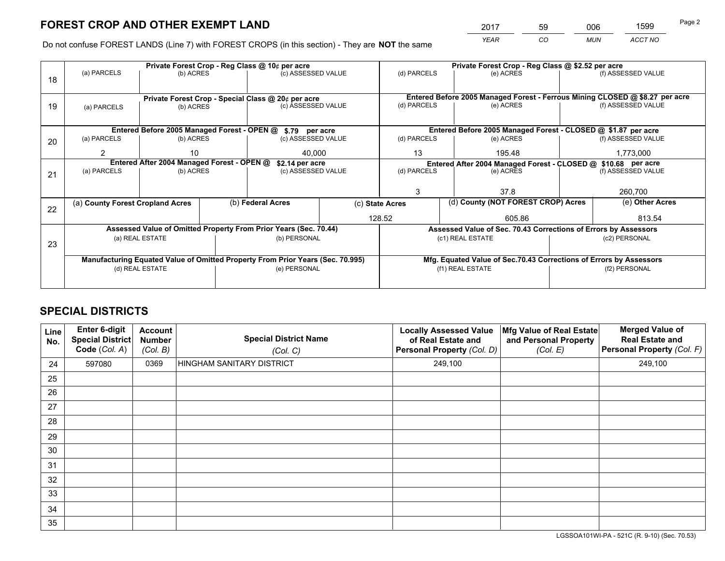*YEAR CO MUN ACCT NO* <sup>2017</sup> <sup>59</sup> <sup>006</sup> <sup>1599</sup>

Do not confuse FOREST LANDS (Line 7) with FOREST CROPS (in this section) - They are **NOT** the same

|    |                                                                                |                 |                    | Private Forest Crop - Reg Class @ 10¢ per acre                   |             | Private Forest Crop - Reg Class @ \$2.52 per acre             |                                                                    |                                                                 |                    |                                                                              |
|----|--------------------------------------------------------------------------------|-----------------|--------------------|------------------------------------------------------------------|-------------|---------------------------------------------------------------|--------------------------------------------------------------------|-----------------------------------------------------------------|--------------------|------------------------------------------------------------------------------|
| 18 | (a) PARCELS                                                                    | (b) ACRES       |                    | (c) ASSESSED VALUE                                               |             | (d) PARCELS                                                   |                                                                    | (e) ACRES                                                       |                    | (f) ASSESSED VALUE                                                           |
|    |                                                                                |                 |                    |                                                                  |             |                                                               |                                                                    |                                                                 |                    |                                                                              |
|    | Private Forest Crop - Special Class @ 20¢ per acre                             |                 |                    |                                                                  |             |                                                               |                                                                    |                                                                 |                    | Entered Before 2005 Managed Forest - Ferrous Mining CLOSED @ \$8.27 per acre |
| 19 | (b) ACRES<br>(a) PARCELS                                                       |                 | (c) ASSESSED VALUE |                                                                  | (d) PARCELS |                                                               | (e) ACRES                                                          |                                                                 | (f) ASSESSED VALUE |                                                                              |
|    |                                                                                |                 |                    |                                                                  |             |                                                               |                                                                    |                                                                 |                    |                                                                              |
|    |                                                                                |                 |                    | Entered Before 2005 Managed Forest - OPEN @ \$.79 per acre       |             |                                                               |                                                                    | Entered Before 2005 Managed Forest - CLOSED @ \$1.87 per acre   |                    |                                                                              |
| 20 | (a) PARCELS                                                                    | (b) ACRES       |                    | (c) ASSESSED VALUE                                               |             | (d) PARCELS                                                   |                                                                    | (e) ACRES                                                       |                    | (f) ASSESSED VALUE                                                           |
|    | 2                                                                              | 40.000<br>10    |                    |                                                                  | 13          |                                                               | 195.48                                                             |                                                                 | 1,773,000          |                                                                              |
|    | Entered After 2004 Managed Forest - OPEN @<br>\$2.14 per acre                  |                 |                    |                                                                  |             | Entered After 2004 Managed Forest - CLOSED @ \$10.68 per acre |                                                                    |                                                                 |                    |                                                                              |
| 21 | (a) PARCELS                                                                    | (b) ACRES       |                    | (c) ASSESSED VALUE                                               |             | (d) PARCELS                                                   |                                                                    | (e) ACRES                                                       |                    | (f) ASSESSED VALUE                                                           |
|    |                                                                                |                 |                    |                                                                  |             |                                                               |                                                                    |                                                                 |                    |                                                                              |
|    |                                                                                |                 |                    |                                                                  |             | 3                                                             |                                                                    | 37.8                                                            |                    | 260,700                                                                      |
|    | (a) County Forest Cropland Acres                                               |                 |                    | (b) Federal Acres                                                |             | (d) County (NOT FOREST CROP) Acres<br>(c) State Acres         |                                                                    |                                                                 |                    | (e) Other Acres                                                              |
| 22 |                                                                                |                 |                    |                                                                  |             | 128.52                                                        |                                                                    | 605.86                                                          |                    | 813.54                                                                       |
|    |                                                                                |                 |                    | Assessed Value of Omitted Property From Prior Years (Sec. 70.44) |             |                                                               |                                                                    |                                                                 |                    |                                                                              |
|    |                                                                                |                 |                    |                                                                  |             |                                                               |                                                                    | Assessed Value of Sec. 70.43 Corrections of Errors by Assessors |                    |                                                                              |
| 23 |                                                                                | (a) REAL ESTATE |                    | (b) PERSONAL                                                     |             |                                                               | (c1) REAL ESTATE                                                   |                                                                 |                    | (c2) PERSONAL                                                                |
|    |                                                                                |                 |                    |                                                                  |             |                                                               |                                                                    |                                                                 |                    |                                                                              |
|    | Manufacturing Equated Value of Omitted Property From Prior Years (Sec. 70.995) |                 |                    |                                                                  |             |                                                               | Mfg. Equated Value of Sec.70.43 Corrections of Errors by Assessors |                                                                 |                    |                                                                              |
|    | (d) REAL ESTATE                                                                |                 | (e) PERSONAL       |                                                                  |             | (f1) REAL ESTATE                                              |                                                                    |                                                                 | (f2) PERSONAL      |                                                                              |
|    |                                                                                |                 |                    |                                                                  |             |                                                               |                                                                    |                                                                 |                    |                                                                              |

## **SPECIAL DISTRICTS**

| <b>Line</b><br>No. | Enter 6-digit<br><b>Special District</b><br>Code (Col. A) | <b>Account</b><br><b>Number</b><br>(Col. B) | <b>Special District Name</b><br>(Col. C) | <b>Locally Assessed Value</b><br>of Real Estate and<br>Personal Property (Col. D) | Mfg Value of Real Estate<br>and Personal Property<br>(Col. E) | <b>Merged Value of</b><br><b>Real Estate and</b><br>Personal Property (Col. F) |
|--------------------|-----------------------------------------------------------|---------------------------------------------|------------------------------------------|-----------------------------------------------------------------------------------|---------------------------------------------------------------|--------------------------------------------------------------------------------|
| 24                 | 597080                                                    | 0369                                        | HINGHAM SANITARY DISTRICT                | 249,100                                                                           |                                                               | 249,100                                                                        |
| 25                 |                                                           |                                             |                                          |                                                                                   |                                                               |                                                                                |
| 26                 |                                                           |                                             |                                          |                                                                                   |                                                               |                                                                                |
| 27                 |                                                           |                                             |                                          |                                                                                   |                                                               |                                                                                |
| 28                 |                                                           |                                             |                                          |                                                                                   |                                                               |                                                                                |
| 29                 |                                                           |                                             |                                          |                                                                                   |                                                               |                                                                                |
| 30                 |                                                           |                                             |                                          |                                                                                   |                                                               |                                                                                |
| 31                 |                                                           |                                             |                                          |                                                                                   |                                                               |                                                                                |
| 32                 |                                                           |                                             |                                          |                                                                                   |                                                               |                                                                                |
| 33                 |                                                           |                                             |                                          |                                                                                   |                                                               |                                                                                |
| 34                 |                                                           |                                             |                                          |                                                                                   |                                                               |                                                                                |
| 35                 |                                                           |                                             |                                          |                                                                                   |                                                               |                                                                                |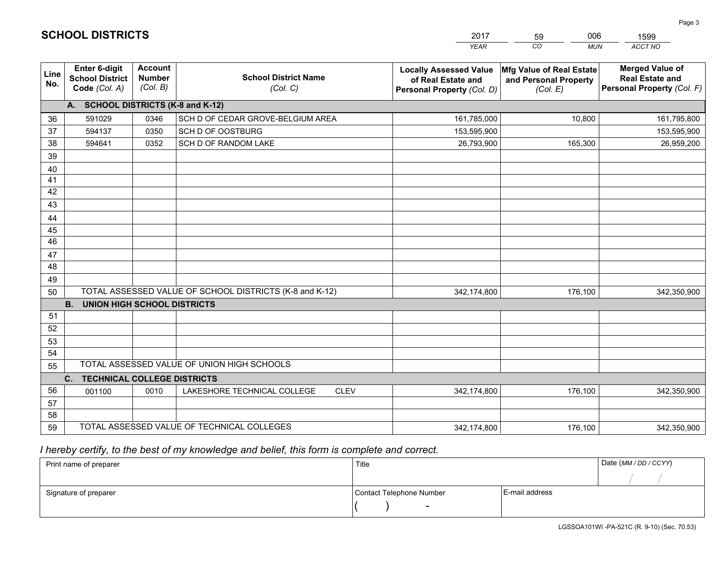|             |                                                          |                                             |                                                         | <b>YEAR</b>                                                                       | CO<br><b>MUN</b>                                              | ACCT NO                                                                        |
|-------------|----------------------------------------------------------|---------------------------------------------|---------------------------------------------------------|-----------------------------------------------------------------------------------|---------------------------------------------------------------|--------------------------------------------------------------------------------|
| Line<br>No. | Enter 6-digit<br><b>School District</b><br>Code (Col. A) | <b>Account</b><br><b>Number</b><br>(Col. B) | <b>School District Name</b><br>(Col. C)                 | <b>Locally Assessed Value</b><br>of Real Estate and<br>Personal Property (Col. D) | Mfg Value of Real Estate<br>and Personal Property<br>(Col. E) | <b>Merged Value of</b><br><b>Real Estate and</b><br>Personal Property (Col. F) |
|             | A. SCHOOL DISTRICTS (K-8 and K-12)                       |                                             |                                                         |                                                                                   |                                                               |                                                                                |
| 36          | 591029                                                   | 0346                                        | SCH D OF CEDAR GROVE-BELGIUM AREA                       | 161,785,000                                                                       | 10,800                                                        | 161,795,800                                                                    |
| 37          | 594137                                                   | 0350                                        | SCH D OF OOSTBURG                                       | 153,595,900                                                                       |                                                               | 153,595,900                                                                    |
| 38          | 594641                                                   | 0352                                        | SCH D OF RANDOM LAKE                                    | 26,793,900                                                                        | 165,300                                                       | 26,959,200                                                                     |
| 39          |                                                          |                                             |                                                         |                                                                                   |                                                               |                                                                                |
| 40          |                                                          |                                             |                                                         |                                                                                   |                                                               |                                                                                |
| 41          |                                                          |                                             |                                                         |                                                                                   |                                                               |                                                                                |
| 42          |                                                          |                                             |                                                         |                                                                                   |                                                               |                                                                                |
| 43          |                                                          |                                             |                                                         |                                                                                   |                                                               |                                                                                |
| 44          |                                                          |                                             |                                                         |                                                                                   |                                                               |                                                                                |
| 45          |                                                          |                                             |                                                         |                                                                                   |                                                               |                                                                                |
| 46          |                                                          |                                             |                                                         |                                                                                   |                                                               |                                                                                |
| 47          |                                                          |                                             |                                                         |                                                                                   |                                                               |                                                                                |
| 48          |                                                          |                                             |                                                         |                                                                                   |                                                               |                                                                                |
| 49          |                                                          |                                             |                                                         |                                                                                   |                                                               |                                                                                |
| 50          |                                                          |                                             | TOTAL ASSESSED VALUE OF SCHOOL DISTRICTS (K-8 and K-12) | 342,174,800                                                                       | 176,100                                                       | 342,350,900                                                                    |
|             | <b>B.</b><br><b>UNION HIGH SCHOOL DISTRICTS</b>          |                                             |                                                         |                                                                                   |                                                               |                                                                                |
| 51          |                                                          |                                             |                                                         |                                                                                   |                                                               |                                                                                |
| 52          |                                                          |                                             |                                                         |                                                                                   |                                                               |                                                                                |
| 53<br>54    |                                                          |                                             |                                                         |                                                                                   |                                                               |                                                                                |
| 55          |                                                          |                                             | TOTAL ASSESSED VALUE OF UNION HIGH SCHOOLS              |                                                                                   |                                                               |                                                                                |
|             | C.<br><b>TECHNICAL COLLEGE DISTRICTS</b>                 |                                             |                                                         |                                                                                   |                                                               |                                                                                |
| 56          | 001100                                                   | 0010                                        | LAKESHORE TECHNICAL COLLEGE<br><b>CLEV</b>              | 342,174,800                                                                       | 176,100                                                       | 342,350,900                                                                    |
| 57          |                                                          |                                             |                                                         |                                                                                   |                                                               |                                                                                |
| 58          |                                                          |                                             |                                                         |                                                                                   |                                                               |                                                                                |
| 59          |                                                          |                                             | TOTAL ASSESSED VALUE OF TECHNICAL COLLEGES              | 342,174,800                                                                       | 176,100                                                       | 342,350,900                                                                    |

59

006

 *I hereby certify, to the best of my knowledge and belief, this form is complete and correct.*

**SCHOOL DISTRICTS**

| Print name of preparer | Title                    |                | Date (MM / DD / CCYY) |
|------------------------|--------------------------|----------------|-----------------------|
|                        |                          |                |                       |
| Signature of preparer  | Contact Telephone Number | E-mail address |                       |
|                        | $\overline{\phantom{0}}$ |                |                       |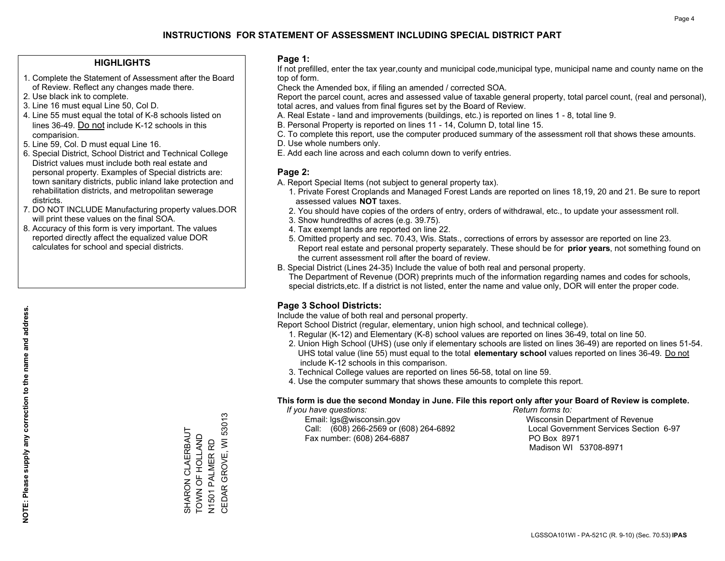#### **HIGHLIGHTS**

- 1. Complete the Statement of Assessment after the Board of Review. Reflect any changes made there.
- 2. Use black ink to complete.
- 3. Line 16 must equal Line 50, Col D.
- 4. Line 55 must equal the total of K-8 schools listed on lines 36-49. Do not include K-12 schools in this comparision.
- 5. Line 59, Col. D must equal Line 16.
- 6. Special District, School District and Technical College District values must include both real estate and personal property. Examples of Special districts are: town sanitary districts, public inland lake protection and rehabilitation districts, and metropolitan sewerage districts.
- 7. DO NOT INCLUDE Manufacturing property values.DOR will print these values on the final SOA.

SHARON CLAERBAUT TOWN OF HOLLAND N1501 PALMER RD

SHARON CLAERBAUT<br>TOWN OF HOLLAND

CEDAR GROVE, WI 53013

N1501 PALMER RD<br>CEDAR GROVE, WI 53013

 8. Accuracy of this form is very important. The values reported directly affect the equalized value DOR calculates for school and special districts.

#### **Page 1:**

 If not prefilled, enter the tax year,county and municipal code,municipal type, municipal name and county name on the top of form.

Check the Amended box, if filing an amended / corrected SOA.

 Report the parcel count, acres and assessed value of taxable general property, total parcel count, (real and personal), total acres, and values from final figures set by the Board of Review.

- A. Real Estate land and improvements (buildings, etc.) is reported on lines 1 8, total line 9.
- B. Personal Property is reported on lines 11 14, Column D, total line 15.
- C. To complete this report, use the computer produced summary of the assessment roll that shows these amounts.
- D. Use whole numbers only.
- E. Add each line across and each column down to verify entries.

#### **Page 2:**

- A. Report Special Items (not subject to general property tax).
- 1. Private Forest Croplands and Managed Forest Lands are reported on lines 18,19, 20 and 21. Be sure to report assessed values **NOT** taxes.
- 2. You should have copies of the orders of entry, orders of withdrawal, etc., to update your assessment roll.
	- 3. Show hundredths of acres (e.g. 39.75).
- 4. Tax exempt lands are reported on line 22.
- 5. Omitted property and sec. 70.43, Wis. Stats., corrections of errors by assessor are reported on line 23. Report real estate and personal property separately. These should be for **prior years**, not something found on the current assessment roll after the board of review.
- B. Special District (Lines 24-35) Include the value of both real and personal property.
- The Department of Revenue (DOR) preprints much of the information regarding names and codes for schools, special districts,etc. If a district is not listed, enter the name and value only, DOR will enter the proper code.

## **Page 3 School Districts:**

Include the value of both real and personal property.

Report School District (regular, elementary, union high school, and technical college).

- 1. Regular (K-12) and Elementary (K-8) school values are reported on lines 36-49, total on line 50.
- 2. Union High School (UHS) (use only if elementary schools are listed on lines 36-49) are reported on lines 51-54. UHS total value (line 55) must equal to the total **elementary school** values reported on lines 36-49. Do notinclude K-12 schools in this comparison.
- 3. Technical College values are reported on lines 56-58, total on line 59.
- 4. Use the computer summary that shows these amounts to complete this report.

#### **This form is due the second Monday in June. File this report only after your Board of Review is complete.**

 *If you have questions: Return forms to:*

 Email: lgs@wisconsin.gov Wisconsin Department of RevenueCall:  $(608)$  266-2569 or  $(608)$  264-6892 Fax number: (608) 264-6887 PO Box 8971

Local Government Services Section 6-97 Madison WI 53708-8971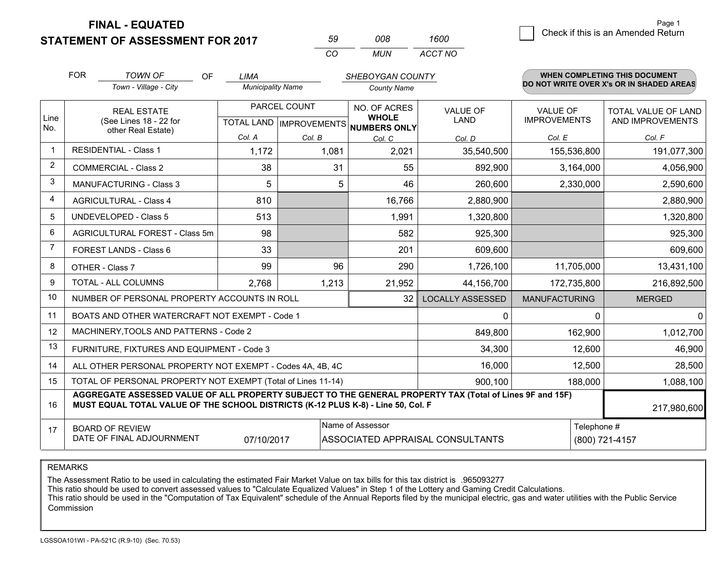**STATEMENT OF ASSESSMENT FOR 2017** 

| .59 | nnr | 1600    |
|-----|-----|---------|
| CO. | MUN | ACCT NO |

|                | <b>FOR</b>                                                                                                                                                                                   | <b>TOWN OF</b><br>OF<br>Town - Village - City                | <b>LIMA</b><br><b>Municipality Name</b>                  |        | SHEBOYGAN COUNTY<br><b>County Name</b> |                                  |                                        | <b>WHEN COMPLETING THIS DOCUMENT</b><br>DO NOT WRITE OVER X's OR IN SHADED AREAS |
|----------------|----------------------------------------------------------------------------------------------------------------------------------------------------------------------------------------------|--------------------------------------------------------------|----------------------------------------------------------|--------|----------------------------------------|----------------------------------|----------------------------------------|----------------------------------------------------------------------------------|
| Line<br>No.    | <b>REAL ESTATE</b><br>(See Lines 18 - 22 for                                                                                                                                                 |                                                              | PARCEL COUNT<br>TOTAL LAND   IMPROVEMENTS   NUMBERS ONLY |        | NO. OF ACRES<br><b>WHOLE</b>           | <b>VALUE OF</b><br><b>LAND</b>   | <b>VALUE OF</b><br><b>IMPROVEMENTS</b> | TOTAL VALUE OF LAND<br>AND IMPROVEMENTS                                          |
|                |                                                                                                                                                                                              | other Real Estate)                                           | Col. A                                                   | Col. B | Col. C                                 | Col. D                           | Col. E                                 | Col. F                                                                           |
|                |                                                                                                                                                                                              | <b>RESIDENTIAL - Class 1</b>                                 | 1,172                                                    | 1,081  | 2,021                                  | 35,540,500                       | 155,536,800                            | 191,077,300                                                                      |
| $\overline{2}$ |                                                                                                                                                                                              | <b>COMMERCIAL - Class 2</b>                                  | 38                                                       | 31     | 55                                     | 892,900                          | 3,164,000                              | 4,056,900                                                                        |
| 3              |                                                                                                                                                                                              | <b>MANUFACTURING - Class 3</b>                               | 5                                                        | 5      | 46                                     | 260,600                          | 2,330,000                              | 2,590,600                                                                        |
| 4              |                                                                                                                                                                                              | <b>AGRICULTURAL - Class 4</b>                                | 810                                                      |        | 16,766                                 | 2,880,900                        |                                        | 2,880,900                                                                        |
| 5              |                                                                                                                                                                                              | <b>UNDEVELOPED - Class 5</b>                                 | 513                                                      |        | 1,991                                  | 1,320,800                        |                                        | 1,320,800                                                                        |
| 6              |                                                                                                                                                                                              | AGRICULTURAL FOREST - Class 5m                               | 98                                                       |        | 582                                    | 925,300                          |                                        | 925,300                                                                          |
| 7              | FOREST LANDS - Class 6                                                                                                                                                                       |                                                              | 33                                                       |        | 201                                    | 609,600                          |                                        | 609,600                                                                          |
| 8              |                                                                                                                                                                                              | OTHER - Class 7                                              | 99                                                       | 96     | 290                                    | 1,726,100                        | 11,705,000                             | 13,431,100                                                                       |
| 9              |                                                                                                                                                                                              | TOTAL - ALL COLUMNS                                          | 2,768                                                    | 1,213  | 21,952                                 | 44,156,700                       | 172,735,800                            | 216,892,500                                                                      |
| 10             |                                                                                                                                                                                              | NUMBER OF PERSONAL PROPERTY ACCOUNTS IN ROLL                 |                                                          |        | 32                                     | <b>LOCALLY ASSESSED</b>          | <b>MANUFACTURING</b>                   | <b>MERGED</b>                                                                    |
| 11             |                                                                                                                                                                                              | BOATS AND OTHER WATERCRAFT NOT EXEMPT - Code 1               |                                                          |        |                                        | $\mathbf{0}$                     | 0                                      | $\overline{0}$                                                                   |
| 12             |                                                                                                                                                                                              | MACHINERY, TOOLS AND PATTERNS - Code 2                       |                                                          |        |                                        | 849,800                          | 162,900                                | 1,012,700                                                                        |
| 13             |                                                                                                                                                                                              | FURNITURE, FIXTURES AND EQUIPMENT - Code 3                   |                                                          |        |                                        | 34,300                           | 12,600                                 | 46,900                                                                           |
| 14             |                                                                                                                                                                                              | ALL OTHER PERSONAL PROPERTY NOT EXEMPT - Codes 4A, 4B, 4C    |                                                          |        |                                        | 16,000                           | 12,500                                 | 28,500                                                                           |
| 15             |                                                                                                                                                                                              | TOTAL OF PERSONAL PROPERTY NOT EXEMPT (Total of Lines 11-14) |                                                          |        |                                        | 900,100                          | 188,000                                | 1,088,100                                                                        |
| 16             | AGGREGATE ASSESSED VALUE OF ALL PROPERTY SUBJECT TO THE GENERAL PROPERTY TAX (Total of Lines 9F and 15F)<br>MUST EQUAL TOTAL VALUE OF THE SCHOOL DISTRICTS (K-12 PLUS K-8) - Line 50, Col. F |                                                              |                                                          |        |                                        |                                  | 217,980,600                            |                                                                                  |
| 17             |                                                                                                                                                                                              | <b>BOARD OF REVIEW</b><br>DATE OF FINAL ADJOURNMENT          | 07/10/2017                                               |        | Name of Assessor                       | ASSOCIATED APPRAISAL CONSULTANTS | Telephone #                            | (800) 721-4157                                                                   |

REMARKS

The Assessment Ratio to be used in calculating the estimated Fair Market Value on tax bills for this tax district is .965093277

This ratio should be used to convert assessed values to "Calculate Equalized Values" in Step 1 of the Lottery and Gaming Credit Calculations.<br>This ratio should be used in the "Computation of Tax Equivalent" schedule of the Commission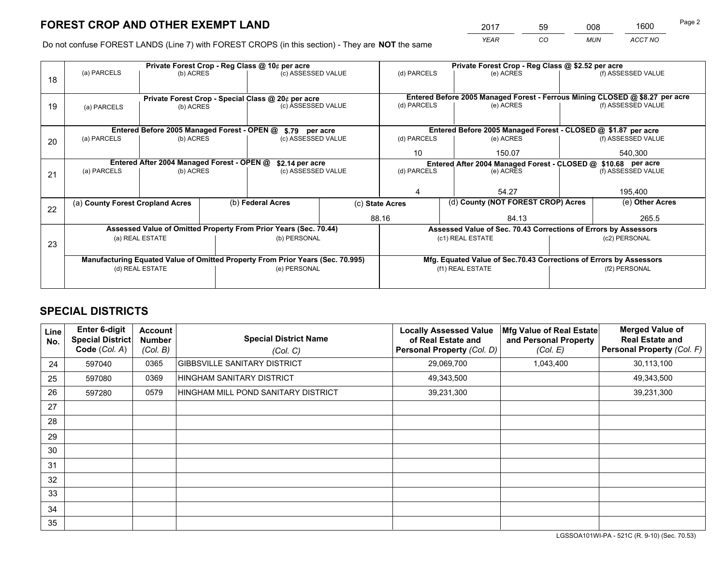*YEAR CO MUN ACCT NO* <sup>2017</sup> <sup>59</sup> <sup>008</sup> <sup>1600</sup>

Do not confuse FOREST LANDS (Line 7) with FOREST CROPS (in this section) - They are **NOT** the same

|    |                                                                                |                 |                    | Private Forest Crop - Reg Class @ 10¢ per acre                                 |             | Private Forest Crop - Reg Class @ \$2.52 per acre             |                                                                              |                    |                    |  |
|----|--------------------------------------------------------------------------------|-----------------|--------------------|--------------------------------------------------------------------------------|-------------|---------------------------------------------------------------|------------------------------------------------------------------------------|--------------------|--------------------|--|
| 18 | (a) PARCELS                                                                    | (b) ACRES       |                    | (c) ASSESSED VALUE                                                             |             | (d) PARCELS                                                   | (e) ACRES                                                                    |                    | (f) ASSESSED VALUE |  |
|    |                                                                                |                 |                    |                                                                                |             |                                                               |                                                                              |                    |                    |  |
|    |                                                                                |                 |                    |                                                                                |             |                                                               | Entered Before 2005 Managed Forest - Ferrous Mining CLOSED @ \$8.27 per acre |                    |                    |  |
| 19 | Private Forest Crop - Special Class @ 20¢ per acre<br>(b) ACRES<br>(a) PARCELS |                 | (c) ASSESSED VALUE |                                                                                | (d) PARCELS | (e) ACRES                                                     |                                                                              | (f) ASSESSED VALUE |                    |  |
|    |                                                                                |                 |                    |                                                                                |             |                                                               |                                                                              |                    |                    |  |
|    |                                                                                |                 |                    |                                                                                |             | Entered Before 2005 Managed Forest - CLOSED @ \$1.87 per acre |                                                                              |                    |                    |  |
|    |                                                                                |                 |                    | Entered Before 2005 Managed Forest - OPEN @ \$.79 per acre                     |             |                                                               |                                                                              |                    |                    |  |
| 20 | (a) PARCELS                                                                    | (b) ACRES       |                    | (c) ASSESSED VALUE                                                             |             | (d) PARCELS                                                   | (e) ACRES                                                                    |                    | (f) ASSESSED VALUE |  |
|    |                                                                                |                 |                    | 10                                                                             | 150.07      |                                                               | 540,300                                                                      |                    |                    |  |
|    | Entered After 2004 Managed Forest - OPEN @<br>\$2.14 per acre                  |                 |                    |                                                                                |             |                                                               | Entered After 2004 Managed Forest - CLOSED @ \$10.68 per acre                |                    |                    |  |
| 21 | (a) PARCELS                                                                    | (b) ACRES       |                    | (c) ASSESSED VALUE                                                             |             | (d) PARCELS<br>(e) ACRES                                      |                                                                              |                    | (f) ASSESSED VALUE |  |
|    |                                                                                |                 |                    |                                                                                |             |                                                               |                                                                              |                    |                    |  |
|    |                                                                                |                 |                    |                                                                                |             | 4                                                             | 54.27                                                                        |                    | 195,400            |  |
|    | (a) County Forest Cropland Acres                                               |                 |                    | (b) Federal Acres                                                              |             | (d) County (NOT FOREST CROP) Acres<br>(c) State Acres         |                                                                              |                    | (e) Other Acres    |  |
| 22 |                                                                                |                 |                    |                                                                                |             |                                                               |                                                                              |                    |                    |  |
|    |                                                                                |                 |                    |                                                                                |             | 88.16                                                         | 84.13                                                                        |                    | 265.5              |  |
|    |                                                                                |                 |                    | Assessed Value of Omitted Property From Prior Years (Sec. 70.44)               |             |                                                               | Assessed Value of Sec. 70.43 Corrections of Errors by Assessors              |                    |                    |  |
| 23 |                                                                                | (a) REAL ESTATE |                    | (b) PERSONAL                                                                   |             |                                                               | (c1) REAL ESTATE                                                             |                    | (c2) PERSONAL      |  |
|    |                                                                                |                 |                    |                                                                                |             |                                                               |                                                                              |                    |                    |  |
|    |                                                                                |                 |                    | Manufacturing Equated Value of Omitted Property From Prior Years (Sec. 70.995) |             |                                                               | Mfg. Equated Value of Sec.70.43 Corrections of Errors by Assessors           |                    |                    |  |
|    |                                                                                | (d) REAL ESTATE |                    | (e) PERSONAL                                                                   |             | (f1) REAL ESTATE                                              |                                                                              |                    | (f2) PERSONAL      |  |
|    |                                                                                |                 |                    |                                                                                |             |                                                               |                                                                              |                    |                    |  |
|    |                                                                                |                 |                    |                                                                                |             |                                                               |                                                                              |                    |                    |  |

## **SPECIAL DISTRICTS**

| Line<br>No. | Enter 6-digit<br><b>Special District</b><br>Code (Col. A) | <b>Account</b><br><b>Number</b><br>(Col. B) | <b>Special District Name</b><br>(Col. C) | <b>Locally Assessed Value</b><br>of Real Estate and<br>Personal Property (Col. D) | Mfg Value of Real Estate<br>and Personal Property<br>(Col. E) | <b>Merged Value of</b><br><b>Real Estate and</b><br>Personal Property (Col. F) |
|-------------|-----------------------------------------------------------|---------------------------------------------|------------------------------------------|-----------------------------------------------------------------------------------|---------------------------------------------------------------|--------------------------------------------------------------------------------|
| 24          | 597040                                                    | 0365                                        | <b>GIBBSVILLE SANITARY DISTRICT</b>      | 29,069,700                                                                        | 1,043,400                                                     | 30,113,100                                                                     |
| 25          | 597080                                                    | 0369                                        | HINGHAM SANITARY DISTRICT                | 49,343,500                                                                        |                                                               | 49,343,500                                                                     |
| 26          | 597280                                                    | 0579                                        | HINGHAM MILL POND SANITARY DISTRICT      | 39,231,300                                                                        |                                                               | 39,231,300                                                                     |
| 27          |                                                           |                                             |                                          |                                                                                   |                                                               |                                                                                |
| 28          |                                                           |                                             |                                          |                                                                                   |                                                               |                                                                                |
| 29          |                                                           |                                             |                                          |                                                                                   |                                                               |                                                                                |
| 30          |                                                           |                                             |                                          |                                                                                   |                                                               |                                                                                |
| 31          |                                                           |                                             |                                          |                                                                                   |                                                               |                                                                                |
| 32          |                                                           |                                             |                                          |                                                                                   |                                                               |                                                                                |
| 33          |                                                           |                                             |                                          |                                                                                   |                                                               |                                                                                |
| 34          |                                                           |                                             |                                          |                                                                                   |                                                               |                                                                                |
| 35          |                                                           |                                             |                                          |                                                                                   |                                                               |                                                                                |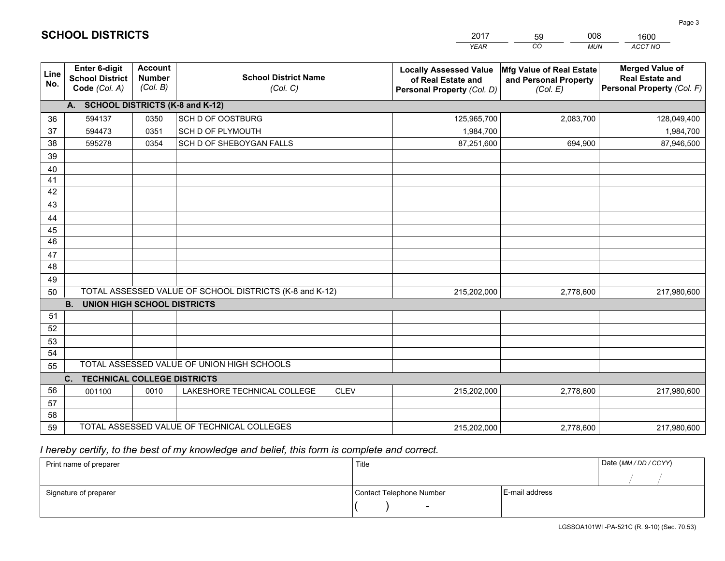|             |                                                                 |                                             |                                                         | <b>YEAR</b>                                                                       | CO<br><b>MUN</b>                                              | ACCT NO                                                                        |
|-------------|-----------------------------------------------------------------|---------------------------------------------|---------------------------------------------------------|-----------------------------------------------------------------------------------|---------------------------------------------------------------|--------------------------------------------------------------------------------|
| Line<br>No. | <b>Enter 6-digit</b><br><b>School District</b><br>Code (Col. A) | <b>Account</b><br><b>Number</b><br>(Col. B) | <b>School District Name</b><br>(Col. C)                 | <b>Locally Assessed Value</b><br>of Real Estate and<br>Personal Property (Col. D) | Mfg Value of Real Estate<br>and Personal Property<br>(Col. E) | <b>Merged Value of</b><br><b>Real Estate and</b><br>Personal Property (Col. F) |
|             | A. SCHOOL DISTRICTS (K-8 and K-12)                              |                                             |                                                         |                                                                                   |                                                               |                                                                                |
| 36          | 594137                                                          | 0350                                        | SCH D OF OOSTBURG                                       | 125,965,700                                                                       | 2,083,700                                                     | 128,049,400                                                                    |
| 37          | 594473                                                          | 0351                                        | SCH D OF PLYMOUTH                                       | 1,984,700                                                                         |                                                               | 1,984,700                                                                      |
| 38          | 595278                                                          | 0354                                        | SCH D OF SHEBOYGAN FALLS                                | 87,251,600                                                                        | 694,900                                                       | 87,946,500                                                                     |
| 39          |                                                                 |                                             |                                                         |                                                                                   |                                                               |                                                                                |
| 40          |                                                                 |                                             |                                                         |                                                                                   |                                                               |                                                                                |
| 41          |                                                                 |                                             |                                                         |                                                                                   |                                                               |                                                                                |
| 42          |                                                                 |                                             |                                                         |                                                                                   |                                                               |                                                                                |
| 43          |                                                                 |                                             |                                                         |                                                                                   |                                                               |                                                                                |
| 44          |                                                                 |                                             |                                                         |                                                                                   |                                                               |                                                                                |
| 45          |                                                                 |                                             |                                                         |                                                                                   |                                                               |                                                                                |
| 46          |                                                                 |                                             |                                                         |                                                                                   |                                                               |                                                                                |
| 47          |                                                                 |                                             |                                                         |                                                                                   |                                                               |                                                                                |
| 48          |                                                                 |                                             |                                                         |                                                                                   |                                                               |                                                                                |
| 49          |                                                                 |                                             | TOTAL ASSESSED VALUE OF SCHOOL DISTRICTS (K-8 and K-12) |                                                                                   |                                                               |                                                                                |
| 50          | <b>B.</b><br>UNION HIGH SCHOOL DISTRICTS                        |                                             |                                                         | 215,202,000                                                                       | 2,778,600                                                     | 217,980,600                                                                    |
| 51          |                                                                 |                                             |                                                         |                                                                                   |                                                               |                                                                                |
| 52          |                                                                 |                                             |                                                         |                                                                                   |                                                               |                                                                                |
| 53          |                                                                 |                                             |                                                         |                                                                                   |                                                               |                                                                                |
| 54          |                                                                 |                                             |                                                         |                                                                                   |                                                               |                                                                                |
| 55          |                                                                 |                                             | TOTAL ASSESSED VALUE OF UNION HIGH SCHOOLS              |                                                                                   |                                                               |                                                                                |
|             | C.<br><b>TECHNICAL COLLEGE DISTRICTS</b>                        |                                             |                                                         |                                                                                   |                                                               |                                                                                |
| 56          | 001100                                                          | 0010                                        | LAKESHORE TECHNICAL COLLEGE<br><b>CLEV</b>              | 215,202,000                                                                       | 2,778,600                                                     | 217,980,600                                                                    |
| 57          |                                                                 |                                             |                                                         |                                                                                   |                                                               |                                                                                |
| 58          |                                                                 |                                             |                                                         |                                                                                   |                                                               |                                                                                |
| 59          |                                                                 |                                             | TOTAL ASSESSED VALUE OF TECHNICAL COLLEGES              | 215,202,000                                                                       | 2,778,600                                                     | 217,980,600                                                                    |

59

008

 *I hereby certify, to the best of my knowledge and belief, this form is complete and correct.*

**SCHOOL DISTRICTS**

| Print name of preparer | Title                    |                | Date (MM / DD / CCYY) |
|------------------------|--------------------------|----------------|-----------------------|
|                        |                          |                |                       |
| Signature of preparer  | Contact Telephone Number | E-mail address |                       |
|                        | $\overline{\phantom{0}}$ |                |                       |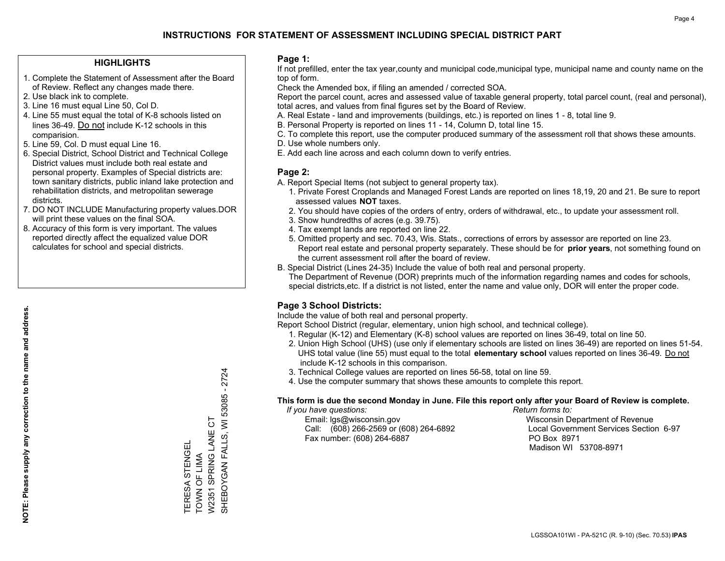#### **HIGHLIGHTS**

- 1. Complete the Statement of Assessment after the Board of Review. Reflect any changes made there.
- 2. Use black ink to complete.
- 3. Line 16 must equal Line 50, Col D.
- 4. Line 55 must equal the total of K-8 schools listed on lines 36-49. Do not include K-12 schools in this comparision.
- 5. Line 59, Col. D must equal Line 16.
- 6. Special District, School District and Technical College District values must include both real estate and personal property. Examples of Special districts are: town sanitary districts, public inland lake protection and rehabilitation districts, and metropolitan sewerage districts.
- 7. DO NOT INCLUDE Manufacturing property values.DOR will print these values on the final SOA.
- 8. Accuracy of this form is very important. The values reported directly affect the equalized value DOR calculates for school and special districts.

#### **Page 1:**

 If not prefilled, enter the tax year,county and municipal code,municipal type, municipal name and county name on the top of form.

Check the Amended box, if filing an amended / corrected SOA.

 Report the parcel count, acres and assessed value of taxable general property, total parcel count, (real and personal), total acres, and values from final figures set by the Board of Review.

- A. Real Estate land and improvements (buildings, etc.) is reported on lines 1 8, total line 9.
- B. Personal Property is reported on lines 11 14, Column D, total line 15.
- C. To complete this report, use the computer produced summary of the assessment roll that shows these amounts.
- D. Use whole numbers only.
- E. Add each line across and each column down to verify entries.

#### **Page 2:**

- A. Report Special Items (not subject to general property tax).
- 1. Private Forest Croplands and Managed Forest Lands are reported on lines 18,19, 20 and 21. Be sure to report assessed values **NOT** taxes.
- 2. You should have copies of the orders of entry, orders of withdrawal, etc., to update your assessment roll.
	- 3. Show hundredths of acres (e.g. 39.75).
- 4. Tax exempt lands are reported on line 22.
- 5. Omitted property and sec. 70.43, Wis. Stats., corrections of errors by assessor are reported on line 23. Report real estate and personal property separately. These should be for **prior years**, not something found on the current assessment roll after the board of review.
- B. Special District (Lines 24-35) Include the value of both real and personal property.
- The Department of Revenue (DOR) preprints much of the information regarding names and codes for schools, special districts,etc. If a district is not listed, enter the name and value only, DOR will enter the proper code.

## **Page 3 School Districts:**

Include the value of both real and personal property.

Report School District (regular, elementary, union high school, and technical college).

- 1. Regular (K-12) and Elementary (K-8) school values are reported on lines 36-49, total on line 50.
- 2. Union High School (UHS) (use only if elementary schools are listed on lines 36-49) are reported on lines 51-54. UHS total value (line 55) must equal to the total **elementary school** values reported on lines 36-49. Do notinclude K-12 schools in this comparison.
- 3. Technical College values are reported on lines 56-58, total on line 59.
- 4. Use the computer summary that shows these amounts to complete this report.

#### **This form is due the second Monday in June. File this report only after your Board of Review is complete.**

 *If you have questions: Return forms to:*

 Email: lgs@wisconsin.gov Wisconsin Department of RevenueCall:  $(608)$  266-2569 or  $(608)$  264-6892 Fax number: (608) 264-6887 PO Box 8971

Local Government Services Section 6-97 Madison WI 53708-8971

SHEBOYGAN FALLS, WI 53085 - 2724 SHEBOYGAN FALLS, WI 53085 - 2724 W2351 SPRING LANE CT W2351 SPRING LANE CT TERESA STENGEL<br>TOWN OF LIMA TERESA STENGEL TOWN OF LIMA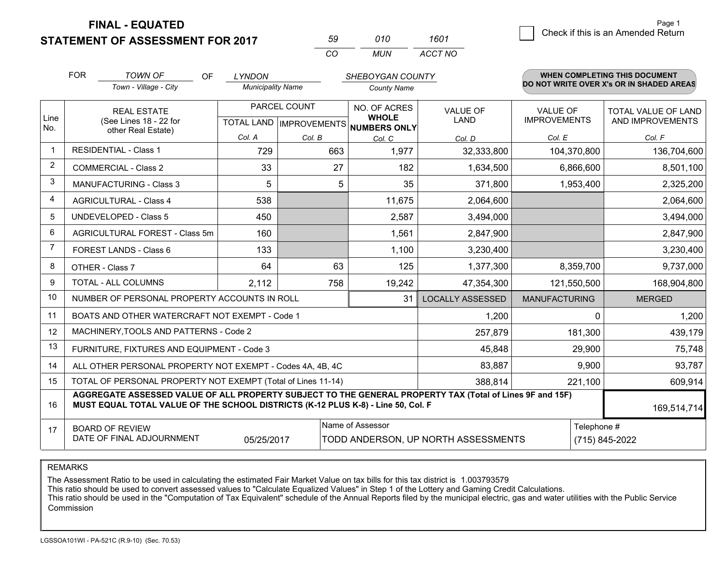**STATEMENT OF ASSESSMENT FOR 2017** 

| 59 | 010 | 1601    |
|----|-----|---------|
| ററ | MUN | ACCT NO |

|                         | <b>FOR</b><br><b>TOWN OF</b><br>OF<br><b>LYNDON</b>                                                                                                                                          |                                                              | SHEBOYGAN COUNTY         |        |                                                     |                                     | <b>WHEN COMPLETING THIS DOCUMENT</b> |             |                                          |
|-------------------------|----------------------------------------------------------------------------------------------------------------------------------------------------------------------------------------------|--------------------------------------------------------------|--------------------------|--------|-----------------------------------------------------|-------------------------------------|--------------------------------------|-------------|------------------------------------------|
|                         |                                                                                                                                                                                              | Town - Village - City                                        | <b>Municipality Name</b> |        | <b>County Name</b>                                  |                                     |                                      |             | DO NOT WRITE OVER X's OR IN SHADED AREAS |
|                         |                                                                                                                                                                                              | PARCEL COUNT<br><b>REAL ESTATE</b>                           |                          |        | NO. OF ACRES                                        | <b>VALUE OF</b>                     | <b>VALUE OF</b>                      |             | TOTAL VALUE OF LAND                      |
| Line<br>No.             |                                                                                                                                                                                              | (See Lines 18 - 22 for<br>other Real Estate)                 |                          |        | <b>WHOLE</b><br>TOTAL LAND MPROVEMENTS NUMBERS ONLY | <b>LAND</b>                         | <b>IMPROVEMENTS</b>                  |             | AND IMPROVEMENTS                         |
|                         |                                                                                                                                                                                              |                                                              | Col. A                   | Col. B | Col. C                                              | Col. D                              | Col. E                               |             | Col. F                                   |
| $\overline{\mathbf{1}}$ | <b>RESIDENTIAL - Class 1</b>                                                                                                                                                                 |                                                              | 729                      | 663    | 1,977                                               | 32,333,800                          | 104,370,800                          |             | 136,704,600                              |
| 2                       |                                                                                                                                                                                              | <b>COMMERCIAL - Class 2</b>                                  | 33                       | 27     | 182                                                 | 1,634,500                           | 6,866,600                            |             | 8,501,100                                |
| 3                       |                                                                                                                                                                                              | MANUFACTURING - Class 3                                      | 5                        | 5      | 35                                                  | 371,800                             | 1,953,400                            |             | 2,325,200                                |
| 4                       |                                                                                                                                                                                              | <b>AGRICULTURAL - Class 4</b>                                | 538                      |        | 11,675                                              | 2,064,600                           |                                      |             | 2,064,600                                |
| 5                       |                                                                                                                                                                                              | UNDEVELOPED - Class 5                                        | 450                      |        | 2,587                                               | 3,494,000                           |                                      |             | 3,494,000                                |
| 6                       |                                                                                                                                                                                              | AGRICULTURAL FOREST - Class 5m                               | 160                      |        | 1,561                                               | 2,847,900                           |                                      |             | 2,847,900                                |
| $\overline{7}$          |                                                                                                                                                                                              | FOREST LANDS - Class 6                                       | 133                      |        | 1,100                                               | 3,230,400                           |                                      |             | 3,230,400                                |
| 8                       |                                                                                                                                                                                              | OTHER - Class 7                                              | 64                       | 63     | 125                                                 | 1,377,300                           | 8,359,700                            |             | 9,737,000                                |
| 9                       |                                                                                                                                                                                              | TOTAL - ALL COLUMNS                                          | 2,112                    | 758    | 19,242                                              | 47,354,300                          | 121,550,500                          |             | 168,904,800                              |
| 10                      |                                                                                                                                                                                              | NUMBER OF PERSONAL PROPERTY ACCOUNTS IN ROLL                 |                          |        | 31                                                  | <b>LOCALLY ASSESSED</b>             | <b>MANUFACTURING</b>                 |             | <b>MERGED</b>                            |
| 11                      |                                                                                                                                                                                              | BOATS AND OTHER WATERCRAFT NOT EXEMPT - Code 1               |                          |        |                                                     | 1,200                               |                                      | $\Omega$    | 1,200                                    |
| 12                      |                                                                                                                                                                                              | MACHINERY, TOOLS AND PATTERNS - Code 2                       |                          |        |                                                     | 257,879                             |                                      | 181,300     | 439,179                                  |
| 13                      |                                                                                                                                                                                              | FURNITURE, FIXTURES AND EQUIPMENT - Code 3                   |                          |        |                                                     | 45,848                              |                                      | 29,900      | 75,748                                   |
| 14                      |                                                                                                                                                                                              | ALL OTHER PERSONAL PROPERTY NOT EXEMPT - Codes 4A, 4B, 4C    |                          |        |                                                     | 83,887                              |                                      | 9,900       | 93,787                                   |
| 15                      |                                                                                                                                                                                              | TOTAL OF PERSONAL PROPERTY NOT EXEMPT (Total of Lines 11-14) |                          |        |                                                     | 388,814                             |                                      | 221,100     | 609,914                                  |
| 16                      | AGGREGATE ASSESSED VALUE OF ALL PROPERTY SUBJECT TO THE GENERAL PROPERTY TAX (Total of Lines 9F and 15F)<br>MUST EQUAL TOTAL VALUE OF THE SCHOOL DISTRICTS (K-12 PLUS K-8) - Line 50, Col. F |                                                              |                          |        |                                                     |                                     |                                      | 169,514,714 |                                          |
| 17                      |                                                                                                                                                                                              | <b>BOARD OF REVIEW</b>                                       |                          |        | Name of Assessor                                    |                                     |                                      | Telephone # |                                          |
|                         |                                                                                                                                                                                              | DATE OF FINAL ADJOURNMENT                                    | 05/25/2017               |        |                                                     | TODD ANDERSON, UP NORTH ASSESSMENTS |                                      |             | (715) 845-2022                           |

REMARKS

The Assessment Ratio to be used in calculating the estimated Fair Market Value on tax bills for this tax district is 1.003793579

This ratio should be used to convert assessed values to "Calculate Equalized Values" in Step 1 of the Lottery and Gaming Credit Calculations.<br>This ratio should be used in the "Computation of Tax Equivalent" schedule of the Commission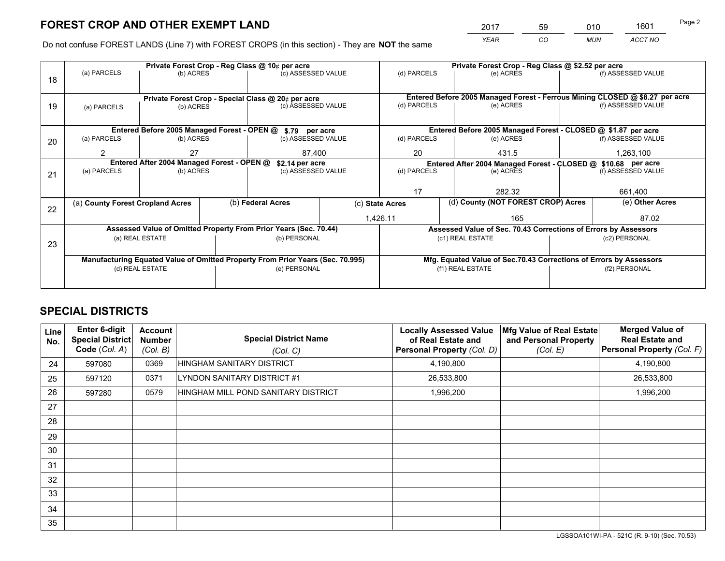*YEAR CO MUN ACCT NO* <sup>2017</sup> <sup>59</sup> <sup>010</sup> <sup>1601</sup>

Do not confuse FOREST LANDS (Line 7) with FOREST CROPS (in this section) - They are **NOT** the same

|    |                                                               |                                             |  | Private Forest Crop - Reg Class @ 10¢ per acre                                 |                                                               | Private Forest Crop - Reg Class @ \$2.52 per acre |                                                                              |         |                    |  |
|----|---------------------------------------------------------------|---------------------------------------------|--|--------------------------------------------------------------------------------|---------------------------------------------------------------|---------------------------------------------------|------------------------------------------------------------------------------|---------|--------------------|--|
| 18 | (a) PARCELS                                                   | (b) ACRES                                   |  | (c) ASSESSED VALUE                                                             |                                                               | (d) PARCELS                                       | (e) ACRES                                                                    |         | (f) ASSESSED VALUE |  |
|    |                                                               |                                             |  |                                                                                |                                                               |                                                   | Entered Before 2005 Managed Forest - Ferrous Mining CLOSED @ \$8.27 per acre |         |                    |  |
| 19 | (a) PARCELS                                                   | (b) ACRES                                   |  | Private Forest Crop - Special Class @ 20¢ per acre<br>(c) ASSESSED VALUE       |                                                               | (d) PARCELS                                       | (e) ACRES                                                                    |         | (f) ASSESSED VALUE |  |
|    |                                                               |                                             |  |                                                                                |                                                               |                                                   |                                                                              |         |                    |  |
|    |                                                               | Entered Before 2005 Managed Forest - OPEN @ |  | \$.79 per acre                                                                 |                                                               |                                                   | Entered Before 2005 Managed Forest - CLOSED @ \$1.87 per acre                |         |                    |  |
| 20 | (a) PARCELS                                                   | (b) ACRES                                   |  | (c) ASSESSED VALUE                                                             |                                                               | (d) PARCELS                                       | (e) ACRES                                                                    |         | (f) ASSESSED VALUE |  |
|    | $\mathfrak{p}$                                                | 27                                          |  | 87,400                                                                         |                                                               | 20                                                | 431.5                                                                        |         | 1,263,100          |  |
|    | Entered After 2004 Managed Forest - OPEN @<br>\$2.14 per acre |                                             |  |                                                                                | Entered After 2004 Managed Forest - CLOSED @ \$10.68 per acre |                                                   |                                                                              |         |                    |  |
| 21 | (a) PARCELS                                                   | (b) ACRES                                   |  |                                                                                | (d) PARCELS<br>(c) ASSESSED VALUE                             |                                                   | (e) ACRES                                                                    |         |                    |  |
|    |                                                               |                                             |  |                                                                                |                                                               |                                                   |                                                                              |         |                    |  |
|    |                                                               |                                             |  |                                                                                |                                                               | 17<br>282.32                                      |                                                                              | 661,400 |                    |  |
| 22 | (a) County Forest Cropland Acres                              |                                             |  | (b) Federal Acres                                                              | (c) State Acres                                               |                                                   | (d) County (NOT FOREST CROP) Acres                                           |         | (e) Other Acres    |  |
|    |                                                               |                                             |  |                                                                                | 1,426.11                                                      |                                                   | 165                                                                          |         | 87.02              |  |
|    |                                                               |                                             |  | Assessed Value of Omitted Property From Prior Years (Sec. 70.44)               |                                                               |                                                   | Assessed Value of Sec. 70.43 Corrections of Errors by Assessors              |         |                    |  |
| 23 |                                                               | (a) REAL ESTATE                             |  | (b) PERSONAL                                                                   |                                                               |                                                   | (c1) REAL ESTATE                                                             |         | (c2) PERSONAL      |  |
|    |                                                               |                                             |  |                                                                                |                                                               |                                                   |                                                                              |         |                    |  |
|    |                                                               |                                             |  | Manufacturing Equated Value of Omitted Property From Prior Years (Sec. 70.995) |                                                               |                                                   | Mfg. Equated Value of Sec.70.43 Corrections of Errors by Assessors           |         |                    |  |
|    |                                                               | (d) REAL ESTATE                             |  | (e) PERSONAL                                                                   |                                                               |                                                   | (f1) REAL ESTATE                                                             |         | (f2) PERSONAL      |  |
|    |                                                               |                                             |  |                                                                                |                                                               |                                                   |                                                                              |         |                    |  |

## **SPECIAL DISTRICTS**

| <b>Line</b><br>No. | <b>Enter 6-digit</b><br><b>Special District</b><br>Code (Col. A) | <b>Account</b><br><b>Number</b><br>(Col. B) | <b>Special District Name</b><br>(Col. C) | <b>Locally Assessed Value</b><br>of Real Estate and<br>Personal Property (Col. D) | Mfg Value of Real Estate<br>and Personal Property<br>(Col. E) | <b>Merged Value of</b><br><b>Real Estate and</b><br>Personal Property (Col. F) |
|--------------------|------------------------------------------------------------------|---------------------------------------------|------------------------------------------|-----------------------------------------------------------------------------------|---------------------------------------------------------------|--------------------------------------------------------------------------------|
| 24                 | 597080                                                           | 0369                                        | HINGHAM SANITARY DISTRICT                | 4,190,800                                                                         |                                                               | 4,190,800                                                                      |
| 25                 | 597120                                                           | 0371                                        | LYNDON SANITARY DISTRICT #1              | 26,533,800                                                                        |                                                               | 26,533,800                                                                     |
| 26                 | 597280                                                           | 0579                                        | HINGHAM MILL POND SANITARY DISTRICT      | 1,996,200                                                                         |                                                               | 1,996,200                                                                      |
| 27                 |                                                                  |                                             |                                          |                                                                                   |                                                               |                                                                                |
| 28                 |                                                                  |                                             |                                          |                                                                                   |                                                               |                                                                                |
| 29                 |                                                                  |                                             |                                          |                                                                                   |                                                               |                                                                                |
| 30                 |                                                                  |                                             |                                          |                                                                                   |                                                               |                                                                                |
| 31                 |                                                                  |                                             |                                          |                                                                                   |                                                               |                                                                                |
| 32                 |                                                                  |                                             |                                          |                                                                                   |                                                               |                                                                                |
| 33                 |                                                                  |                                             |                                          |                                                                                   |                                                               |                                                                                |
| 34                 |                                                                  |                                             |                                          |                                                                                   |                                                               |                                                                                |
| 35                 |                                                                  |                                             |                                          |                                                                                   |                                                               |                                                                                |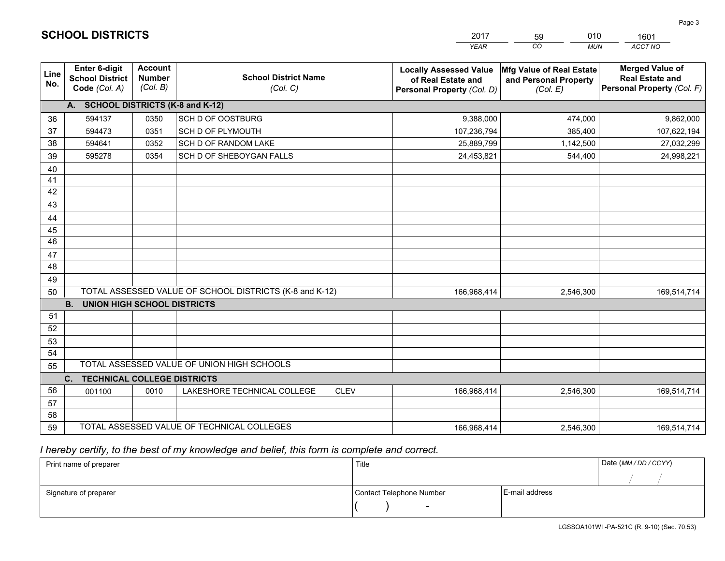|             |                                                                 |                                             |                                                         | <b>YEAR</b>                                                                       | CO<br><b>MUN</b>                                              | ACCT NO                                                                        |
|-------------|-----------------------------------------------------------------|---------------------------------------------|---------------------------------------------------------|-----------------------------------------------------------------------------------|---------------------------------------------------------------|--------------------------------------------------------------------------------|
| Line<br>No. | <b>Enter 6-digit</b><br><b>School District</b><br>Code (Col. A) | <b>Account</b><br><b>Number</b><br>(Col. B) | <b>School District Name</b><br>(Col. C)                 | <b>Locally Assessed Value</b><br>of Real Estate and<br>Personal Property (Col. D) | Mfg Value of Real Estate<br>and Personal Property<br>(Col. E) | <b>Merged Value of</b><br><b>Real Estate and</b><br>Personal Property (Col. F) |
|             | A. SCHOOL DISTRICTS (K-8 and K-12)                              |                                             |                                                         |                                                                                   |                                                               |                                                                                |
| 36          | 594137                                                          | 0350                                        | SCH D OF OOSTBURG                                       | 9,388,000                                                                         | 474,000                                                       | 9,862,000                                                                      |
| 37          | 594473                                                          | 0351                                        | SCH D OF PLYMOUTH                                       | 107,236,794                                                                       | 385,400                                                       | 107,622,194                                                                    |
| 38          | 594641                                                          | 0352                                        | SCH D OF RANDOM LAKE                                    | 25,889,799                                                                        | 1,142,500                                                     | 27,032,299                                                                     |
| 39          | 595278                                                          | 0354                                        | SCH D OF SHEBOYGAN FALLS                                | 24,453,821                                                                        | 544,400                                                       | 24,998,221                                                                     |
| 40          |                                                                 |                                             |                                                         |                                                                                   |                                                               |                                                                                |
| 41          |                                                                 |                                             |                                                         |                                                                                   |                                                               |                                                                                |
| 42          |                                                                 |                                             |                                                         |                                                                                   |                                                               |                                                                                |
| 43          |                                                                 |                                             |                                                         |                                                                                   |                                                               |                                                                                |
| 44          |                                                                 |                                             |                                                         |                                                                                   |                                                               |                                                                                |
| 45          |                                                                 |                                             |                                                         |                                                                                   |                                                               |                                                                                |
| 46          |                                                                 |                                             |                                                         |                                                                                   |                                                               |                                                                                |
| 47          |                                                                 |                                             |                                                         |                                                                                   |                                                               |                                                                                |
| 48          |                                                                 |                                             |                                                         |                                                                                   |                                                               |                                                                                |
| 49          |                                                                 |                                             | TOTAL ASSESSED VALUE OF SCHOOL DISTRICTS (K-8 and K-12) |                                                                                   |                                                               |                                                                                |
| 50          | <b>B.</b><br><b>UNION HIGH SCHOOL DISTRICTS</b>                 |                                             |                                                         | 166,968,414                                                                       | 2,546,300                                                     | 169,514,714                                                                    |
| 51          |                                                                 |                                             |                                                         |                                                                                   |                                                               |                                                                                |
| 52          |                                                                 |                                             |                                                         |                                                                                   |                                                               |                                                                                |
| 53          |                                                                 |                                             |                                                         |                                                                                   |                                                               |                                                                                |
| 54          |                                                                 |                                             |                                                         |                                                                                   |                                                               |                                                                                |
| 55          |                                                                 |                                             | TOTAL ASSESSED VALUE OF UNION HIGH SCHOOLS              |                                                                                   |                                                               |                                                                                |
|             | C.<br><b>TECHNICAL COLLEGE DISTRICTS</b>                        |                                             |                                                         |                                                                                   |                                                               |                                                                                |
| 56          | 001100                                                          | 0010                                        | LAKESHORE TECHNICAL COLLEGE<br><b>CLEV</b>              | 166,968,414                                                                       | 2,546,300                                                     | 169,514,714                                                                    |
| 57          |                                                                 |                                             |                                                         |                                                                                   |                                                               |                                                                                |
| 58          |                                                                 |                                             |                                                         |                                                                                   |                                                               |                                                                                |
| 59          |                                                                 |                                             | TOTAL ASSESSED VALUE OF TECHNICAL COLLEGES              | 166,968,414                                                                       | 2,546,300                                                     | 169,514,714                                                                    |

59

010

 *I hereby certify, to the best of my knowledge and belief, this form is complete and correct.*

**SCHOOL DISTRICTS**

| Print name of preparer | Title                    |                | Date (MM / DD / CCYY) |
|------------------------|--------------------------|----------------|-----------------------|
|                        |                          |                |                       |
| Signature of preparer  | Contact Telephone Number | E-mail address |                       |
|                        |                          |                |                       |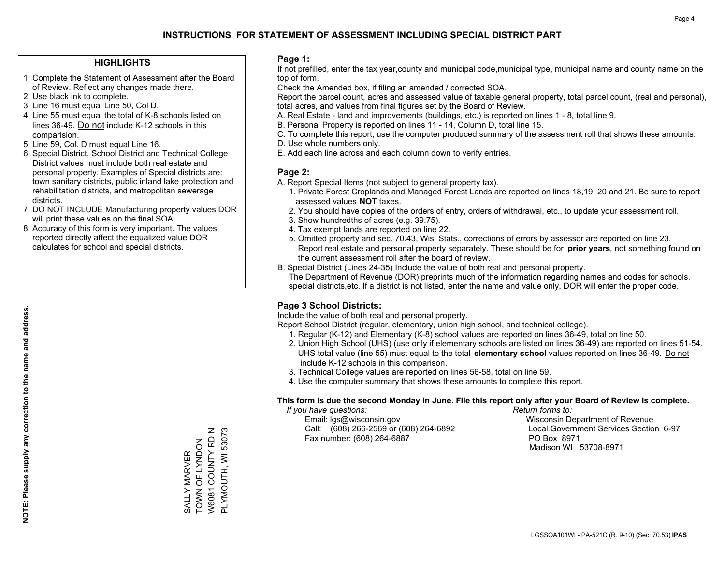#### **HIGHLIGHTS**

- 1. Complete the Statement of Assessment after the Board of Review. Reflect any changes made there.
- 2. Use black ink to complete.
- 3. Line 16 must equal Line 50, Col D.
- 4. Line 55 must equal the total of K-8 schools listed on lines 36-49. Do not include K-12 schools in this comparision.
- 5. Line 59, Col. D must equal Line 16.
- 6. Special District, School District and Technical College District values must include both real estate and personal property. Examples of Special districts are: town sanitary districts, public inland lake protection and rehabilitation districts, and metropolitan sewerage districts.
- 7. DO NOT INCLUDE Manufacturing property values.DOR will print these values on the final SOA.

SALLY MARVER TOWN OF LYNDON W6081 COUNTY RD N PLYMOUTH, WI 53073

SALLY MARVER<br>TOWN OF LYNDON

W6081 COUNTY RD N PLYMOUTH, WI 53073

 8. Accuracy of this form is very important. The values reported directly affect the equalized value DOR calculates for school and special districts.

#### **Page 1:**

 If not prefilled, enter the tax year,county and municipal code,municipal type, municipal name and county name on the top of form.

Check the Amended box, if filing an amended / corrected SOA.

 Report the parcel count, acres and assessed value of taxable general property, total parcel count, (real and personal), total acres, and values from final figures set by the Board of Review.

- A. Real Estate land and improvements (buildings, etc.) is reported on lines 1 8, total line 9.
- B. Personal Property is reported on lines 11 14, Column D, total line 15.
- C. To complete this report, use the computer produced summary of the assessment roll that shows these amounts.
- D. Use whole numbers only.
- E. Add each line across and each column down to verify entries.

### **Page 2:**

- A. Report Special Items (not subject to general property tax).
- 1. Private Forest Croplands and Managed Forest Lands are reported on lines 18,19, 20 and 21. Be sure to report assessed values **NOT** taxes.
- 2. You should have copies of the orders of entry, orders of withdrawal, etc., to update your assessment roll.
	- 3. Show hundredths of acres (e.g. 39.75).
- 4. Tax exempt lands are reported on line 22.
- 5. Omitted property and sec. 70.43, Wis. Stats., corrections of errors by assessor are reported on line 23. Report real estate and personal property separately. These should be for **prior years**, not something found on the current assessment roll after the board of review.
- B. Special District (Lines 24-35) Include the value of both real and personal property.

 The Department of Revenue (DOR) preprints much of the information regarding names and codes for schools, special districts,etc. If a district is not listed, enter the name and value only, DOR will enter the proper code.

## **Page 3 School Districts:**

Include the value of both real and personal property.

Report School District (regular, elementary, union high school, and technical college).

- 1. Regular (K-12) and Elementary (K-8) school values are reported on lines 36-49, total on line 50.
- 2. Union High School (UHS) (use only if elementary schools are listed on lines 36-49) are reported on lines 51-54. UHS total value (line 55) must equal to the total **elementary school** values reported on lines 36-49. Do notinclude K-12 schools in this comparison.
- 3. Technical College values are reported on lines 56-58, total on line 59.
- 4. Use the computer summary that shows these amounts to complete this report.

#### **This form is due the second Monday in June. File this report only after your Board of Review is complete.**

 *If you have questions: Return forms to:*

 Email: lgs@wisconsin.gov Wisconsin Department of RevenueCall:  $(608)$  266-2569 or  $(608)$  264-6892 Fax number: (608) 264-6887 PO Box 8971

Local Government Services Section 6-97 Madison WI 53708-8971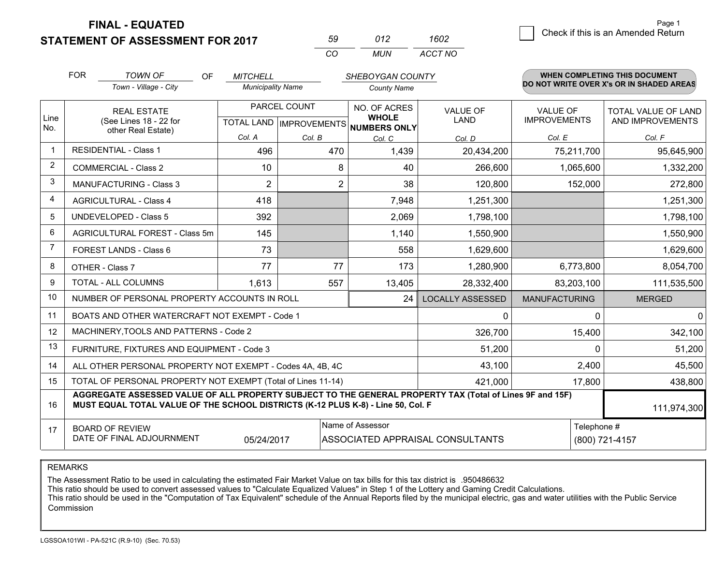**STATEMENT OF ASSESSMENT FOR 2017** 

| 59        | 012   | 1602    |
|-----------|-------|---------|
| $($ : $($ | MI IN | ACCT NO |

|                         | <b>FOR</b>                                                                                                                                                                                   | <b>TOWN OF</b><br>OF                                         | <b>MITCHELL</b>          |                | SHEBOYGAN COUNTY                     |                                  |                      | <b>WHEN COMPLETING THIS DOCUMENT</b>     |
|-------------------------|----------------------------------------------------------------------------------------------------------------------------------------------------------------------------------------------|--------------------------------------------------------------|--------------------------|----------------|--------------------------------------|----------------------------------|----------------------|------------------------------------------|
|                         |                                                                                                                                                                                              | Town - Village - City                                        | <b>Municipality Name</b> |                | <b>County Name</b>                   |                                  |                      | DO NOT WRITE OVER X's OR IN SHADED AREAS |
| Line                    |                                                                                                                                                                                              | PARCEL COUNT<br><b>REAL ESTATE</b>                           |                          |                | NO. OF ACRES<br><b>WHOLE</b>         | <b>VALUE OF</b>                  | <b>VALUE OF</b>      | TOTAL VALUE OF LAND                      |
| No.                     |                                                                                                                                                                                              | (See Lines 18 - 22 for<br>other Real Estate)                 |                          |                | TOTAL LAND IMPROVEMENTS NUMBERS ONLY | <b>LAND</b>                      | <b>IMPROVEMENTS</b>  | AND IMPROVEMENTS                         |
|                         |                                                                                                                                                                                              |                                                              | Col. A                   | Col. B         | Col. C                               | Col. D                           | Col. E               | Col. F                                   |
| -1                      | <b>RESIDENTIAL - Class 1</b>                                                                                                                                                                 |                                                              | 496                      | 470            | 1,439                                | 20,434,200                       | 75,211,700           | 95,645,900                               |
| $\overline{2}$          |                                                                                                                                                                                              | <b>COMMERCIAL - Class 2</b>                                  | 10                       | 8              | 40                                   | 266,600                          | 1,065,600            | 1,332,200                                |
| 3                       |                                                                                                                                                                                              | <b>MANUFACTURING - Class 3</b>                               | $\overline{2}$           | $\overline{2}$ | 38                                   | 120,800                          | 152,000              | 272,800                                  |
| $\overline{\mathbf{4}}$ |                                                                                                                                                                                              | <b>AGRICULTURAL - Class 4</b>                                | 418                      |                | 7,948                                | 1,251,300                        |                      | 1,251,300                                |
| 5                       |                                                                                                                                                                                              | <b>UNDEVELOPED - Class 5</b>                                 | 392                      |                | 2,069                                | 1,798,100                        |                      | 1,798,100                                |
| 6                       | AGRICULTURAL FOREST - Class 5m                                                                                                                                                               |                                                              | 145                      |                | 1,140                                | 1,550,900                        |                      | 1,550,900                                |
| $\overline{7}$          |                                                                                                                                                                                              | FOREST LANDS - Class 6                                       | 73                       |                | 558                                  | 1,629,600                        |                      | 1,629,600                                |
| 8                       |                                                                                                                                                                                              | OTHER - Class 7                                              | 77                       | 77             | 173                                  | 1,280,900                        | 6,773,800            | 8,054,700                                |
| 9                       |                                                                                                                                                                                              | TOTAL - ALL COLUMNS                                          | 1,613                    | 557            | 13,405                               | 28,332,400                       | 83,203,100           | 111,535,500                              |
| 10                      |                                                                                                                                                                                              | NUMBER OF PERSONAL PROPERTY ACCOUNTS IN ROLL                 |                          |                | 24                                   | <b>LOCALLY ASSESSED</b>          | <b>MANUFACTURING</b> | <b>MERGED</b>                            |
| 11                      |                                                                                                                                                                                              | BOATS AND OTHER WATERCRAFT NOT EXEMPT - Code 1               |                          |                |                                      | $\Omega$                         | $\Omega$             | $\mathbf{0}$                             |
| 12                      |                                                                                                                                                                                              | MACHINERY, TOOLS AND PATTERNS - Code 2                       |                          |                |                                      | 326,700                          | 15,400               | 342,100                                  |
| 13                      |                                                                                                                                                                                              | FURNITURE, FIXTURES AND EQUIPMENT - Code 3                   |                          |                |                                      | 51,200                           | $\Omega$             | 51,200                                   |
| 14                      |                                                                                                                                                                                              | ALL OTHER PERSONAL PROPERTY NOT EXEMPT - Codes 4A, 4B, 4C    |                          |                |                                      | 43,100                           | 2,400                | 45,500                                   |
| 15                      |                                                                                                                                                                                              | TOTAL OF PERSONAL PROPERTY NOT EXEMPT (Total of Lines 11-14) |                          |                |                                      | 421,000                          | 17,800               | 438,800                                  |
| 16                      | AGGREGATE ASSESSED VALUE OF ALL PROPERTY SUBJECT TO THE GENERAL PROPERTY TAX (Total of Lines 9F and 15F)<br>MUST EQUAL TOTAL VALUE OF THE SCHOOL DISTRICTS (K-12 PLUS K-8) - Line 50, Col. F |                                                              |                          |                |                                      |                                  | 111,974,300          |                                          |
| 17                      |                                                                                                                                                                                              | <b>BOARD OF REVIEW</b>                                       |                          |                | Name of Assessor                     |                                  | Telephone #          |                                          |
|                         |                                                                                                                                                                                              | DATE OF FINAL ADJOURNMENT                                    | 05/24/2017               |                |                                      | ASSOCIATED APPRAISAL CONSULTANTS |                      | (800) 721-4157                           |

REMARKS

The Assessment Ratio to be used in calculating the estimated Fair Market Value on tax bills for this tax district is .950486632<br>This ratio should be used to convert assessed values to "Calculate Equalized Values" in Step 1 Commission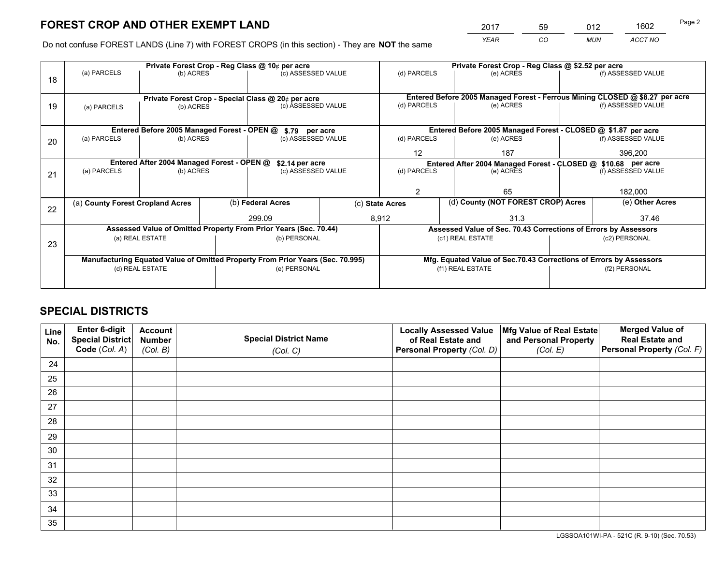*YEAR CO MUN ACCT NO* <sup>2017</sup> <sup>59</sup> <sup>012</sup> <sup>1602</sup>

Do not confuse FOREST LANDS (Line 7) with FOREST CROPS (in this section) - They are **NOT** the same

|    |                                                                                |                                             |  | Private Forest Crop - Reg Class @ 10¢ per acre                                 |     | Private Forest Crop - Reg Class @ \$2.52 per acre             |                                                                              |                    |                    |  |
|----|--------------------------------------------------------------------------------|---------------------------------------------|--|--------------------------------------------------------------------------------|-----|---------------------------------------------------------------|------------------------------------------------------------------------------|--------------------|--------------------|--|
| 18 | (a) PARCELS                                                                    | (b) ACRES                                   |  | (c) ASSESSED VALUE                                                             |     | (d) PARCELS                                                   | (e) ACRES                                                                    |                    | (f) ASSESSED VALUE |  |
|    |                                                                                |                                             |  |                                                                                |     |                                                               | Entered Before 2005 Managed Forest - Ferrous Mining CLOSED @ \$8.27 per acre |                    |                    |  |
| 19 | Private Forest Crop - Special Class @ 20¢ per acre<br>(b) ACRES<br>(a) PARCELS |                                             |  | (c) ASSESSED VALUE                                                             |     | (d) PARCELS                                                   | (e) ACRES                                                                    |                    | (f) ASSESSED VALUE |  |
|    |                                                                                |                                             |  |                                                                                |     |                                                               |                                                                              |                    |                    |  |
|    |                                                                                |                                             |  |                                                                                |     |                                                               |                                                                              |                    |                    |  |
|    |                                                                                | Entered Before 2005 Managed Forest - OPEN @ |  | \$.79 per acre                                                                 |     |                                                               | Entered Before 2005 Managed Forest - CLOSED @ \$1.87 per acre                |                    |                    |  |
| 20 | (a) PARCELS                                                                    | (b) ACRES                                   |  | (c) ASSESSED VALUE                                                             |     | (d) PARCELS                                                   | (e) ACRES                                                                    |                    | (f) ASSESSED VALUE |  |
|    |                                                                                |                                             |  | 12                                                                             | 187 |                                                               | 396,200                                                                      |                    |                    |  |
|    | Entered After 2004 Managed Forest - OPEN @<br>\$2.14 per acre                  |                                             |  |                                                                                |     | Entered After 2004 Managed Forest - CLOSED @ \$10.68 per acre |                                                                              |                    |                    |  |
| 21 | (a) PARCELS                                                                    | (b) ACRES                                   |  | (c) ASSESSED VALUE                                                             |     | (d) PARCELS<br>(e) ACRES                                      |                                                                              | (f) ASSESSED VALUE |                    |  |
|    |                                                                                |                                             |  |                                                                                |     |                                                               |                                                                              |                    |                    |  |
|    |                                                                                |                                             |  |                                                                                |     | $\mathfrak{D}$                                                | 65                                                                           |                    |                    |  |
|    | (a) County Forest Cropland Acres                                               |                                             |  | (b) Federal Acres                                                              |     | (d) County (NOT FOREST CROP) Acres<br>(c) State Acres         |                                                                              |                    | (e) Other Acres    |  |
| 22 |                                                                                |                                             |  |                                                                                |     |                                                               |                                                                              |                    |                    |  |
|    |                                                                                |                                             |  | 299.09                                                                         |     | 8.912                                                         | 31.3                                                                         |                    | 37.46              |  |
|    |                                                                                |                                             |  | Assessed Value of Omitted Property From Prior Years (Sec. 70.44)               |     |                                                               | Assessed Value of Sec. 70.43 Corrections of Errors by Assessors              |                    |                    |  |
| 23 |                                                                                | (a) REAL ESTATE                             |  | (b) PERSONAL                                                                   |     |                                                               | (c1) REAL ESTATE                                                             |                    | (c2) PERSONAL      |  |
|    |                                                                                |                                             |  |                                                                                |     |                                                               |                                                                              |                    |                    |  |
|    |                                                                                |                                             |  | Manufacturing Equated Value of Omitted Property From Prior Years (Sec. 70.995) |     |                                                               | Mfg. Equated Value of Sec.70.43 Corrections of Errors by Assessors           |                    |                    |  |
|    | (d) REAL ESTATE                                                                |                                             |  | (e) PERSONAL                                                                   |     | (f1) REAL ESTATE                                              |                                                                              |                    | (f2) PERSONAL      |  |
|    |                                                                                |                                             |  |                                                                                |     |                                                               |                                                                              |                    |                    |  |
|    |                                                                                |                                             |  |                                                                                |     |                                                               |                                                                              |                    |                    |  |

## **SPECIAL DISTRICTS**

| Line<br>No. | Enter 6-digit<br><b>Special District</b> | <b>Account</b><br><b>Number</b> | <b>Special District Name</b> | <b>Locally Assessed Value</b><br>of Real Estate and | Mfg Value of Real Estate<br>and Personal Property | <b>Merged Value of</b><br><b>Real Estate and</b> |
|-------------|------------------------------------------|---------------------------------|------------------------------|-----------------------------------------------------|---------------------------------------------------|--------------------------------------------------|
|             | Code (Col. A)                            | (Col. B)                        | (Col. C)                     | Personal Property (Col. D)                          | (Col. E)                                          | Personal Property (Col. F)                       |
| 24          |                                          |                                 |                              |                                                     |                                                   |                                                  |
| 25          |                                          |                                 |                              |                                                     |                                                   |                                                  |
| 26          |                                          |                                 |                              |                                                     |                                                   |                                                  |
| 27          |                                          |                                 |                              |                                                     |                                                   |                                                  |
| 28          |                                          |                                 |                              |                                                     |                                                   |                                                  |
| 29          |                                          |                                 |                              |                                                     |                                                   |                                                  |
| 30          |                                          |                                 |                              |                                                     |                                                   |                                                  |
| 31          |                                          |                                 |                              |                                                     |                                                   |                                                  |
| 32          |                                          |                                 |                              |                                                     |                                                   |                                                  |
| 33          |                                          |                                 |                              |                                                     |                                                   |                                                  |
| 34          |                                          |                                 |                              |                                                     |                                                   |                                                  |
| 35          |                                          |                                 |                              |                                                     |                                                   |                                                  |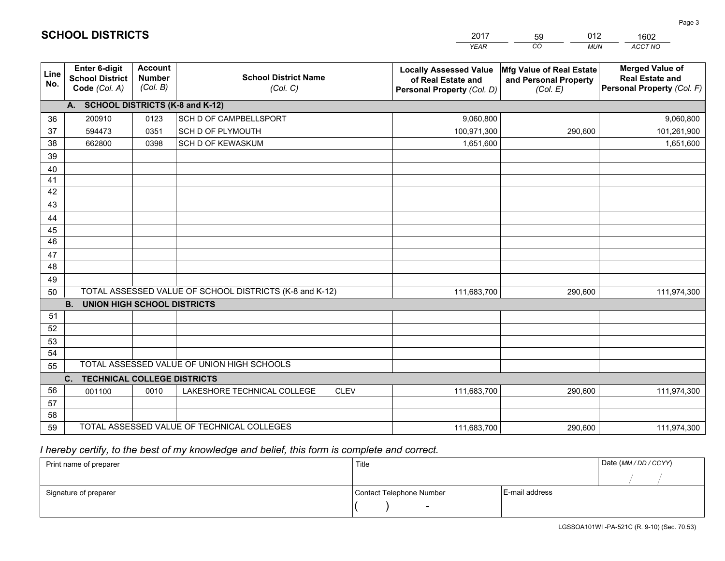|             |                                                                 |                                             |                                                         | <b>YEAR</b>                                                                       | CO<br><b>MUN</b>                                              | ACCT NO                                                                        |
|-------------|-----------------------------------------------------------------|---------------------------------------------|---------------------------------------------------------|-----------------------------------------------------------------------------------|---------------------------------------------------------------|--------------------------------------------------------------------------------|
| Line<br>No. | <b>Enter 6-digit</b><br><b>School District</b><br>Code (Col. A) | <b>Account</b><br><b>Number</b><br>(Col. B) | <b>School District Name</b><br>(Col. C)                 | <b>Locally Assessed Value</b><br>of Real Estate and<br>Personal Property (Col. D) | Mfg Value of Real Estate<br>and Personal Property<br>(Col. E) | <b>Merged Value of</b><br><b>Real Estate and</b><br>Personal Property (Col. F) |
|             | A. SCHOOL DISTRICTS (K-8 and K-12)                              |                                             |                                                         |                                                                                   |                                                               |                                                                                |
| 36          | 200910                                                          | 0123                                        | SCH D OF CAMPBELLSPORT                                  | 9,060,800                                                                         |                                                               | 9,060,800                                                                      |
| 37          | 594473                                                          | 0351                                        | SCH D OF PLYMOUTH                                       | 100,971,300                                                                       | 290,600                                                       | 101,261,900                                                                    |
| 38          | 662800                                                          | 0398                                        | SCH D OF KEWASKUM                                       | 1,651,600                                                                         |                                                               | 1,651,600                                                                      |
| 39          |                                                                 |                                             |                                                         |                                                                                   |                                                               |                                                                                |
| 40          |                                                                 |                                             |                                                         |                                                                                   |                                                               |                                                                                |
| 41          |                                                                 |                                             |                                                         |                                                                                   |                                                               |                                                                                |
| 42          |                                                                 |                                             |                                                         |                                                                                   |                                                               |                                                                                |
| 43          |                                                                 |                                             |                                                         |                                                                                   |                                                               |                                                                                |
| 44          |                                                                 |                                             |                                                         |                                                                                   |                                                               |                                                                                |
| 45          |                                                                 |                                             |                                                         |                                                                                   |                                                               |                                                                                |
| 46          |                                                                 |                                             |                                                         |                                                                                   |                                                               |                                                                                |
| 47          |                                                                 |                                             |                                                         |                                                                                   |                                                               |                                                                                |
| 48          |                                                                 |                                             |                                                         |                                                                                   |                                                               |                                                                                |
| 49          |                                                                 |                                             |                                                         |                                                                                   |                                                               |                                                                                |
| 50          | <b>B.</b><br><b>UNION HIGH SCHOOL DISTRICTS</b>                 |                                             | TOTAL ASSESSED VALUE OF SCHOOL DISTRICTS (K-8 and K-12) | 111,683,700                                                                       | 290,600                                                       | 111,974,300                                                                    |
| 51          |                                                                 |                                             |                                                         |                                                                                   |                                                               |                                                                                |
| 52          |                                                                 |                                             |                                                         |                                                                                   |                                                               |                                                                                |
| 53          |                                                                 |                                             |                                                         |                                                                                   |                                                               |                                                                                |
| 54          |                                                                 |                                             |                                                         |                                                                                   |                                                               |                                                                                |
| 55          |                                                                 |                                             | TOTAL ASSESSED VALUE OF UNION HIGH SCHOOLS              |                                                                                   |                                                               |                                                                                |
|             | C.<br><b>TECHNICAL COLLEGE DISTRICTS</b>                        |                                             |                                                         |                                                                                   |                                                               |                                                                                |
| 56          | 001100                                                          | 0010                                        | LAKESHORE TECHNICAL COLLEGE<br><b>CLEV</b>              | 111,683,700                                                                       | 290,600                                                       | 111,974,300                                                                    |
| 57          |                                                                 |                                             |                                                         |                                                                                   |                                                               |                                                                                |
| 58          |                                                                 |                                             |                                                         |                                                                                   |                                                               |                                                                                |
| 59          |                                                                 |                                             | TOTAL ASSESSED VALUE OF TECHNICAL COLLEGES              | 111,683,700                                                                       | 290,600                                                       | 111,974,300                                                                    |

59

012

 *I hereby certify, to the best of my knowledge and belief, this form is complete and correct.*

**SCHOOL DISTRICTS**

| Print name of preparer | Title                    |                | Date (MM / DD / CCYY) |
|------------------------|--------------------------|----------------|-----------------------|
|                        |                          |                |                       |
| Signature of preparer  | Contact Telephone Number | E-mail address |                       |
|                        | $\sim$                   |                |                       |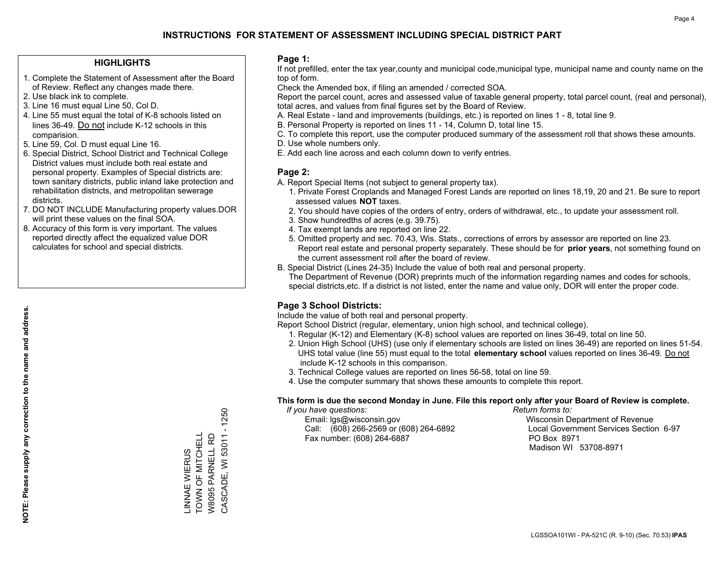#### **HIGHLIGHTS**

- 1. Complete the Statement of Assessment after the Board of Review. Reflect any changes made there.
- 2. Use black ink to complete.
- 3. Line 16 must equal Line 50, Col D.
- 4. Line 55 must equal the total of K-8 schools listed on lines 36-49. Do not include K-12 schools in this comparision.
- 5. Line 59, Col. D must equal Line 16.
- 6. Special District, School District and Technical College District values must include both real estate and personal property. Examples of Special districts are: town sanitary districts, public inland lake protection and rehabilitation districts, and metropolitan sewerage districts.
- 7. DO NOT INCLUDE Manufacturing property values.DOR will print these values on the final SOA.
- 8. Accuracy of this form is very important. The values reported directly affect the equalized value DOR calculates for school and special districts.

#### **Page 1:**

 If not prefilled, enter the tax year,county and municipal code,municipal type, municipal name and county name on the top of form.

Check the Amended box, if filing an amended / corrected SOA.

 Report the parcel count, acres and assessed value of taxable general property, total parcel count, (real and personal), total acres, and values from final figures set by the Board of Review.

- A. Real Estate land and improvements (buildings, etc.) is reported on lines 1 8, total line 9.
- B. Personal Property is reported on lines 11 14, Column D, total line 15.
- C. To complete this report, use the computer produced summary of the assessment roll that shows these amounts.
- D. Use whole numbers only.
- E. Add each line across and each column down to verify entries.

#### **Page 2:**

- A. Report Special Items (not subject to general property tax).
- 1. Private Forest Croplands and Managed Forest Lands are reported on lines 18,19, 20 and 21. Be sure to report assessed values **NOT** taxes.
- 2. You should have copies of the orders of entry, orders of withdrawal, etc., to update your assessment roll.
	- 3. Show hundredths of acres (e.g. 39.75).
- 4. Tax exempt lands are reported on line 22.
- 5. Omitted property and sec. 70.43, Wis. Stats., corrections of errors by assessor are reported on line 23. Report real estate and personal property separately. These should be for **prior years**, not something found on the current assessment roll after the board of review.
- B. Special District (Lines 24-35) Include the value of both real and personal property.
- The Department of Revenue (DOR) preprints much of the information regarding names and codes for schools, special districts,etc. If a district is not listed, enter the name and value only, DOR will enter the proper code.

## **Page 3 School Districts:**

Include the value of both real and personal property.

Report School District (regular, elementary, union high school, and technical college).

- 1. Regular (K-12) and Elementary (K-8) school values are reported on lines 36-49, total on line 50.
- 2. Union High School (UHS) (use only if elementary schools are listed on lines 36-49) are reported on lines 51-54. UHS total value (line 55) must equal to the total **elementary school** values reported on lines 36-49. Do notinclude K-12 schools in this comparison.
- 3. Technical College values are reported on lines 56-58, total on line 59.
- 4. Use the computer summary that shows these amounts to complete this report.

#### **This form is due the second Monday in June. File this report only after your Board of Review is complete.**

 *If you have questions: Return forms to:*

 Email: lgs@wisconsin.gov Wisconsin Department of RevenueCall:  $(608)$  266-2569 or  $(608)$  264-6892 Fax number: (608) 264-6887 PO Box 8971

Local Government Services Section 6-97 Madison WI 53708-8971

 $-1250$ CASCADE, WI 53011 - 1250 TOWN OF MITCHELL \_INNAE WIERUS<br>TOWN OF MITCHELL CASCADE, WI 53011 W8095 PARNELL RD W8095 PARNELL RD LINNAE WIERUS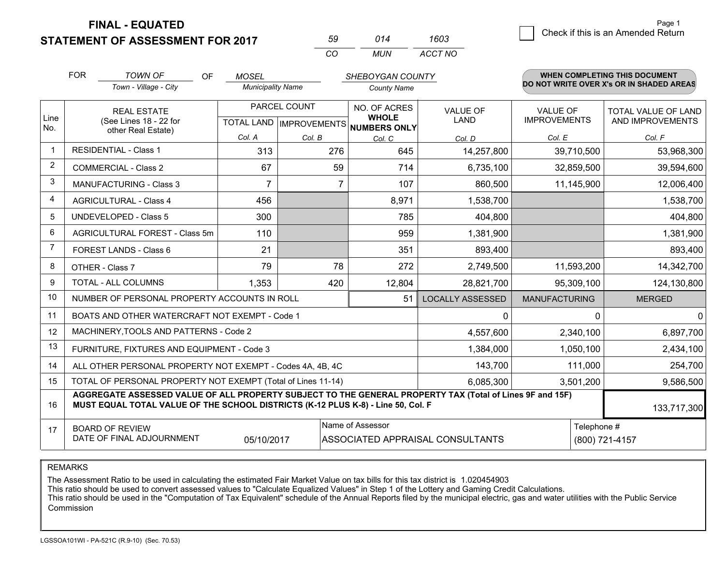**STATEMENT OF ASSESSMENT FOR 2017** 

| 50   | 014 | 1603    |
|------|-----|---------|
| ∫ ∩′ | MUN | ACCT NO |

|                         | <b>FOR</b>                                                                                                                                                                                   | <b>TOWN OF</b><br>OF                                         | <b>MOSEL</b>             |              | SHEBOYGAN COUNTY                                    |                         |                      | <b>WHEN COMPLETING THIS DOCUMENT</b>     |
|-------------------------|----------------------------------------------------------------------------------------------------------------------------------------------------------------------------------------------|--------------------------------------------------------------|--------------------------|--------------|-----------------------------------------------------|-------------------------|----------------------|------------------------------------------|
|                         |                                                                                                                                                                                              | Town - Village - City                                        | <b>Municipality Name</b> |              | <b>County Name</b>                                  |                         |                      | DO NOT WRITE OVER X's OR IN SHADED AREAS |
|                         |                                                                                                                                                                                              | <b>REAL ESTATE</b>                                           |                          | PARCEL COUNT | NO. OF ACRES                                        | <b>VALUE OF</b>         | <b>VALUE OF</b>      | TOTAL VALUE OF LAND                      |
| Line<br>No.             |                                                                                                                                                                                              | (See Lines 18 - 22 for<br>other Real Estate)                 |                          |              | <b>WHOLE</b><br>TOTAL LAND MPROVEMENTS NUMBERS ONLY | <b>LAND</b>             | <b>IMPROVEMENTS</b>  | AND IMPROVEMENTS                         |
|                         |                                                                                                                                                                                              |                                                              | Col. A                   | Col. B       | Col. C                                              | Col. D                  | Col. E               | Col. F                                   |
| $\overline{\mathbf{1}}$ |                                                                                                                                                                                              | <b>RESIDENTIAL - Class 1</b>                                 | 313                      | 276          | 645                                                 | 14,257,800              | 39,710,500           | 53,968,300                               |
| 2                       |                                                                                                                                                                                              | <b>COMMERCIAL - Class 2</b>                                  | 67                       | 59           | 714                                                 | 6,735,100               | 32,859,500           | 39,594,600                               |
| 3                       |                                                                                                                                                                                              | MANUFACTURING - Class 3                                      | $\overline{7}$           | 7            | 107                                                 | 860,500                 | 11,145,900           | 12,006,400                               |
| 4                       |                                                                                                                                                                                              | <b>AGRICULTURAL - Class 4</b>                                | 456                      |              | 8,971                                               | 1,538,700               |                      | 1,538,700                                |
| 5                       |                                                                                                                                                                                              | UNDEVELOPED - Class 5                                        | 300                      |              | 785                                                 | 404,800                 |                      | 404,800                                  |
| 6                       |                                                                                                                                                                                              | AGRICULTURAL FOREST - Class 5m                               | 110                      |              | 959                                                 | 1,381,900               |                      | 1,381,900                                |
| $\overline{7}$          |                                                                                                                                                                                              | FOREST LANDS - Class 6                                       | 21                       |              | 351                                                 | 893,400                 |                      | 893,400                                  |
| 8                       |                                                                                                                                                                                              | OTHER - Class 7                                              | 79                       | 78           | 272                                                 | 2,749,500               | 11,593,200           | 14,342,700                               |
| 9                       |                                                                                                                                                                                              | TOTAL - ALL COLUMNS                                          | 1,353                    | 420          | 12,804                                              | 28,821,700              | 95,309,100           | 124,130,800                              |
| 10                      |                                                                                                                                                                                              | NUMBER OF PERSONAL PROPERTY ACCOUNTS IN ROLL                 |                          |              | 51                                                  | <b>LOCALLY ASSESSED</b> | <b>MANUFACTURING</b> | <b>MERGED</b>                            |
| 11                      |                                                                                                                                                                                              | BOATS AND OTHER WATERCRAFT NOT EXEMPT - Code 1               |                          |              |                                                     | 0                       | ∩                    | $\Omega$                                 |
| 12                      |                                                                                                                                                                                              | MACHINERY, TOOLS AND PATTERNS - Code 2                       |                          |              |                                                     | 4,557,600               | 2,340,100            | 6,897,700                                |
| 13                      |                                                                                                                                                                                              | FURNITURE, FIXTURES AND EQUIPMENT - Code 3                   |                          |              |                                                     | 1,384,000               | 1,050,100            | 2,434,100                                |
| 14                      |                                                                                                                                                                                              | ALL OTHER PERSONAL PROPERTY NOT EXEMPT - Codes 4A, 4B, 4C    |                          |              |                                                     | 143,700                 | 111,000              | 254,700                                  |
| 15                      |                                                                                                                                                                                              | TOTAL OF PERSONAL PROPERTY NOT EXEMPT (Total of Lines 11-14) |                          |              |                                                     | 6,085,300               | 3,501,200            | 9,586,500                                |
| 16                      | AGGREGATE ASSESSED VALUE OF ALL PROPERTY SUBJECT TO THE GENERAL PROPERTY TAX (Total of Lines 9F and 15F)<br>MUST EQUAL TOTAL VALUE OF THE SCHOOL DISTRICTS (K-12 PLUS K-8) - Line 50, Col. F |                                                              |                          |              |                                                     |                         |                      | 133,717,300                              |
| 17                      |                                                                                                                                                                                              | <b>BOARD OF REVIEW</b>                                       |                          |              | Name of Assessor                                    |                         | Telephone #          |                                          |
|                         | DATE OF FINAL ADJOURNMENT<br>(800) 721-4157<br>05/10/2017<br>ASSOCIATED APPRAISAL CONSULTANTS                                                                                                |                                                              |                          |              |                                                     |                         |                      |                                          |

REMARKS

The Assessment Ratio to be used in calculating the estimated Fair Market Value on tax bills for this tax district is 1.020454903

This ratio should be used to convert assessed values to "Calculate Equalized Values" in Step 1 of the Lottery and Gaming Credit Calculations.<br>This ratio should be used in the "Computation of Tax Equivalent" schedule of the Commission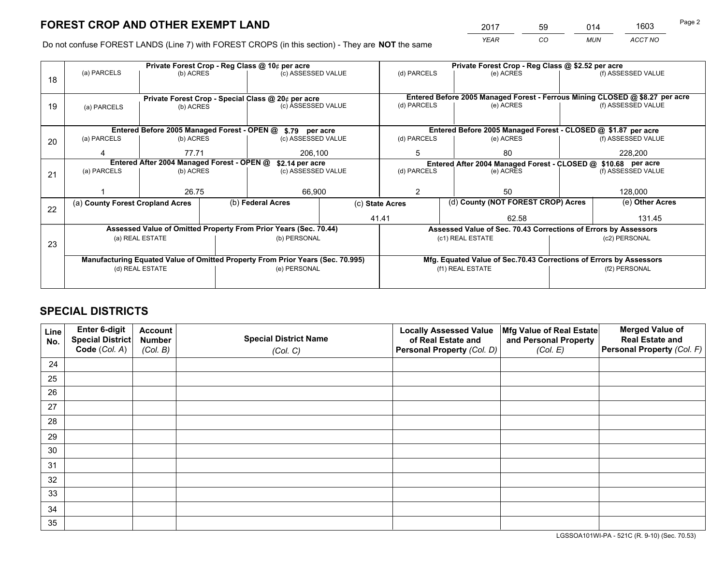*YEAR CO MUN ACCT NO* <sup>2017</sup> <sup>59</sup> <sup>014</sup> <sup>1603</sup>

Do not confuse FOREST LANDS (Line 7) with FOREST CROPS (in this section) - They are **NOT** the same

|    |                                                                                |                                                                                                  |  | Private Forest Crop - Reg Class @ 10¢ per acre                           |                                                                                                                 | Private Forest Crop - Reg Class @ \$2.52 per acre |                                                                              |                                    |                            |  |
|----|--------------------------------------------------------------------------------|--------------------------------------------------------------------------------------------------|--|--------------------------------------------------------------------------|-----------------------------------------------------------------------------------------------------------------|---------------------------------------------------|------------------------------------------------------------------------------|------------------------------------|----------------------------|--|
| 18 | (a) PARCELS                                                                    | (b) ACRES                                                                                        |  | (c) ASSESSED VALUE                                                       |                                                                                                                 | (d) PARCELS                                       | (e) ACRES                                                                    |                                    | (f) ASSESSED VALUE         |  |
|    |                                                                                |                                                                                                  |  |                                                                          |                                                                                                                 |                                                   | Entered Before 2005 Managed Forest - Ferrous Mining CLOSED @ \$8.27 per acre |                                    |                            |  |
| 19 |                                                                                | (b) ACRES                                                                                        |  | Private Forest Crop - Special Class @ 20¢ per acre<br>(c) ASSESSED VALUE |                                                                                                                 | (d) PARCELS                                       | (e) ACRES                                                                    |                                    | (f) ASSESSED VALUE         |  |
|    | (a) PARCELS                                                                    |                                                                                                  |  |                                                                          |                                                                                                                 |                                                   |                                                                              |                                    |                            |  |
|    |                                                                                |                                                                                                  |  |                                                                          |                                                                                                                 |                                                   |                                                                              |                                    |                            |  |
|    |                                                                                |                                                                                                  |  | Entered Before 2005 Managed Forest - OPEN @ \$.79 per acre               |                                                                                                                 |                                                   | Entered Before 2005 Managed Forest - CLOSED @ \$1.87 per acre                |                                    |                            |  |
| 20 | (a) PARCELS                                                                    | (b) ACRES                                                                                        |  | (c) ASSESSED VALUE                                                       |                                                                                                                 | (d) PARCELS                                       | (e) ACRES                                                                    |                                    | (f) ASSESSED VALUE         |  |
|    | Δ                                                                              | 77.71                                                                                            |  | 206.100                                                                  |                                                                                                                 | 5                                                 | 80                                                                           |                                    | 228,200                    |  |
|    |                                                                                |                                                                                                  |  |                                                                          |                                                                                                                 |                                                   |                                                                              |                                    |                            |  |
|    | (a) PARCELS                                                                    | Entered After 2004 Managed Forest - OPEN @<br>\$2.14 per acre<br>(b) ACRES<br>(c) ASSESSED VALUE |  |                                                                          | Entered After 2004 Managed Forest - CLOSED @ \$10.68 per acre<br>(d) PARCELS<br>(f) ASSESSED VALUE<br>(e) ACRES |                                                   |                                                                              |                                    |                            |  |
| 21 |                                                                                |                                                                                                  |  |                                                                          |                                                                                                                 |                                                   |                                                                              |                                    |                            |  |
|    |                                                                                |                                                                                                  |  |                                                                          |                                                                                                                 |                                                   |                                                                              |                                    |                            |  |
|    |                                                                                | 26.75                                                                                            |  | 66,900                                                                   |                                                                                                                 | 2<br>50                                           |                                                                              |                                    | 128,000<br>(e) Other Acres |  |
|    | (a) County Forest Cropland Acres                                               |                                                                                                  |  | (b) Federal Acres                                                        | (c) State Acres                                                                                                 |                                                   |                                                                              | (d) County (NOT FOREST CROP) Acres |                            |  |
| 22 |                                                                                |                                                                                                  |  |                                                                          |                                                                                                                 |                                                   | 62.58                                                                        |                                    |                            |  |
|    |                                                                                |                                                                                                  |  |                                                                          |                                                                                                                 | 41.41                                             |                                                                              |                                    | 131.45                     |  |
|    |                                                                                |                                                                                                  |  | Assessed Value of Omitted Property From Prior Years (Sec. 70.44)         |                                                                                                                 |                                                   | Assessed Value of Sec. 70.43 Corrections of Errors by Assessors              |                                    |                            |  |
| 23 |                                                                                | (a) REAL ESTATE                                                                                  |  | (b) PERSONAL                                                             |                                                                                                                 |                                                   | (c1) REAL ESTATE                                                             |                                    | (c2) PERSONAL              |  |
|    |                                                                                |                                                                                                  |  |                                                                          |                                                                                                                 |                                                   |                                                                              |                                    |                            |  |
|    | Manufacturing Equated Value of Omitted Property From Prior Years (Sec. 70.995) |                                                                                                  |  |                                                                          |                                                                                                                 |                                                   | Mfg. Equated Value of Sec.70.43 Corrections of Errors by Assessors           |                                    |                            |  |
|    | (d) REAL ESTATE<br>(e) PERSONAL                                                |                                                                                                  |  |                                                                          | (f1) REAL ESTATE<br>(f2) PERSONAL                                                                               |                                                   |                                                                              |                                    |                            |  |
|    |                                                                                |                                                                                                  |  |                                                                          |                                                                                                                 |                                                   |                                                                              |                                    |                            |  |
|    |                                                                                |                                                                                                  |  |                                                                          |                                                                                                                 |                                                   |                                                                              |                                    |                            |  |

## **SPECIAL DISTRICTS**

| Line<br>No. | Enter 6-digit<br><b>Special District</b> | <b>Account</b><br><b>Number</b> | <b>Special District Name</b> | <b>Locally Assessed Value</b><br>of Real Estate and | Mfg Value of Real Estate<br>and Personal Property | <b>Merged Value of</b><br><b>Real Estate and</b> |
|-------------|------------------------------------------|---------------------------------|------------------------------|-----------------------------------------------------|---------------------------------------------------|--------------------------------------------------|
|             | Code (Col. A)                            | (Col. B)                        | (Col. C)                     | Personal Property (Col. D)                          | (Col. E)                                          | Personal Property (Col. F)                       |
| 24          |                                          |                                 |                              |                                                     |                                                   |                                                  |
| 25          |                                          |                                 |                              |                                                     |                                                   |                                                  |
| 26          |                                          |                                 |                              |                                                     |                                                   |                                                  |
| 27          |                                          |                                 |                              |                                                     |                                                   |                                                  |
| 28          |                                          |                                 |                              |                                                     |                                                   |                                                  |
| 29          |                                          |                                 |                              |                                                     |                                                   |                                                  |
| 30          |                                          |                                 |                              |                                                     |                                                   |                                                  |
| 31          |                                          |                                 |                              |                                                     |                                                   |                                                  |
| 32          |                                          |                                 |                              |                                                     |                                                   |                                                  |
| 33          |                                          |                                 |                              |                                                     |                                                   |                                                  |
| 34          |                                          |                                 |                              |                                                     |                                                   |                                                  |
| 35          |                                          |                                 |                              |                                                     |                                                   |                                                  |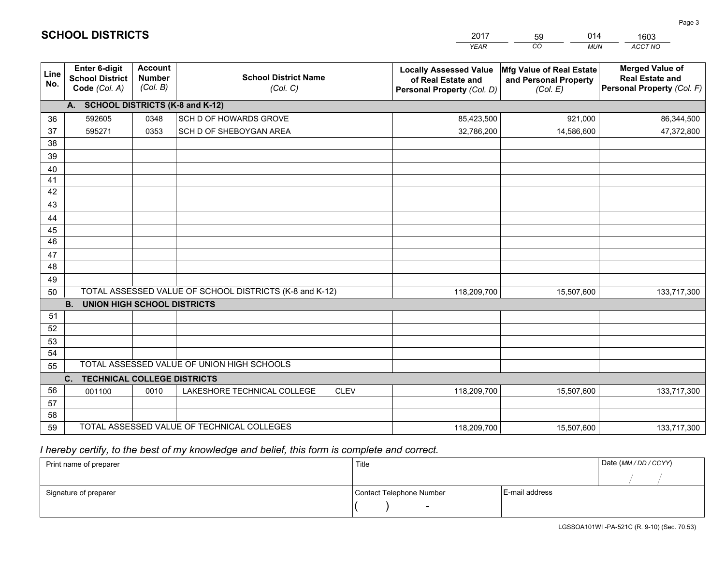|                       |                                                                 |                                             |                                                         | <b>YEAR</b>                                                                       | CO<br><b>MUN</b>                                              | ACCT NO                                                                        |
|-----------------------|-----------------------------------------------------------------|---------------------------------------------|---------------------------------------------------------|-----------------------------------------------------------------------------------|---------------------------------------------------------------|--------------------------------------------------------------------------------|
| Line<br>No.           | <b>Enter 6-digit</b><br><b>School District</b><br>Code (Col. A) | <b>Account</b><br><b>Number</b><br>(Col. B) | <b>School District Name</b><br>(Col. C)                 | <b>Locally Assessed Value</b><br>of Real Estate and<br>Personal Property (Col. D) | Mfg Value of Real Estate<br>and Personal Property<br>(Col. E) | <b>Merged Value of</b><br><b>Real Estate and</b><br>Personal Property (Col. F) |
|                       | A. SCHOOL DISTRICTS (K-8 and K-12)                              |                                             |                                                         |                                                                                   |                                                               |                                                                                |
| 36                    | 592605                                                          | 0348                                        | SCH D OF HOWARDS GROVE                                  | 85,423,500                                                                        | 921,000                                                       | 86,344,500                                                                     |
| 37                    | 595271                                                          | 0353                                        | SCH D OF SHEBOYGAN AREA                                 | 32,786,200                                                                        | 14,586,600                                                    | 47,372,800                                                                     |
| 38                    |                                                                 |                                             |                                                         |                                                                                   |                                                               |                                                                                |
| 39                    |                                                                 |                                             |                                                         |                                                                                   |                                                               |                                                                                |
| 40                    |                                                                 |                                             |                                                         |                                                                                   |                                                               |                                                                                |
| 41                    |                                                                 |                                             |                                                         |                                                                                   |                                                               |                                                                                |
| 42                    |                                                                 |                                             |                                                         |                                                                                   |                                                               |                                                                                |
| 43                    |                                                                 |                                             |                                                         |                                                                                   |                                                               |                                                                                |
| 44                    |                                                                 |                                             |                                                         |                                                                                   |                                                               |                                                                                |
| 45<br>$\overline{46}$ |                                                                 |                                             |                                                         |                                                                                   |                                                               |                                                                                |
| 47                    |                                                                 |                                             |                                                         |                                                                                   |                                                               |                                                                                |
| 48                    |                                                                 |                                             |                                                         |                                                                                   |                                                               |                                                                                |
| 49                    |                                                                 |                                             |                                                         |                                                                                   |                                                               |                                                                                |
| 50                    |                                                                 |                                             | TOTAL ASSESSED VALUE OF SCHOOL DISTRICTS (K-8 and K-12) | 118,209,700                                                                       | 15,507,600                                                    | 133,717,300                                                                    |
|                       | <b>B.</b><br><b>UNION HIGH SCHOOL DISTRICTS</b>                 |                                             |                                                         |                                                                                   |                                                               |                                                                                |
| 51                    |                                                                 |                                             |                                                         |                                                                                   |                                                               |                                                                                |
| 52                    |                                                                 |                                             |                                                         |                                                                                   |                                                               |                                                                                |
| 53                    |                                                                 |                                             |                                                         |                                                                                   |                                                               |                                                                                |
| 54                    |                                                                 |                                             |                                                         |                                                                                   |                                                               |                                                                                |
| 55                    |                                                                 |                                             | TOTAL ASSESSED VALUE OF UNION HIGH SCHOOLS              |                                                                                   |                                                               |                                                                                |
|                       | C.<br><b>TECHNICAL COLLEGE DISTRICTS</b>                        |                                             |                                                         |                                                                                   |                                                               |                                                                                |
| 56                    | 001100                                                          | 0010                                        | LAKESHORE TECHNICAL COLLEGE<br><b>CLEV</b>              | 118,209,700                                                                       | 15,507,600                                                    | 133,717,300                                                                    |
| 57                    |                                                                 |                                             |                                                         |                                                                                   |                                                               |                                                                                |
| 58                    |                                                                 |                                             |                                                         |                                                                                   |                                                               |                                                                                |
| 59                    |                                                                 |                                             | TOTAL ASSESSED VALUE OF TECHNICAL COLLEGES              | 118,209,700                                                                       | 15,507,600                                                    | 133,717,300                                                                    |

59

014

 *I hereby certify, to the best of my knowledge and belief, this form is complete and correct.*

**SCHOOL DISTRICTS**

| Print name of preparer | Title                    |                | Date (MM / DD / CCYY) |
|------------------------|--------------------------|----------------|-----------------------|
|                        |                          |                |                       |
| Signature of preparer  | Contact Telephone Number | E-mail address |                       |
|                        | $\overline{\phantom{0}}$ |                |                       |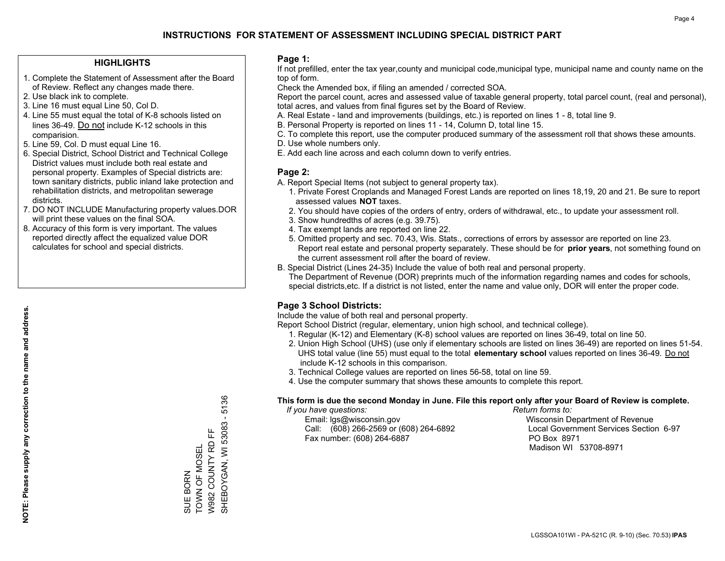#### **HIGHLIGHTS**

- 1. Complete the Statement of Assessment after the Board of Review. Reflect any changes made there.
- 2. Use black ink to complete.
- 3. Line 16 must equal Line 50, Col D.
- 4. Line 55 must equal the total of K-8 schools listed on lines 36-49. Do not include K-12 schools in this comparision.
- 5. Line 59, Col. D must equal Line 16.
- 6. Special District, School District and Technical College District values must include both real estate and personal property. Examples of Special districts are: town sanitary districts, public inland lake protection and rehabilitation districts, and metropolitan sewerage districts.
- 7. DO NOT INCLUDE Manufacturing property values.DOR will print these values on the final SOA.

SUE BORN

TOWN OF MOSEL W982 COUNTY RD FF SHEBOYGAN, WI 53083 - 5136

뜐

W982 COUNTY RD TOWN OF MOSEL SUE BORN

SHEBOYGAN, WI 53083 -

5136

 8. Accuracy of this form is very important. The values reported directly affect the equalized value DOR calculates for school and special districts.

#### **Page 1:**

 If not prefilled, enter the tax year,county and municipal code,municipal type, municipal name and county name on the top of form.

Check the Amended box, if filing an amended / corrected SOA.

 Report the parcel count, acres and assessed value of taxable general property, total parcel count, (real and personal), total acres, and values from final figures set by the Board of Review.

- A. Real Estate land and improvements (buildings, etc.) is reported on lines 1 8, total line 9.
- B. Personal Property is reported on lines 11 14, Column D, total line 15.
- C. To complete this report, use the computer produced summary of the assessment roll that shows these amounts.
- D. Use whole numbers only.
- E. Add each line across and each column down to verify entries.

#### **Page 2:**

- A. Report Special Items (not subject to general property tax).
- 1. Private Forest Croplands and Managed Forest Lands are reported on lines 18,19, 20 and 21. Be sure to report assessed values **NOT** taxes.
- 2. You should have copies of the orders of entry, orders of withdrawal, etc., to update your assessment roll.
	- 3. Show hundredths of acres (e.g. 39.75).
- 4. Tax exempt lands are reported on line 22.
- 5. Omitted property and sec. 70.43, Wis. Stats., corrections of errors by assessor are reported on line 23. Report real estate and personal property separately. These should be for **prior years**, not something found on the current assessment roll after the board of review.
- B. Special District (Lines 24-35) Include the value of both real and personal property.
- The Department of Revenue (DOR) preprints much of the information regarding names and codes for schools, special districts,etc. If a district is not listed, enter the name and value only, DOR will enter the proper code.

## **Page 3 School Districts:**

Include the value of both real and personal property.

Report School District (regular, elementary, union high school, and technical college).

- 1. Regular (K-12) and Elementary (K-8) school values are reported on lines 36-49, total on line 50.
- 2. Union High School (UHS) (use only if elementary schools are listed on lines 36-49) are reported on lines 51-54. UHS total value (line 55) must equal to the total **elementary school** values reported on lines 36-49. Do notinclude K-12 schools in this comparison.
- 3. Technical College values are reported on lines 56-58, total on line 59.
- 4. Use the computer summary that shows these amounts to complete this report.

#### **This form is due the second Monday in June. File this report only after your Board of Review is complete.**

 *If you have questions: Return forms to:*

 Email: lgs@wisconsin.gov Wisconsin Department of RevenueCall:  $(608)$  266-2569 or  $(608)$  264-6892 Fax number: (608) 264-6887 PO Box 8971

Local Government Services Section 6-97 Madison WI 53708-8971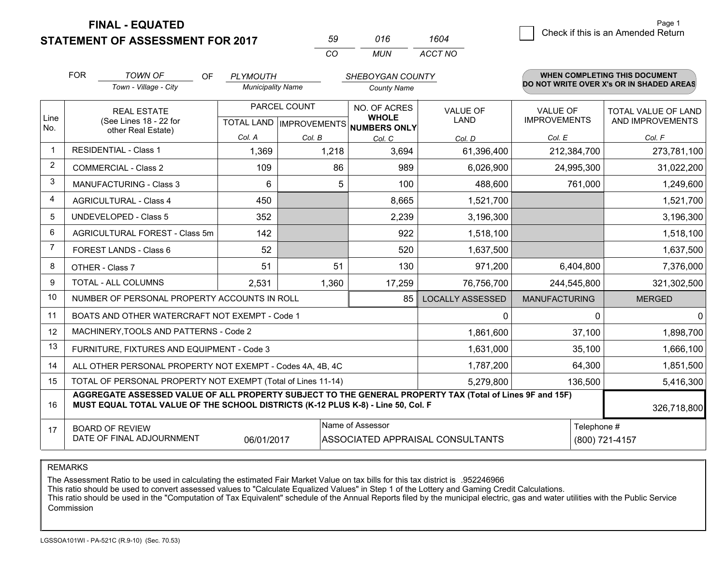**STATEMENT OF ASSESSMENT FOR 2017** 

| 59  | 016 | 1604    |
|-----|-----|---------|
| CO. | MUN | ACCT NO |

|                | <b>FOR</b>                                                                                                                                                                                   | <b>TOWN OF</b><br>OF                                         | <b>PLYMOUTH</b>          |        | SHEBOYGAN COUNTY                     |                         |                      | <b>WHEN COMPLETING THIS DOCUMENT</b>     |
|----------------|----------------------------------------------------------------------------------------------------------------------------------------------------------------------------------------------|--------------------------------------------------------------|--------------------------|--------|--------------------------------------|-------------------------|----------------------|------------------------------------------|
|                |                                                                                                                                                                                              | Town - Village - City                                        | <b>Municipality Name</b> |        | <b>County Name</b>                   |                         |                      | DO NOT WRITE OVER X's OR IN SHADED AREAS |
| Line           |                                                                                                                                                                                              | <b>REAL ESTATE</b>                                           | PARCEL COUNT             |        | NO. OF ACRES<br><b>WHOLE</b>         | <b>VALUE OF</b>         | <b>VALUE OF</b>      | TOTAL VALUE OF LAND                      |
| No.            |                                                                                                                                                                                              | (See Lines 18 - 22 for<br>other Real Estate)                 |                          |        | TOTAL LAND IMPROVEMENTS NUMBERS ONLY | <b>LAND</b>             | <b>IMPROVEMENTS</b>  | AND IMPROVEMENTS                         |
|                |                                                                                                                                                                                              |                                                              | Col. A                   | Col. B | Col. C                               | Col. D                  | Col. E               | Col. F                                   |
| -1             |                                                                                                                                                                                              | <b>RESIDENTIAL - Class 1</b>                                 | 1,369                    | 1,218  | 3,694                                | 61,396,400              | 212,384,700          | 273,781,100                              |
| 2              |                                                                                                                                                                                              | <b>COMMERCIAL - Class 2</b>                                  | 109                      | 86     | 989                                  | 6,026,900               | 24,995,300           | 31,022,200                               |
| 3              |                                                                                                                                                                                              | <b>MANUFACTURING - Class 3</b>                               | 6                        | 5      | 100                                  | 488,600                 | 761,000              | 1,249,600                                |
| 4              |                                                                                                                                                                                              | <b>AGRICULTURAL - Class 4</b>                                | 450                      |        | 8,665                                | 1,521,700               |                      | 1,521,700                                |
| 5              |                                                                                                                                                                                              | <b>UNDEVELOPED - Class 5</b>                                 | 352                      |        | 2,239                                | 3,196,300               |                      | 3,196,300                                |
| 6              |                                                                                                                                                                                              | AGRICULTURAL FOREST - Class 5m                               | 142                      |        | 922                                  | 1,518,100               |                      | 1,518,100                                |
| $\overline{7}$ |                                                                                                                                                                                              | FOREST LANDS - Class 6                                       | 52                       |        | 520                                  | 1,637,500               |                      | 1,637,500                                |
| 8              |                                                                                                                                                                                              | OTHER - Class 7                                              | 51                       | 51     | 130                                  | 971,200                 | 6,404,800            | 7,376,000                                |
| 9              |                                                                                                                                                                                              | TOTAL - ALL COLUMNS                                          | 2,531                    | 1,360  | 17,259                               | 76,756,700              | 244,545,800          | 321,302,500                              |
| 10             |                                                                                                                                                                                              | NUMBER OF PERSONAL PROPERTY ACCOUNTS IN ROLL                 |                          |        | 85                                   | <b>LOCALLY ASSESSED</b> | <b>MANUFACTURING</b> | <b>MERGED</b>                            |
| 11             |                                                                                                                                                                                              | BOATS AND OTHER WATERCRAFT NOT EXEMPT - Code 1               |                          |        |                                      | 0                       | $\Omega$             | $\mathbf{0}$                             |
| 12             |                                                                                                                                                                                              | MACHINERY, TOOLS AND PATTERNS - Code 2                       |                          |        |                                      | 1,861,600               | 37,100               | 1,898,700                                |
| 13             |                                                                                                                                                                                              | FURNITURE, FIXTURES AND EQUIPMENT - Code 3                   |                          |        |                                      | 1,631,000               | 35,100               | 1,666,100                                |
| 14             |                                                                                                                                                                                              | ALL OTHER PERSONAL PROPERTY NOT EXEMPT - Codes 4A, 4B, 4C    |                          |        |                                      | 1,787,200               | 64,300               | 1,851,500                                |
| 15             |                                                                                                                                                                                              | TOTAL OF PERSONAL PROPERTY NOT EXEMPT (Total of Lines 11-14) |                          |        |                                      | 5,279,800               | 136,500              | 5,416,300                                |
| 16             | AGGREGATE ASSESSED VALUE OF ALL PROPERTY SUBJECT TO THE GENERAL PROPERTY TAX (Total of Lines 9F and 15F)<br>MUST EQUAL TOTAL VALUE OF THE SCHOOL DISTRICTS (K-12 PLUS K-8) - Line 50, Col. F |                                                              |                          |        |                                      |                         | 326,718,800          |                                          |
| 17             | Name of Assessor<br><b>BOARD OF REVIEW</b>                                                                                                                                                   |                                                              |                          |        |                                      |                         | Telephone #          |                                          |
|                | DATE OF FINAL ADJOURNMENT<br>06/01/2017<br>ASSOCIATED APPRAISAL CONSULTANTS                                                                                                                  |                                                              |                          |        |                                      |                         | (800) 721-4157       |                                          |

REMARKS

The Assessment Ratio to be used in calculating the estimated Fair Market Value on tax bills for this tax district is .952246966

This ratio should be used to convert assessed values to "Calculate Equalized Values" in Step 1 of the Lottery and Gaming Credit Calculations.<br>This ratio should be used in the "Computation of Tax Equivalent" schedule of the Commission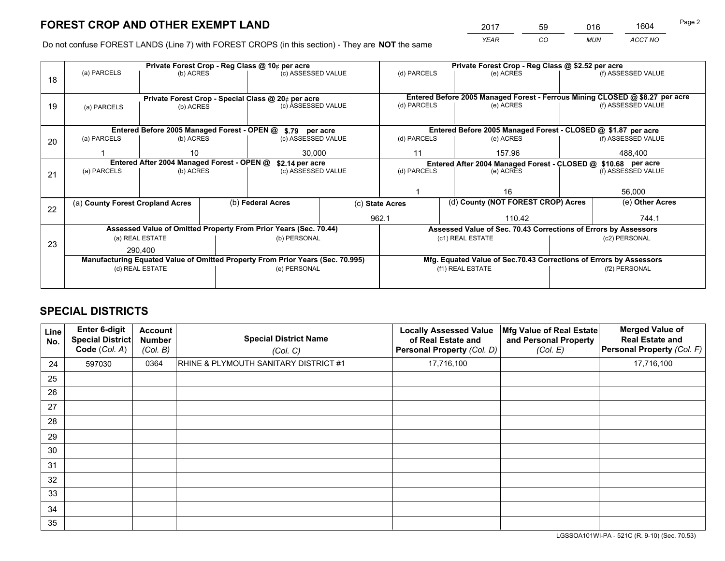*YEAR CO MUN ACCT NO* <sup>2017</sup> <sup>59</sup> <sup>016</sup> <sup>1604</sup>

Do not confuse FOREST LANDS (Line 7) with FOREST CROPS (in this section) - They are **NOT** the same

|    |                                                               |                 |  | Private Forest Crop - Reg Class @ 10¢ per acre                                 |                 | Private Forest Crop - Reg Class @ \$2.52 per acre             |                  |                                                                    |               |                                                                              |  |
|----|---------------------------------------------------------------|-----------------|--|--------------------------------------------------------------------------------|-----------------|---------------------------------------------------------------|------------------|--------------------------------------------------------------------|---------------|------------------------------------------------------------------------------|--|
| 18 | (a) PARCELS                                                   | (b) ACRES       |  | (c) ASSESSED VALUE                                                             |                 | (d) PARCELS                                                   |                  | (e) ACRES                                                          |               | (f) ASSESSED VALUE                                                           |  |
|    |                                                               |                 |  |                                                                                |                 |                                                               |                  |                                                                    |               |                                                                              |  |
|    | Private Forest Crop - Special Class @ 20¢ per acre            |                 |  |                                                                                |                 |                                                               |                  |                                                                    |               | Entered Before 2005 Managed Forest - Ferrous Mining CLOSED @ \$8.27 per acre |  |
| 19 | (a) PARCELS                                                   | (b) ACRES       |  | (c) ASSESSED VALUE                                                             |                 | (d) PARCELS                                                   |                  | (e) ACRES                                                          |               | (f) ASSESSED VALUE                                                           |  |
|    |                                                               |                 |  |                                                                                |                 |                                                               |                  |                                                                    |               |                                                                              |  |
|    |                                                               |                 |  | Entered Before 2005 Managed Forest - OPEN @ \$.79 per acre                     |                 |                                                               |                  | Entered Before 2005 Managed Forest - CLOSED @ \$1.87 per acre      |               |                                                                              |  |
| 20 | (a) PARCELS                                                   | (b) ACRES       |  | (c) ASSESSED VALUE                                                             |                 | (d) PARCELS                                                   |                  | (e) ACRES                                                          |               | (f) ASSESSED VALUE                                                           |  |
|    |                                                               | 10              |  | 30,000                                                                         |                 | 11                                                            |                  | 157.96                                                             |               | 488,400                                                                      |  |
|    | Entered After 2004 Managed Forest - OPEN @<br>\$2.14 per acre |                 |  |                                                                                |                 | Entered After 2004 Managed Forest - CLOSED @ \$10.68 per acre |                  |                                                                    |               |                                                                              |  |
| 21 | (a) PARCELS                                                   | (b) ACRES       |  | (c) ASSESSED VALUE                                                             |                 | (d) PARCELS                                                   |                  | (e) ACRES                                                          |               | (f) ASSESSED VALUE                                                           |  |
|    |                                                               |                 |  |                                                                                |                 |                                                               |                  |                                                                    |               |                                                                              |  |
|    |                                                               |                 |  |                                                                                |                 |                                                               |                  | 16                                                                 |               | 56,000                                                                       |  |
|    | (a) County Forest Cropland Acres                              |                 |  | (b) Federal Acres                                                              | (c) State Acres |                                                               |                  | (d) County (NOT FOREST CROP) Acres                                 |               | (e) Other Acres                                                              |  |
| 22 |                                                               |                 |  |                                                                                | 962.1           |                                                               |                  | 110.42                                                             |               | 744.1                                                                        |  |
|    |                                                               |                 |  | Assessed Value of Omitted Property From Prior Years (Sec. 70.44)               |                 |                                                               |                  | Assessed Value of Sec. 70.43 Corrections of Errors by Assessors    |               |                                                                              |  |
|    |                                                               | (a) REAL ESTATE |  | (b) PERSONAL                                                                   |                 |                                                               | (c1) REAL ESTATE |                                                                    |               | (c2) PERSONAL                                                                |  |
| 23 | 290,400                                                       |                 |  |                                                                                |                 |                                                               |                  |                                                                    |               |                                                                              |  |
|    |                                                               |                 |  | Manufacturing Equated Value of Omitted Property From Prior Years (Sec. 70.995) |                 |                                                               |                  | Mfg. Equated Value of Sec.70.43 Corrections of Errors by Assessors |               |                                                                              |  |
|    |                                                               | (d) REAL ESTATE |  | (e) PERSONAL                                                                   |                 | (f1) REAL ESTATE                                              |                  |                                                                    | (f2) PERSONAL |                                                                              |  |
|    |                                                               |                 |  |                                                                                |                 |                                                               |                  |                                                                    |               |                                                                              |  |

## **SPECIAL DISTRICTS**

| Line<br>No. | Enter 6-digit<br>Special District<br>Code (Col. A) | <b>Account</b><br><b>Number</b><br>(Col. B) | <b>Special District Name</b><br>(Col. C) | <b>Locally Assessed Value</b><br>of Real Estate and<br>Personal Property (Col. D) | Mfg Value of Real Estate<br>and Personal Property<br>(Col. E) | <b>Merged Value of</b><br><b>Real Estate and</b><br>Personal Property (Col. F) |
|-------------|----------------------------------------------------|---------------------------------------------|------------------------------------------|-----------------------------------------------------------------------------------|---------------------------------------------------------------|--------------------------------------------------------------------------------|
| 24          | 597030                                             | 0364                                        | RHINE & PLYMOUTH SANITARY DISTRICT #1    | 17,716,100                                                                        |                                                               | 17,716,100                                                                     |
| 25          |                                                    |                                             |                                          |                                                                                   |                                                               |                                                                                |
| 26          |                                                    |                                             |                                          |                                                                                   |                                                               |                                                                                |
| 27          |                                                    |                                             |                                          |                                                                                   |                                                               |                                                                                |
| 28          |                                                    |                                             |                                          |                                                                                   |                                                               |                                                                                |
| 29          |                                                    |                                             |                                          |                                                                                   |                                                               |                                                                                |
| 30          |                                                    |                                             |                                          |                                                                                   |                                                               |                                                                                |
| 31          |                                                    |                                             |                                          |                                                                                   |                                                               |                                                                                |
| 32          |                                                    |                                             |                                          |                                                                                   |                                                               |                                                                                |
| 33          |                                                    |                                             |                                          |                                                                                   |                                                               |                                                                                |
| 34          |                                                    |                                             |                                          |                                                                                   |                                                               |                                                                                |
| 35          |                                                    |                                             |                                          |                                                                                   |                                                               |                                                                                |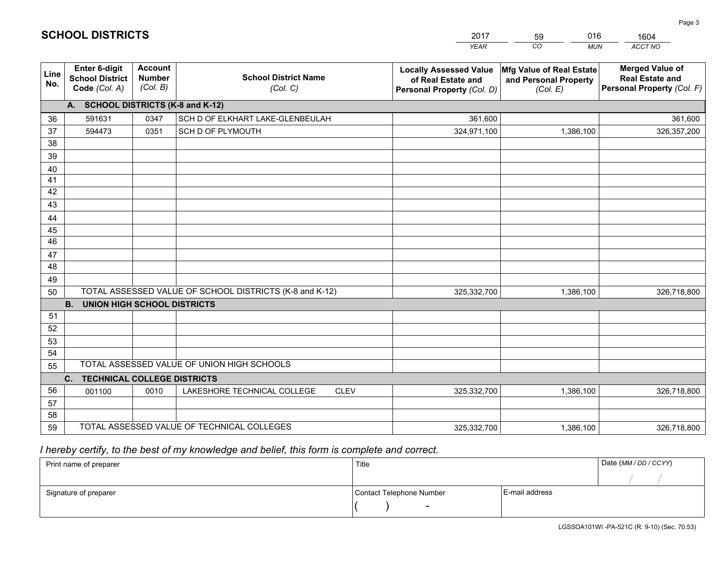|             |                                                          |                                             |                                                         | YEAR                                                                              | CO.<br><b>MUN</b>                                             | ACCT NO                                                                        |
|-------------|----------------------------------------------------------|---------------------------------------------|---------------------------------------------------------|-----------------------------------------------------------------------------------|---------------------------------------------------------------|--------------------------------------------------------------------------------|
| Line<br>No. | Enter 6-digit<br><b>School District</b><br>Code (Col. A) | <b>Account</b><br><b>Number</b><br>(Col. B) | <b>School District Name</b><br>(Col. C)                 | <b>Locally Assessed Value</b><br>of Real Estate and<br>Personal Property (Col. D) | Mfg Value of Real Estate<br>and Personal Property<br>(Col. E) | <b>Merged Value of</b><br><b>Real Estate and</b><br>Personal Property (Col. F) |
|             | A. SCHOOL DISTRICTS (K-8 and K-12)                       |                                             |                                                         |                                                                                   |                                                               |                                                                                |
| 36          | 591631                                                   | 0347                                        | SCH D OF ELKHART LAKE-GLENBEULAH                        | 361.600                                                                           |                                                               | 361,600                                                                        |
| 37          | 594473                                                   | 0351                                        | SCH D OF PLYMOUTH                                       | 324,971,100                                                                       | 1,386,100                                                     | 326,357,200                                                                    |
| 38          |                                                          |                                             |                                                         |                                                                                   |                                                               |                                                                                |
| 39          |                                                          |                                             |                                                         |                                                                                   |                                                               |                                                                                |
| 40          |                                                          |                                             |                                                         |                                                                                   |                                                               |                                                                                |
| 41          |                                                          |                                             |                                                         |                                                                                   |                                                               |                                                                                |
| 42<br>43    |                                                          |                                             |                                                         |                                                                                   |                                                               |                                                                                |
|             |                                                          |                                             |                                                         |                                                                                   |                                                               |                                                                                |
| 44<br>45    |                                                          |                                             |                                                         |                                                                                   |                                                               |                                                                                |
| 46          |                                                          |                                             |                                                         |                                                                                   |                                                               |                                                                                |
| 47          |                                                          |                                             |                                                         |                                                                                   |                                                               |                                                                                |
| 48          |                                                          |                                             |                                                         |                                                                                   |                                                               |                                                                                |
| 49          |                                                          |                                             |                                                         |                                                                                   |                                                               |                                                                                |
| 50          |                                                          |                                             | TOTAL ASSESSED VALUE OF SCHOOL DISTRICTS (K-8 and K-12) | 325,332,700                                                                       | 1,386,100                                                     | 326,718,800                                                                    |
|             | <b>B.</b><br><b>UNION HIGH SCHOOL DISTRICTS</b>          |                                             |                                                         |                                                                                   |                                                               |                                                                                |
| 51          |                                                          |                                             |                                                         |                                                                                   |                                                               |                                                                                |
| 52          |                                                          |                                             |                                                         |                                                                                   |                                                               |                                                                                |
| 53          |                                                          |                                             |                                                         |                                                                                   |                                                               |                                                                                |
| 54          |                                                          |                                             |                                                         |                                                                                   |                                                               |                                                                                |
| 55          |                                                          |                                             | TOTAL ASSESSED VALUE OF UNION HIGH SCHOOLS              |                                                                                   |                                                               |                                                                                |
|             | C.<br><b>TECHNICAL COLLEGE DISTRICTS</b>                 |                                             |                                                         |                                                                                   |                                                               |                                                                                |
| 56          | 001100                                                   | 0010                                        | LAKESHORE TECHNICAL COLLEGE<br><b>CLEV</b>              | 325,332,700                                                                       | 1,386,100                                                     | 326,718,800                                                                    |
| 57          |                                                          |                                             |                                                         |                                                                                   |                                                               |                                                                                |
| 58<br>59    |                                                          |                                             | TOTAL ASSESSED VALUE OF TECHNICAL COLLEGES              |                                                                                   |                                                               |                                                                                |
|             |                                                          |                                             |                                                         | 325,332,700                                                                       | 1,386,100                                                     | 326,718,800                                                                    |

59

016

 *I hereby certify, to the best of my knowledge and belief, this form is complete and correct.*

**SCHOOL DISTRICTS**

| Print name of preparer | Title                    |                | Date (MM / DD / CCYY) |
|------------------------|--------------------------|----------------|-----------------------|
|                        |                          |                |                       |
| Signature of preparer  | Contact Telephone Number | E-mail address |                       |
|                        | $\sim$                   |                |                       |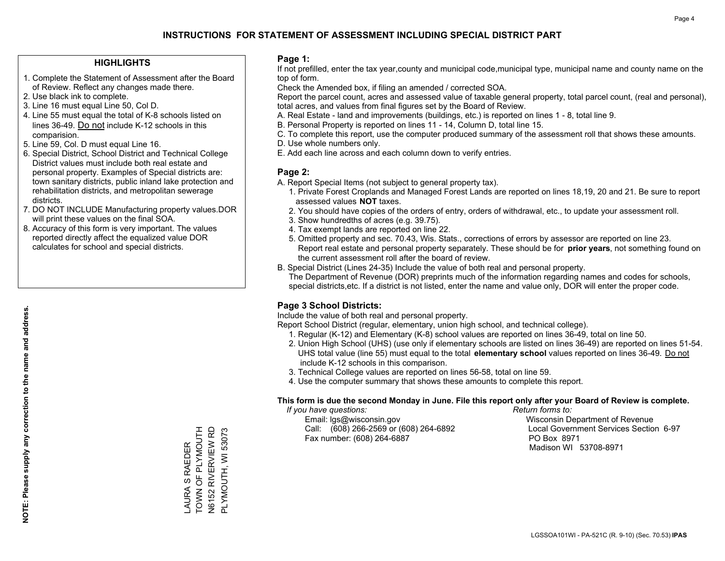#### **HIGHLIGHTS**

- 1. Complete the Statement of Assessment after the Board of Review. Reflect any changes made there.
- 2. Use black ink to complete.
- 3. Line 16 must equal Line 50, Col D.
- 4. Line 55 must equal the total of K-8 schools listed on lines 36-49. Do not include K-12 schools in this comparision.
- 5. Line 59, Col. D must equal Line 16.
- 6. Special District, School District and Technical College District values must include both real estate and personal property. Examples of Special districts are: town sanitary districts, public inland lake protection and rehabilitation districts, and metropolitan sewerage districts.
- 7. DO NOT INCLUDE Manufacturing property values.DOR will print these values on the final SOA.

LAURA S RAEDER TOWN OF PLYMOUTH N6152 RIVERVIEW RD PLYMOUTH, WI 53073

\_AURA S RAEDER<br>TOWN OF PLYMOUTH **N6152 RIVERVIEW RD** PLYMOUTH, WI 53073

 8. Accuracy of this form is very important. The values reported directly affect the equalized value DOR calculates for school and special districts.

#### **Page 1:**

 If not prefilled, enter the tax year,county and municipal code,municipal type, municipal name and county name on the top of form.

Check the Amended box, if filing an amended / corrected SOA.

 Report the parcel count, acres and assessed value of taxable general property, total parcel count, (real and personal), total acres, and values from final figures set by the Board of Review.

- A. Real Estate land and improvements (buildings, etc.) is reported on lines 1 8, total line 9.
- B. Personal Property is reported on lines 11 14, Column D, total line 15.
- C. To complete this report, use the computer produced summary of the assessment roll that shows these amounts.
- D. Use whole numbers only.
- E. Add each line across and each column down to verify entries.

#### **Page 2:**

- A. Report Special Items (not subject to general property tax).
- 1. Private Forest Croplands and Managed Forest Lands are reported on lines 18,19, 20 and 21. Be sure to report assessed values **NOT** taxes.
- 2. You should have copies of the orders of entry, orders of withdrawal, etc., to update your assessment roll.
	- 3. Show hundredths of acres (e.g. 39.75).
- 4. Tax exempt lands are reported on line 22.
- 5. Omitted property and sec. 70.43, Wis. Stats., corrections of errors by assessor are reported on line 23. Report real estate and personal property separately. These should be for **prior years**, not something found on the current assessment roll after the board of review.
- B. Special District (Lines 24-35) Include the value of both real and personal property.

 The Department of Revenue (DOR) preprints much of the information regarding names and codes for schools, special districts,etc. If a district is not listed, enter the name and value only, DOR will enter the proper code.

## **Page 3 School Districts:**

Include the value of both real and personal property.

Report School District (regular, elementary, union high school, and technical college).

- 1. Regular (K-12) and Elementary (K-8) school values are reported on lines 36-49, total on line 50.
- 2. Union High School (UHS) (use only if elementary schools are listed on lines 36-49) are reported on lines 51-54. UHS total value (line 55) must equal to the total **elementary school** values reported on lines 36-49. Do notinclude K-12 schools in this comparison.
- 3. Technical College values are reported on lines 56-58, total on line 59.
- 4. Use the computer summary that shows these amounts to complete this report.

#### **This form is due the second Monday in June. File this report only after your Board of Review is complete.**

 *If you have questions: Return forms to:*

 Email: lgs@wisconsin.gov Wisconsin Department of RevenueCall:  $(608)$  266-2569 or  $(608)$  264-6892 Fax number: (608) 264-6887 PO Box 8971

Local Government Services Section 6-97

Madison WI 53708-8971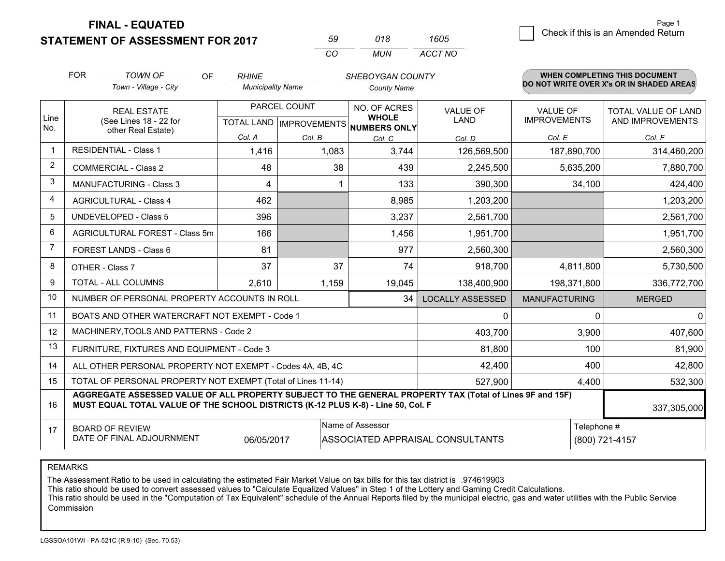**STATEMENT OF ASSESSMENT FOR 2017** 

| 59. | 018  | 1605    |  |
|-----|------|---------|--|
| ΩO  | MUN. | ACCT NO |  |

|                | <b>FOR</b>                                                                                                                                                 | <b>TOWN OF</b><br><b>OF</b>                                                                                                                                                                  | <b>RHINE</b>             |              | SHEBOYGAN COUNTY                                     |                         |                      | <b>WHEN COMPLETING THIS DOCUMENT</b>     |
|----------------|------------------------------------------------------------------------------------------------------------------------------------------------------------|----------------------------------------------------------------------------------------------------------------------------------------------------------------------------------------------|--------------------------|--------------|------------------------------------------------------|-------------------------|----------------------|------------------------------------------|
|                |                                                                                                                                                            | Town - Village - City                                                                                                                                                                        | <b>Municipality Name</b> |              | <b>County Name</b>                                   |                         |                      | DO NOT WRITE OVER X's OR IN SHADED AREAS |
|                | <b>REAL ESTATE</b>                                                                                                                                         |                                                                                                                                                                                              |                          | PARCEL COUNT | NO. OF ACRES                                         | <b>VALUE OF</b>         | <b>VALUE OF</b>      | TOTAL VALUE OF LAND                      |
| Line<br>No.    |                                                                                                                                                            | (See Lines 18 - 22 for<br>other Real Estate)                                                                                                                                                 |                          |              | <b>WHOLE</b><br>TOTAL LAND IMPROVEMENTS NUMBERS ONLY | <b>LAND</b>             | <b>IMPROVEMENTS</b>  | AND IMPROVEMENTS                         |
|                |                                                                                                                                                            |                                                                                                                                                                                              | Col. A                   | Col. B       | Col. C                                               | Col. D                  | Col. E               | Col. F                                   |
| -1             |                                                                                                                                                            | <b>RESIDENTIAL - Class 1</b>                                                                                                                                                                 | 1,416                    | 1,083        | 3,744                                                | 126,569,500             | 187,890,700          | 314,460,200                              |
| 2              |                                                                                                                                                            | <b>COMMERCIAL - Class 2</b>                                                                                                                                                                  | 48                       | 38           | 439                                                  | 2,245,500               | 5,635,200            | 7,880,700                                |
| 3              |                                                                                                                                                            | <b>MANUFACTURING - Class 3</b>                                                                                                                                                               | 4                        |              | 133                                                  | 390,300                 | 34,100               | 424,400                                  |
| 4              |                                                                                                                                                            | <b>AGRICULTURAL - Class 4</b>                                                                                                                                                                | 462                      |              | 8,985                                                | 1,203,200               |                      | 1,203,200                                |
| 5              |                                                                                                                                                            | <b>UNDEVELOPED - Class 5</b>                                                                                                                                                                 | 396                      |              | 3,237                                                | 2,561,700               |                      | 2,561,700                                |
| 6              |                                                                                                                                                            | AGRICULTURAL FOREST - Class 5m                                                                                                                                                               | 166                      |              | 1,456                                                | 1,951,700               |                      | 1,951,700                                |
| $\overline{7}$ | FOREST LANDS - Class 6                                                                                                                                     |                                                                                                                                                                                              | 81                       |              | 977                                                  | 2,560,300               |                      | 2,560,300                                |
| 8              |                                                                                                                                                            | OTHER - Class 7                                                                                                                                                                              | 37                       | 37           | 74                                                   | 918,700                 | 4,811,800            | 5,730,500                                |
| 9              | TOTAL - ALL COLUMNS                                                                                                                                        |                                                                                                                                                                                              | 2,610                    | 1,159        | 19,045                                               | 138,400,900             | 198,371,800          | 336,772,700                              |
| 10             |                                                                                                                                                            | NUMBER OF PERSONAL PROPERTY ACCOUNTS IN ROLL                                                                                                                                                 |                          |              | 34                                                   | <b>LOCALLY ASSESSED</b> | <b>MANUFACTURING</b> | <b>MERGED</b>                            |
| 11             |                                                                                                                                                            | BOATS AND OTHER WATERCRAFT NOT EXEMPT - Code 1                                                                                                                                               |                          | 0            | 0                                                    | $\mathbf{0}$            |                      |                                          |
| 12             |                                                                                                                                                            | MACHINERY, TOOLS AND PATTERNS - Code 2                                                                                                                                                       |                          |              |                                                      | 403,700                 | 3,900                | 407,600                                  |
| 13             |                                                                                                                                                            | FURNITURE, FIXTURES AND EQUIPMENT - Code 3                                                                                                                                                   |                          |              |                                                      | 81,800                  | 100                  | 81,900                                   |
| 14             | 42,400<br>ALL OTHER PERSONAL PROPERTY NOT EXEMPT - Codes 4A, 4B, 4C                                                                                        |                                                                                                                                                                                              |                          |              |                                                      |                         |                      | 400<br>42,800                            |
| 15             | TOTAL OF PERSONAL PROPERTY NOT EXEMPT (Total of Lines 11-14)<br>527,900                                                                                    |                                                                                                                                                                                              |                          |              |                                                      |                         | 4,400                | 532,300                                  |
| 16             |                                                                                                                                                            | AGGREGATE ASSESSED VALUE OF ALL PROPERTY SUBJECT TO THE GENERAL PROPERTY TAX (Total of Lines 9F and 15F)<br>MUST EQUAL TOTAL VALUE OF THE SCHOOL DISTRICTS (K-12 PLUS K-8) - Line 50, Col. F |                          |              |                                                      |                         |                      | 337,305,000                              |
| 17             | Name of Assessor<br>Telephone #<br><b>BOARD OF REVIEW</b><br>DATE OF FINAL ADJOURNMENT<br>06/05/2017<br>ASSOCIATED APPRAISAL CONSULTANTS<br>(800) 721-4157 |                                                                                                                                                                                              |                          |              |                                                      |                         |                      |                                          |

REMARKS

The Assessment Ratio to be used in calculating the estimated Fair Market Value on tax bills for this tax district is .974619903<br>This ratio should be used to convert assessed values to "Calculate Equalized Values" in Step 1 Commission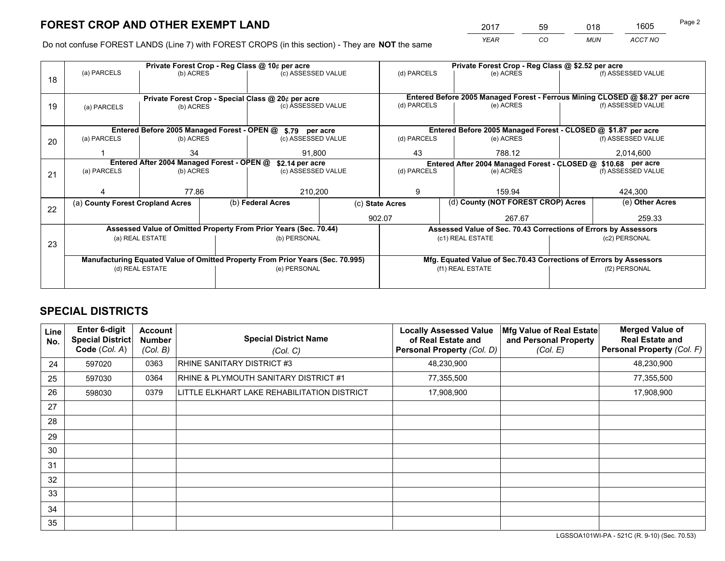*YEAR CO MUN ACCT NO* <sup>2017</sup> <sup>59</sup> <sup>018</sup> <sup>1605</sup>

Do not confuse FOREST LANDS (Line 7) with FOREST CROPS (in this section) - They are **NOT** the same

| Private Forest Crop - Reg Class @ 10¢ per acre |                                                                                |           |  |                                                            |                                   | Private Forest Crop - Reg Class @ \$2.52 per acre                            |  |                                                               |               |                    |
|------------------------------------------------|--------------------------------------------------------------------------------|-----------|--|------------------------------------------------------------|-----------------------------------|------------------------------------------------------------------------------|--|---------------------------------------------------------------|---------------|--------------------|
| 18                                             | (a) PARCELS                                                                    | (b) ACRES |  | (c) ASSESSED VALUE                                         |                                   | (d) PARCELS                                                                  |  | (e) ACRES                                                     |               | (f) ASSESSED VALUE |
|                                                |                                                                                |           |  |                                                            |                                   |                                                                              |  |                                                               |               |                    |
|                                                |                                                                                |           |  | Private Forest Crop - Special Class @ 20¢ per acre         |                                   | Entered Before 2005 Managed Forest - Ferrous Mining CLOSED @ \$8.27 per acre |  |                                                               |               |                    |
| 19                                             | (b) ACRES<br>(a) PARCELS                                                       |           |  | (c) ASSESSED VALUE                                         |                                   | (d) PARCELS                                                                  |  | (e) ACRES                                                     |               | (f) ASSESSED VALUE |
|                                                |                                                                                |           |  |                                                            |                                   |                                                                              |  |                                                               |               |                    |
|                                                |                                                                                |           |  | Entered Before 2005 Managed Forest - OPEN @ \$.79 per acre |                                   |                                                                              |  | Entered Before 2005 Managed Forest - CLOSED @ \$1.87 per acre |               |                    |
| 20                                             | (a) PARCELS                                                                    | (b) ACRES |  | (c) ASSESSED VALUE                                         |                                   | (d) PARCELS                                                                  |  | (e) ACRES                                                     |               | (f) ASSESSED VALUE |
|                                                |                                                                                | 34        |  | 91.800                                                     |                                   | 43                                                                           |  | 788.12                                                        |               | 2,014,600          |
|                                                | Entered After 2004 Managed Forest - OPEN @<br>\$2.14 per acre                  |           |  |                                                            |                                   | Entered After 2004 Managed Forest - CLOSED @ \$10.68 per acre                |  |                                                               |               |                    |
| 21                                             | (a) PARCELS                                                                    | (b) ACRES |  |                                                            | (d) PARCELS<br>(c) ASSESSED VALUE |                                                                              |  | (e) ACRES                                                     |               | (f) ASSESSED VALUE |
|                                                |                                                                                |           |  |                                                            |                                   |                                                                              |  |                                                               |               |                    |
|                                                |                                                                                | 77.86     |  | 210,200                                                    |                                   | 9                                                                            |  | 159.94                                                        |               | 424,300            |
| 22                                             | (a) County Forest Cropland Acres                                               |           |  | (b) Federal Acres                                          | (c) State Acres                   |                                                                              |  | (d) County (NOT FOREST CROP) Acres                            |               | (e) Other Acres    |
|                                                |                                                                                |           |  |                                                            | 902.07                            |                                                                              |  | 267.67                                                        |               | 259.33             |
|                                                | Assessed Value of Omitted Property From Prior Years (Sec. 70.44)               |           |  |                                                            |                                   | Assessed Value of Sec. 70.43 Corrections of Errors by Assessors              |  |                                                               |               |                    |
| 23                                             | (a) REAL ESTATE                                                                |           |  | (b) PERSONAL                                               |                                   | (c1) REAL ESTATE                                                             |  |                                                               | (c2) PERSONAL |                    |
|                                                |                                                                                |           |  |                                                            |                                   |                                                                              |  |                                                               |               |                    |
|                                                | Manufacturing Equated Value of Omitted Property From Prior Years (Sec. 70.995) |           |  |                                                            |                                   | Mfg. Equated Value of Sec.70.43 Corrections of Errors by Assessors           |  |                                                               |               |                    |
|                                                | (d) REAL ESTATE                                                                |           |  | (e) PERSONAL                                               |                                   | (f1) REAL ESTATE                                                             |  | (f2) PERSONAL                                                 |               |                    |
|                                                |                                                                                |           |  |                                                            |                                   |                                                                              |  |                                                               |               |                    |

## **SPECIAL DISTRICTS**

| Line<br>No.     | Enter 6-digit<br><b>Special District</b><br>Code (Col. A) | <b>Account</b><br><b>Number</b><br>(Col. B) | <b>Special District Name</b><br>(Col. C)    | <b>Locally Assessed Value</b><br>of Real Estate and<br>Personal Property (Col. D) | Mfg Value of Real Estate<br>and Personal Property<br>(Col. E) | <b>Merged Value of</b><br><b>Real Estate and</b><br><b>Personal Property (Col. F)</b> |
|-----------------|-----------------------------------------------------------|---------------------------------------------|---------------------------------------------|-----------------------------------------------------------------------------------|---------------------------------------------------------------|---------------------------------------------------------------------------------------|
| 24              | 597020                                                    | 0363                                        | RHINE SANITARY DISTRICT #3                  | 48,230,900                                                                        |                                                               | 48,230,900                                                                            |
| 25              | 597030                                                    | 0364                                        | RHINE & PLYMOUTH SANITARY DISTRICT #1       | 77,355,500                                                                        |                                                               | 77,355,500                                                                            |
| 26              | 598030                                                    | 0379                                        | LITTLE ELKHART LAKE REHABILITATION DISTRICT | 17,908,900                                                                        |                                                               | 17,908,900                                                                            |
| 27              |                                                           |                                             |                                             |                                                                                   |                                                               |                                                                                       |
| 28              |                                                           |                                             |                                             |                                                                                   |                                                               |                                                                                       |
| 29              |                                                           |                                             |                                             |                                                                                   |                                                               |                                                                                       |
| 30              |                                                           |                                             |                                             |                                                                                   |                                                               |                                                                                       |
| 31              |                                                           |                                             |                                             |                                                                                   |                                                               |                                                                                       |
| 32 <sup>2</sup> |                                                           |                                             |                                             |                                                                                   |                                                               |                                                                                       |
| 33              |                                                           |                                             |                                             |                                                                                   |                                                               |                                                                                       |
| 34              |                                                           |                                             |                                             |                                                                                   |                                                               |                                                                                       |
| 35              |                                                           |                                             |                                             |                                                                                   |                                                               |                                                                                       |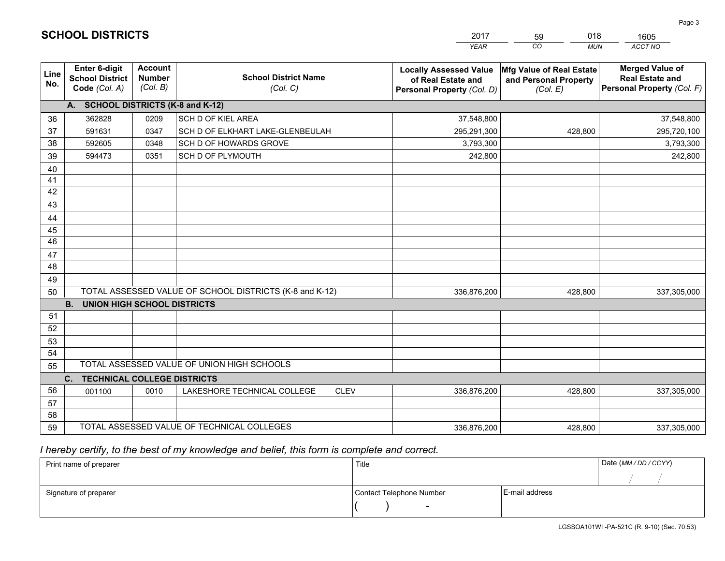|                 |                                                                 |                                             |                                                         | <b>YEAR</b>                                                                       | CO<br><b>MUN</b>                                              | ACCT NO                                                                        |
|-----------------|-----------------------------------------------------------------|---------------------------------------------|---------------------------------------------------------|-----------------------------------------------------------------------------------|---------------------------------------------------------------|--------------------------------------------------------------------------------|
| Line<br>No.     | <b>Enter 6-digit</b><br><b>School District</b><br>Code (Col. A) | <b>Account</b><br><b>Number</b><br>(Col. B) | <b>School District Name</b><br>(Col. C)                 | <b>Locally Assessed Value</b><br>of Real Estate and<br>Personal Property (Col. D) | Mfg Value of Real Estate<br>and Personal Property<br>(Col. E) | <b>Merged Value of</b><br><b>Real Estate and</b><br>Personal Property (Col. F) |
|                 | A. SCHOOL DISTRICTS (K-8 and K-12)                              |                                             |                                                         |                                                                                   |                                                               |                                                                                |
| 36              | 362828                                                          | 0209                                        | SCH D OF KIEL AREA                                      | 37,548,800                                                                        |                                                               | 37,548,800                                                                     |
| 37              | 591631                                                          | 0347                                        | SCH D OF ELKHART LAKE-GLENBEULAH                        | 295,291,300                                                                       | 428,800                                                       | 295,720,100                                                                    |
| 38              | 592605                                                          | 0348                                        | SCH D OF HOWARDS GROVE                                  | 3,793,300                                                                         |                                                               | 3,793,300                                                                      |
| 39              | 594473                                                          | 0351                                        | <b>SCH D OF PLYMOUTH</b>                                | 242,800                                                                           |                                                               | 242,800                                                                        |
| 40              |                                                                 |                                             |                                                         |                                                                                   |                                                               |                                                                                |
| 41              |                                                                 |                                             |                                                         |                                                                                   |                                                               |                                                                                |
| 42              |                                                                 |                                             |                                                         |                                                                                   |                                                               |                                                                                |
| 43              |                                                                 |                                             |                                                         |                                                                                   |                                                               |                                                                                |
| 44              |                                                                 |                                             |                                                         |                                                                                   |                                                               |                                                                                |
| 45              |                                                                 |                                             |                                                         |                                                                                   |                                                               |                                                                                |
| $\overline{46}$ |                                                                 |                                             |                                                         |                                                                                   |                                                               |                                                                                |
| 47              |                                                                 |                                             |                                                         |                                                                                   |                                                               |                                                                                |
| 48              |                                                                 |                                             |                                                         |                                                                                   |                                                               |                                                                                |
| 49              |                                                                 |                                             |                                                         |                                                                                   |                                                               |                                                                                |
| 50              |                                                                 |                                             | TOTAL ASSESSED VALUE OF SCHOOL DISTRICTS (K-8 and K-12) | 336.876.200                                                                       | 428,800                                                       | 337,305,000                                                                    |
|                 | <b>B.</b><br><b>UNION HIGH SCHOOL DISTRICTS</b>                 |                                             |                                                         |                                                                                   |                                                               |                                                                                |
| 51              |                                                                 |                                             |                                                         |                                                                                   |                                                               |                                                                                |
| 52              |                                                                 |                                             |                                                         |                                                                                   |                                                               |                                                                                |
| 53              |                                                                 |                                             |                                                         |                                                                                   |                                                               |                                                                                |
| 54              |                                                                 |                                             |                                                         |                                                                                   |                                                               |                                                                                |
| 55              |                                                                 |                                             | TOTAL ASSESSED VALUE OF UNION HIGH SCHOOLS              |                                                                                   |                                                               |                                                                                |
|                 | C.<br><b>TECHNICAL COLLEGE DISTRICTS</b>                        |                                             |                                                         |                                                                                   |                                                               |                                                                                |
| 56              | 001100                                                          | 0010                                        | LAKESHORE TECHNICAL COLLEGE<br><b>CLEV</b>              | 336,876,200                                                                       | 428,800                                                       | 337,305,000                                                                    |
| 57              |                                                                 |                                             |                                                         |                                                                                   |                                                               |                                                                                |
| 58              |                                                                 |                                             |                                                         |                                                                                   |                                                               |                                                                                |
| 59              |                                                                 |                                             | TOTAL ASSESSED VALUE OF TECHNICAL COLLEGES              | 336,876,200                                                                       | 428,800                                                       | 337,305,000                                                                    |

59

018

 *I hereby certify, to the best of my knowledge and belief, this form is complete and correct.*

**SCHOOL DISTRICTS**

| Print name of preparer | Title                    | Date (MM / DD / CCYY) |  |
|------------------------|--------------------------|-----------------------|--|
|                        |                          |                       |  |
| Signature of preparer  | Contact Telephone Number | E-mail address        |  |
|                        | $\sim$                   |                       |  |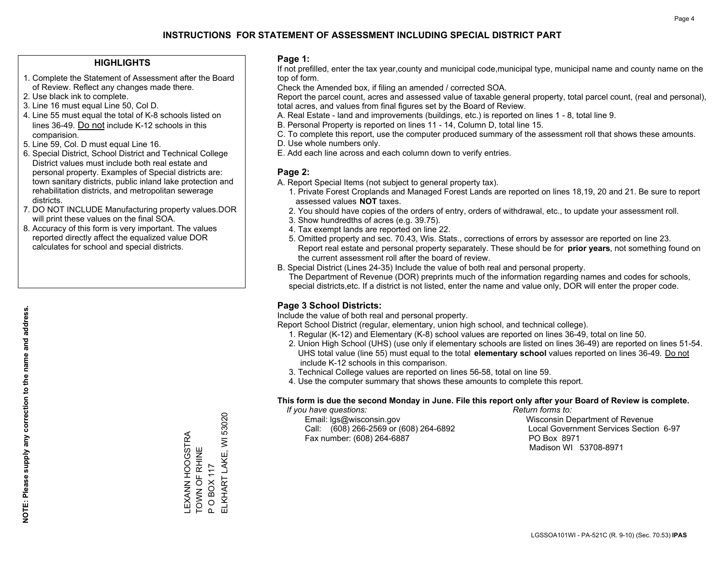#### **HIGHLIGHTS**

- 1. Complete the Statement of Assessment after the Board of Review. Reflect any changes made there.
- 2. Use black ink to complete.
- 3. Line 16 must equal Line 50, Col D.
- 4. Line 55 must equal the total of K-8 schools listed on lines 36-49. Do not include K-12 schools in this comparision.
- 5. Line 59, Col. D must equal Line 16.
- 6. Special District, School District and Technical College District values must include both real estate and personal property. Examples of Special districts are: town sanitary districts, public inland lake protection and rehabilitation districts, and metropolitan sewerage districts.
- 7. DO NOT INCLUDE Manufacturing property values.DOR will print these values on the final SOA.

LEXANN HOOGSTRA TOWN OF RHINE P O BOX 117

LEXANN HOOGSTRA<br>TOWN OF RHINE

ELKHART LAKE, WI 53020

ELKHART LAKE, WI 53020

**OBOX117** 

 $\mathbf{a}$ 

 8. Accuracy of this form is very important. The values reported directly affect the equalized value DOR calculates for school and special districts.

#### **Page 1:**

 If not prefilled, enter the tax year,county and municipal code,municipal type, municipal name and county name on the top of form.

Check the Amended box, if filing an amended / corrected SOA.

 Report the parcel count, acres and assessed value of taxable general property, total parcel count, (real and personal), total acres, and values from final figures set by the Board of Review.

- A. Real Estate land and improvements (buildings, etc.) is reported on lines 1 8, total line 9.
- B. Personal Property is reported on lines 11 14, Column D, total line 15.
- C. To complete this report, use the computer produced summary of the assessment roll that shows these amounts.
- D. Use whole numbers only.
- E. Add each line across and each column down to verify entries.

#### **Page 2:**

- A. Report Special Items (not subject to general property tax).
- 1. Private Forest Croplands and Managed Forest Lands are reported on lines 18,19, 20 and 21. Be sure to report assessed values **NOT** taxes.
- 2. You should have copies of the orders of entry, orders of withdrawal, etc., to update your assessment roll.
	- 3. Show hundredths of acres (e.g. 39.75).
- 4. Tax exempt lands are reported on line 22.
- 5. Omitted property and sec. 70.43, Wis. Stats., corrections of errors by assessor are reported on line 23. Report real estate and personal property separately. These should be for **prior years**, not something found on the current assessment roll after the board of review.
- B. Special District (Lines 24-35) Include the value of both real and personal property.

 The Department of Revenue (DOR) preprints much of the information regarding names and codes for schools, special districts,etc. If a district is not listed, enter the name and value only, DOR will enter the proper code.

## **Page 3 School Districts:**

Include the value of both real and personal property.

Report School District (regular, elementary, union high school, and technical college).

- 1. Regular (K-12) and Elementary (K-8) school values are reported on lines 36-49, total on line 50.
- 2. Union High School (UHS) (use only if elementary schools are listed on lines 36-49) are reported on lines 51-54. UHS total value (line 55) must equal to the total **elementary school** values reported on lines 36-49. Do notinclude K-12 schools in this comparison.
- 3. Technical College values are reported on lines 56-58, total on line 59.
- 4. Use the computer summary that shows these amounts to complete this report.

#### **This form is due the second Monday in June. File this report only after your Board of Review is complete.**

 *If you have questions: Return forms to:*

 Email: lgs@wisconsin.gov Wisconsin Department of RevenueCall:  $(608)$  266-2569 or  $(608)$  264-6892 Fax number: (608) 264-6887 PO Box 8971

Local Government Services Section 6-97 Madison WI 53708-8971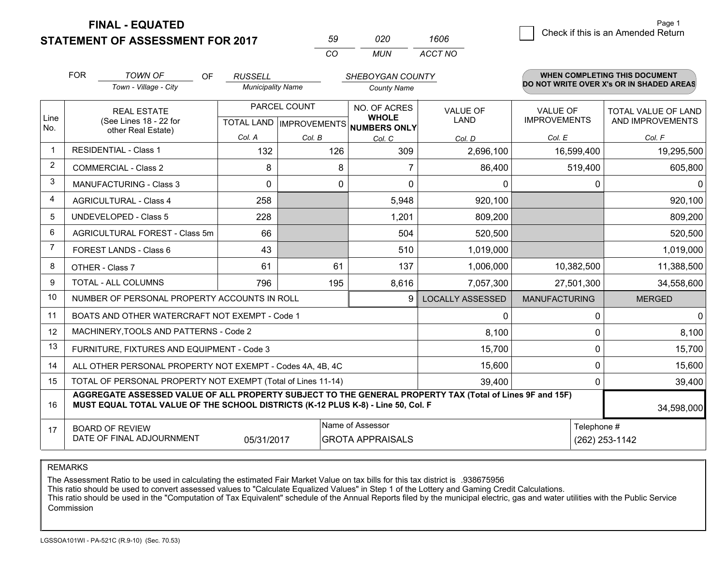**STATEMENT OF ASSESSMENT FOR 2017** 

| 59  | กวก | 1606    |
|-----|-----|---------|
| CO. | MUN | ACCT NO |

|                | <b>FOR</b>                                                                                                                                                                                   | <b>TOWN OF</b><br>OF                                      | <b>RUSSELL</b>           |        | SHEBOYGAN COUNTY                    |                         |                                        | <b>WHEN COMPLETING THIS DOCUMENT</b>           |
|----------------|----------------------------------------------------------------------------------------------------------------------------------------------------------------------------------------------|-----------------------------------------------------------|--------------------------|--------|-------------------------------------|-------------------------|----------------------------------------|------------------------------------------------|
|                |                                                                                                                                                                                              | Town - Village - City                                     | <b>Municipality Name</b> |        | <b>County Name</b>                  |                         |                                        | DO NOT WRITE OVER X's OR IN SHADED AREAS       |
| Line           |                                                                                                                                                                                              | <b>REAL ESTATE</b><br>(See Lines 18 - 22 for              | PARCEL COUNT             |        | NO. OF ACRES<br><b>WHOLE</b>        | <b>VALUE OF</b><br>LAND | <b>VALUE OF</b><br><b>IMPROVEMENTS</b> | <b>TOTAL VALUE OF LAND</b><br>AND IMPROVEMENTS |
| No.            |                                                                                                                                                                                              | other Real Estate)                                        | Col. A                   | Col. B | TOTAL LAND MPROVEMENTS NUMBERS ONLY |                         | Col. E                                 | Col. F                                         |
| $\mathbf 1$    | <b>RESIDENTIAL - Class 1</b>                                                                                                                                                                 |                                                           | 132                      | 126    | Col. C<br>309                       | Col. D<br>2,696,100     | 16,599,400                             | 19,295,500                                     |
| $\overline{2}$ |                                                                                                                                                                                              | <b>COMMERCIAL - Class 2</b>                               | 8                        | 8      |                                     | 86,400                  | 519,400                                | 605,800                                        |
| 3              |                                                                                                                                                                                              | <b>MANUFACTURING - Class 3</b>                            | $\Omega$                 | 0      | $\Omega$                            | 0                       | 0                                      | 0                                              |
| 4              |                                                                                                                                                                                              | <b>AGRICULTURAL - Class 4</b>                             | 258                      |        | 5,948                               | 920,100                 |                                        | 920,100                                        |
| 5              |                                                                                                                                                                                              | <b>UNDEVELOPED - Class 5</b>                              | 228                      |        | 1,201                               | 809,200                 |                                        | 809,200                                        |
| 6              |                                                                                                                                                                                              | AGRICULTURAL FOREST - Class 5m                            | 66                       |        | 504                                 | 520,500                 |                                        | 520,500                                        |
| $\overline{7}$ |                                                                                                                                                                                              | <b>FOREST LANDS - Class 6</b>                             | 43                       |        | 510                                 | 1,019,000               |                                        | 1,019,000                                      |
| 8              |                                                                                                                                                                                              | OTHER - Class 7                                           | 61                       | 61     | 137                                 | 1,006,000               | 10,382,500                             | 11,388,500                                     |
| 9              |                                                                                                                                                                                              | TOTAL - ALL COLUMNS                                       | 796                      | 195    | 8,616                               | 7,057,300               | 27,501,300                             | 34,558,600                                     |
| 10             |                                                                                                                                                                                              | NUMBER OF PERSONAL PROPERTY ACCOUNTS IN ROLL              |                          |        | 9                                   | <b>LOCALLY ASSESSED</b> | <b>MANUFACTURING</b>                   | <b>MERGED</b>                                  |
| 11             |                                                                                                                                                                                              | BOATS AND OTHER WATERCRAFT NOT EXEMPT - Code 1            |                          |        |                                     | 0                       | 0                                      | $\mathbf 0$                                    |
| 12             |                                                                                                                                                                                              | MACHINERY, TOOLS AND PATTERNS - Code 2                    |                          |        |                                     | 8,100                   | $\Omega$                               | 8,100                                          |
| 13             |                                                                                                                                                                                              | FURNITURE, FIXTURES AND EQUIPMENT - Code 3                |                          |        |                                     | 15,700                  | $\mathbf 0$                            | 15,700                                         |
| 14             |                                                                                                                                                                                              | ALL OTHER PERSONAL PROPERTY NOT EXEMPT - Codes 4A, 4B, 4C |                          |        |                                     | 15,600                  |                                        | $\mathbf 0$<br>15,600                          |
| 15             | TOTAL OF PERSONAL PROPERTY NOT EXEMPT (Total of Lines 11-14)<br>39,400                                                                                                                       |                                                           |                          |        |                                     |                         | 0                                      | 39,400                                         |
| 16             | AGGREGATE ASSESSED VALUE OF ALL PROPERTY SUBJECT TO THE GENERAL PROPERTY TAX (Total of Lines 9F and 15F)<br>MUST EQUAL TOTAL VALUE OF THE SCHOOL DISTRICTS (K-12 PLUS K-8) - Line 50, Col. F |                                                           |                          |        |                                     |                         |                                        | 34,598,000                                     |
| 17             | Name of Assessor<br><b>BOARD OF REVIEW</b><br>DATE OF FINAL ADJOURNMENT<br>05/31/2017<br><b>GROTA APPRAISALS</b>                                                                             |                                                           |                          |        |                                     |                         | Telephone #                            | (262) 253-1142                                 |
|                |                                                                                                                                                                                              |                                                           |                          |        |                                     |                         |                                        |                                                |

REMARKS

The Assessment Ratio to be used in calculating the estimated Fair Market Value on tax bills for this tax district is .938675956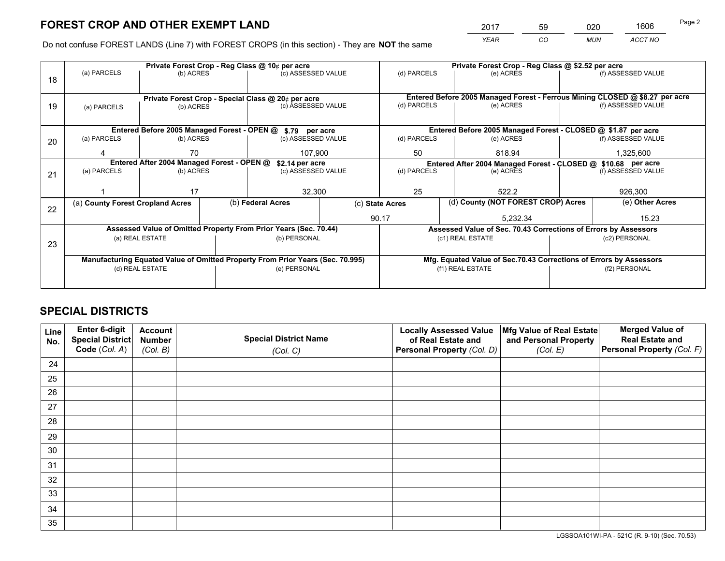*YEAR CO MUN ACCT NO* <sup>2017</sup> <sup>59</sup> <sup>020</sup> <sup>1606</sup>

Do not confuse FOREST LANDS (Line 7) with FOREST CROPS (in this section) - They are **NOT** the same

|    |                                                                                |                 |  | Private Forest Crop - Reg Class @ 10¢ per acre                   |                 | Private Forest Crop - Reg Class @ \$2.52 per acre                            |                  |                                                               |                    |                                                                    |
|----|--------------------------------------------------------------------------------|-----------------|--|------------------------------------------------------------------|-----------------|------------------------------------------------------------------------------|------------------|---------------------------------------------------------------|--------------------|--------------------------------------------------------------------|
| 18 | (a) PARCELS                                                                    | (b) ACRES       |  | (c) ASSESSED VALUE                                               |                 | (d) PARCELS                                                                  |                  | (e) ACRES                                                     |                    | (f) ASSESSED VALUE                                                 |
|    |                                                                                |                 |  |                                                                  |                 |                                                                              |                  |                                                               |                    |                                                                    |
|    |                                                                                |                 |  | Private Forest Crop - Special Class @ 20¢ per acre               |                 | Entered Before 2005 Managed Forest - Ferrous Mining CLOSED @ \$8.27 per acre |                  |                                                               |                    |                                                                    |
| 19 | (a) PARCELS                                                                    | (b) ACRES       |  | (c) ASSESSED VALUE                                               |                 | (d) PARCELS                                                                  |                  | (e) ACRES                                                     |                    | (f) ASSESSED VALUE                                                 |
|    |                                                                                |                 |  |                                                                  |                 |                                                                              |                  |                                                               |                    |                                                                    |
|    |                                                                                |                 |  | Entered Before 2005 Managed Forest - OPEN @ \$.79 per acre       |                 |                                                                              |                  | Entered Before 2005 Managed Forest - CLOSED @ \$1.87 per acre |                    |                                                                    |
| 20 | (a) PARCELS                                                                    | (b) ACRES       |  | (c) ASSESSED VALUE                                               |                 | (d) PARCELS                                                                  |                  | (e) ACRES                                                     |                    | (f) ASSESSED VALUE                                                 |
|    | Δ                                                                              | 70              |  | 107.900                                                          |                 | 50                                                                           |                  | 818.94                                                        |                    | 1,325,600                                                          |
|    | Entered After 2004 Managed Forest - OPEN @                                     |                 |  | \$2.14 per acre                                                  |                 | Entered After 2004 Managed Forest - CLOSED @ \$10.68 per acre                |                  |                                                               |                    |                                                                    |
| 21 | (a) PARCELS                                                                    | (b) ACRES       |  | (c) ASSESSED VALUE                                               |                 | (d) PARCELS<br>(e) ACRES                                                     |                  |                                                               | (f) ASSESSED VALUE |                                                                    |
|    |                                                                                |                 |  |                                                                  |                 |                                                                              |                  |                                                               |                    |                                                                    |
|    |                                                                                | 17              |  | 32,300                                                           |                 | 25                                                                           |                  | 522.2                                                         |                    | 926,300                                                            |
| 22 | (a) County Forest Cropland Acres                                               |                 |  | (b) Federal Acres                                                | (c) State Acres |                                                                              |                  | (d) County (NOT FOREST CROP) Acres                            |                    | (e) Other Acres                                                    |
|    |                                                                                |                 |  |                                                                  |                 | 90.17<br>5,232.34                                                            |                  |                                                               |                    | 15.23                                                              |
|    |                                                                                |                 |  | Assessed Value of Omitted Property From Prior Years (Sec. 70.44) |                 | Assessed Value of Sec. 70.43 Corrections of Errors by Assessors              |                  |                                                               |                    |                                                                    |
| 23 |                                                                                | (a) REAL ESTATE |  | (b) PERSONAL                                                     |                 |                                                                              | (c1) REAL ESTATE |                                                               |                    | (c2) PERSONAL                                                      |
|    |                                                                                |                 |  |                                                                  |                 |                                                                              |                  |                                                               |                    |                                                                    |
|    | Manufacturing Equated Value of Omitted Property From Prior Years (Sec. 70.995) |                 |  |                                                                  |                 |                                                                              |                  |                                                               |                    | Mfg. Equated Value of Sec.70.43 Corrections of Errors by Assessors |
|    | (d) REAL ESTATE                                                                |                 |  | (e) PERSONAL                                                     |                 |                                                                              | (f1) REAL ESTATE |                                                               | (f2) PERSONAL      |                                                                    |
|    |                                                                                |                 |  |                                                                  |                 |                                                                              |                  |                                                               |                    |                                                                    |

## **SPECIAL DISTRICTS**

| Line<br>No. | Enter 6-digit<br><b>Special District</b> | <b>Account</b><br><b>Number</b> | <b>Special District Name</b> | <b>Locally Assessed Value</b><br>of Real Estate and | Mfg Value of Real Estate<br>and Personal Property | <b>Merged Value of</b><br><b>Real Estate and</b> |
|-------------|------------------------------------------|---------------------------------|------------------------------|-----------------------------------------------------|---------------------------------------------------|--------------------------------------------------|
|             | Code (Col. A)                            | (Col. B)                        | (Col. C)                     | Personal Property (Col. D)                          | (Col. E)                                          | Personal Property (Col. F)                       |
| 24          |                                          |                                 |                              |                                                     |                                                   |                                                  |
| 25          |                                          |                                 |                              |                                                     |                                                   |                                                  |
| 26          |                                          |                                 |                              |                                                     |                                                   |                                                  |
| 27          |                                          |                                 |                              |                                                     |                                                   |                                                  |
| 28          |                                          |                                 |                              |                                                     |                                                   |                                                  |
| 29          |                                          |                                 |                              |                                                     |                                                   |                                                  |
| 30          |                                          |                                 |                              |                                                     |                                                   |                                                  |
| 31          |                                          |                                 |                              |                                                     |                                                   |                                                  |
| 32          |                                          |                                 |                              |                                                     |                                                   |                                                  |
| 33          |                                          |                                 |                              |                                                     |                                                   |                                                  |
| 34          |                                          |                                 |                              |                                                     |                                                   |                                                  |
| 35          |                                          |                                 |                              |                                                     |                                                   |                                                  |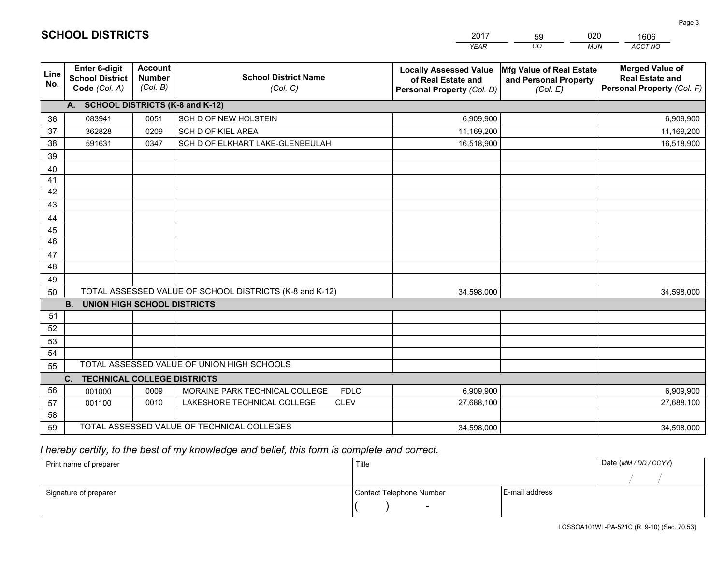|                 |                                                          |                                             |                                                         | <b>YEAR</b>                                                                       | CO<br><b>MUN</b>                                              | ACCT NO                                                                        |
|-----------------|----------------------------------------------------------|---------------------------------------------|---------------------------------------------------------|-----------------------------------------------------------------------------------|---------------------------------------------------------------|--------------------------------------------------------------------------------|
| Line<br>No.     | Enter 6-digit<br><b>School District</b><br>Code (Col. A) | <b>Account</b><br><b>Number</b><br>(Col. B) | <b>School District Name</b><br>(Col. C)                 | <b>Locally Assessed Value</b><br>of Real Estate and<br>Personal Property (Col. D) | Mfg Value of Real Estate<br>and Personal Property<br>(Col. E) | <b>Merged Value of</b><br><b>Real Estate and</b><br>Personal Property (Col. F) |
|                 | A. SCHOOL DISTRICTS (K-8 and K-12)                       |                                             |                                                         |                                                                                   |                                                               |                                                                                |
| 36              | 083941                                                   | 0051                                        | SCH D OF NEW HOLSTEIN                                   | 6,909,900                                                                         |                                                               | 6,909,900                                                                      |
| 37              | 362828                                                   | 0209                                        | SCH D OF KIEL AREA                                      | 11,169,200                                                                        |                                                               | 11,169,200                                                                     |
| 38              | 591631                                                   | 0347                                        | SCH D OF ELKHART LAKE-GLENBEULAH                        | 16,518,900                                                                        |                                                               | 16,518,900                                                                     |
| 39              |                                                          |                                             |                                                         |                                                                                   |                                                               |                                                                                |
| 40              |                                                          |                                             |                                                         |                                                                                   |                                                               |                                                                                |
| 41              |                                                          |                                             |                                                         |                                                                                   |                                                               |                                                                                |
| 42              |                                                          |                                             |                                                         |                                                                                   |                                                               |                                                                                |
| 43              |                                                          |                                             |                                                         |                                                                                   |                                                               |                                                                                |
| 44              |                                                          |                                             |                                                         |                                                                                   |                                                               |                                                                                |
| 45              |                                                          |                                             |                                                         |                                                                                   |                                                               |                                                                                |
| $\overline{46}$ |                                                          |                                             |                                                         |                                                                                   |                                                               |                                                                                |
| 47              |                                                          |                                             |                                                         |                                                                                   |                                                               |                                                                                |
| 48              |                                                          |                                             |                                                         |                                                                                   |                                                               |                                                                                |
| 49              |                                                          |                                             |                                                         |                                                                                   |                                                               |                                                                                |
| 50              |                                                          |                                             | TOTAL ASSESSED VALUE OF SCHOOL DISTRICTS (K-8 and K-12) | 34,598,000                                                                        |                                                               | 34,598,000                                                                     |
|                 | <b>B.</b><br><b>UNION HIGH SCHOOL DISTRICTS</b>          |                                             |                                                         |                                                                                   |                                                               |                                                                                |
| 51              |                                                          |                                             |                                                         |                                                                                   |                                                               |                                                                                |
| 52              |                                                          |                                             |                                                         |                                                                                   |                                                               |                                                                                |
| 53              |                                                          |                                             |                                                         |                                                                                   |                                                               |                                                                                |
| 54              |                                                          |                                             |                                                         |                                                                                   |                                                               |                                                                                |
| 55              |                                                          |                                             | TOTAL ASSESSED VALUE OF UNION HIGH SCHOOLS              |                                                                                   |                                                               |                                                                                |
|                 | C.<br><b>TECHNICAL COLLEGE DISTRICTS</b>                 |                                             |                                                         |                                                                                   |                                                               |                                                                                |
| 56              | 001000                                                   | 0009                                        | MORAINE PARK TECHNICAL COLLEGE<br><b>FDLC</b>           | 6,909,900                                                                         |                                                               | 6,909,900                                                                      |
| 57              | 001100                                                   | 0010                                        | LAKESHORE TECHNICAL COLLEGE<br><b>CLEV</b>              | 27,688,100                                                                        |                                                               | 27,688,100                                                                     |
| 58              |                                                          |                                             |                                                         |                                                                                   |                                                               |                                                                                |
| 59              |                                                          |                                             | TOTAL ASSESSED VALUE OF TECHNICAL COLLEGES              | 34,598,000                                                                        |                                                               | 34,598,000                                                                     |

 *I hereby certify, to the best of my knowledge and belief, this form is complete and correct.*

| Print name of preparer | Title                    |                | Date (MM / DD / CCYY) |
|------------------------|--------------------------|----------------|-----------------------|
|                        |                          |                |                       |
| Signature of preparer  | Contact Telephone Number | E-mail address |                       |
|                        | $\overline{\phantom{0}}$ |                |                       |

1606

| <b>SCHOOL DISTRICTS</b> |  |
|-------------------------|--|
|-------------------------|--|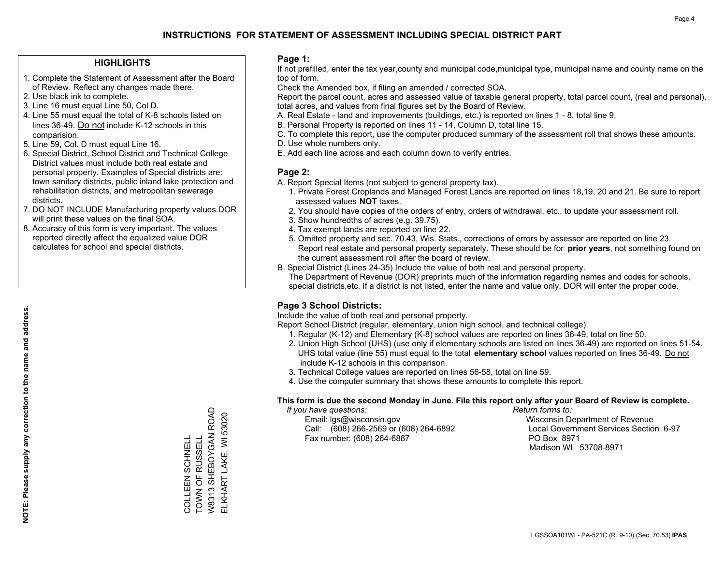## **HIGHLIGHTS**

- 1. Complete the Statement of Assessment after the Board of Review. Reflect any changes made there.
- 2. Use black ink to complete.

**NOTE: Please supply any correction to the name and address.**

NOTE: Please supply any correction to the name and address.

- 3. Line 16 must equal Line 50, Col D.
- 4. Line 55 must equal the total of K-8 schools listed on lines 36-49. Do not include K-12 schools in this comparision.
- 5. Line 59, Col. D must equal Line 16.
- 6. Special District, School District and Technical College District values must include both real estate and personal property. Examples of Special districts are: town sanitary districts, public inland lake protection and rehabilitation districts, and metropolitan sewerage districts.
- 7. DO NOT INCLUDE Manufacturing property values.DOR will print these values on the final SOA.
- 8. Accuracy of this form is very important. The values reported directly affect the equalized value DOR calculates for school and special districts.

#### **Page 1:**

 If not prefilled, enter the tax year,county and municipal code,municipal type, municipal name and county name on the top of form.

Check the Amended box, if filing an amended / corrected SOA.

 Report the parcel count, acres and assessed value of taxable general property, total parcel count, (real and personal), total acres, and values from final figures set by the Board of Review.

- A. Real Estate land and improvements (buildings, etc.) is reported on lines 1 8, total line 9.
- B. Personal Property is reported on lines 11 14, Column D, total line 15.
- C. To complete this report, use the computer produced summary of the assessment roll that shows these amounts.
- D. Use whole numbers only.
- E. Add each line across and each column down to verify entries.

## **Page 2:**

- A. Report Special Items (not subject to general property tax).
- 1. Private Forest Croplands and Managed Forest Lands are reported on lines 18,19, 20 and 21. Be sure to report assessed values **NOT** taxes.
- 2. You should have copies of the orders of entry, orders of withdrawal, etc., to update your assessment roll.
	- 3. Show hundredths of acres (e.g. 39.75).
- 4. Tax exempt lands are reported on line 22.
- 5. Omitted property and sec. 70.43, Wis. Stats., corrections of errors by assessor are reported on line 23. Report real estate and personal property separately. These should be for **prior years**, not something found on the current assessment roll after the board of review.
- B. Special District (Lines 24-35) Include the value of both real and personal property.
- The Department of Revenue (DOR) preprints much of the information regarding names and codes for schools, special districts,etc. If a district is not listed, enter the name and value only, DOR will enter the proper code.

## **Page 3 School Districts:**

Include the value of both real and personal property.

Report School District (regular, elementary, union high school, and technical college).

- 1. Regular (K-12) and Elementary (K-8) school values are reported on lines 36-49, total on line 50.
- 2. Union High School (UHS) (use only if elementary schools are listed on lines 36-49) are reported on lines 51-54. UHS total value (line 55) must equal to the total **elementary school** values reported on lines 36-49. Do notinclude K-12 schools in this comparison.
- 3. Technical College values are reported on lines 56-58, total on line 59.
- 4. Use the computer summary that shows these amounts to complete this report.

#### **This form is due the second Monday in June. File this report only after your Board of Review is complete.**

 *If you have questions: Return forms to:*

 Email: lgs@wisconsin.gov Wisconsin Department of RevenueCall:  $(608)$  266-2569 or  $(608)$  264-6892 Fax number: (608) 264-6887 PO Box 8971

Local Government Services Section 6-97 Madison WI 53708-8971

**COLLEEN SCHNELL**<br>TOWN OF RUSSELL COLLEEN SCHNELL

TOWN OF RUSSELL W8313 SHEBOYGAN ROAD ELKHART LAKE, WI 53020

W8313 SHEBOYGAN ROAD ELKHART LAKE, WI 53020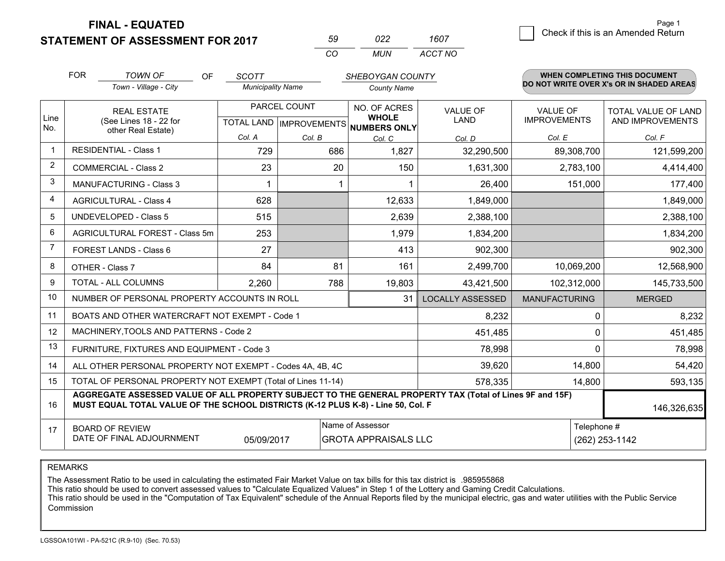**STATEMENT OF ASSESSMENT FOR 2017** 

| .59      | 722 | 1607    |
|----------|-----|---------|
| $\alpha$ | MUN | ACCT NO |

|                | <b>FOR</b>                                                                                                                                                                                   | <b>TOWN OF</b><br>OF                                      | <b>SCOTT</b>             | SHEBOYGAN COUNTY |                                                     |                         | <b>WHEN COMPLETING THIS DOCUMENT</b> |                                          |  |
|----------------|----------------------------------------------------------------------------------------------------------------------------------------------------------------------------------------------|-----------------------------------------------------------|--------------------------|------------------|-----------------------------------------------------|-------------------------|--------------------------------------|------------------------------------------|--|
|                |                                                                                                                                                                                              | Town - Village - City                                     | <b>Municipality Name</b> |                  | <b>County Name</b>                                  |                         |                                      | DO NOT WRITE OVER X's OR IN SHADED AREAS |  |
|                | <b>REAL ESTATE</b>                                                                                                                                                                           |                                                           | PARCEL COUNT             |                  | NO. OF ACRES                                        | <b>VALUE OF</b>         | <b>VALUE OF</b>                      | <b>TOTAL VALUE OF LAND</b>               |  |
| Line<br>No.    |                                                                                                                                                                                              | (See Lines 18 - 22 for<br>other Real Estate)              |                          |                  | <b>WHOLE</b><br>TOTAL LAND MPROVEMENTS NUMBERS ONLY | <b>LAND</b>             | <b>IMPROVEMENTS</b>                  | AND IMPROVEMENTS                         |  |
|                |                                                                                                                                                                                              |                                                           | Col. A                   | Col. B           | Col. C                                              | Col. D                  | Col. E                               | Col. F                                   |  |
| $\mathbf 1$    | <b>RESIDENTIAL - Class 1</b>                                                                                                                                                                 |                                                           | 729                      | 686              | 1,827                                               | 32,290,500              | 89,308,700                           | 121,599,200                              |  |
| $\overline{2}$ |                                                                                                                                                                                              | <b>COMMERCIAL - Class 2</b>                               | 23                       | 20               | 150                                                 | 1,631,300               | 2,783,100                            | 4,414,400                                |  |
| 3              |                                                                                                                                                                                              | <b>MANUFACTURING - Class 3</b>                            | 1                        |                  |                                                     | 26,400                  | 151,000                              | 177,400                                  |  |
| 4              |                                                                                                                                                                                              | <b>AGRICULTURAL - Class 4</b>                             | 628                      |                  | 12,633                                              | 1,849,000               |                                      | 1,849,000                                |  |
| 5              |                                                                                                                                                                                              | <b>UNDEVELOPED - Class 5</b>                              | 515                      |                  | 2,639                                               | 2,388,100               |                                      | 2,388,100                                |  |
| 6              | AGRICULTURAL FOREST - Class 5m                                                                                                                                                               |                                                           | 253                      |                  | 1,979                                               | 1,834,200               |                                      | 1,834,200                                |  |
| 7              |                                                                                                                                                                                              | FOREST LANDS - Class 6                                    | 27                       |                  | 413                                                 | 902,300                 |                                      | 902,300                                  |  |
| 8              |                                                                                                                                                                                              | OTHER - Class 7                                           | 84                       | 81               | 161                                                 | 2,499,700               | 10,069,200                           | 12,568,900                               |  |
| 9              |                                                                                                                                                                                              | TOTAL - ALL COLUMNS                                       | 2,260                    | 788              | 19,803                                              | 43,421,500              | 102,312,000                          | 145,733,500                              |  |
| 10             |                                                                                                                                                                                              | NUMBER OF PERSONAL PROPERTY ACCOUNTS IN ROLL              |                          |                  | 31                                                  | <b>LOCALLY ASSESSED</b> | <b>MANUFACTURING</b>                 | <b>MERGED</b>                            |  |
| 11             |                                                                                                                                                                                              | BOATS AND OTHER WATERCRAFT NOT EXEMPT - Code 1            |                          |                  |                                                     | 8,232                   | 0                                    | 8,232                                    |  |
| 12             |                                                                                                                                                                                              | MACHINERY, TOOLS AND PATTERNS - Code 2                    |                          |                  |                                                     | 451,485                 | 0                                    | 451,485                                  |  |
| 13             |                                                                                                                                                                                              | FURNITURE, FIXTURES AND EQUIPMENT - Code 3                |                          |                  |                                                     | 78,998                  | $\Omega$                             | 78,998                                   |  |
| 14             |                                                                                                                                                                                              | ALL OTHER PERSONAL PROPERTY NOT EXEMPT - Codes 4A, 4B, 4C | 14,800                   | 54,420           |                                                     |                         |                                      |                                          |  |
| 15             | TOTAL OF PERSONAL PROPERTY NOT EXEMPT (Total of Lines 11-14)<br>578,335<br>14,800                                                                                                            |                                                           |                          |                  |                                                     |                         |                                      | 593,135                                  |  |
| 16             | AGGREGATE ASSESSED VALUE OF ALL PROPERTY SUBJECT TO THE GENERAL PROPERTY TAX (Total of Lines 9F and 15F)<br>MUST EQUAL TOTAL VALUE OF THE SCHOOL DISTRICTS (K-12 PLUS K-8) - Line 50, Col. F |                                                           |                          |                  |                                                     |                         |                                      | 146,326,635                              |  |
| 17             |                                                                                                                                                                                              | <b>BOARD OF REVIEW</b>                                    |                          |                  | Name of Assessor                                    |                         | Telephone #                          |                                          |  |
|                |                                                                                                                                                                                              | DATE OF FINAL ADJOURNMENT                                 | 05/09/2017               |                  | <b>GROTA APPRAISALS LLC</b>                         |                         |                                      | (262) 253-1142                           |  |

REMARKS

The Assessment Ratio to be used in calculating the estimated Fair Market Value on tax bills for this tax district is .985955868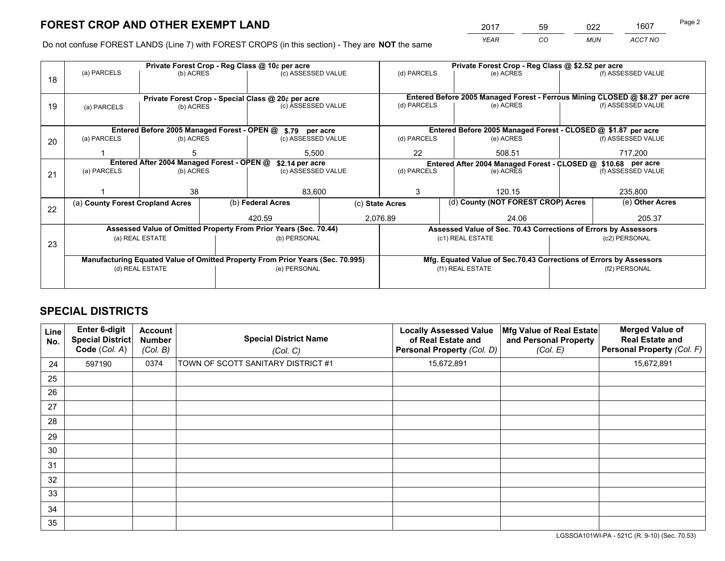*YEAR CO MUN ACCT NO* <sup>2017</sup> <sup>59</sup> <sup>022</sup> <sup>1607</sup>

Do not confuse FOREST LANDS (Line 7) with FOREST CROPS (in this section) - They are **NOT** the same

|    |                                                                                |                                             |  | Private Forest Crop - Reg Class @ 10¢ per acre                   |        | Private Forest Crop - Reg Class @ \$2.52 per acre                                   |                                                                              |               |                    |
|----|--------------------------------------------------------------------------------|---------------------------------------------|--|------------------------------------------------------------------|--------|-------------------------------------------------------------------------------------|------------------------------------------------------------------------------|---------------|--------------------|
| 18 | (a) PARCELS                                                                    | (b) ACRES                                   |  | (c) ASSESSED VALUE                                               |        | (d) PARCELS                                                                         | (e) ACRES                                                                    |               | (f) ASSESSED VALUE |
|    |                                                                                |                                             |  |                                                                  |        |                                                                                     |                                                                              |               |                    |
|    |                                                                                |                                             |  | Private Forest Crop - Special Class @ 20¢ per acre               |        |                                                                                     | Entered Before 2005 Managed Forest - Ferrous Mining CLOSED @ \$8.27 per acre |               |                    |
| 19 | (a) PARCELS                                                                    | (b) ACRES                                   |  | (c) ASSESSED VALUE                                               |        | (d) PARCELS                                                                         | (e) ACRES                                                                    |               | (f) ASSESSED VALUE |
|    |                                                                                |                                             |  |                                                                  |        |                                                                                     |                                                                              |               |                    |
|    |                                                                                | Entered Before 2005 Managed Forest - OPEN @ |  | \$.79 per acre                                                   |        |                                                                                     | Entered Before 2005 Managed Forest - CLOSED @ \$1.87 per acre                |               |                    |
| 20 | (a) PARCELS                                                                    | (b) ACRES                                   |  | (c) ASSESSED VALUE                                               |        | (d) PARCELS                                                                         | (e) ACRES                                                                    |               | (f) ASSESSED VALUE |
|    |                                                                                |                                             |  |                                                                  | 5,500  |                                                                                     | 508.51                                                                       |               | 717,200            |
|    | Entered After 2004 Managed Forest - OPEN @                                     |                                             |  | \$2.14 per acre                                                  |        | Entered After 2004 Managed Forest - CLOSED @ \$10.68 per acre<br>(f) ASSESSED VALUE |                                                                              |               |                    |
| 21 | (a) PARCELS                                                                    | (b) ACRES                                   |  | (c) ASSESSED VALUE                                               |        | (d) PARCELS                                                                         | (e) ACRES                                                                    |               |                    |
|    |                                                                                |                                             |  |                                                                  |        |                                                                                     |                                                                              |               |                    |
|    |                                                                                | 38                                          |  |                                                                  | 83,600 |                                                                                     | 120.15                                                                       |               | 235,800            |
| 22 | (a) County Forest Cropland Acres                                               |                                             |  | (b) Federal Acres                                                |        | (d) County (NOT FOREST CROP) Acres<br>(c) State Acres                               |                                                                              |               | (e) Other Acres    |
|    |                                                                                |                                             |  | 2,076.89<br>420.59                                               |        | 24.06                                                                               |                                                                              |               | 205.37             |
|    |                                                                                |                                             |  | Assessed Value of Omitted Property From Prior Years (Sec. 70.44) |        |                                                                                     | Assessed Value of Sec. 70.43 Corrections of Errors by Assessors              |               |                    |
| 23 | (a) REAL ESTATE                                                                |                                             |  | (b) PERSONAL                                                     |        |                                                                                     | (c1) REAL ESTATE                                                             |               | (c2) PERSONAL      |
|    |                                                                                |                                             |  |                                                                  |        |                                                                                     |                                                                              |               |                    |
|    | Manufacturing Equated Value of Omitted Property From Prior Years (Sec. 70.995) |                                             |  |                                                                  |        |                                                                                     | Mfg. Equated Value of Sec.70.43 Corrections of Errors by Assessors           |               |                    |
|    |                                                                                | (d) REAL ESTATE                             |  | (e) PERSONAL                                                     |        |                                                                                     | (f1) REAL ESTATE                                                             | (f2) PERSONAL |                    |
|    |                                                                                |                                             |  |                                                                  |        |                                                                                     |                                                                              |               |                    |

## **SPECIAL DISTRICTS**

| <b>Line</b><br>No. | Enter 6-digit<br><b>Special District</b><br>Code (Col. A) | <b>Account</b><br><b>Number</b><br>(Col. B) | <b>Special District Name</b><br>(Col. C) | <b>Locally Assessed Value</b><br>of Real Estate and<br>Personal Property (Col. D) | Mfg Value of Real Estate<br>and Personal Property<br>(Col. E) | <b>Merged Value of</b><br><b>Real Estate and</b><br>Personal Property (Col. F) |
|--------------------|-----------------------------------------------------------|---------------------------------------------|------------------------------------------|-----------------------------------------------------------------------------------|---------------------------------------------------------------|--------------------------------------------------------------------------------|
| 24                 | 597190                                                    | 0374                                        | TOWN OF SCOTT SANITARY DISTRICT #1       | 15,672,891                                                                        |                                                               | 15,672,891                                                                     |
| 25                 |                                                           |                                             |                                          |                                                                                   |                                                               |                                                                                |
| 26                 |                                                           |                                             |                                          |                                                                                   |                                                               |                                                                                |
| 27                 |                                                           |                                             |                                          |                                                                                   |                                                               |                                                                                |
| 28                 |                                                           |                                             |                                          |                                                                                   |                                                               |                                                                                |
| 29                 |                                                           |                                             |                                          |                                                                                   |                                                               |                                                                                |
| 30                 |                                                           |                                             |                                          |                                                                                   |                                                               |                                                                                |
| 31                 |                                                           |                                             |                                          |                                                                                   |                                                               |                                                                                |
| 32                 |                                                           |                                             |                                          |                                                                                   |                                                               |                                                                                |
| 33                 |                                                           |                                             |                                          |                                                                                   |                                                               |                                                                                |
| 34                 |                                                           |                                             |                                          |                                                                                   |                                                               |                                                                                |
| 35                 |                                                           |                                             |                                          |                                                                                   |                                                               |                                                                                |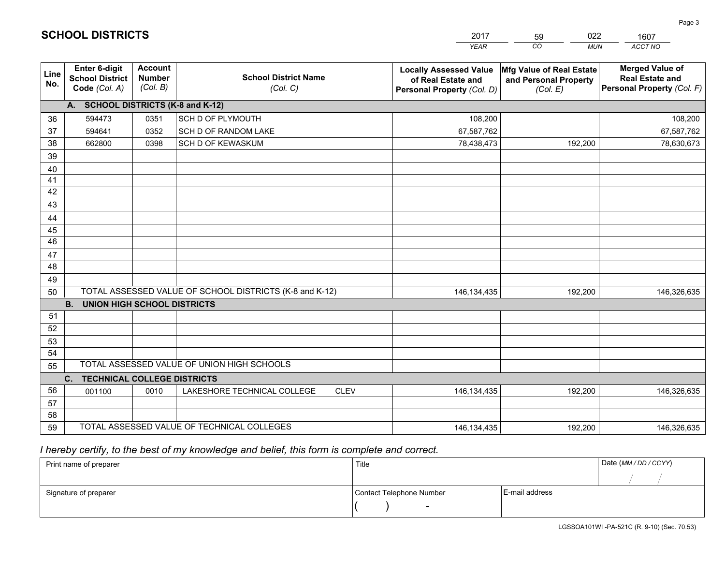|             |                                                                 |                                             |                                                         | <b>YEAR</b>                                                                       | CO<br><b>MUN</b>                                              | ACCT NO                                                                        |
|-------------|-----------------------------------------------------------------|---------------------------------------------|---------------------------------------------------------|-----------------------------------------------------------------------------------|---------------------------------------------------------------|--------------------------------------------------------------------------------|
| Line<br>No. | <b>Enter 6-digit</b><br><b>School District</b><br>Code (Col. A) | <b>Account</b><br><b>Number</b><br>(Col. B) | <b>School District Name</b><br>(Col. C)                 | <b>Locally Assessed Value</b><br>of Real Estate and<br>Personal Property (Col. D) | Mfg Value of Real Estate<br>and Personal Property<br>(Col. E) | <b>Merged Value of</b><br><b>Real Estate and</b><br>Personal Property (Col. F) |
|             | A. SCHOOL DISTRICTS (K-8 and K-12)                              |                                             |                                                         |                                                                                   |                                                               |                                                                                |
| 36          | 594473                                                          | 0351                                        | SCH D OF PLYMOUTH                                       | 108,200                                                                           |                                                               | 108,200                                                                        |
| 37          | 594641                                                          | 0352                                        | SCH D OF RANDOM LAKE                                    | 67,587,762                                                                        |                                                               | 67,587,762                                                                     |
| 38          | 662800                                                          | 0398                                        | SCH D OF KEWASKUM                                       | 78,438,473                                                                        | 192,200                                                       | 78,630,673                                                                     |
| 39          |                                                                 |                                             |                                                         |                                                                                   |                                                               |                                                                                |
| 40          |                                                                 |                                             |                                                         |                                                                                   |                                                               |                                                                                |
| 41          |                                                                 |                                             |                                                         |                                                                                   |                                                               |                                                                                |
| 42          |                                                                 |                                             |                                                         |                                                                                   |                                                               |                                                                                |
| 43          |                                                                 |                                             |                                                         |                                                                                   |                                                               |                                                                                |
| 44          |                                                                 |                                             |                                                         |                                                                                   |                                                               |                                                                                |
| 45          |                                                                 |                                             |                                                         |                                                                                   |                                                               |                                                                                |
| 46          |                                                                 |                                             |                                                         |                                                                                   |                                                               |                                                                                |
| 47          |                                                                 |                                             |                                                         |                                                                                   |                                                               |                                                                                |
| 48          |                                                                 |                                             |                                                         |                                                                                   |                                                               |                                                                                |
| 49          |                                                                 |                                             |                                                         |                                                                                   |                                                               |                                                                                |
| 50          |                                                                 |                                             | TOTAL ASSESSED VALUE OF SCHOOL DISTRICTS (K-8 and K-12) | 146, 134, 435                                                                     | 192,200                                                       | 146,326,635                                                                    |
|             | <b>B.</b><br><b>UNION HIGH SCHOOL DISTRICTS</b>                 |                                             |                                                         |                                                                                   |                                                               |                                                                                |
| 51<br>52    |                                                                 |                                             |                                                         |                                                                                   |                                                               |                                                                                |
|             |                                                                 |                                             |                                                         |                                                                                   |                                                               |                                                                                |
| 53<br>54    |                                                                 |                                             |                                                         |                                                                                   |                                                               |                                                                                |
| 55          |                                                                 |                                             | TOTAL ASSESSED VALUE OF UNION HIGH SCHOOLS              |                                                                                   |                                                               |                                                                                |
|             | C.<br><b>TECHNICAL COLLEGE DISTRICTS</b>                        |                                             |                                                         |                                                                                   |                                                               |                                                                                |
| 56          | 001100                                                          | 0010                                        | LAKESHORE TECHNICAL COLLEGE<br><b>CLEV</b>              | 146, 134, 435                                                                     | 192,200                                                       | 146,326,635                                                                    |
| 57          |                                                                 |                                             |                                                         |                                                                                   |                                                               |                                                                                |
| 58          |                                                                 |                                             |                                                         |                                                                                   |                                                               |                                                                                |
| 59          |                                                                 |                                             | TOTAL ASSESSED VALUE OF TECHNICAL COLLEGES              | 146, 134, 435                                                                     | 192,200                                                       | 146,326,635                                                                    |
|             |                                                                 |                                             |                                                         |                                                                                   |                                                               |                                                                                |

59

022

 *I hereby certify, to the best of my knowledge and belief, this form is complete and correct.*

**SCHOOL DISTRICTS**

| Print name of preparer | Title                    |                | Date (MM/DD/CCYY) |
|------------------------|--------------------------|----------------|-------------------|
|                        |                          |                |                   |
| Signature of preparer  | Contact Telephone Number | E-mail address |                   |
|                        | $\overline{\phantom{0}}$ |                |                   |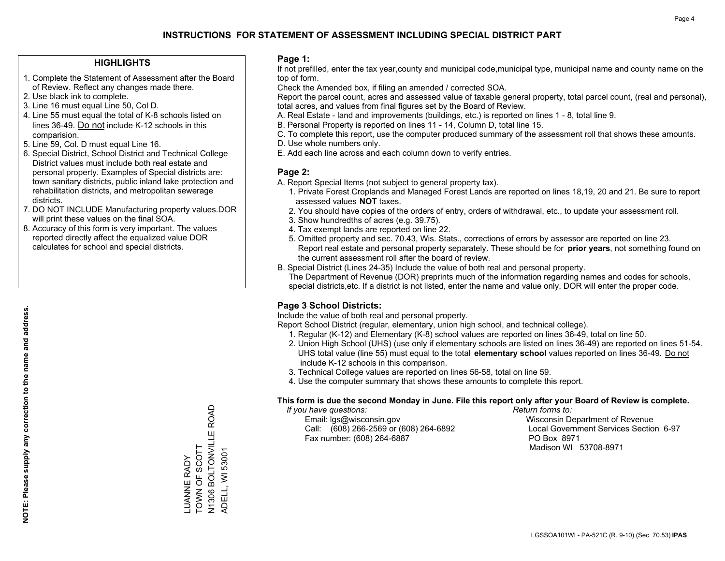## **HIGHLIGHTS**

- 1. Complete the Statement of Assessment after the Board of Review. Reflect any changes made there.
- 2. Use black ink to complete.
- 3. Line 16 must equal Line 50, Col D.
- 4. Line 55 must equal the total of K-8 schools listed on lines 36-49. Do not include K-12 schools in this comparision.
- 5. Line 59, Col. D must equal Line 16.
- 6. Special District, School District and Technical College District values must include both real estate and personal property. Examples of Special districts are: town sanitary districts, public inland lake protection and rehabilitation districts, and metropolitan sewerage districts.
- 7. DO NOT INCLUDE Manufacturing property values.DOR will print these values on the final SOA.
- 8. Accuracy of this form is very important. The values reported directly affect the equalized value DOR calculates for school and special districts.

#### **Page 1:**

 If not prefilled, enter the tax year,county and municipal code,municipal type, municipal name and county name on the top of form.

Check the Amended box, if filing an amended / corrected SOA.

 Report the parcel count, acres and assessed value of taxable general property, total parcel count, (real and personal), total acres, and values from final figures set by the Board of Review.

- A. Real Estate land and improvements (buildings, etc.) is reported on lines 1 8, total line 9.
- B. Personal Property is reported on lines 11 14, Column D, total line 15.
- C. To complete this report, use the computer produced summary of the assessment roll that shows these amounts.
- D. Use whole numbers only.
- E. Add each line across and each column down to verify entries.

## **Page 2:**

- A. Report Special Items (not subject to general property tax).
- 1. Private Forest Croplands and Managed Forest Lands are reported on lines 18,19, 20 and 21. Be sure to report assessed values **NOT** taxes.
- 2. You should have copies of the orders of entry, orders of withdrawal, etc., to update your assessment roll.
	- 3. Show hundredths of acres (e.g. 39.75).
- 4. Tax exempt lands are reported on line 22.
- 5. Omitted property and sec. 70.43, Wis. Stats., corrections of errors by assessor are reported on line 23. Report real estate and personal property separately. These should be for **prior years**, not something found on the current assessment roll after the board of review.
- B. Special District (Lines 24-35) Include the value of both real and personal property.

 The Department of Revenue (DOR) preprints much of the information regarding names and codes for schools, special districts,etc. If a district is not listed, enter the name and value only, DOR will enter the proper code.

## **Page 3 School Districts:**

Include the value of both real and personal property.

Report School District (regular, elementary, union high school, and technical college).

- 1. Regular (K-12) and Elementary (K-8) school values are reported on lines 36-49, total on line 50.
- 2. Union High School (UHS) (use only if elementary schools are listed on lines 36-49) are reported on lines 51-54. UHS total value (line 55) must equal to the total **elementary school** values reported on lines 36-49. Do notinclude K-12 schools in this comparison.
- 3. Technical College values are reported on lines 56-58, total on line 59.
- 4. Use the computer summary that shows these amounts to complete this report.

#### **This form is due the second Monday in June. File this report only after your Board of Review is complete.**

 *If you have questions: Return forms to:*

 Email: lgs@wisconsin.gov Wisconsin Department of RevenueCall:  $(608)$  266-2569 or  $(608)$  264-6892 Fax number: (608) 264-6887 PO Box 8971

Local Government Services Section 6-97 Madison WI 53708-8971

N1306 BOLTONVILLE ROAD N1306 BOLTONVILLE ROAD LUANNE RADY<br>TOWN OF SCOTT TOWN OF SCOTT ADELL, WI 53001 ADELL, WI 53001 LUANNE RADY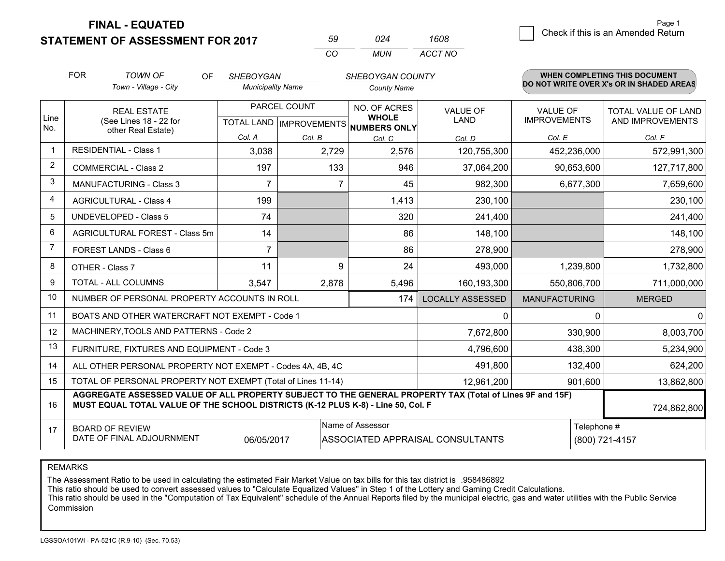**STATEMENT OF ASSESSMENT FOR 2017** 

| 50       | በጋፈ   | 1608    |
|----------|-------|---------|
| $\cdots$ | MI IN | ACCT NO |

|              | <b>FOR</b><br><b>TOWN OF</b><br>OF<br><b>SHEBOYGAN</b>                                                                                                                                                      |                                                              |                          |        | <b>WHEN COMPLETING THIS DOCUMENT</b><br>SHEBOYGAN COUNTY |                         |                                        |                                                |
|--------------|-------------------------------------------------------------------------------------------------------------------------------------------------------------------------------------------------------------|--------------------------------------------------------------|--------------------------|--------|----------------------------------------------------------|-------------------------|----------------------------------------|------------------------------------------------|
|              |                                                                                                                                                                                                             | Town - Village - City                                        | <b>Municipality Name</b> |        | <b>County Name</b>                                       |                         |                                        | DO NOT WRITE OVER X's OR IN SHADED AREAS       |
| Line         | <b>REAL ESTATE</b><br>(See Lines 18 - 22 for                                                                                                                                                                |                                                              | PARCEL COUNT             |        | NO. OF ACRES<br><b>WHOLE</b>                             | <b>VALUE OF</b><br>LAND | <b>VALUE OF</b><br><b>IMPROVEMENTS</b> | <b>TOTAL VALUE OF LAND</b><br>AND IMPROVEMENTS |
| No.          |                                                                                                                                                                                                             | other Real Estate)                                           |                          |        | TOTAL LAND MPROVEMENTS NUMBERS ONLY                      |                         |                                        |                                                |
| $\mathbf{1}$ |                                                                                                                                                                                                             | <b>RESIDENTIAL - Class 1</b>                                 | Col. A                   | Col. B | Col. C                                                   | Col. D                  | Col. E                                 | Col. F                                         |
|              |                                                                                                                                                                                                             |                                                              | 3,038                    | 2,729  | 2,576                                                    | 120,755,300             | 452,236,000                            | 572,991,300                                    |
| 2            |                                                                                                                                                                                                             | <b>COMMERCIAL - Class 2</b>                                  | 197                      | 133    | 946                                                      | 37,064,200              | 90,653,600                             | 127,717,800                                    |
| 3            |                                                                                                                                                                                                             | MANUFACTURING - Class 3                                      | $\overline{7}$           | 7      | 45                                                       | 982,300                 | 6,677,300                              | 7,659,600                                      |
| 4            |                                                                                                                                                                                                             | <b>AGRICULTURAL - Class 4</b>                                | 199                      |        | 1,413                                                    | 230,100                 |                                        | 230,100                                        |
| 5            |                                                                                                                                                                                                             | <b>UNDEVELOPED - Class 5</b>                                 | 74                       |        | 320                                                      | 241,400                 |                                        | 241,400                                        |
| 6            | AGRICULTURAL FOREST - Class 5m                                                                                                                                                                              |                                                              | 14                       |        | 86                                                       | 148,100                 |                                        | 148,100                                        |
| 7            |                                                                                                                                                                                                             | FOREST LANDS - Class 6                                       | $\overline{7}$           |        | 86                                                       | 278,900                 |                                        | 278,900                                        |
| 8            |                                                                                                                                                                                                             | OTHER - Class 7                                              | 11                       | 9      | 24                                                       | 493,000                 | 1,239,800                              | 1,732,800                                      |
| 9            |                                                                                                                                                                                                             | TOTAL - ALL COLUMNS                                          | 3,547                    | 2,878  | 5,496                                                    | 160,193,300             | 550,806,700                            | 711,000,000                                    |
| 10           |                                                                                                                                                                                                             | NUMBER OF PERSONAL PROPERTY ACCOUNTS IN ROLL                 |                          |        | 174                                                      | <b>LOCALLY ASSESSED</b> | <b>MANUFACTURING</b>                   | <b>MERGED</b>                                  |
| 11           |                                                                                                                                                                                                             | BOATS AND OTHER WATERCRAFT NOT EXEMPT - Code 1               |                          |        |                                                          | 0                       | $\Omega$                               | $\Omega$                                       |
| 12           |                                                                                                                                                                                                             | MACHINERY, TOOLS AND PATTERNS - Code 2                       |                          |        |                                                          | 7,672,800               | 330,900                                | 8,003,700                                      |
| 13           |                                                                                                                                                                                                             | FURNITURE, FIXTURES AND EQUIPMENT - Code 3                   |                          |        |                                                          | 4,796,600               | 438,300                                | 5,234,900                                      |
| 14           |                                                                                                                                                                                                             | ALL OTHER PERSONAL PROPERTY NOT EXEMPT - Codes 4A, 4B, 4C    |                          |        |                                                          | 491,800                 | 132,400                                | 624,200                                        |
| 15           |                                                                                                                                                                                                             | TOTAL OF PERSONAL PROPERTY NOT EXEMPT (Total of Lines 11-14) |                          |        |                                                          | 12,961,200              | 901,600                                | 13,862,800                                     |
| 16           | AGGREGATE ASSESSED VALUE OF ALL PROPERTY SUBJECT TO THE GENERAL PROPERTY TAX (Total of Lines 9F and 15F)<br>MUST EQUAL TOTAL VALUE OF THE SCHOOL DISTRICTS (K-12 PLUS K-8) - Line 50, Col. F<br>724,862,800 |                                                              |                          |        |                                                          |                         |                                        |                                                |
| 17           |                                                                                                                                                                                                             | <b>BOARD OF REVIEW</b>                                       |                          |        | Name of Assessor                                         |                         | Telephone #                            |                                                |
|              | DATE OF FINAL ADJOURNMENT<br>06/05/2017<br>ASSOCIATED APPRAISAL CONSULTANTS                                                                                                                                 |                                                              |                          |        |                                                          |                         |                                        | (800) 721-4157                                 |

REMARKS

The Assessment Ratio to be used in calculating the estimated Fair Market Value on tax bills for this tax district is .958486892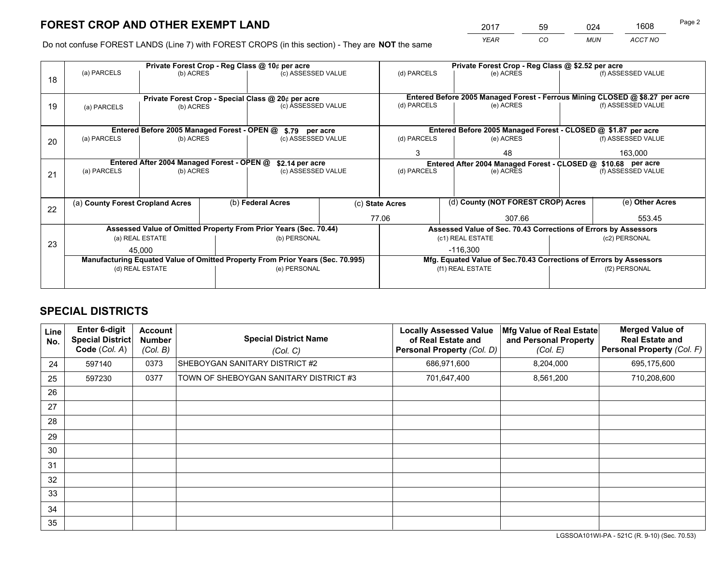*YEAR CO MUN ACCT NO* <sup>2017</sup> <sup>59</sup> <sup>024</sup> <sup>1608</sup>

Do not confuse FOREST LANDS (Line 7) with FOREST CROPS (in this section) - They are **NOT** the same

|    | Private Forest Crop - Reg Class @ 10¢ per acre                                 |                                             |  |                                                                  |       |                                                                    | Private Forest Crop - Reg Class @ \$2.52 per acre                            |                    |                    |  |
|----|--------------------------------------------------------------------------------|---------------------------------------------|--|------------------------------------------------------------------|-------|--------------------------------------------------------------------|------------------------------------------------------------------------------|--------------------|--------------------|--|
| 18 | (a) PARCELS                                                                    | (b) ACRES                                   |  | (c) ASSESSED VALUE                                               |       | (d) PARCELS                                                        | (e) ACRES                                                                    |                    | (f) ASSESSED VALUE |  |
|    |                                                                                |                                             |  |                                                                  |       |                                                                    |                                                                              |                    |                    |  |
|    | Private Forest Crop - Special Class @ 20¢ per acre                             |                                             |  |                                                                  |       |                                                                    | Entered Before 2005 Managed Forest - Ferrous Mining CLOSED @ \$8.27 per acre |                    | (f) ASSESSED VALUE |  |
| 19 | (a) PARCELS                                                                    | (b) ACRES                                   |  | (c) ASSESSED VALUE                                               |       | (d) PARCELS                                                        | (e) ACRES                                                                    |                    |                    |  |
|    |                                                                                |                                             |  |                                                                  |       |                                                                    |                                                                              |                    |                    |  |
|    |                                                                                | Entered Before 2005 Managed Forest - OPEN @ |  | \$.79 per acre                                                   |       |                                                                    | Entered Before 2005 Managed Forest - CLOSED @ \$1.87 per acre                |                    |                    |  |
| 20 | (a) PARCELS                                                                    | (b) ACRES                                   |  | (c) ASSESSED VALUE                                               |       | (d) PARCELS                                                        | (e) ACRES                                                                    |                    | (f) ASSESSED VALUE |  |
|    |                                                                                |                                             |  |                                                                  |       | 3                                                                  | 48                                                                           |                    | 163.000            |  |
|    |                                                                                | Entered After 2004 Managed Forest - OPEN @  |  | \$2.14 per acre                                                  |       |                                                                    | Entered After 2004 Managed Forest - CLOSED @ \$10.68 per acre                |                    |                    |  |
| 21 | (a) PARCELS                                                                    | (b) ACRES                                   |  | (c) ASSESSED VALUE                                               |       | (d) PARCELS<br>(e) ACRES                                           |                                                                              | (f) ASSESSED VALUE |                    |  |
|    |                                                                                |                                             |  |                                                                  |       |                                                                    |                                                                              |                    |                    |  |
| 22 | (a) County Forest Cropland Acres                                               |                                             |  | (b) Federal Acres                                                |       | (c) State Acres                                                    | (d) County (NOT FOREST CROP) Acres                                           |                    | (e) Other Acres    |  |
|    |                                                                                |                                             |  |                                                                  | 77.06 |                                                                    | 307.66                                                                       | 553.45             |                    |  |
|    |                                                                                |                                             |  | Assessed Value of Omitted Property From Prior Years (Sec. 70.44) |       |                                                                    | Assessed Value of Sec. 70.43 Corrections of Errors by Assessors              |                    |                    |  |
| 23 |                                                                                | (a) REAL ESTATE                             |  | (b) PERSONAL                                                     |       |                                                                    | (c1) REAL ESTATE                                                             |                    | (c2) PERSONAL      |  |
|    |                                                                                | 45.000                                      |  |                                                                  |       |                                                                    | $-116.300$                                                                   |                    |                    |  |
|    | Manufacturing Equated Value of Omitted Property From Prior Years (Sec. 70.995) |                                             |  |                                                                  |       | Mfg. Equated Value of Sec.70.43 Corrections of Errors by Assessors |                                                                              |                    |                    |  |
|    |                                                                                | (d) REAL ESTATE                             |  | (e) PERSONAL                                                     |       |                                                                    | (f1) REAL ESTATE                                                             | (f2) PERSONAL      |                    |  |
|    |                                                                                |                                             |  |                                                                  |       |                                                                    |                                                                              |                    |                    |  |

## **SPECIAL DISTRICTS**

| Line<br>No. | <b>Enter 6-digit</b><br><b>Special District</b><br>Code (Col. A) | Account<br><b>Number</b><br>(Col. B) | <b>Special District Name</b><br>(Col. C) | <b>Locally Assessed Value</b><br>of Real Estate and<br>Personal Property (Col. D) | Mfg Value of Real Estate<br>and Personal Property<br>(Col. E) | <b>Merged Value of</b><br><b>Real Estate and</b><br>Personal Property (Col. F) |
|-------------|------------------------------------------------------------------|--------------------------------------|------------------------------------------|-----------------------------------------------------------------------------------|---------------------------------------------------------------|--------------------------------------------------------------------------------|
| 24          | 597140                                                           | 0373                                 | SHEBOYGAN SANITARY DISTRICT #2           | 686,971,600                                                                       | 8,204,000                                                     | 695,175,600                                                                    |
| 25          | 597230                                                           | 0377                                 | TOWN OF SHEBOYGAN SANITARY DISTRICT #3   | 701,647,400                                                                       | 8,561,200                                                     | 710,208,600                                                                    |
| 26          |                                                                  |                                      |                                          |                                                                                   |                                                               |                                                                                |
| 27          |                                                                  |                                      |                                          |                                                                                   |                                                               |                                                                                |
| 28          |                                                                  |                                      |                                          |                                                                                   |                                                               |                                                                                |
| 29          |                                                                  |                                      |                                          |                                                                                   |                                                               |                                                                                |
| 30          |                                                                  |                                      |                                          |                                                                                   |                                                               |                                                                                |
| 31          |                                                                  |                                      |                                          |                                                                                   |                                                               |                                                                                |
| 32          |                                                                  |                                      |                                          |                                                                                   |                                                               |                                                                                |
| 33          |                                                                  |                                      |                                          |                                                                                   |                                                               |                                                                                |
| 34          |                                                                  |                                      |                                          |                                                                                   |                                                               |                                                                                |
| 35          |                                                                  |                                      |                                          |                                                                                   |                                                               |                                                                                |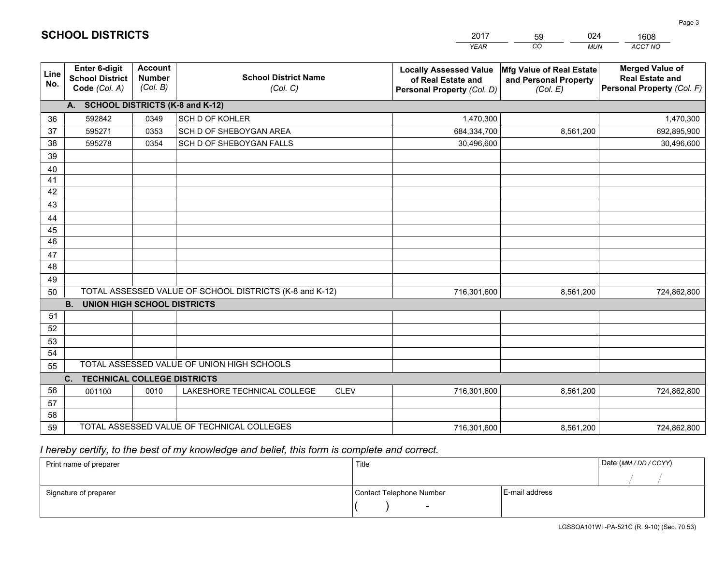|             |                                                                 |                                             |                                                         | <b>YEAR</b>                                                                       | CO<br><b>MUN</b>                                              | ACCT NO                                                                        |
|-------------|-----------------------------------------------------------------|---------------------------------------------|---------------------------------------------------------|-----------------------------------------------------------------------------------|---------------------------------------------------------------|--------------------------------------------------------------------------------|
| Line<br>No. | <b>Enter 6-digit</b><br><b>School District</b><br>Code (Col. A) | <b>Account</b><br><b>Number</b><br>(Col. B) | <b>School District Name</b><br>(Col. C)                 | <b>Locally Assessed Value</b><br>of Real Estate and<br>Personal Property (Col. D) | Mfg Value of Real Estate<br>and Personal Property<br>(Col. E) | <b>Merged Value of</b><br><b>Real Estate and</b><br>Personal Property (Col. F) |
|             | A. SCHOOL DISTRICTS (K-8 and K-12)                              |                                             |                                                         |                                                                                   |                                                               |                                                                                |
| 36          | 592842                                                          | 0349                                        | SCH D OF KOHLER                                         | 1,470,300                                                                         |                                                               | 1,470,300                                                                      |
| 37          | 595271                                                          | 0353                                        | SCH D OF SHEBOYGAN AREA                                 | 684,334,700                                                                       | 8,561,200                                                     | 692,895,900                                                                    |
| 38          | 595278                                                          | 0354                                        | SCH D OF SHEBOYGAN FALLS                                | 30,496,600                                                                        |                                                               | 30,496,600                                                                     |
| 39          |                                                                 |                                             |                                                         |                                                                                   |                                                               |                                                                                |
| 40          |                                                                 |                                             |                                                         |                                                                                   |                                                               |                                                                                |
| 41          |                                                                 |                                             |                                                         |                                                                                   |                                                               |                                                                                |
| 42          |                                                                 |                                             |                                                         |                                                                                   |                                                               |                                                                                |
| 43          |                                                                 |                                             |                                                         |                                                                                   |                                                               |                                                                                |
| 44          |                                                                 |                                             |                                                         |                                                                                   |                                                               |                                                                                |
| 45          |                                                                 |                                             |                                                         |                                                                                   |                                                               |                                                                                |
| 46          |                                                                 |                                             |                                                         |                                                                                   |                                                               |                                                                                |
| 47          |                                                                 |                                             |                                                         |                                                                                   |                                                               |                                                                                |
| 48          |                                                                 |                                             |                                                         |                                                                                   |                                                               |                                                                                |
| 49          |                                                                 |                                             | TOTAL ASSESSED VALUE OF SCHOOL DISTRICTS (K-8 and K-12) |                                                                                   |                                                               |                                                                                |
| 50          | <b>B.</b><br><b>UNION HIGH SCHOOL DISTRICTS</b>                 |                                             |                                                         | 716,301,600                                                                       | 8,561,200                                                     | 724,862,800                                                                    |
| 51          |                                                                 |                                             |                                                         |                                                                                   |                                                               |                                                                                |
| 52          |                                                                 |                                             |                                                         |                                                                                   |                                                               |                                                                                |
| 53          |                                                                 |                                             |                                                         |                                                                                   |                                                               |                                                                                |
| 54          |                                                                 |                                             |                                                         |                                                                                   |                                                               |                                                                                |
| 55          |                                                                 |                                             | TOTAL ASSESSED VALUE OF UNION HIGH SCHOOLS              |                                                                                   |                                                               |                                                                                |
|             | C.<br><b>TECHNICAL COLLEGE DISTRICTS</b>                        |                                             |                                                         |                                                                                   |                                                               |                                                                                |
| 56          | 001100                                                          | 0010                                        | LAKESHORE TECHNICAL COLLEGE<br><b>CLEV</b>              | 716,301,600                                                                       | 8,561,200                                                     | 724,862,800                                                                    |
| 57          |                                                                 |                                             |                                                         |                                                                                   |                                                               |                                                                                |
| 58          |                                                                 |                                             |                                                         |                                                                                   |                                                               |                                                                                |
| 59          |                                                                 |                                             | TOTAL ASSESSED VALUE OF TECHNICAL COLLEGES              | 716,301,600                                                                       | 8,561,200                                                     | 724,862,800                                                                    |

59

024

 *I hereby certify, to the best of my knowledge and belief, this form is complete and correct.*

**SCHOOL DISTRICTS**

| Print name of preparer | Title                    |                | Date (MM / DD / CCYY) |
|------------------------|--------------------------|----------------|-----------------------|
|                        |                          |                |                       |
| Signature of preparer  | Contact Telephone Number | E-mail address |                       |
|                        | $\sim$                   |                |                       |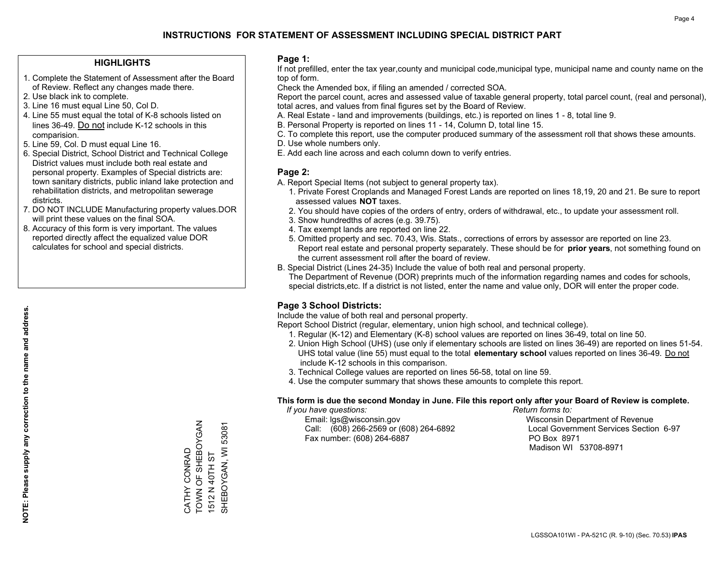## **HIGHLIGHTS**

- 1. Complete the Statement of Assessment after the Board of Review. Reflect any changes made there.
- 2. Use black ink to complete.
- 3. Line 16 must equal Line 50, Col D.
- 4. Line 55 must equal the total of K-8 schools listed on lines 36-49. Do not include K-12 schools in this comparision.
- 5. Line 59, Col. D must equal Line 16.
- 6. Special District, School District and Technical College District values must include both real estate and personal property. Examples of Special districts are: town sanitary districts, public inland lake protection and rehabilitation districts, and metropolitan sewerage districts.
- 7. DO NOT INCLUDE Manufacturing property values.DOR will print these values on the final SOA.

CATHY CONRAD

TOWN OF SHEBOYGAN

CATHY CONRAD<br>TOWN OF SHEBOYGAN

1512 N 40TH ST

1512 N 40TH ST

SHEBOYGAN, WI 53081

SHEBOYGAN, WI 53081

 8. Accuracy of this form is very important. The values reported directly affect the equalized value DOR calculates for school and special districts.

#### **Page 1:**

 If not prefilled, enter the tax year,county and municipal code,municipal type, municipal name and county name on the top of form.

Check the Amended box, if filing an amended / corrected SOA.

 Report the parcel count, acres and assessed value of taxable general property, total parcel count, (real and personal), total acres, and values from final figures set by the Board of Review.

- A. Real Estate land and improvements (buildings, etc.) is reported on lines 1 8, total line 9.
- B. Personal Property is reported on lines 11 14, Column D, total line 15.
- C. To complete this report, use the computer produced summary of the assessment roll that shows these amounts.
- D. Use whole numbers only.
- E. Add each line across and each column down to verify entries.

## **Page 2:**

- A. Report Special Items (not subject to general property tax).
- 1. Private Forest Croplands and Managed Forest Lands are reported on lines 18,19, 20 and 21. Be sure to report assessed values **NOT** taxes.
- 2. You should have copies of the orders of entry, orders of withdrawal, etc., to update your assessment roll.
	- 3. Show hundredths of acres (e.g. 39.75).
- 4. Tax exempt lands are reported on line 22.
- 5. Omitted property and sec. 70.43, Wis. Stats., corrections of errors by assessor are reported on line 23. Report real estate and personal property separately. These should be for **prior years**, not something found on the current assessment roll after the board of review.
- B. Special District (Lines 24-35) Include the value of both real and personal property.

 The Department of Revenue (DOR) preprints much of the information regarding names and codes for schools, special districts,etc. If a district is not listed, enter the name and value only, DOR will enter the proper code.

## **Page 3 School Districts:**

Include the value of both real and personal property.

Report School District (regular, elementary, union high school, and technical college).

- 1. Regular (K-12) and Elementary (K-8) school values are reported on lines 36-49, total on line 50.
- 2. Union High School (UHS) (use only if elementary schools are listed on lines 36-49) are reported on lines 51-54. UHS total value (line 55) must equal to the total **elementary school** values reported on lines 36-49. Do notinclude K-12 schools in this comparison.
- 3. Technical College values are reported on lines 56-58, total on line 59.
- 4. Use the computer summary that shows these amounts to complete this report.

#### **This form is due the second Monday in June. File this report only after your Board of Review is complete.**

 *If you have questions: Return forms to:*

 Email: lgs@wisconsin.gov Wisconsin Department of RevenueCall:  $(608)$  266-2569 or  $(608)$  264-6892 Fax number: (608) 264-6887 PO Box 8971

Local Government Services Section 6-97 Madison WI 53708-8971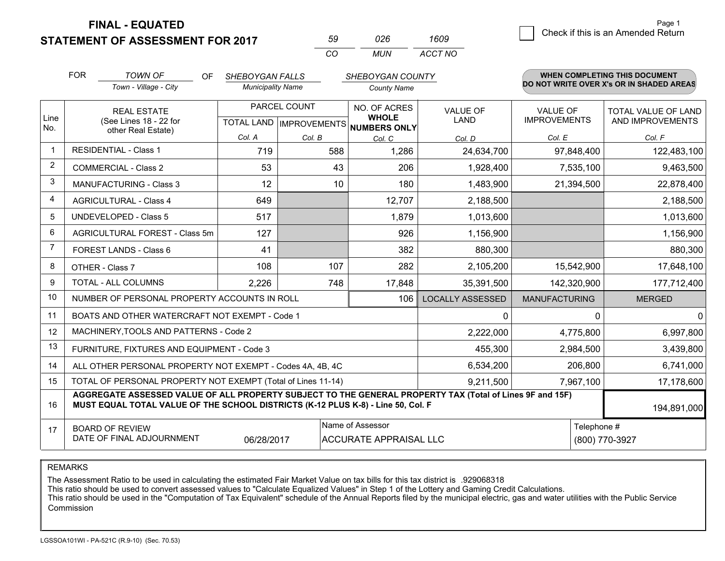**STATEMENT OF ASSESSMENT FOR 2017** 

| 59  | 026 | 1609    |
|-----|-----|---------|
| CO. | MUN | ACCT NO |

|                | <b>FOR</b>                                                                                                                                                                                   | <b>TOWN OF</b><br>OF.                                        | SHEBOYGAN FALLS          |              | SHEBOYGAN COUNTY                     |                         | <b>WHEN COMPLETING THIS DOCUMENT</b><br>DO NOT WRITE OVER X's OR IN SHADED AREAS |                                         |
|----------------|----------------------------------------------------------------------------------------------------------------------------------------------------------------------------------------------|--------------------------------------------------------------|--------------------------|--------------|--------------------------------------|-------------------------|----------------------------------------------------------------------------------|-----------------------------------------|
|                |                                                                                                                                                                                              | Town - Village - City                                        | <b>Municipality Name</b> |              | <b>County Name</b>                   |                         |                                                                                  |                                         |
| Line           |                                                                                                                                                                                              | <b>REAL ESTATE</b>                                           |                          | PARCEL COUNT | NO. OF ACRES<br><b>WHOLE</b>         | VALUE OF<br><b>LAND</b> | VALUE OF<br><b>IMPROVEMENTS</b>                                                  | TOTAL VALUE OF LAND<br>AND IMPROVEMENTS |
| No.            |                                                                                                                                                                                              | (See Lines 18 - 22 for<br>other Real Estate)                 |                          |              | TOTAL LAND IMPROVEMENTS NUMBERS ONLY |                         |                                                                                  |                                         |
|                |                                                                                                                                                                                              |                                                              | Col. A                   | Col. B       | Col. C                               | Col. D                  | Col. E                                                                           | Col. F                                  |
|                |                                                                                                                                                                                              | <b>RESIDENTIAL - Class 1</b>                                 | 719                      | 588          | 1,286                                | 24,634,700              | 97,848,400                                                                       | 122,483,100                             |
| $\overline{2}$ |                                                                                                                                                                                              | <b>COMMERCIAL - Class 2</b>                                  | 53                       | 43           | 206                                  | 1,928,400               | 7,535,100                                                                        | 9,463,500                               |
| 3              |                                                                                                                                                                                              | <b>MANUFACTURING - Class 3</b>                               | 12                       | 10           | 180                                  | 1,483,900               | 21,394,500                                                                       | 22,878,400                              |
| $\overline{4}$ |                                                                                                                                                                                              | <b>AGRICULTURAL - Class 4</b>                                | 649                      |              | 12,707                               | 2,188,500               |                                                                                  | 2,188,500                               |
| 5              |                                                                                                                                                                                              | <b>UNDEVELOPED - Class 5</b>                                 | 517                      |              | 1,879                                | 1,013,600               |                                                                                  | 1,013,600                               |
| 6              |                                                                                                                                                                                              | AGRICULTURAL FOREST - Class 5m                               | 127                      |              | 926                                  | 1,156,900               |                                                                                  | 1,156,900                               |
| $\overline{7}$ | FOREST LANDS - Class 6                                                                                                                                                                       |                                                              | 41                       |              | 382                                  | 880,300                 |                                                                                  | 880,300                                 |
| 8              |                                                                                                                                                                                              | OTHER - Class 7                                              | 108                      | 107          | 282                                  | 2,105,200               | 15,542,900                                                                       | 17,648,100                              |
| 9              |                                                                                                                                                                                              | TOTAL - ALL COLUMNS                                          | 2,226                    | 748          | 17,848                               | 35,391,500              | 142,320,900                                                                      | 177,712,400                             |
| 10             |                                                                                                                                                                                              | NUMBER OF PERSONAL PROPERTY ACCOUNTS IN ROLL                 |                          |              | 106                                  | <b>LOCALLY ASSESSED</b> | <b>MANUFACTURING</b>                                                             | <b>MERGED</b>                           |
| 11             |                                                                                                                                                                                              | BOATS AND OTHER WATERCRAFT NOT EXEMPT - Code 1               |                          |              |                                      | 0                       |                                                                                  | 0<br>0                                  |
| 12             |                                                                                                                                                                                              | MACHINERY, TOOLS AND PATTERNS - Code 2                       |                          |              |                                      | 2,222,000               | 4,775,800                                                                        | 6,997,800                               |
| 13             |                                                                                                                                                                                              | FURNITURE, FIXTURES AND EQUIPMENT - Code 3                   |                          |              |                                      | 455,300                 | 2,984,500                                                                        | 3,439,800                               |
| 14             |                                                                                                                                                                                              | ALL OTHER PERSONAL PROPERTY NOT EXEMPT - Codes 4A, 4B, 4C    |                          |              |                                      | 6,534,200               | 206,800                                                                          | 6,741,000                               |
| 15             |                                                                                                                                                                                              | TOTAL OF PERSONAL PROPERTY NOT EXEMPT (Total of Lines 11-14) |                          |              |                                      | 9,211,500               | 7,967,100                                                                        | 17,178,600                              |
| 16             | AGGREGATE ASSESSED VALUE OF ALL PROPERTY SUBJECT TO THE GENERAL PROPERTY TAX (Total of Lines 9F and 15F)<br>MUST EQUAL TOTAL VALUE OF THE SCHOOL DISTRICTS (K-12 PLUS K-8) - Line 50, Col. F |                                                              |                          |              |                                      |                         |                                                                                  | 194,891,000                             |
| 17             | Name of Assessor<br><b>BOARD OF REVIEW</b>                                                                                                                                                   |                                                              |                          |              |                                      |                         |                                                                                  | Telephone #                             |
|                | DATE OF FINAL ADJOURNMENT<br>06/28/2017<br><b>ACCURATE APPRAISAL LLC</b>                                                                                                                     |                                                              |                          |              |                                      |                         |                                                                                  | (800) 770-3927                          |

REMARKS

The Assessment Ratio to be used in calculating the estimated Fair Market Value on tax bills for this tax district is .929068318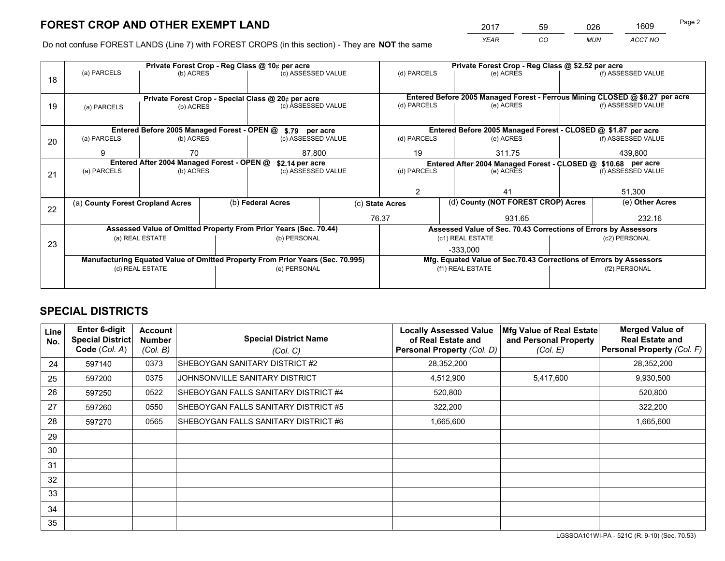*YEAR CO MUN ACCT NO* <sup>2017</sup> <sup>59</sup> <sup>026</sup> <sup>1609</sup>

Do not confuse FOREST LANDS (Line 7) with FOREST CROPS (in this section) - They are **NOT** the same

|    |                                                               |                 |  | Private Forest Crop - Reg Class @ 10¢ per acre                                 |                 | Private Forest Crop - Reg Class @ \$2.52 per acre             |                                                                    |  |                                                                              |  |
|----|---------------------------------------------------------------|-----------------|--|--------------------------------------------------------------------------------|-----------------|---------------------------------------------------------------|--------------------------------------------------------------------|--|------------------------------------------------------------------------------|--|
| 18 | (a) PARCELS                                                   | (b) ACRES       |  | (c) ASSESSED VALUE                                                             |                 | (d) PARCELS                                                   | (e) ACRES                                                          |  | (f) ASSESSED VALUE                                                           |  |
|    |                                                               |                 |  |                                                                                |                 |                                                               |                                                                    |  |                                                                              |  |
|    |                                                               |                 |  | Private Forest Crop - Special Class @ 20¢ per acre                             |                 |                                                               |                                                                    |  | Entered Before 2005 Managed Forest - Ferrous Mining CLOSED @ \$8.27 per acre |  |
| 19 | (a) PARCELS                                                   | (b) ACRES       |  | (c) ASSESSED VALUE                                                             |                 | (d) PARCELS                                                   | (e) ACRES                                                          |  | (f) ASSESSED VALUE                                                           |  |
|    |                                                               |                 |  |                                                                                |                 |                                                               |                                                                    |  |                                                                              |  |
|    |                                                               |                 |  | Entered Before 2005 Managed Forest - OPEN @ \$.79 per acre                     |                 |                                                               | Entered Before 2005 Managed Forest - CLOSED @ \$1.87 per acre      |  |                                                                              |  |
| 20 | (a) PARCELS                                                   | (b) ACRES       |  | (c) ASSESSED VALUE                                                             |                 | (d) PARCELS                                                   | (e) ACRES                                                          |  | (f) ASSESSED VALUE                                                           |  |
|    | 9                                                             | 70              |  | 87,800                                                                         |                 | 19                                                            | 311.75                                                             |  | 439,800                                                                      |  |
|    | Entered After 2004 Managed Forest - OPEN @<br>\$2.14 per acre |                 |  |                                                                                |                 | Entered After 2004 Managed Forest - CLOSED @ \$10.68 per acre |                                                                    |  |                                                                              |  |
| 21 | (a) PARCELS                                                   | (b) ACRES       |  | (c) ASSESSED VALUE                                                             |                 | (d) PARCELS<br>(e) ACRES                                      |                                                                    |  | (f) ASSESSED VALUE                                                           |  |
|    |                                                               |                 |  |                                                                                |                 |                                                               |                                                                    |  |                                                                              |  |
|    |                                                               |                 |  |                                                                                |                 | $\mathfrak{p}$                                                | 41                                                                 |  | 51,300                                                                       |  |
|    | (a) County Forest Cropland Acres                              |                 |  | (b) Federal Acres                                                              | (c) State Acres |                                                               | (d) County (NOT FOREST CROP) Acres                                 |  | (e) Other Acres                                                              |  |
| 22 |                                                               |                 |  |                                                                                |                 | 76.37                                                         | 931.65                                                             |  | 232.16                                                                       |  |
|    |                                                               |                 |  |                                                                                |                 |                                                               |                                                                    |  |                                                                              |  |
|    |                                                               |                 |  | Assessed Value of Omitted Property From Prior Years (Sec. 70.44)               |                 |                                                               | Assessed Value of Sec. 70.43 Corrections of Errors by Assessors    |  |                                                                              |  |
| 23 |                                                               | (a) REAL ESTATE |  | (b) PERSONAL                                                                   |                 |                                                               | (c1) REAL ESTATE                                                   |  | (c2) PERSONAL                                                                |  |
|    |                                                               |                 |  |                                                                                |                 | $-333,000$                                                    |                                                                    |  |                                                                              |  |
|    |                                                               |                 |  | Manufacturing Equated Value of Omitted Property From Prior Years (Sec. 70.995) |                 |                                                               | Mfg. Equated Value of Sec.70.43 Corrections of Errors by Assessors |  |                                                                              |  |
|    |                                                               | (d) REAL ESTATE |  | (e) PERSONAL                                                                   |                 |                                                               | (f1) REAL ESTATE                                                   |  | (f2) PERSONAL                                                                |  |
|    |                                                               |                 |  |                                                                                |                 |                                                               |                                                                    |  |                                                                              |  |
|    |                                                               |                 |  |                                                                                |                 |                                                               |                                                                    |  |                                                                              |  |

## **SPECIAL DISTRICTS**

| <b>Line</b><br>No. | <b>Enter 6-digit</b><br><b>Special District</b><br>Code (Col. A) | <b>Account</b><br><b>Number</b><br>(Col. B) | <b>Special District Name</b><br>(Col. C) | <b>Locally Assessed Value</b><br>of Real Estate and<br>Personal Property (Col. D) | Mfg Value of Real Estate<br>and Personal Property<br>(Col. E) | <b>Merged Value of</b><br><b>Real Estate and</b><br>Personal Property (Col. F) |
|--------------------|------------------------------------------------------------------|---------------------------------------------|------------------------------------------|-----------------------------------------------------------------------------------|---------------------------------------------------------------|--------------------------------------------------------------------------------|
| 24                 | 597140                                                           | 0373                                        | SHEBOYGAN SANITARY DISTRICT #2           | 28,352,200                                                                        |                                                               | 28,352,200                                                                     |
| 25                 | 597200                                                           | 0375                                        | JOHNSONVILLE SANITARY DISTRICT           | 4,512,900                                                                         | 5,417,600                                                     | 9,930,500                                                                      |
| 26                 | 597250                                                           | 0522                                        | SHEBOYGAN FALLS SANITARY DISTRICT #4     | 520,800                                                                           |                                                               | 520,800                                                                        |
| 27                 | 597260                                                           | 0550                                        | SHEBOYGAN FALLS SANITARY DISTRICT #5     | 322,200                                                                           |                                                               | 322,200                                                                        |
| 28                 | 597270                                                           | 0565                                        | SHEBOYGAN FALLS SANITARY DISTRICT #6     | 1,665,600                                                                         |                                                               | 1,665,600                                                                      |
| 29                 |                                                                  |                                             |                                          |                                                                                   |                                                               |                                                                                |
| 30                 |                                                                  |                                             |                                          |                                                                                   |                                                               |                                                                                |
| 31                 |                                                                  |                                             |                                          |                                                                                   |                                                               |                                                                                |
| 32                 |                                                                  |                                             |                                          |                                                                                   |                                                               |                                                                                |
| 33                 |                                                                  |                                             |                                          |                                                                                   |                                                               |                                                                                |
| 34                 |                                                                  |                                             |                                          |                                                                                   |                                                               |                                                                                |
| 35                 |                                                                  |                                             |                                          |                                                                                   |                                                               |                                                                                |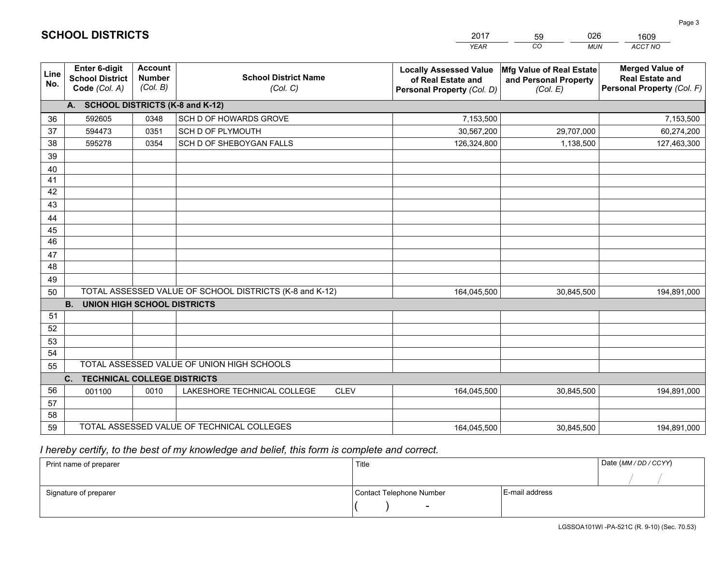|                 |                                                                 |                                             |                                                         | <b>YEAR</b>                                                                       | CO<br><b>MUN</b>                                              | ACCT NO                                                                        |
|-----------------|-----------------------------------------------------------------|---------------------------------------------|---------------------------------------------------------|-----------------------------------------------------------------------------------|---------------------------------------------------------------|--------------------------------------------------------------------------------|
| Line<br>No.     | <b>Enter 6-digit</b><br><b>School District</b><br>Code (Col. A) | <b>Account</b><br><b>Number</b><br>(Col. B) | <b>School District Name</b><br>(Col. C)                 | <b>Locally Assessed Value</b><br>of Real Estate and<br>Personal Property (Col. D) | Mfg Value of Real Estate<br>and Personal Property<br>(Col. E) | <b>Merged Value of</b><br><b>Real Estate and</b><br>Personal Property (Col. F) |
|                 | A. SCHOOL DISTRICTS (K-8 and K-12)                              |                                             |                                                         |                                                                                   |                                                               |                                                                                |
| 36              | 592605                                                          | 0348                                        | SCH D OF HOWARDS GROVE                                  | 7,153,500                                                                         |                                                               | 7,153,500                                                                      |
| 37              | 594473                                                          | 0351                                        | SCH D OF PLYMOUTH                                       | 30,567,200                                                                        | 29,707,000                                                    | 60,274,200                                                                     |
| 38              | 595278                                                          | 0354                                        | SCH D OF SHEBOYGAN FALLS                                | 126,324,800                                                                       | 1,138,500                                                     | 127,463,300                                                                    |
| 39              |                                                                 |                                             |                                                         |                                                                                   |                                                               |                                                                                |
| 40              |                                                                 |                                             |                                                         |                                                                                   |                                                               |                                                                                |
| 41              |                                                                 |                                             |                                                         |                                                                                   |                                                               |                                                                                |
| 42              |                                                                 |                                             |                                                         |                                                                                   |                                                               |                                                                                |
| 43              |                                                                 |                                             |                                                         |                                                                                   |                                                               |                                                                                |
| 44              |                                                                 |                                             |                                                         |                                                                                   |                                                               |                                                                                |
| 45              |                                                                 |                                             |                                                         |                                                                                   |                                                               |                                                                                |
| $\overline{46}$ |                                                                 |                                             |                                                         |                                                                                   |                                                               |                                                                                |
| 47<br>48        |                                                                 |                                             |                                                         |                                                                                   |                                                               |                                                                                |
|                 |                                                                 |                                             |                                                         |                                                                                   |                                                               |                                                                                |
| 49<br>50        |                                                                 |                                             | TOTAL ASSESSED VALUE OF SCHOOL DISTRICTS (K-8 and K-12) | 164,045,500                                                                       | 30,845,500                                                    | 194,891,000                                                                    |
|                 | <b>B.</b><br><b>UNION HIGH SCHOOL DISTRICTS</b>                 |                                             |                                                         |                                                                                   |                                                               |                                                                                |
| 51              |                                                                 |                                             |                                                         |                                                                                   |                                                               |                                                                                |
| 52              |                                                                 |                                             |                                                         |                                                                                   |                                                               |                                                                                |
| 53              |                                                                 |                                             |                                                         |                                                                                   |                                                               |                                                                                |
| 54              |                                                                 |                                             |                                                         |                                                                                   |                                                               |                                                                                |
| 55              |                                                                 |                                             | TOTAL ASSESSED VALUE OF UNION HIGH SCHOOLS              |                                                                                   |                                                               |                                                                                |
|                 | C.<br><b>TECHNICAL COLLEGE DISTRICTS</b>                        |                                             |                                                         |                                                                                   |                                                               |                                                                                |
| 56              | 001100                                                          | 0010                                        | <b>CLEV</b><br>LAKESHORE TECHNICAL COLLEGE              | 164,045,500                                                                       | 30,845,500                                                    | 194,891,000                                                                    |
| 57              |                                                                 |                                             |                                                         |                                                                                   |                                                               |                                                                                |
| 58              |                                                                 |                                             |                                                         |                                                                                   |                                                               |                                                                                |
| 59              |                                                                 |                                             | TOTAL ASSESSED VALUE OF TECHNICAL COLLEGES              | 164,045,500                                                                       | 30,845,500                                                    | 194,891,000                                                                    |

59

026

 *I hereby certify, to the best of my knowledge and belief, this form is complete and correct.*

**SCHOOL DISTRICTS**

| Print name of preparer | Title                    |                | Date (MM/DD/CCYY) |
|------------------------|--------------------------|----------------|-------------------|
|                        |                          |                |                   |
| Signature of preparer  | Contact Telephone Number | E-mail address |                   |
|                        | $\overline{\phantom{0}}$ |                |                   |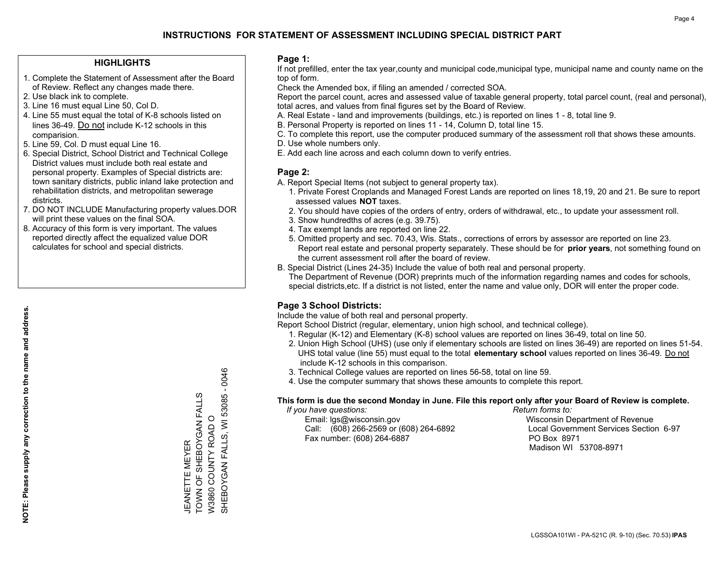## **HIGHLIGHTS**

- 1. Complete the Statement of Assessment after the Board of Review. Reflect any changes made there.
- 2. Use black ink to complete.
- 3. Line 16 must equal Line 50, Col D.
- 4. Line 55 must equal the total of K-8 schools listed on lines 36-49. Do not include K-12 schools in this comparision.
- 5. Line 59, Col. D must equal Line 16.
- 6. Special District, School District and Technical College District values must include both real estate and personal property. Examples of Special districts are: town sanitary districts, public inland lake protection and rehabilitation districts, and metropolitan sewerage districts.
- 7. DO NOT INCLUDE Manufacturing property values.DOR will print these values on the final SOA.
- 8. Accuracy of this form is very important. The values reported directly affect the equalized value DOR calculates for school and special districts.

#### **Page 1:**

 If not prefilled, enter the tax year,county and municipal code,municipal type, municipal name and county name on the top of form.

Check the Amended box, if filing an amended / corrected SOA.

 Report the parcel count, acres and assessed value of taxable general property, total parcel count, (real and personal), total acres, and values from final figures set by the Board of Review.

- A. Real Estate land and improvements (buildings, etc.) is reported on lines 1 8, total line 9.
- B. Personal Property is reported on lines 11 14, Column D, total line 15.
- C. To complete this report, use the computer produced summary of the assessment roll that shows these amounts.
- D. Use whole numbers only.
- E. Add each line across and each column down to verify entries.

## **Page 2:**

- A. Report Special Items (not subject to general property tax).
- 1. Private Forest Croplands and Managed Forest Lands are reported on lines 18,19, 20 and 21. Be sure to report assessed values **NOT** taxes.
- 2. You should have copies of the orders of entry, orders of withdrawal, etc., to update your assessment roll.
	- 3. Show hundredths of acres (e.g. 39.75).
- 4. Tax exempt lands are reported on line 22.
- 5. Omitted property and sec. 70.43, Wis. Stats., corrections of errors by assessor are reported on line 23. Report real estate and personal property separately. These should be for **prior years**, not something found on the current assessment roll after the board of review.
- B. Special District (Lines 24-35) Include the value of both real and personal property.
- The Department of Revenue (DOR) preprints much of the information regarding names and codes for schools, special districts,etc. If a district is not listed, enter the name and value only, DOR will enter the proper code.

## **Page 3 School Districts:**

Include the value of both real and personal property.

Report School District (regular, elementary, union high school, and technical college).

- 1. Regular (K-12) and Elementary (K-8) school values are reported on lines 36-49, total on line 50.
- 2. Union High School (UHS) (use only if elementary schools are listed on lines 36-49) are reported on lines 51-54. UHS total value (line 55) must equal to the total **elementary school** values reported on lines 36-49. Do notinclude K-12 schools in this comparison.
- 3. Technical College values are reported on lines 56-58, total on line 59.
- 4. Use the computer summary that shows these amounts to complete this report.

#### **This form is due the second Monday in June. File this report only after your Board of Review is complete.**

 *If you have questions: Return forms to:*

 Email: lgs@wisconsin.gov Wisconsin Department of RevenueCall:  $(608)$  266-2569 or  $(608)$  264-6892 Fax number: (608) 264-6887 PO Box 8971

Local Government Services Section 6-97 Madison WI 53708-8971

SHEBOYGAN FALLS, WI 53085 - 0046 SHEBOYGAN FALLS, WI 53085 - 0046 TOWN OF SHEBOYGAN FALLS TOWN OF SHEBOYGAN FALLS<br>TOWN OF SHEBOYGAN FALLS<br>W3860 COUNTY ROAD O W3860 COUNTY ROAD O **MEYER** JEANETTE MEYER **JEANETTE**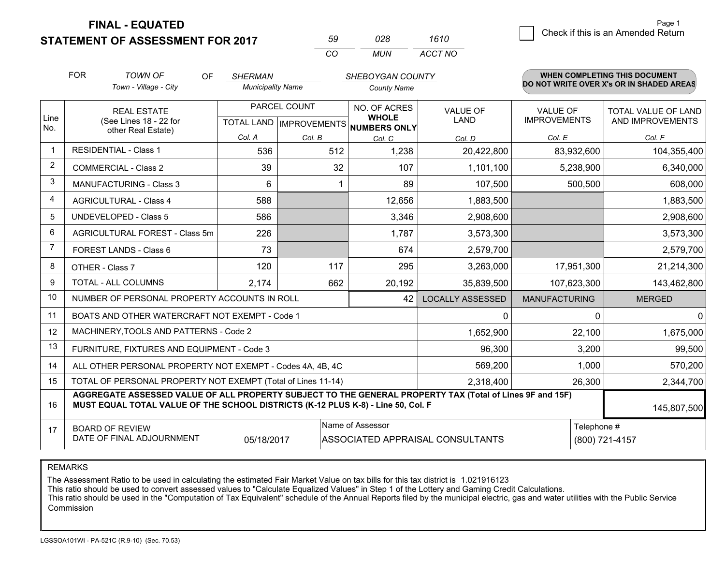**STATEMENT OF ASSESSMENT FOR 2017** 

| 50       | กวล | 1610    |
|----------|-----|---------|
| $\cdots$ | MUN | ACCT NO |

|                         | <b>FOR</b>                                                   | <b>TOWN OF</b><br>OF                                                                                                                                                                         | <b>SHERMAN</b>           |              | SHEBOYGAN COUNTY                     |                                  |                                        | WHEN COMPLETING THIS DOCUMENT                  |
|-------------------------|--------------------------------------------------------------|----------------------------------------------------------------------------------------------------------------------------------------------------------------------------------------------|--------------------------|--------------|--------------------------------------|----------------------------------|----------------------------------------|------------------------------------------------|
|                         |                                                              | Town - Village - City                                                                                                                                                                        | <b>Municipality Name</b> |              | <b>County Name</b>                   |                                  |                                        | DO NOT WRITE OVER X's OR IN SHADED AREAS       |
| Line                    |                                                              | <b>REAL ESTATE</b>                                                                                                                                                                           |                          | PARCEL COUNT | NO. OF ACRES<br><b>WHOLE</b>         | <b>VALUE OF</b><br>LAND          | <b>VALUE OF</b><br><b>IMPROVEMENTS</b> | <b>TOTAL VALUE OF LAND</b><br>AND IMPROVEMENTS |
| No.                     |                                                              | (See Lines 18 - 22 for<br>other Real Estate)                                                                                                                                                 |                          |              | TOTAL LAND IMPROVEMENTS NUMBERS ONLY |                                  |                                        |                                                |
|                         |                                                              |                                                                                                                                                                                              | Col. A                   | Col. B       | Col. C                               | Col. D                           | Col. E                                 | Col. F                                         |
| $\overline{\mathbf{1}}$ |                                                              | <b>RESIDENTIAL - Class 1</b>                                                                                                                                                                 | 536                      | 512          | 1,238                                | 20,422,800                       | 83,932,600                             | 104,355,400                                    |
| 2                       |                                                              | <b>COMMERCIAL - Class 2</b>                                                                                                                                                                  | 39                       | 32           | 107                                  | 1,101,100                        | 5,238,900                              | 6,340,000                                      |
| 3                       |                                                              | MANUFACTURING - Class 3                                                                                                                                                                      | 6                        |              | 89                                   | 107,500                          | 500,500                                | 608,000                                        |
| 4                       |                                                              | <b>AGRICULTURAL - Class 4</b>                                                                                                                                                                | 588                      |              | 12,656                               | 1,883,500                        |                                        | 1,883,500                                      |
| 5                       |                                                              | UNDEVELOPED - Class 5                                                                                                                                                                        | 586                      |              | 3,346                                | 2,908,600                        |                                        | 2,908,600                                      |
| 6                       |                                                              | AGRICULTURAL FOREST - Class 5m                                                                                                                                                               | 226                      |              | 1,787                                | 3,573,300                        |                                        | 3,573,300                                      |
| 7                       |                                                              | FOREST LANDS - Class 6                                                                                                                                                                       | 73                       |              | 674                                  | 2,579,700                        |                                        | 2,579,700                                      |
| 8                       |                                                              | OTHER - Class 7                                                                                                                                                                              | 120                      | 117          | 295                                  | 3,263,000                        | 17,951,300                             | 21,214,300                                     |
| 9                       |                                                              | TOTAL - ALL COLUMNS                                                                                                                                                                          | 2,174                    | 662          | 20,192                               | 35,839,500                       | 107,623,300                            | 143,462,800                                    |
| 10                      |                                                              | NUMBER OF PERSONAL PROPERTY ACCOUNTS IN ROLL                                                                                                                                                 |                          |              | 42                                   | <b>LOCALLY ASSESSED</b>          | <b>MANUFACTURING</b>                   | <b>MERGED</b>                                  |
| 11                      |                                                              | BOATS AND OTHER WATERCRAFT NOT EXEMPT - Code 1                                                                                                                                               |                          |              |                                      | $\mathbf{0}$                     | $\Omega$                               | $\Omega$                                       |
| 12                      |                                                              | MACHINERY, TOOLS AND PATTERNS - Code 2                                                                                                                                                       |                          |              |                                      | 1,652,900                        | 22,100                                 | 1,675,000                                      |
| 13                      |                                                              | FURNITURE, FIXTURES AND EQUIPMENT - Code 3                                                                                                                                                   |                          |              |                                      | 96,300                           | 3,200                                  | 99,500                                         |
| 14                      |                                                              | ALL OTHER PERSONAL PROPERTY NOT EXEMPT - Codes 4A, 4B, 4C                                                                                                                                    |                          |              |                                      | 569,200                          | 1,000                                  | 570,200                                        |
| 15                      | TOTAL OF PERSONAL PROPERTY NOT EXEMPT (Total of Lines 11-14) |                                                                                                                                                                                              |                          |              |                                      | 2,318,400                        | 26,300                                 | 2,344,700                                      |
| 16                      |                                                              | AGGREGATE ASSESSED VALUE OF ALL PROPERTY SUBJECT TO THE GENERAL PROPERTY TAX (Total of Lines 9F and 15F)<br>MUST EQUAL TOTAL VALUE OF THE SCHOOL DISTRICTS (K-12 PLUS K-8) - Line 50, Col. F |                          |              |                                      |                                  |                                        | 145,807,500                                    |
| 17                      |                                                              | <b>BOARD OF REVIEW</b>                                                                                                                                                                       |                          |              | Name of Assessor                     |                                  | Telephone #                            |                                                |
|                         |                                                              | DATE OF FINAL ADJOURNMENT                                                                                                                                                                    | 05/18/2017               |              |                                      | ASSOCIATED APPRAISAL CONSULTANTS |                                        | (800) 721-4157                                 |

REMARKS

The Assessment Ratio to be used in calculating the estimated Fair Market Value on tax bills for this tax district is 1.021916123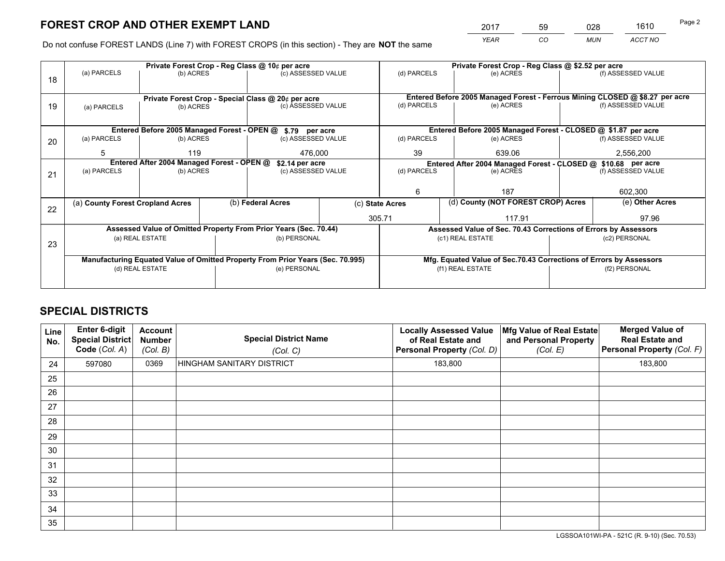*YEAR CO MUN ACCT NO* <sup>2017</sup> <sup>59</sup> <sup>028</sup> <sup>1610</sup>

Do not confuse FOREST LANDS (Line 7) with FOREST CROPS (in this section) - They are **NOT** the same

|    |                                                                                |                                            |  | Private Forest Crop - Reg Class @ 10¢ per acre                   |                                                               | Private Forest Crop - Reg Class @ \$2.52 per acre |                                                                              |                                                                 |               |                                                                    |
|----|--------------------------------------------------------------------------------|--------------------------------------------|--|------------------------------------------------------------------|---------------------------------------------------------------|---------------------------------------------------|------------------------------------------------------------------------------|-----------------------------------------------------------------|---------------|--------------------------------------------------------------------|
| 18 | (a) PARCELS                                                                    | (b) ACRES                                  |  | (c) ASSESSED VALUE                                               |                                                               | (d) PARCELS                                       |                                                                              | (e) ACRES                                                       |               | (f) ASSESSED VALUE                                                 |
|    |                                                                                |                                            |  |                                                                  |                                                               |                                                   |                                                                              |                                                                 |               |                                                                    |
|    |                                                                                |                                            |  | Private Forest Crop - Special Class @ 20¢ per acre               |                                                               |                                                   | Entered Before 2005 Managed Forest - Ferrous Mining CLOSED @ \$8.27 per acre |                                                                 |               |                                                                    |
| 19 | (a) PARCELS                                                                    | (b) ACRES                                  |  | (c) ASSESSED VALUE                                               |                                                               | (d) PARCELS                                       |                                                                              | (e) ACRES                                                       |               | (f) ASSESSED VALUE                                                 |
|    |                                                                                |                                            |  |                                                                  |                                                               |                                                   |                                                                              |                                                                 |               |                                                                    |
|    |                                                                                |                                            |  | Entered Before 2005 Managed Forest - OPEN @ \$.79 per acre       |                                                               |                                                   |                                                                              |                                                                 |               | Entered Before 2005 Managed Forest - CLOSED @ \$1.87 per acre      |
| 20 | (a) PARCELS                                                                    | (b) ACRES                                  |  | (c) ASSESSED VALUE                                               |                                                               | (d) PARCELS                                       |                                                                              | (e) ACRES                                                       |               | (f) ASSESSED VALUE                                                 |
|    | 5                                                                              | 119<br>476.000                             |  |                                                                  | 39                                                            |                                                   | 639.06                                                                       | 2,556,200                                                       |               |                                                                    |
|    |                                                                                | Entered After 2004 Managed Forest - OPEN @ |  | \$2.14 per acre                                                  | Entered After 2004 Managed Forest - CLOSED @ \$10.68 per acre |                                                   |                                                                              |                                                                 |               |                                                                    |
| 21 | (a) PARCELS                                                                    | (b) ACRES                                  |  | (c) ASSESSED VALUE                                               | (d) PARCELS                                                   |                                                   |                                                                              | (e) ACRES                                                       |               | (f) ASSESSED VALUE                                                 |
|    |                                                                                |                                            |  |                                                                  |                                                               |                                                   |                                                                              |                                                                 |               |                                                                    |
|    |                                                                                |                                            |  |                                                                  |                                                               | 6                                                 |                                                                              | 187                                                             |               | 602,300                                                            |
| 22 | (a) County Forest Cropland Acres                                               |                                            |  | (b) Federal Acres                                                | (c) State Acres                                               |                                                   |                                                                              | (d) County (NOT FOREST CROP) Acres                              |               | (e) Other Acres                                                    |
|    |                                                                                |                                            |  |                                                                  |                                                               | 305.71                                            |                                                                              | 117.91                                                          |               | 97.96                                                              |
|    |                                                                                |                                            |  | Assessed Value of Omitted Property From Prior Years (Sec. 70.44) |                                                               |                                                   |                                                                              | Assessed Value of Sec. 70.43 Corrections of Errors by Assessors |               |                                                                    |
| 23 |                                                                                | (a) REAL ESTATE                            |  | (b) PERSONAL                                                     |                                                               |                                                   | (c1) REAL ESTATE                                                             |                                                                 |               | (c2) PERSONAL                                                      |
|    |                                                                                |                                            |  |                                                                  |                                                               |                                                   |                                                                              |                                                                 |               |                                                                    |
|    | Manufacturing Equated Value of Omitted Property From Prior Years (Sec. 70.995) |                                            |  |                                                                  |                                                               |                                                   |                                                                              |                                                                 |               | Mfg. Equated Value of Sec.70.43 Corrections of Errors by Assessors |
|    | (d) REAL ESTATE                                                                |                                            |  | (e) PERSONAL                                                     |                                                               | (f1) REAL ESTATE                                  |                                                                              |                                                                 | (f2) PERSONAL |                                                                    |
|    |                                                                                |                                            |  |                                                                  |                                                               |                                                   |                                                                              |                                                                 |               |                                                                    |

## **SPECIAL DISTRICTS**

| <b>Line</b><br>No. | Enter 6-digit<br><b>Special District</b><br>Code (Col. A) | <b>Account</b><br><b>Number</b><br>(Col. B) | <b>Special District Name</b><br>(Col. C) | <b>Locally Assessed Value</b><br>of Real Estate and<br>Personal Property (Col. D) | Mfg Value of Real Estate<br>and Personal Property<br>(Col. E) | <b>Merged Value of</b><br><b>Real Estate and</b><br>Personal Property (Col. F) |
|--------------------|-----------------------------------------------------------|---------------------------------------------|------------------------------------------|-----------------------------------------------------------------------------------|---------------------------------------------------------------|--------------------------------------------------------------------------------|
| 24                 | 597080                                                    | 0369                                        | HINGHAM SANITARY DISTRICT                | 183,800                                                                           |                                                               | 183,800                                                                        |
| 25                 |                                                           |                                             |                                          |                                                                                   |                                                               |                                                                                |
| 26                 |                                                           |                                             |                                          |                                                                                   |                                                               |                                                                                |
| 27                 |                                                           |                                             |                                          |                                                                                   |                                                               |                                                                                |
| 28                 |                                                           |                                             |                                          |                                                                                   |                                                               |                                                                                |
| 29                 |                                                           |                                             |                                          |                                                                                   |                                                               |                                                                                |
| 30                 |                                                           |                                             |                                          |                                                                                   |                                                               |                                                                                |
| 31                 |                                                           |                                             |                                          |                                                                                   |                                                               |                                                                                |
| 32                 |                                                           |                                             |                                          |                                                                                   |                                                               |                                                                                |
| 33                 |                                                           |                                             |                                          |                                                                                   |                                                               |                                                                                |
| 34                 |                                                           |                                             |                                          |                                                                                   |                                                               |                                                                                |
| 35                 |                                                           |                                             |                                          |                                                                                   |                                                               |                                                                                |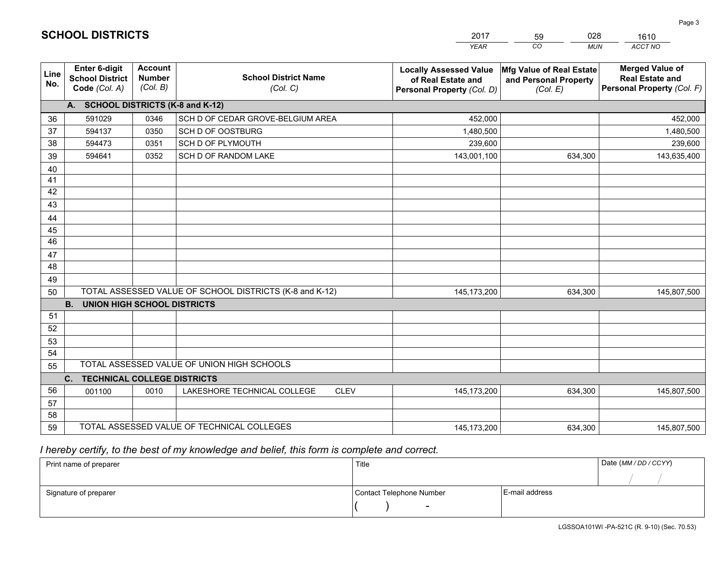|                 |                                                                 |                                             |                                                         | <b>YEAR</b>                                                                       | CO<br><b>MUN</b>                                              | ACCT NO                                                                        |
|-----------------|-----------------------------------------------------------------|---------------------------------------------|---------------------------------------------------------|-----------------------------------------------------------------------------------|---------------------------------------------------------------|--------------------------------------------------------------------------------|
| Line<br>No.     | <b>Enter 6-digit</b><br><b>School District</b><br>Code (Col. A) | <b>Account</b><br><b>Number</b><br>(Col. B) | <b>School District Name</b><br>(Col. C)                 | <b>Locally Assessed Value</b><br>of Real Estate and<br>Personal Property (Col. D) | Mfg Value of Real Estate<br>and Personal Property<br>(Col. E) | <b>Merged Value of</b><br><b>Real Estate and</b><br>Personal Property (Col. F) |
|                 | A. SCHOOL DISTRICTS (K-8 and K-12)                              |                                             |                                                         |                                                                                   |                                                               |                                                                                |
| 36              | 591029                                                          | 0346                                        | SCH D OF CEDAR GROVE-BELGIUM AREA                       | 452,000                                                                           |                                                               | 452,000                                                                        |
| 37              | 594137                                                          | 0350                                        | SCH D OF OOSTBURG                                       | 1,480,500                                                                         |                                                               | 1,480,500                                                                      |
| 38              | 594473                                                          | 0351                                        | SCH D OF PLYMOUTH                                       | 239,600                                                                           |                                                               | 239,600                                                                        |
| 39              | 594641                                                          | 0352                                        | <b>SCH D OF RANDOM LAKE</b>                             | 143,001,100                                                                       | 634,300                                                       | 143,635,400                                                                    |
| 40              |                                                                 |                                             |                                                         |                                                                                   |                                                               |                                                                                |
| 41              |                                                                 |                                             |                                                         |                                                                                   |                                                               |                                                                                |
| 42              |                                                                 |                                             |                                                         |                                                                                   |                                                               |                                                                                |
| 43              |                                                                 |                                             |                                                         |                                                                                   |                                                               |                                                                                |
| 44              |                                                                 |                                             |                                                         |                                                                                   |                                                               |                                                                                |
| 45              |                                                                 |                                             |                                                         |                                                                                   |                                                               |                                                                                |
| $\overline{46}$ |                                                                 |                                             |                                                         |                                                                                   |                                                               |                                                                                |
| 47              |                                                                 |                                             |                                                         |                                                                                   |                                                               |                                                                                |
| 48              |                                                                 |                                             |                                                         |                                                                                   |                                                               |                                                                                |
| 49              |                                                                 |                                             |                                                         |                                                                                   |                                                               |                                                                                |
| 50              |                                                                 |                                             | TOTAL ASSESSED VALUE OF SCHOOL DISTRICTS (K-8 and K-12) | 145, 173, 200                                                                     | 634,300                                                       | 145,807,500                                                                    |
|                 | <b>B.</b><br><b>UNION HIGH SCHOOL DISTRICTS</b>                 |                                             |                                                         |                                                                                   |                                                               |                                                                                |
| 51              |                                                                 |                                             |                                                         |                                                                                   |                                                               |                                                                                |
| 52              |                                                                 |                                             |                                                         |                                                                                   |                                                               |                                                                                |
| 53              |                                                                 |                                             |                                                         |                                                                                   |                                                               |                                                                                |
| 54              |                                                                 |                                             |                                                         |                                                                                   |                                                               |                                                                                |
| 55              |                                                                 |                                             | TOTAL ASSESSED VALUE OF UNION HIGH SCHOOLS              |                                                                                   |                                                               |                                                                                |
|                 | C.<br><b>TECHNICAL COLLEGE DISTRICTS</b>                        |                                             |                                                         |                                                                                   |                                                               |                                                                                |
| 56              | 001100                                                          | 0010                                        | LAKESHORE TECHNICAL COLLEGE<br><b>CLEV</b>              | 145, 173, 200                                                                     | 634,300                                                       | 145,807,500                                                                    |
| 57              |                                                                 |                                             |                                                         |                                                                                   |                                                               |                                                                                |
| 58              |                                                                 |                                             |                                                         |                                                                                   |                                                               |                                                                                |
| 59              |                                                                 |                                             | TOTAL ASSESSED VALUE OF TECHNICAL COLLEGES              | 145, 173, 200                                                                     | 634,300                                                       | 145,807,500                                                                    |

59

028

 *I hereby certify, to the best of my knowledge and belief, this form is complete and correct.*

**SCHOOL DISTRICTS**

| Print name of preparer | Title                    |                | Date (MM/DD/CCYY) |
|------------------------|--------------------------|----------------|-------------------|
|                        |                          |                |                   |
| Signature of preparer  | Contact Telephone Number | E-mail address |                   |
|                        | $\overline{\phantom{0}}$ |                |                   |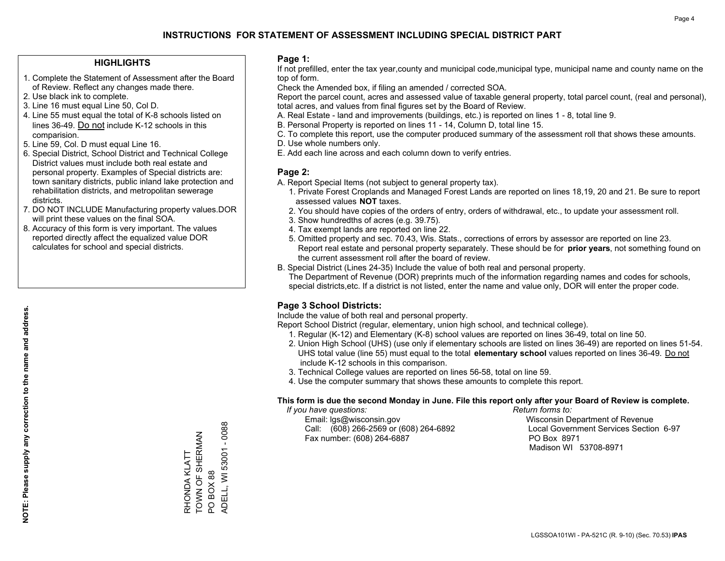#### **HIGHLIGHTS**

- 1. Complete the Statement of Assessment after the Board of Review. Reflect any changes made there.
- 2. Use black ink to complete.
- 3. Line 16 must equal Line 50, Col D.
- 4. Line 55 must equal the total of K-8 schools listed on lines 36-49. Do not include K-12 schools in this comparision.
- 5. Line 59, Col. D must equal Line 16.
- 6. Special District, School District and Technical College District values must include both real estate and personal property. Examples of Special districts are: town sanitary districts, public inland lake protection and rehabilitation districts, and metropolitan sewerage districts.
- 7. DO NOT INCLUDE Manufacturing property values.DOR will print these values on the final SOA.
- 8. Accuracy of this form is very important. The values reported directly affect the equalized value DOR calculates for school and special districts.

#### **Page 1:**

 If not prefilled, enter the tax year,county and municipal code,municipal type, municipal name and county name on the top of form.

Check the Amended box, if filing an amended / corrected SOA.

 Report the parcel count, acres and assessed value of taxable general property, total parcel count, (real and personal), total acres, and values from final figures set by the Board of Review.

- A. Real Estate land and improvements (buildings, etc.) is reported on lines 1 8, total line 9.
- B. Personal Property is reported on lines 11 14, Column D, total line 15.
- C. To complete this report, use the computer produced summary of the assessment roll that shows these amounts.
- D. Use whole numbers only.
- E. Add each line across and each column down to verify entries.

#### **Page 2:**

- A. Report Special Items (not subject to general property tax).
- 1. Private Forest Croplands and Managed Forest Lands are reported on lines 18,19, 20 and 21. Be sure to report assessed values **NOT** taxes.
- 2. You should have copies of the orders of entry, orders of withdrawal, etc., to update your assessment roll.
	- 3. Show hundredths of acres (e.g. 39.75).
- 4. Tax exempt lands are reported on line 22.
- 5. Omitted property and sec. 70.43, Wis. Stats., corrections of errors by assessor are reported on line 23. Report real estate and personal property separately. These should be for **prior years**, not something found on the current assessment roll after the board of review.
- B. Special District (Lines 24-35) Include the value of both real and personal property.
- The Department of Revenue (DOR) preprints much of the information regarding names and codes for schools, special districts,etc. If a district is not listed, enter the name and value only, DOR will enter the proper code.

## **Page 3 School Districts:**

Include the value of both real and personal property.

Report School District (regular, elementary, union high school, and technical college).

- 1. Regular (K-12) and Elementary (K-8) school values are reported on lines 36-49, total on line 50.
- 2. Union High School (UHS) (use only if elementary schools are listed on lines 36-49) are reported on lines 51-54. UHS total value (line 55) must equal to the total **elementary school** values reported on lines 36-49. Do notinclude K-12 schools in this comparison.
- 3. Technical College values are reported on lines 56-58, total on line 59.
- 4. Use the computer summary that shows these amounts to complete this report.

#### **This form is due the second Monday in June. File this report only after your Board of Review is complete.**

 *If you have questions: Return forms to:*

 Email: lgs@wisconsin.gov Wisconsin Department of RevenueCall:  $(608)$  266-2569 or  $(608)$  264-6892 Fax number: (608) 264-6887 PO Box 8971

Local Government Services Section 6-97 Madison WI 53708-8971

LGSSOA101WI - PA-521C (R. 9-10) (Sec. 70.53) **IPAS**

ADELL, WI 53001 - 0088 ADELL, WI 53001 - 0088 TOWN OF SHERMAN RHONDA KLATT<br>TOWN OF SHERMAN RHONDA KLATT PO BOX 88 PO BOX 88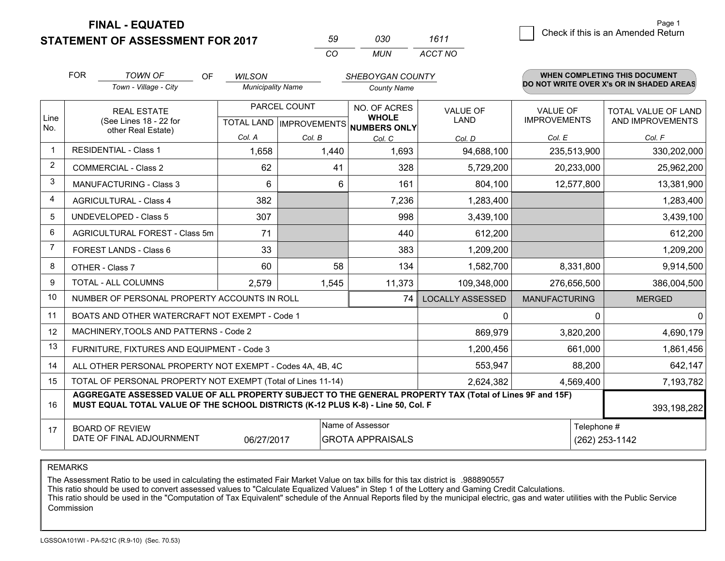**STATEMENT OF ASSESSMENT FOR 2017** 

| .59 | กจก  | 1611    |
|-----|------|---------|
| CO. | MUN. | ACCT NO |

|                         | <b>FOR</b>                                                                                                                                                                                   | <b>TOWN OF</b><br>OF                                         | <b>WILSON</b>            |              | SHEBOYGAN COUNTY                                     |                         |                      | WHEN COMPLETING THIS DOCUMENT<br>DO NOT WRITE OVER X's OR IN SHADED AREAS |  |
|-------------------------|----------------------------------------------------------------------------------------------------------------------------------------------------------------------------------------------|--------------------------------------------------------------|--------------------------|--------------|------------------------------------------------------|-------------------------|----------------------|---------------------------------------------------------------------------|--|
|                         |                                                                                                                                                                                              | Town - Village - City                                        | <b>Municipality Name</b> |              | <b>County Name</b>                                   |                         |                      |                                                                           |  |
|                         |                                                                                                                                                                                              | <b>REAL ESTATE</b>                                           |                          | PARCEL COUNT | NO. OF ACRES                                         | <b>VALUE OF</b>         | <b>VALUE OF</b>      | <b>TOTAL VALUE OF LAND</b>                                                |  |
| Line<br>No.             |                                                                                                                                                                                              | (See Lines 18 - 22 for<br>other Real Estate)                 |                          |              | <b>WHOLE</b><br>TOTAL LAND IMPROVEMENTS NUMBERS ONLY | LAND                    | <b>IMPROVEMENTS</b>  | AND IMPROVEMENTS                                                          |  |
|                         |                                                                                                                                                                                              |                                                              | Col. A                   | Col. B       | Col. C                                               | Col. D                  | Col. E               | Col. F                                                                    |  |
| $\mathbf 1$             | <b>RESIDENTIAL - Class 1</b>                                                                                                                                                                 |                                                              | 1,658                    | 1,440        | 1,693                                                | 94,688,100              | 235,513,900          | 330,202,000                                                               |  |
| $\overline{2}$          |                                                                                                                                                                                              | <b>COMMERCIAL - Class 2</b>                                  | 62                       | 41           | 328                                                  | 5,729,200               | 20,233,000           | 25,962,200                                                                |  |
| 3                       |                                                                                                                                                                                              | <b>MANUFACTURING - Class 3</b>                               | 6                        | 6            | 161                                                  | 804,100                 | 12,577,800           | 13,381,900                                                                |  |
| $\overline{\mathbf{4}}$ |                                                                                                                                                                                              | <b>AGRICULTURAL - Class 4</b>                                | 382                      |              | 7,236                                                | 1,283,400               |                      | 1,283,400                                                                 |  |
| 5                       |                                                                                                                                                                                              | <b>UNDEVELOPED - Class 5</b>                                 | 307                      |              | 998                                                  | 3,439,100               |                      | 3,439,100                                                                 |  |
| 6                       |                                                                                                                                                                                              | AGRICULTURAL FOREST - Class 5m                               | 71                       |              | 440                                                  | 612,200                 |                      | 612,200                                                                   |  |
| $\overline{7}$          |                                                                                                                                                                                              | FOREST LANDS - Class 6                                       | 33                       |              | 383                                                  | 1,209,200               |                      | 1,209,200                                                                 |  |
| 8                       |                                                                                                                                                                                              | OTHER - Class 7                                              | 60                       | 58           | 134                                                  | 1,582,700               | 8,331,800            | 9,914,500                                                                 |  |
| 9                       |                                                                                                                                                                                              | TOTAL - ALL COLUMNS                                          | 2,579                    | 1,545        | 11,373                                               | 109,348,000             | 276,656,500          | 386,004,500                                                               |  |
| 10                      |                                                                                                                                                                                              | NUMBER OF PERSONAL PROPERTY ACCOUNTS IN ROLL                 |                          |              | 74                                                   | <b>LOCALLY ASSESSED</b> | <b>MANUFACTURING</b> | <b>MERGED</b>                                                             |  |
| 11                      |                                                                                                                                                                                              | BOATS AND OTHER WATERCRAFT NOT EXEMPT - Code 1               |                          |              |                                                      | 0                       |                      | $\mathbf 0$<br>0                                                          |  |
| 12                      |                                                                                                                                                                                              | MACHINERY, TOOLS AND PATTERNS - Code 2                       |                          |              |                                                      | 869,979                 | 3,820,200            | 4,690,179                                                                 |  |
| 13                      |                                                                                                                                                                                              | FURNITURE, FIXTURES AND EQUIPMENT - Code 3                   |                          |              |                                                      | 1,200,456               | 661,000              | 1,861,456                                                                 |  |
| 14                      |                                                                                                                                                                                              | ALL OTHER PERSONAL PROPERTY NOT EXEMPT - Codes 4A, 4B, 4C    |                          |              |                                                      | 553,947                 | 88,200               | 642,147                                                                   |  |
| 15                      |                                                                                                                                                                                              | TOTAL OF PERSONAL PROPERTY NOT EXEMPT (Total of Lines 11-14) |                          |              |                                                      | 2,624,382               | 4,569,400            | 7,193,782                                                                 |  |
| 16                      | AGGREGATE ASSESSED VALUE OF ALL PROPERTY SUBJECT TO THE GENERAL PROPERTY TAX (Total of Lines 9F and 15F)<br>MUST EQUAL TOTAL VALUE OF THE SCHOOL DISTRICTS (K-12 PLUS K-8) - Line 50, Col. F |                                                              |                          |              |                                                      |                         |                      | 393,198,282                                                               |  |
| 17                      | Name of Assessor<br><b>BOARD OF REVIEW</b>                                                                                                                                                   |                                                              |                          |              |                                                      |                         | Telephone #          |                                                                           |  |
|                         | DATE OF FINAL ADJOURNMENT<br>06/27/2017<br><b>GROTA APPRAISALS</b><br>(262) 253-1142                                                                                                         |                                                              |                          |              |                                                      |                         |                      |                                                                           |  |

REMARKS

The Assessment Ratio to be used in calculating the estimated Fair Market Value on tax bills for this tax district is .988890557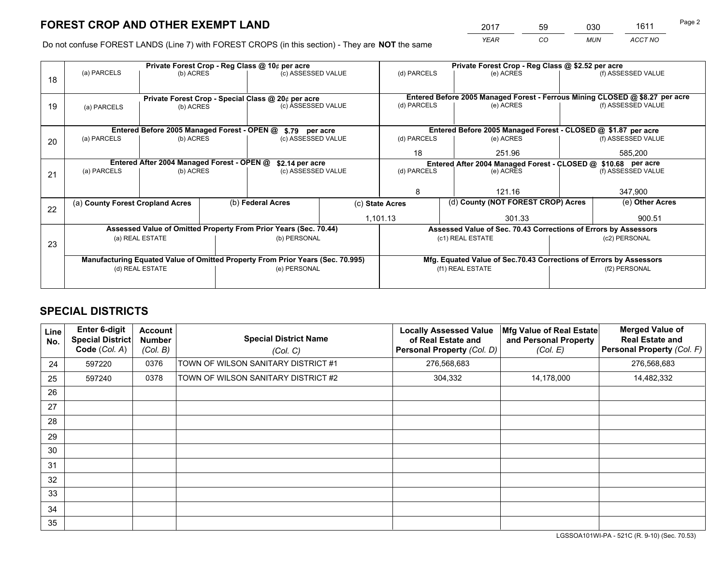*YEAR CO MUN ACCT NO* <sup>2017</sup> <sup>59</sup> <sup>030</sup> <sup>1611</sup> Page 2

Do not confuse FOREST LANDS (Line 7) with FOREST CROPS (in this section) - They are **NOT** the same

|    |                                  |                                             |  | Private Forest Crop - Reg Class @ 10¢ per acre                                 |                    | Private Forest Crop - Reg Class @ \$2.52 per acre |                                                                              |                    |                    |  |
|----|----------------------------------|---------------------------------------------|--|--------------------------------------------------------------------------------|--------------------|---------------------------------------------------|------------------------------------------------------------------------------|--------------------|--------------------|--|
| 18 | (a) PARCELS                      | (b) ACRES                                   |  | (c) ASSESSED VALUE                                                             |                    | (d) PARCELS                                       | (e) ACRES                                                                    |                    | (f) ASSESSED VALUE |  |
|    |                                  |                                             |  |                                                                                |                    |                                                   | Entered Before 2005 Managed Forest - Ferrous Mining CLOSED @ \$8.27 per acre |                    |                    |  |
| 19 | (a) PARCELS                      | (b) ACRES                                   |  | Private Forest Crop - Special Class @ 20¢ per acre<br>(c) ASSESSED VALUE       |                    | (d) PARCELS                                       | (e) ACRES                                                                    |                    | (f) ASSESSED VALUE |  |
|    |                                  |                                             |  |                                                                                |                    |                                                   |                                                                              |                    |                    |  |
|    |                                  | Entered Before 2005 Managed Forest - OPEN @ |  | \$.79 per acre                                                                 |                    |                                                   | Entered Before 2005 Managed Forest - CLOSED @ \$1.87 per acre                |                    |                    |  |
| 20 | (a) PARCELS                      | (b) ACRES                                   |  | (c) ASSESSED VALUE                                                             |                    | (d) PARCELS                                       | (e) ACRES                                                                    |                    | (f) ASSESSED VALUE |  |
|    |                                  |                                             |  |                                                                                |                    | 18                                                | 251.96                                                                       |                    | 585,200            |  |
|    |                                  | Entered After 2004 Managed Forest - OPEN @  |  | \$2.14 per acre                                                                |                    |                                                   | Entered After 2004 Managed Forest - CLOSED @ \$10.68 per acre                |                    |                    |  |
| 21 | (a) PARCELS                      | (b) ACRES                                   |  |                                                                                | (c) ASSESSED VALUE |                                                   | (e) ACRES                                                                    | (f) ASSESSED VALUE |                    |  |
|    |                                  |                                             |  |                                                                                |                    |                                                   |                                                                              |                    |                    |  |
|    |                                  |                                             |  |                                                                                |                    | 8                                                 | 121.16                                                                       |                    | 347,900            |  |
| 22 | (a) County Forest Cropland Acres |                                             |  | (b) Federal Acres                                                              |                    | (c) State Acres                                   | (d) County (NOT FOREST CROP) Acres                                           |                    | (e) Other Acres    |  |
|    |                                  |                                             |  |                                                                                |                    | 1,101.13                                          | 301.33                                                                       |                    | 900.51             |  |
|    |                                  |                                             |  | Assessed Value of Omitted Property From Prior Years (Sec. 70.44)               |                    |                                                   | Assessed Value of Sec. 70.43 Corrections of Errors by Assessors              |                    |                    |  |
| 23 |                                  | (a) REAL ESTATE                             |  | (b) PERSONAL                                                                   |                    |                                                   | (c1) REAL ESTATE                                                             |                    | (c2) PERSONAL      |  |
|    |                                  |                                             |  |                                                                                |                    |                                                   |                                                                              |                    |                    |  |
|    |                                  |                                             |  | Manufacturing Equated Value of Omitted Property From Prior Years (Sec. 70.995) |                    |                                                   | Mfg. Equated Value of Sec.70.43 Corrections of Errors by Assessors           |                    |                    |  |
|    | (d) REAL ESTATE                  |                                             |  | (e) PERSONAL                                                                   |                    | (f1) REAL ESTATE                                  |                                                                              | (f2) PERSONAL      |                    |  |
|    |                                  |                                             |  |                                                                                |                    |                                                   |                                                                              |                    |                    |  |

## **SPECIAL DISTRICTS**

| <b>Line</b><br>No. | Enter 6-digit<br>Special District<br>Code (Col. A) | <b>Account</b><br><b>Number</b><br>(Col. B) | <b>Special District Name</b><br>(Col. C) | <b>Locally Assessed Value</b><br>of Real Estate and<br>Personal Property (Col. D) | Mfg Value of Real Estate<br>and Personal Property<br>(Col. E) | <b>Merged Value of</b><br><b>Real Estate and</b><br>Personal Property (Col. F) |
|--------------------|----------------------------------------------------|---------------------------------------------|------------------------------------------|-----------------------------------------------------------------------------------|---------------------------------------------------------------|--------------------------------------------------------------------------------|
| 24                 | 597220                                             | 0376                                        | TOWN OF WILSON SANITARY DISTRICT #1      | 276,568,683                                                                       |                                                               | 276,568,683                                                                    |
| 25                 | 597240                                             | 0378                                        | TOWN OF WILSON SANITARY DISTRICT #2      | 304,332                                                                           | 14,178,000                                                    | 14,482,332                                                                     |
| 26                 |                                                    |                                             |                                          |                                                                                   |                                                               |                                                                                |
| 27                 |                                                    |                                             |                                          |                                                                                   |                                                               |                                                                                |
| 28                 |                                                    |                                             |                                          |                                                                                   |                                                               |                                                                                |
| 29                 |                                                    |                                             |                                          |                                                                                   |                                                               |                                                                                |
| 30                 |                                                    |                                             |                                          |                                                                                   |                                                               |                                                                                |
| 31                 |                                                    |                                             |                                          |                                                                                   |                                                               |                                                                                |
| 32                 |                                                    |                                             |                                          |                                                                                   |                                                               |                                                                                |
| 33                 |                                                    |                                             |                                          |                                                                                   |                                                               |                                                                                |
| 34                 |                                                    |                                             |                                          |                                                                                   |                                                               |                                                                                |
| 35                 |                                                    |                                             |                                          |                                                                                   |                                                               |                                                                                |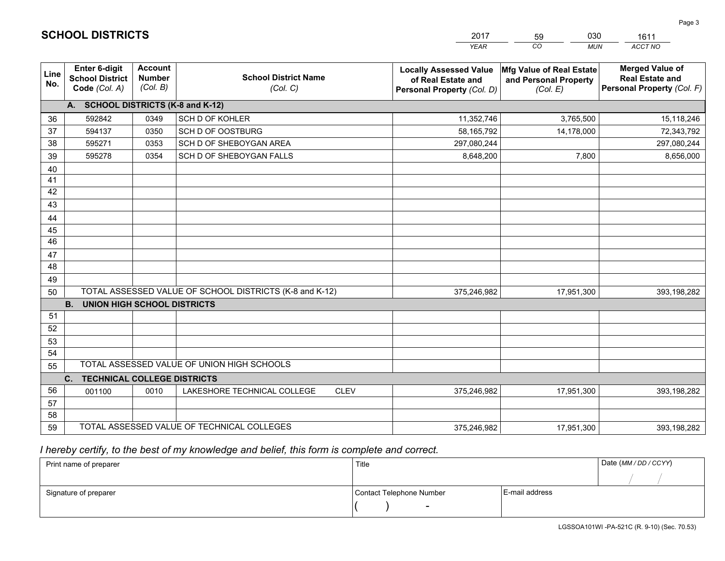|             |                                                                 |                                             |                                                         | <b>YEAR</b>                                                                       | CO<br><b>MUN</b>                                              | ACCT NO                                                                        |
|-------------|-----------------------------------------------------------------|---------------------------------------------|---------------------------------------------------------|-----------------------------------------------------------------------------------|---------------------------------------------------------------|--------------------------------------------------------------------------------|
| Line<br>No. | <b>Enter 6-digit</b><br><b>School District</b><br>Code (Col. A) | <b>Account</b><br><b>Number</b><br>(Col. B) | <b>School District Name</b><br>(Col. C)                 | <b>Locally Assessed Value</b><br>of Real Estate and<br>Personal Property (Col. D) | Mfg Value of Real Estate<br>and Personal Property<br>(Col. E) | <b>Merged Value of</b><br><b>Real Estate and</b><br>Personal Property (Col. F) |
|             | A. SCHOOL DISTRICTS (K-8 and K-12)                              |                                             |                                                         |                                                                                   |                                                               |                                                                                |
| 36          | 592842                                                          | 0349                                        | SCH D OF KOHLER                                         | 11,352,746                                                                        | 3,765,500                                                     | 15,118,246                                                                     |
| 37          | 594137                                                          | 0350                                        | SCH D OF OOSTBURG                                       | 58,165,792                                                                        | 14,178,000                                                    | 72,343,792                                                                     |
| 38          | 595271                                                          | 0353                                        | SCH D OF SHEBOYGAN AREA                                 | 297,080,244                                                                       |                                                               | 297,080,244                                                                    |
| 39          | 595278                                                          | 0354                                        | SCH D OF SHEBOYGAN FALLS                                | 8,648,200                                                                         | 7,800                                                         | 8,656,000                                                                      |
| 40          |                                                                 |                                             |                                                         |                                                                                   |                                                               |                                                                                |
| 41          |                                                                 |                                             |                                                         |                                                                                   |                                                               |                                                                                |
| 42          |                                                                 |                                             |                                                         |                                                                                   |                                                               |                                                                                |
| 43          |                                                                 |                                             |                                                         |                                                                                   |                                                               |                                                                                |
| 44          |                                                                 |                                             |                                                         |                                                                                   |                                                               |                                                                                |
| 45          |                                                                 |                                             |                                                         |                                                                                   |                                                               |                                                                                |
| 46          |                                                                 |                                             |                                                         |                                                                                   |                                                               |                                                                                |
| 47          |                                                                 |                                             |                                                         |                                                                                   |                                                               |                                                                                |
| 48          |                                                                 |                                             |                                                         |                                                                                   |                                                               |                                                                                |
| 49          |                                                                 |                                             |                                                         |                                                                                   |                                                               |                                                                                |
| 50          |                                                                 |                                             | TOTAL ASSESSED VALUE OF SCHOOL DISTRICTS (K-8 and K-12) | 375,246,982                                                                       | 17,951,300                                                    | 393,198,282                                                                    |
|             | <b>B.</b><br><b>UNION HIGH SCHOOL DISTRICTS</b>                 |                                             |                                                         |                                                                                   |                                                               |                                                                                |
| 51          |                                                                 |                                             |                                                         |                                                                                   |                                                               |                                                                                |
| 52          |                                                                 |                                             |                                                         |                                                                                   |                                                               |                                                                                |
| 53          |                                                                 |                                             |                                                         |                                                                                   |                                                               |                                                                                |
| 54          |                                                                 |                                             | TOTAL ASSESSED VALUE OF UNION HIGH SCHOOLS              |                                                                                   |                                                               |                                                                                |
| 55          |                                                                 |                                             |                                                         |                                                                                   |                                                               |                                                                                |
| 56          | C.<br><b>TECHNICAL COLLEGE DISTRICTS</b>                        | 0010                                        | LAKESHORE TECHNICAL COLLEGE<br><b>CLEV</b>              |                                                                                   |                                                               |                                                                                |
| 57          | 001100                                                          |                                             |                                                         | 375,246,982                                                                       | 17,951,300                                                    | 393,198,282                                                                    |
| 58          |                                                                 |                                             |                                                         |                                                                                   |                                                               |                                                                                |
| 59          |                                                                 |                                             | TOTAL ASSESSED VALUE OF TECHNICAL COLLEGES              | 375,246,982                                                                       | 17,951,300                                                    | 393,198,282                                                                    |
|             |                                                                 |                                             |                                                         |                                                                                   |                                                               |                                                                                |

59

030

 *I hereby certify, to the best of my knowledge and belief, this form is complete and correct.*

**SCHOOL DISTRICTS**

| Print name of preparer | Title                    |                | Date (MM / DD / CCYY) |
|------------------------|--------------------------|----------------|-----------------------|
|                        |                          |                |                       |
| Signature of preparer  | Contact Telephone Number | E-mail address |                       |
|                        | $\sim$                   |                |                       |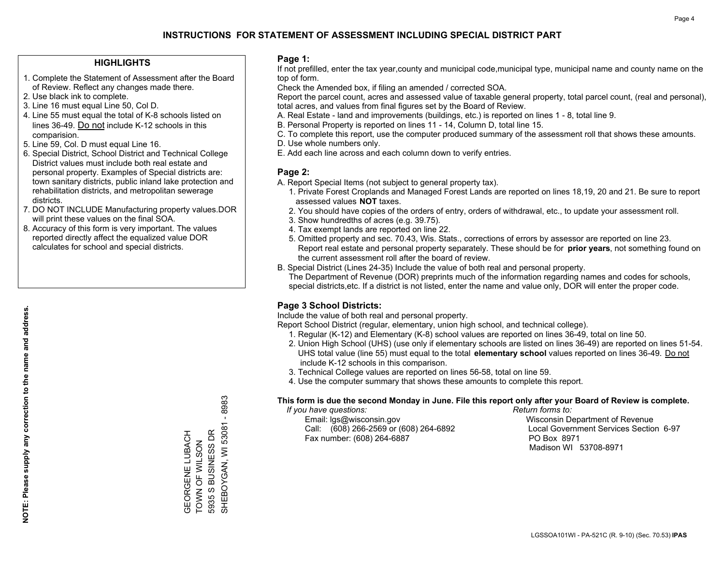## **HIGHLIGHTS**

- 1. Complete the Statement of Assessment after the Board of Review. Reflect any changes made there.
- 2. Use black ink to complete.
- 3. Line 16 must equal Line 50, Col D.
- 4. Line 55 must equal the total of K-8 schools listed on lines 36-49. Do not include K-12 schools in this comparision.
- 5. Line 59, Col. D must equal Line 16.
- 6. Special District, School District and Technical College District values must include both real estate and personal property. Examples of Special districts are: town sanitary districts, public inland lake protection and rehabilitation districts, and metropolitan sewerage districts.
- 7. DO NOT INCLUDE Manufacturing property values.DOR will print these values on the final SOA.

GEORGENE LUBACH TOWN OF WILSON 5935 S BUSINESS DR

GEORGENE LUBACH<br>TOWN OF WILSON<br>5935 S BUSINESS DR

SHEBOYGAN, WI 53081 - 8983

SHEBOYGAN, WI 53081 - 8983

 8. Accuracy of this form is very important. The values reported directly affect the equalized value DOR calculates for school and special districts.

#### **Page 1:**

 If not prefilled, enter the tax year,county and municipal code,municipal type, municipal name and county name on the top of form.

Check the Amended box, if filing an amended / corrected SOA.

 Report the parcel count, acres and assessed value of taxable general property, total parcel count, (real and personal), total acres, and values from final figures set by the Board of Review.

- A. Real Estate land and improvements (buildings, etc.) is reported on lines 1 8, total line 9.
- B. Personal Property is reported on lines 11 14, Column D, total line 15.
- C. To complete this report, use the computer produced summary of the assessment roll that shows these amounts.
- D. Use whole numbers only.
- E. Add each line across and each column down to verify entries.

#### **Page 2:**

- A. Report Special Items (not subject to general property tax).
- 1. Private Forest Croplands and Managed Forest Lands are reported on lines 18,19, 20 and 21. Be sure to report assessed values **NOT** taxes.
- 2. You should have copies of the orders of entry, orders of withdrawal, etc., to update your assessment roll.
	- 3. Show hundredths of acres (e.g. 39.75).
- 4. Tax exempt lands are reported on line 22.
- 5. Omitted property and sec. 70.43, Wis. Stats., corrections of errors by assessor are reported on line 23. Report real estate and personal property separately. These should be for **prior years**, not something found on the current assessment roll after the board of review.
- B. Special District (Lines 24-35) Include the value of both real and personal property.
- The Department of Revenue (DOR) preprints much of the information regarding names and codes for schools, special districts,etc. If a district is not listed, enter the name and value only, DOR will enter the proper code.

## **Page 3 School Districts:**

Include the value of both real and personal property.

Report School District (regular, elementary, union high school, and technical college).

- 1. Regular (K-12) and Elementary (K-8) school values are reported on lines 36-49, total on line 50.
- 2. Union High School (UHS) (use only if elementary schools are listed on lines 36-49) are reported on lines 51-54. UHS total value (line 55) must equal to the total **elementary school** values reported on lines 36-49. Do notinclude K-12 schools in this comparison.
- 3. Technical College values are reported on lines 56-58, total on line 59.
- 4. Use the computer summary that shows these amounts to complete this report.

#### **This form is due the second Monday in June. File this report only after your Board of Review is complete.**

 *If you have questions: Return forms to:*

 Email: lgs@wisconsin.gov Wisconsin Department of RevenueCall:  $(608)$  266-2569 or  $(608)$  264-6892 Fax number: (608) 264-6887 PO Box 8971

Local Government Services Section 6-97 Madison WI 53708-8971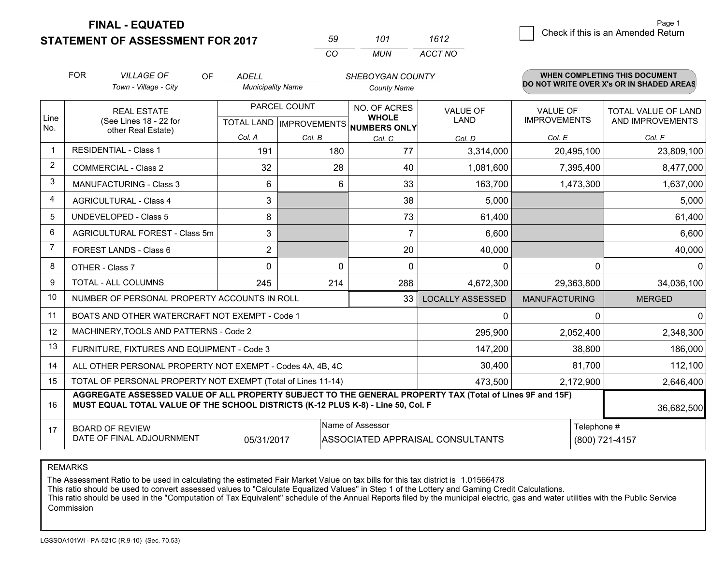**STATEMENT OF ASSESSMENT FOR 2017** 

| 59. | 101 | 1612    |
|-----|-----|---------|
| CO. | MUN | ACCT NO |

|                | <b>FOR</b><br><b>VILLAGE OF</b><br>OF<br><b>ADELL</b><br>SHEBOYGAN COUNTY                                                                                                                    |                                                           |                          |              |                                      | WHEN COMPLETING THIS DOCUMENT    |                      |                                          |
|----------------|----------------------------------------------------------------------------------------------------------------------------------------------------------------------------------------------|-----------------------------------------------------------|--------------------------|--------------|--------------------------------------|----------------------------------|----------------------|------------------------------------------|
|                |                                                                                                                                                                                              | Town - Village - City                                     | <b>Municipality Name</b> |              | <b>County Name</b>                   |                                  |                      | DO NOT WRITE OVER X's OR IN SHADED AREAS |
| Line           |                                                                                                                                                                                              | <b>REAL ESTATE</b>                                        |                          | PARCEL COUNT | NO. OF ACRES<br><b>WHOLE</b>         | <b>VALUE OF</b>                  | <b>VALUE OF</b>      | TOTAL VALUE OF LAND                      |
| No.            |                                                                                                                                                                                              | (See Lines 18 - 22 for<br>other Real Estate)              |                          |              | TOTAL LAND IMPROVEMENTS NUMBERS ONLY | LAND                             | <b>IMPROVEMENTS</b>  | AND IMPROVEMENTS                         |
|                |                                                                                                                                                                                              |                                                           | Col. A                   | Col. B       | Col. C                               | Col. D                           | Col. E               | Col. F                                   |
| $\mathbf 1$    |                                                                                                                                                                                              | <b>RESIDENTIAL - Class 1</b>                              | 191                      | 180          | 77                                   | 3,314,000                        | 20,495,100           | 23,809,100                               |
| $\overline{2}$ |                                                                                                                                                                                              | <b>COMMERCIAL - Class 2</b>                               | 32                       | 28           | 40                                   | 1,081,600                        | 7,395,400            | 8,477,000                                |
| 3              |                                                                                                                                                                                              | <b>MANUFACTURING - Class 3</b>                            | 6                        | 6            | 33                                   | 163,700                          | 1,473,300            | 1,637,000                                |
| 4              | <b>AGRICULTURAL - Class 4</b>                                                                                                                                                                |                                                           | 3                        |              | 38                                   | 5,000                            |                      | 5,000                                    |
| 5              |                                                                                                                                                                                              | UNDEVELOPED - Class 5                                     | 8                        |              | 73                                   | 61,400                           |                      | 61,400                                   |
| 6              |                                                                                                                                                                                              | AGRICULTURAL FOREST - Class 5m                            | 3                        |              | $\overline{7}$                       | 6,600                            |                      | 6,600                                    |
| 7              |                                                                                                                                                                                              | FOREST LANDS - Class 6                                    | 2                        |              | 20                                   | 40,000                           |                      | 40,000                                   |
| 8              |                                                                                                                                                                                              | OTHER - Class 7                                           | $\Omega$                 | 0            | $\Omega$                             | 0                                | $\Omega$             | $\Omega$                                 |
| 9              |                                                                                                                                                                                              | <b>TOTAL - ALL COLUMNS</b>                                | 245                      | 214          | 288                                  | 4,672,300                        | 29,363,800           | 34,036,100                               |
| 10             |                                                                                                                                                                                              | NUMBER OF PERSONAL PROPERTY ACCOUNTS IN ROLL              |                          |              | 33                                   | <b>LOCALLY ASSESSED</b>          | <b>MANUFACTURING</b> | <b>MERGED</b>                            |
| 11             |                                                                                                                                                                                              | BOATS AND OTHER WATERCRAFT NOT EXEMPT - Code 1            |                          |              |                                      | 0                                | $\Omega$             | $\Omega$                                 |
| 12             |                                                                                                                                                                                              | MACHINERY, TOOLS AND PATTERNS - Code 2                    |                          |              |                                      | 295,900                          | 2,052,400            | 2,348,300                                |
| 13             |                                                                                                                                                                                              | FURNITURE, FIXTURES AND EQUIPMENT - Code 3                |                          |              |                                      | 147,200                          | 38,800               | 186,000                                  |
| 14             |                                                                                                                                                                                              | ALL OTHER PERSONAL PROPERTY NOT EXEMPT - Codes 4A, 4B, 4C |                          |              | 30,400                               | 81,700                           | 112,100              |                                          |
| 15             | TOTAL OF PERSONAL PROPERTY NOT EXEMPT (Total of Lines 11-14)                                                                                                                                 |                                                           |                          |              |                                      | 473,500                          | 2,172,900            | 2,646,400                                |
| 16             | AGGREGATE ASSESSED VALUE OF ALL PROPERTY SUBJECT TO THE GENERAL PROPERTY TAX (Total of Lines 9F and 15F)<br>MUST EQUAL TOTAL VALUE OF THE SCHOOL DISTRICTS (K-12 PLUS K-8) - Line 50, Col. F |                                                           |                          |              |                                      |                                  |                      | 36,682,500                               |
| 17             |                                                                                                                                                                                              | <b>BOARD OF REVIEW</b>                                    |                          |              | Name of Assessor                     |                                  | Telephone #          |                                          |
|                |                                                                                                                                                                                              | DATE OF FINAL ADJOURNMENT                                 | 05/31/2017               |              |                                      | ASSOCIATED APPRAISAL CONSULTANTS |                      | (800) 721-4157                           |

REMARKS

The Assessment Ratio to be used in calculating the estimated Fair Market Value on tax bills for this tax district is 1.01566478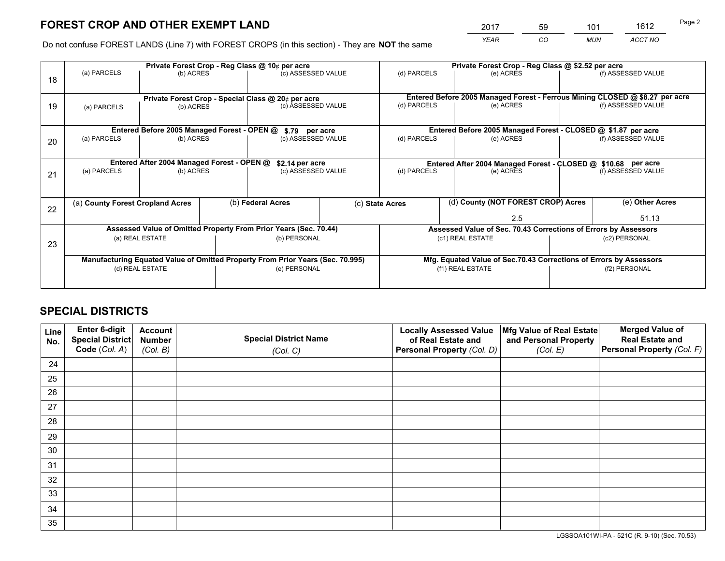*YEAR CO MUN ACCT NO* <sup>2017</sup> <sup>59</sup> <sup>101</sup> <sup>1612</sup>

Do not confuse FOREST LANDS (Line 7) with FOREST CROPS (in this section) - They are **NOT** the same

|    |                                                                                |                                                       |  | Private Forest Crop - Reg Class @ 10¢ per acre |                                    | Private Forest Crop - Reg Class @ \$2.52 per acre             |                                                                    |                 |                    |                                                                              |
|----|--------------------------------------------------------------------------------|-------------------------------------------------------|--|------------------------------------------------|------------------------------------|---------------------------------------------------------------|--------------------------------------------------------------------|-----------------|--------------------|------------------------------------------------------------------------------|
| 18 | (a) PARCELS                                                                    | (b) ACRES                                             |  | (c) ASSESSED VALUE                             |                                    | (d) PARCELS                                                   | (e) ACRES                                                          |                 |                    | (f) ASSESSED VALUE                                                           |
|    | Private Forest Crop - Special Class @ 20¢ per acre                             |                                                       |  |                                                |                                    |                                                               |                                                                    |                 |                    | Entered Before 2005 Managed Forest - Ferrous Mining CLOSED @ \$8.27 per acre |
| 19 | (a) PARCELS                                                                    | (b) ACRES                                             |  | (c) ASSESSED VALUE                             |                                    | (d) PARCELS                                                   | (e) ACRES                                                          |                 |                    | (f) ASSESSED VALUE                                                           |
|    |                                                                                | Entered Before 2005 Managed Forest - OPEN @           |  |                                                |                                    |                                                               | Entered Before 2005 Managed Forest - CLOSED @ \$1.87 per acre      |                 |                    |                                                                              |
|    | (a) PARCELS                                                                    | (b) ACRES                                             |  | \$.79 per acre<br>(c) ASSESSED VALUE           |                                    | (d) PARCELS                                                   | (e) ACRES                                                          |                 |                    | (f) ASSESSED VALUE                                                           |
| 20 |                                                                                |                                                       |  |                                                |                                    |                                                               |                                                                    |                 |                    |                                                                              |
|    | Entered After 2004 Managed Forest - OPEN @                                     |                                                       |  | \$2.14 per acre                                |                                    | Entered After 2004 Managed Forest - CLOSED @ \$10.68 per acre |                                                                    |                 |                    |                                                                              |
| 21 | (a) PARCELS                                                                    | (b) ACRES                                             |  | (c) ASSESSED VALUE                             |                                    | (d) PARCELS<br>(e) ACRES                                      |                                                                    |                 | (f) ASSESSED VALUE |                                                                              |
|    |                                                                                |                                                       |  |                                                |                                    |                                                               |                                                                    |                 |                    |                                                                              |
|    |                                                                                | (b) Federal Acres<br>(a) County Forest Cropland Acres |  | (c) State Acres                                | (d) County (NOT FOREST CROP) Acres |                                                               |                                                                    | (e) Other Acres |                    |                                                                              |
| 22 |                                                                                |                                                       |  |                                                |                                    |                                                               |                                                                    | 2.5             |                    | 51.13                                                                        |
|    | Assessed Value of Omitted Property From Prior Years (Sec. 70.44)               |                                                       |  |                                                |                                    |                                                               | Assessed Value of Sec. 70.43 Corrections of Errors by Assessors    |                 |                    |                                                                              |
|    |                                                                                | (a) REAL ESTATE                                       |  | (b) PERSONAL                                   |                                    | (c1) REAL ESTATE                                              |                                                                    |                 | (c2) PERSONAL      |                                                                              |
|    | 23                                                                             |                                                       |  |                                                |                                    |                                                               |                                                                    |                 |                    |                                                                              |
|    | Manufacturing Equated Value of Omitted Property From Prior Years (Sec. 70.995) |                                                       |  |                                                |                                    |                                                               | Mfg. Equated Value of Sec.70.43 Corrections of Errors by Assessors |                 |                    |                                                                              |
|    |                                                                                | (d) REAL ESTATE                                       |  | (e) PERSONAL                                   |                                    |                                                               | (f1) REAL ESTATE                                                   |                 |                    | (f2) PERSONAL                                                                |
|    |                                                                                |                                                       |  |                                                |                                    |                                                               |                                                                    |                 |                    |                                                                              |

## **SPECIAL DISTRICTS**

| Line<br>No. | Enter 6-digit<br>Special District<br>Code (Col. A) | <b>Account</b><br><b>Number</b> | <b>Special District Name</b> | <b>Locally Assessed Value</b><br>of Real Estate and | Mfg Value of Real Estate<br>and Personal Property | <b>Merged Value of</b><br><b>Real Estate and</b><br>Personal Property (Col. F) |
|-------------|----------------------------------------------------|---------------------------------|------------------------------|-----------------------------------------------------|---------------------------------------------------|--------------------------------------------------------------------------------|
|             |                                                    | (Col. B)                        | (Col. C)                     | Personal Property (Col. D)                          | (Col. E)                                          |                                                                                |
| 24          |                                                    |                                 |                              |                                                     |                                                   |                                                                                |
| 25          |                                                    |                                 |                              |                                                     |                                                   |                                                                                |
| 26          |                                                    |                                 |                              |                                                     |                                                   |                                                                                |
| 27          |                                                    |                                 |                              |                                                     |                                                   |                                                                                |
| 28          |                                                    |                                 |                              |                                                     |                                                   |                                                                                |
| 29          |                                                    |                                 |                              |                                                     |                                                   |                                                                                |
| 30          |                                                    |                                 |                              |                                                     |                                                   |                                                                                |
| 31          |                                                    |                                 |                              |                                                     |                                                   |                                                                                |
| 32          |                                                    |                                 |                              |                                                     |                                                   |                                                                                |
| 33          |                                                    |                                 |                              |                                                     |                                                   |                                                                                |
| 34          |                                                    |                                 |                              |                                                     |                                                   |                                                                                |
| 35          |                                                    |                                 |                              |                                                     |                                                   |                                                                                |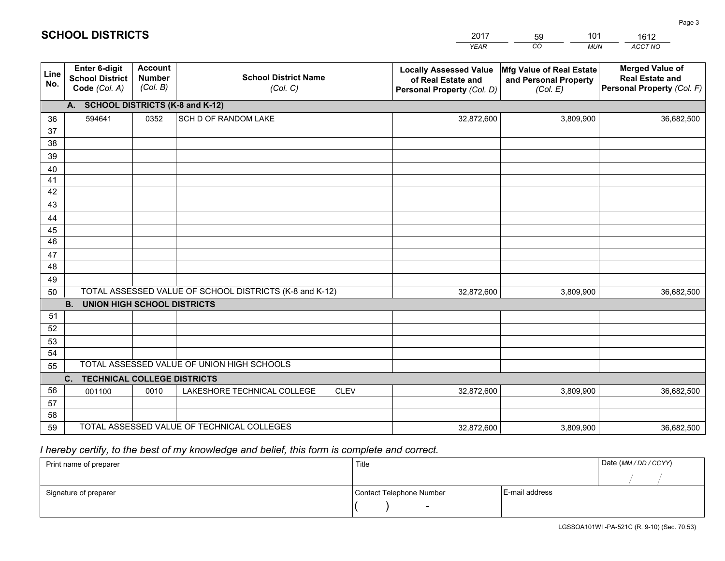| <b>Account</b><br><b>Merged Value of</b><br><b>Enter 6-digit</b><br><b>Locally Assessed Value</b><br>Mfg Value of Real Estate<br>Line<br><b>Number</b><br><b>School District Name</b><br><b>School District</b><br><b>Real Estate and</b><br>of Real Estate and<br>and Personal Property<br>No.<br>(Col. B)<br>Code (Col. A)<br>Personal Property (Col. F)<br>(Col. C)<br>Personal Property (Col. D)<br>(Col. E)<br>A. SCHOOL DISTRICTS (K-8 and K-12)<br>0352<br>SCH D OF RANDOM LAKE<br>3,809,900<br>594641<br>32,872,600<br>36,682,500<br>36<br>37<br>38<br>39<br>40<br>41<br>42<br>43<br>44<br>45<br>46<br>47<br>48<br>49<br>TOTAL ASSESSED VALUE OF SCHOOL DISTRICTS (K-8 and K-12)<br>50<br>32,872,600<br>3,809,900<br>36,682,500<br><b>B.</b><br>UNION HIGH SCHOOL DISTRICTS<br>51<br>52<br>53<br>54<br>TOTAL ASSESSED VALUE OF UNION HIGH SCHOOLS<br>55<br>C.<br><b>TECHNICAL COLLEGE DISTRICTS</b><br>56<br>LAKESHORE TECHNICAL COLLEGE<br><b>CLEV</b><br>32,872,600<br>3,809,900<br>0010<br>36,682,500<br>001100 |    |  | <b>YEAR</b> | CO<br><b>MUN</b> | ACCT NO |
|----------------------------------------------------------------------------------------------------------------------------------------------------------------------------------------------------------------------------------------------------------------------------------------------------------------------------------------------------------------------------------------------------------------------------------------------------------------------------------------------------------------------------------------------------------------------------------------------------------------------------------------------------------------------------------------------------------------------------------------------------------------------------------------------------------------------------------------------------------------------------------------------------------------------------------------------------------------------------------------------------------------------------|----|--|-------------|------------------|---------|
|                                                                                                                                                                                                                                                                                                                                                                                                                                                                                                                                                                                                                                                                                                                                                                                                                                                                                                                                                                                                                            |    |  |             |                  |         |
|                                                                                                                                                                                                                                                                                                                                                                                                                                                                                                                                                                                                                                                                                                                                                                                                                                                                                                                                                                                                                            |    |  |             |                  |         |
|                                                                                                                                                                                                                                                                                                                                                                                                                                                                                                                                                                                                                                                                                                                                                                                                                                                                                                                                                                                                                            |    |  |             |                  |         |
|                                                                                                                                                                                                                                                                                                                                                                                                                                                                                                                                                                                                                                                                                                                                                                                                                                                                                                                                                                                                                            |    |  |             |                  |         |
|                                                                                                                                                                                                                                                                                                                                                                                                                                                                                                                                                                                                                                                                                                                                                                                                                                                                                                                                                                                                                            |    |  |             |                  |         |
|                                                                                                                                                                                                                                                                                                                                                                                                                                                                                                                                                                                                                                                                                                                                                                                                                                                                                                                                                                                                                            |    |  |             |                  |         |
|                                                                                                                                                                                                                                                                                                                                                                                                                                                                                                                                                                                                                                                                                                                                                                                                                                                                                                                                                                                                                            |    |  |             |                  |         |
|                                                                                                                                                                                                                                                                                                                                                                                                                                                                                                                                                                                                                                                                                                                                                                                                                                                                                                                                                                                                                            |    |  |             |                  |         |
|                                                                                                                                                                                                                                                                                                                                                                                                                                                                                                                                                                                                                                                                                                                                                                                                                                                                                                                                                                                                                            |    |  |             |                  |         |
|                                                                                                                                                                                                                                                                                                                                                                                                                                                                                                                                                                                                                                                                                                                                                                                                                                                                                                                                                                                                                            |    |  |             |                  |         |
|                                                                                                                                                                                                                                                                                                                                                                                                                                                                                                                                                                                                                                                                                                                                                                                                                                                                                                                                                                                                                            |    |  |             |                  |         |
|                                                                                                                                                                                                                                                                                                                                                                                                                                                                                                                                                                                                                                                                                                                                                                                                                                                                                                                                                                                                                            |    |  |             |                  |         |
|                                                                                                                                                                                                                                                                                                                                                                                                                                                                                                                                                                                                                                                                                                                                                                                                                                                                                                                                                                                                                            |    |  |             |                  |         |
|                                                                                                                                                                                                                                                                                                                                                                                                                                                                                                                                                                                                                                                                                                                                                                                                                                                                                                                                                                                                                            |    |  |             |                  |         |
|                                                                                                                                                                                                                                                                                                                                                                                                                                                                                                                                                                                                                                                                                                                                                                                                                                                                                                                                                                                                                            |    |  |             |                  |         |
|                                                                                                                                                                                                                                                                                                                                                                                                                                                                                                                                                                                                                                                                                                                                                                                                                                                                                                                                                                                                                            |    |  |             |                  |         |
|                                                                                                                                                                                                                                                                                                                                                                                                                                                                                                                                                                                                                                                                                                                                                                                                                                                                                                                                                                                                                            |    |  |             |                  |         |
|                                                                                                                                                                                                                                                                                                                                                                                                                                                                                                                                                                                                                                                                                                                                                                                                                                                                                                                                                                                                                            |    |  |             |                  |         |
|                                                                                                                                                                                                                                                                                                                                                                                                                                                                                                                                                                                                                                                                                                                                                                                                                                                                                                                                                                                                                            |    |  |             |                  |         |
|                                                                                                                                                                                                                                                                                                                                                                                                                                                                                                                                                                                                                                                                                                                                                                                                                                                                                                                                                                                                                            |    |  |             |                  |         |
|                                                                                                                                                                                                                                                                                                                                                                                                                                                                                                                                                                                                                                                                                                                                                                                                                                                                                                                                                                                                                            |    |  |             |                  |         |
|                                                                                                                                                                                                                                                                                                                                                                                                                                                                                                                                                                                                                                                                                                                                                                                                                                                                                                                                                                                                                            |    |  |             |                  |         |
|                                                                                                                                                                                                                                                                                                                                                                                                                                                                                                                                                                                                                                                                                                                                                                                                                                                                                                                                                                                                                            |    |  |             |                  |         |
|                                                                                                                                                                                                                                                                                                                                                                                                                                                                                                                                                                                                                                                                                                                                                                                                                                                                                                                                                                                                                            | 57 |  |             |                  |         |
| 58                                                                                                                                                                                                                                                                                                                                                                                                                                                                                                                                                                                                                                                                                                                                                                                                                                                                                                                                                                                                                         |    |  |             |                  |         |
| TOTAL ASSESSED VALUE OF TECHNICAL COLLEGES<br>59<br>3,809,900<br>32,872,600<br>36,682,500                                                                                                                                                                                                                                                                                                                                                                                                                                                                                                                                                                                                                                                                                                                                                                                                                                                                                                                                  |    |  |             |                  |         |

59

101

 *I hereby certify, to the best of my knowledge and belief, this form is complete and correct.*

**SCHOOL DISTRICTS**

| Print name of preparer | Title                    |                | Date (MM/DD/CCYY) |
|------------------------|--------------------------|----------------|-------------------|
|                        |                          |                |                   |
| Signature of preparer  | Contact Telephone Number | E-mail address |                   |
|                        | $\overline{\phantom{0}}$ |                |                   |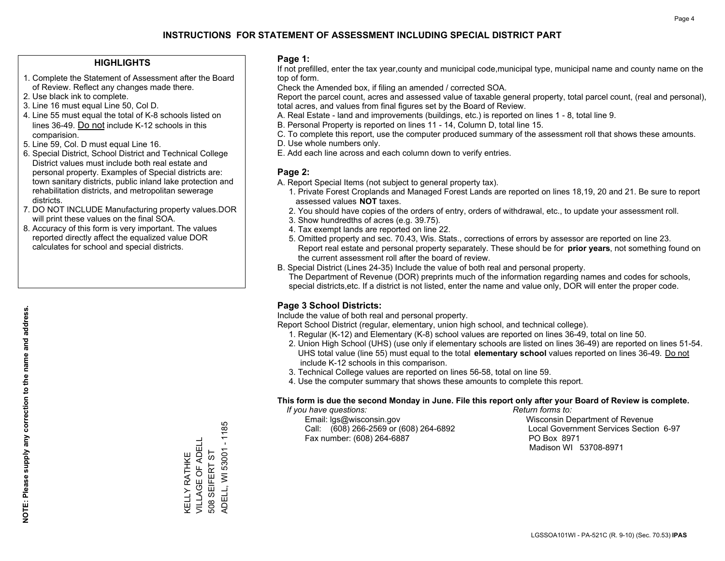## **HIGHLIGHTS**

- 1. Complete the Statement of Assessment after the Board of Review. Reflect any changes made there.
- 2. Use black ink to complete.
- 3. Line 16 must equal Line 50, Col D.
- 4. Line 55 must equal the total of K-8 schools listed on lines 36-49. Do not include K-12 schools in this comparision.
- 5. Line 59, Col. D must equal Line 16.
- 6. Special District, School District and Technical College District values must include both real estate and personal property. Examples of Special districts are: town sanitary districts, public inland lake protection and rehabilitation districts, and metropolitan sewerage districts.
- 7. DO NOT INCLUDE Manufacturing property values.DOR will print these values on the final SOA.

KELLY RATHKE VILLAGE OF ADELL 508 SEIFERT ST

KELLY RATHKE<br>VILLAGE OF ADELL 508 SEIFERT ST ADELL, WI 53001 - 1185

ADELL, WI 53001 - 1185

 8. Accuracy of this form is very important. The values reported directly affect the equalized value DOR calculates for school and special districts.

#### **Page 1:**

 If not prefilled, enter the tax year,county and municipal code,municipal type, municipal name and county name on the top of form.

Check the Amended box, if filing an amended / corrected SOA.

 Report the parcel count, acres and assessed value of taxable general property, total parcel count, (real and personal), total acres, and values from final figures set by the Board of Review.

- A. Real Estate land and improvements (buildings, etc.) is reported on lines 1 8, total line 9.
- B. Personal Property is reported on lines 11 14, Column D, total line 15.
- C. To complete this report, use the computer produced summary of the assessment roll that shows these amounts.
- D. Use whole numbers only.
- E. Add each line across and each column down to verify entries.

## **Page 2:**

- A. Report Special Items (not subject to general property tax).
- 1. Private Forest Croplands and Managed Forest Lands are reported on lines 18,19, 20 and 21. Be sure to report assessed values **NOT** taxes.
- 2. You should have copies of the orders of entry, orders of withdrawal, etc., to update your assessment roll.
	- 3. Show hundredths of acres (e.g. 39.75).
- 4. Tax exempt lands are reported on line 22.
- 5. Omitted property and sec. 70.43, Wis. Stats., corrections of errors by assessor are reported on line 23. Report real estate and personal property separately. These should be for **prior years**, not something found on the current assessment roll after the board of review.
- B. Special District (Lines 24-35) Include the value of both real and personal property.

 The Department of Revenue (DOR) preprints much of the information regarding names and codes for schools, special districts,etc. If a district is not listed, enter the name and value only, DOR will enter the proper code.

## **Page 3 School Districts:**

Include the value of both real and personal property.

Report School District (regular, elementary, union high school, and technical college).

- 1. Regular (K-12) and Elementary (K-8) school values are reported on lines 36-49, total on line 50.
- 2. Union High School (UHS) (use only if elementary schools are listed on lines 36-49) are reported on lines 51-54. UHS total value (line 55) must equal to the total **elementary school** values reported on lines 36-49. Do notinclude K-12 schools in this comparison.
- 3. Technical College values are reported on lines 56-58, total on line 59.
- 4. Use the computer summary that shows these amounts to complete this report.

#### **This form is due the second Monday in June. File this report only after your Board of Review is complete.**

 *If you have questions: Return forms to:*

 Email: lgs@wisconsin.gov Wisconsin Department of RevenueCall:  $(608)$  266-2569 or  $(608)$  264-6892 Fax number: (608) 264-6887 PO Box 8971

Local Government Services Section 6-97

Madison WI 53708-8971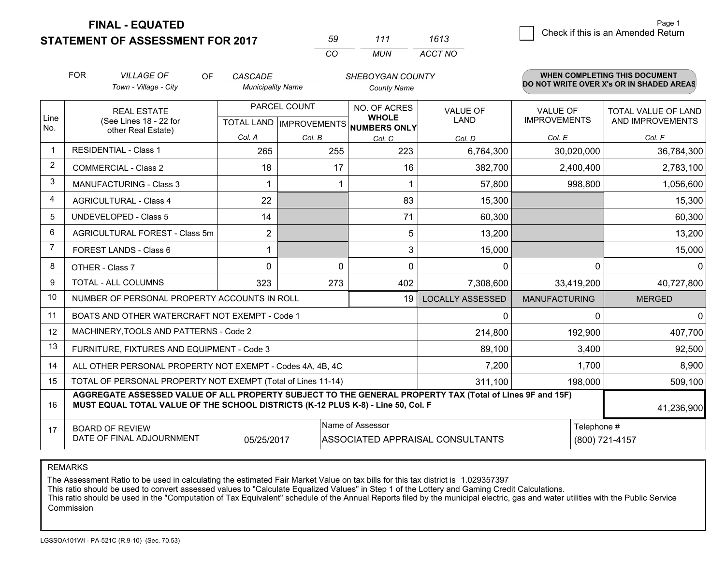**STATEMENT OF ASSESSMENT FOR 2017** 

|          | 111 | 1613    |
|----------|-----|---------|
| $\cdots$ | MUN | ACCT NO |

|                | <b>FOR</b>                                                                                                                                                                                   | <b>VILLAGE OF</b><br>OF                                   | CASCADE                  |                                           | <b>SHEBOYGAN COUNTY</b>                      |                                |                                        | <b>WHEN COMPLETING THIS DOCUMENT</b>           |
|----------------|----------------------------------------------------------------------------------------------------------------------------------------------------------------------------------------------|-----------------------------------------------------------|--------------------------|-------------------------------------------|----------------------------------------------|--------------------------------|----------------------------------------|------------------------------------------------|
|                |                                                                                                                                                                                              | Town - Village - City                                     | <b>Municipality Name</b> |                                           | <b>County Name</b>                           |                                |                                        | DO NOT WRITE OVER X's OR IN SHADED AREAS       |
| Line<br>No.    | <b>REAL ESTATE</b><br>(See Lines 18 - 22 for                                                                                                                                                 |                                                           |                          | PARCEL COUNT<br>TOTAL LAND   IMPROVEMENTS | NO. OF ACRES<br><b>WHOLE</b><br>NUMBERS ONLY | <b>VALUE OF</b><br><b>LAND</b> | <b>VALUE OF</b><br><b>IMPROVEMENTS</b> | <b>TOTAL VALUE OF LAND</b><br>AND IMPROVEMENTS |
|                |                                                                                                                                                                                              | other Real Estate)                                        | Col. A                   | Col. B                                    | Col. C                                       | Col. D                         | Col. E                                 | Col. F                                         |
| $\overline{1}$ |                                                                                                                                                                                              | <b>RESIDENTIAL - Class 1</b>                              | 265                      | 255                                       | 223                                          | 6,764,300                      | 30,020,000                             | 36,784,300                                     |
| $\overline{2}$ |                                                                                                                                                                                              | <b>COMMERCIAL - Class 2</b>                               | 18                       | 17                                        | 16                                           | 382,700                        | 2,400,400                              | 2,783,100                                      |
| 3              |                                                                                                                                                                                              | <b>MANUFACTURING - Class 3</b>                            |                          |                                           |                                              | 57,800                         | 998,800                                | 1,056,600                                      |
| $\overline{4}$ |                                                                                                                                                                                              | <b>AGRICULTURAL - Class 4</b>                             | 22                       |                                           | 83                                           | 15,300                         |                                        | 15,300                                         |
| 5              |                                                                                                                                                                                              | <b>UNDEVELOPED - Class 5</b>                              | 14                       |                                           | 71                                           | 60,300                         |                                        | 60,300                                         |
| 6              |                                                                                                                                                                                              | AGRICULTURAL FOREST - Class 5m                            | $\overline{2}$           |                                           | 5                                            | 13,200                         |                                        | 13,200                                         |
| $\overline{7}$ |                                                                                                                                                                                              | FOREST LANDS - Class 6                                    |                          |                                           | 3                                            | 15,000                         |                                        | 15,000                                         |
| 8              |                                                                                                                                                                                              | OTHER - Class 7                                           | $\Omega$                 | $\Omega$                                  | $\Omega$                                     | $\Omega$                       | $\Omega$                               | $\Omega$                                       |
| 9              |                                                                                                                                                                                              | TOTAL - ALL COLUMNS                                       | 323                      | 273                                       | 402                                          | 7,308,600                      | 33,419,200                             | 40,727,800                                     |
| 10             |                                                                                                                                                                                              | NUMBER OF PERSONAL PROPERTY ACCOUNTS IN ROLL              |                          |                                           | 19                                           | <b>LOCALLY ASSESSED</b>        | <b>MANUFACTURING</b>                   | <b>MERGED</b>                                  |
| 11             |                                                                                                                                                                                              | BOATS AND OTHER WATERCRAFT NOT EXEMPT - Code 1            |                          |                                           |                                              | 0                              | $\Omega$                               | $\mathbf{0}$                                   |
| 12             |                                                                                                                                                                                              | MACHINERY, TOOLS AND PATTERNS - Code 2                    |                          |                                           |                                              | 214,800                        | 192,900                                | 407,700                                        |
| 13             |                                                                                                                                                                                              | FURNITURE, FIXTURES AND EQUIPMENT - Code 3                |                          |                                           |                                              | 89,100                         | 3,400                                  | 92,500                                         |
| 14             |                                                                                                                                                                                              | ALL OTHER PERSONAL PROPERTY NOT EXEMPT - Codes 4A, 4B, 4C |                          | 7,200                                     | 1,700                                        | 8,900                          |                                        |                                                |
| 15             | TOTAL OF PERSONAL PROPERTY NOT EXEMPT (Total of Lines 11-14)                                                                                                                                 |                                                           |                          |                                           |                                              | 311,100                        | 198,000                                | 509,100                                        |
| 16             | AGGREGATE ASSESSED VALUE OF ALL PROPERTY SUBJECT TO THE GENERAL PROPERTY TAX (Total of Lines 9F and 15F)<br>MUST EQUAL TOTAL VALUE OF THE SCHOOL DISTRICTS (K-12 PLUS K-8) - Line 50, Col. F |                                                           |                          |                                           |                                              |                                |                                        | 41,236,900                                     |
| 17             | Name of Assessor<br><b>BOARD OF REVIEW</b><br>DATE OF FINAL ADJOURNMENT<br>ASSOCIATED APPRAISAL CONSULTANTS<br>05/25/2017                                                                    |                                                           |                          |                                           |                                              |                                | Telephone #                            | (800) 721-4157                                 |

REMARKS

The Assessment Ratio to be used in calculating the estimated Fair Market Value on tax bills for this tax district is 1.029357397<br>This ratio should be used to convert assessed values to "Calculate Equalized Values" in Step Commission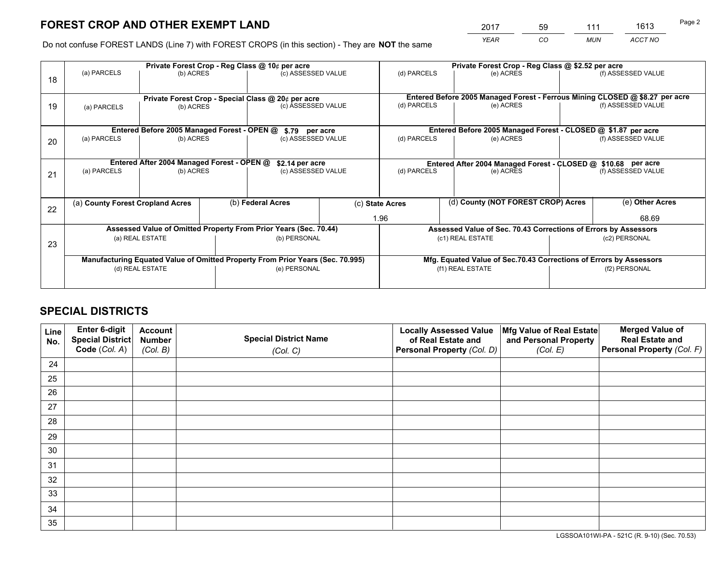*YEAR CO MUN ACCT NO* <sup>2017</sup> <sup>59</sup> <sup>111</sup> <sup>1613</sup>

Do not confuse FOREST LANDS (Line 7) with FOREST CROPS (in this section) - They are **NOT** the same

| (f) ASSESSED VALUE<br>Entered Before 2005 Managed Forest - Ferrous Mining CLOSED @ \$8.27 per acre<br>(f) ASSESSED VALUE<br>Entered Before 2005 Managed Forest - CLOSED @ \$1.87 per acre<br>(f) ASSESSED VALUE |  |  |
|-----------------------------------------------------------------------------------------------------------------------------------------------------------------------------------------------------------------|--|--|
|                                                                                                                                                                                                                 |  |  |
|                                                                                                                                                                                                                 |  |  |
|                                                                                                                                                                                                                 |  |  |
|                                                                                                                                                                                                                 |  |  |
|                                                                                                                                                                                                                 |  |  |
|                                                                                                                                                                                                                 |  |  |
| Entered After 2004 Managed Forest - CLOSED @ \$10.68 per acre                                                                                                                                                   |  |  |
| (f) ASSESSED VALUE                                                                                                                                                                                              |  |  |
|                                                                                                                                                                                                                 |  |  |
| (e) Other Acres                                                                                                                                                                                                 |  |  |
| 68.69                                                                                                                                                                                                           |  |  |
| Assessed Value of Sec. 70.43 Corrections of Errors by Assessors                                                                                                                                                 |  |  |
| (c2) PERSONAL                                                                                                                                                                                                   |  |  |
|                                                                                                                                                                                                                 |  |  |
| Mfg. Equated Value of Sec.70.43 Corrections of Errors by Assessors                                                                                                                                              |  |  |
|                                                                                                                                                                                                                 |  |  |
| (f2) PERSONAL                                                                                                                                                                                                   |  |  |
|                                                                                                                                                                                                                 |  |  |

## **SPECIAL DISTRICTS**

| Line<br>No. | Enter 6-digit<br>Special District<br>Code (Col. A) | <b>Account</b><br><b>Number</b><br>(Col. B) | <b>Special District Name</b><br>(Col. C) | <b>Locally Assessed Value</b><br>of Real Estate and<br>Personal Property (Col. D) | Mfg Value of Real Estate<br>and Personal Property<br>(Col. E) | <b>Merged Value of</b><br><b>Real Estate and</b><br>Personal Property (Col. F) |
|-------------|----------------------------------------------------|---------------------------------------------|------------------------------------------|-----------------------------------------------------------------------------------|---------------------------------------------------------------|--------------------------------------------------------------------------------|
| 24          |                                                    |                                             |                                          |                                                                                   |                                                               |                                                                                |
| 25          |                                                    |                                             |                                          |                                                                                   |                                                               |                                                                                |
| 26          |                                                    |                                             |                                          |                                                                                   |                                                               |                                                                                |
| 27          |                                                    |                                             |                                          |                                                                                   |                                                               |                                                                                |
| 28          |                                                    |                                             |                                          |                                                                                   |                                                               |                                                                                |
| 29          |                                                    |                                             |                                          |                                                                                   |                                                               |                                                                                |
| 30          |                                                    |                                             |                                          |                                                                                   |                                                               |                                                                                |
| 31          |                                                    |                                             |                                          |                                                                                   |                                                               |                                                                                |
| 32          |                                                    |                                             |                                          |                                                                                   |                                                               |                                                                                |
| 33          |                                                    |                                             |                                          |                                                                                   |                                                               |                                                                                |
| 34          |                                                    |                                             |                                          |                                                                                   |                                                               |                                                                                |
| 35          |                                                    |                                             |                                          |                                                                                   |                                                               |                                                                                |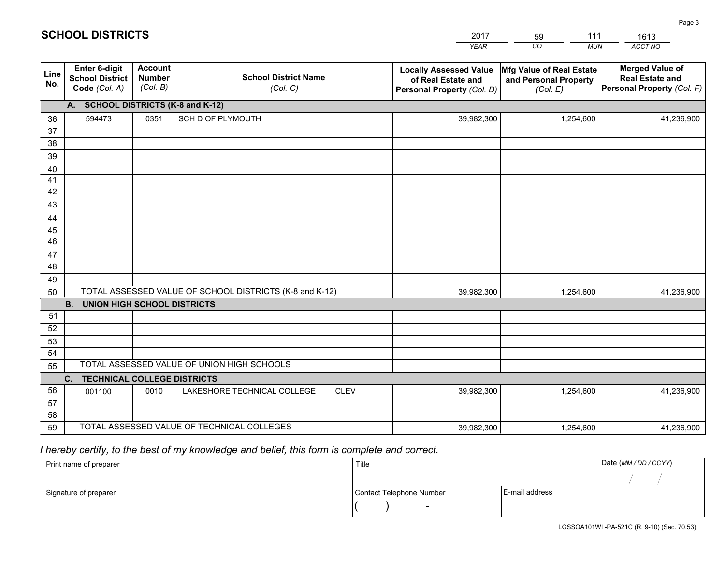|             |                                                          |                                             |                                                         | YEAR                                                                              | CO.<br><b>MUN</b>                                             | ACCT NO                                                                        |
|-------------|----------------------------------------------------------|---------------------------------------------|---------------------------------------------------------|-----------------------------------------------------------------------------------|---------------------------------------------------------------|--------------------------------------------------------------------------------|
| Line<br>No. | Enter 6-digit<br><b>School District</b><br>Code (Col. A) | <b>Account</b><br><b>Number</b><br>(Col. B) | <b>School District Name</b><br>(Col. C)                 | <b>Locally Assessed Value</b><br>of Real Estate and<br>Personal Property (Col. D) | Mfg Value of Real Estate<br>and Personal Property<br>(Col. E) | <b>Merged Value of</b><br><b>Real Estate and</b><br>Personal Property (Col. F) |
|             | A. SCHOOL DISTRICTS (K-8 and K-12)                       |                                             |                                                         |                                                                                   |                                                               |                                                                                |
| 36          | 594473                                                   | 0351                                        | SCH D OF PLYMOUTH                                       | 39,982,300                                                                        | 1,254,600                                                     | 41,236,900                                                                     |
| 37          |                                                          |                                             |                                                         |                                                                                   |                                                               |                                                                                |
| 38          |                                                          |                                             |                                                         |                                                                                   |                                                               |                                                                                |
| 39          |                                                          |                                             |                                                         |                                                                                   |                                                               |                                                                                |
| 40          |                                                          |                                             |                                                         |                                                                                   |                                                               |                                                                                |
| 41<br>42    |                                                          |                                             |                                                         |                                                                                   |                                                               |                                                                                |
| 43          |                                                          |                                             |                                                         |                                                                                   |                                                               |                                                                                |
| 44          |                                                          |                                             |                                                         |                                                                                   |                                                               |                                                                                |
| 45          |                                                          |                                             |                                                         |                                                                                   |                                                               |                                                                                |
| 46          |                                                          |                                             |                                                         |                                                                                   |                                                               |                                                                                |
| 47          |                                                          |                                             |                                                         |                                                                                   |                                                               |                                                                                |
| 48          |                                                          |                                             |                                                         |                                                                                   |                                                               |                                                                                |
| 49          |                                                          |                                             |                                                         |                                                                                   |                                                               |                                                                                |
| 50          |                                                          |                                             | TOTAL ASSESSED VALUE OF SCHOOL DISTRICTS (K-8 and K-12) | 39,982,300                                                                        | 1,254,600                                                     | 41,236,900                                                                     |
|             | <b>B.</b><br>UNION HIGH SCHOOL DISTRICTS                 |                                             |                                                         |                                                                                   |                                                               |                                                                                |
| 51          |                                                          |                                             |                                                         |                                                                                   |                                                               |                                                                                |
| 52          |                                                          |                                             |                                                         |                                                                                   |                                                               |                                                                                |
| 53          |                                                          |                                             |                                                         |                                                                                   |                                                               |                                                                                |
| 54          |                                                          |                                             | TOTAL ASSESSED VALUE OF UNION HIGH SCHOOLS              |                                                                                   |                                                               |                                                                                |
| 55          |                                                          |                                             |                                                         |                                                                                   |                                                               |                                                                                |
| 56          | C.<br><b>TECHNICAL COLLEGE DISTRICTS</b>                 | 0010                                        | LAKESHORE TECHNICAL COLLEGE<br><b>CLEV</b>              | 39,982,300                                                                        | 1,254,600                                                     |                                                                                |
| 57          | 001100                                                   |                                             |                                                         |                                                                                   |                                                               | 41,236,900                                                                     |
| 58          |                                                          |                                             |                                                         |                                                                                   |                                                               |                                                                                |
| 59          |                                                          |                                             | TOTAL ASSESSED VALUE OF TECHNICAL COLLEGES              | 39,982,300                                                                        | 1,254,600                                                     | 41,236,900                                                                     |
|             |                                                          |                                             |                                                         |                                                                                   |                                                               |                                                                                |

59

111

 *I hereby certify, to the best of my knowledge and belief, this form is complete and correct.*

**SCHOOL DISTRICTS**

| Print name of preparer | Title                    | Date (MM / DD / CCYY) |  |
|------------------------|--------------------------|-----------------------|--|
|                        |                          |                       |  |
| Signature of preparer  | Contact Telephone Number | E-mail address        |  |
|                        | $\sim$                   |                       |  |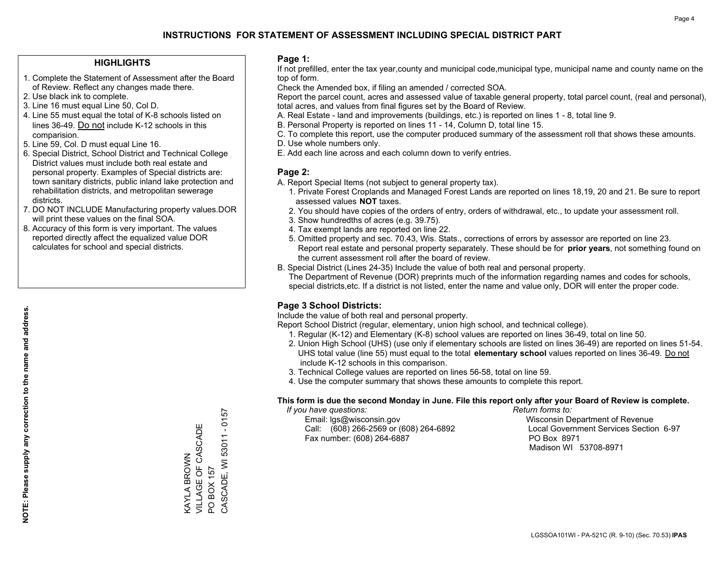## **HIGHLIGHTS**

- 1. Complete the Statement of Assessment after the Board of Review. Reflect any changes made there.
- 2. Use black ink to complete.
- 3. Line 16 must equal Line 50, Col D.
- 4. Line 55 must equal the total of K-8 schools listed on lines 36-49. Do not include K-12 schools in this comparision.
- 5. Line 59, Col. D must equal Line 16.
- 6. Special District, School District and Technical College District values must include both real estate and personal property. Examples of Special districts are: town sanitary districts, public inland lake protection and rehabilitation districts, and metropolitan sewerage districts.
- 7. DO NOT INCLUDE Manufacturing property values.DOR will print these values on the final SOA.
- 8. Accuracy of this form is very important. The values reported directly affect the equalized value DOR calculates for school and special districts.

#### **Page 1:**

 If not prefilled, enter the tax year,county and municipal code,municipal type, municipal name and county name on the top of form.

Check the Amended box, if filing an amended / corrected SOA.

 Report the parcel count, acres and assessed value of taxable general property, total parcel count, (real and personal), total acres, and values from final figures set by the Board of Review.

- A. Real Estate land and improvements (buildings, etc.) is reported on lines 1 8, total line 9.
- B. Personal Property is reported on lines 11 14, Column D, total line 15.
- C. To complete this report, use the computer produced summary of the assessment roll that shows these amounts.
- D. Use whole numbers only.
- E. Add each line across and each column down to verify entries.

## **Page 2:**

- A. Report Special Items (not subject to general property tax).
- 1. Private Forest Croplands and Managed Forest Lands are reported on lines 18,19, 20 and 21. Be sure to report assessed values **NOT** taxes.
- 2. You should have copies of the orders of entry, orders of withdrawal, etc., to update your assessment roll.
	- 3. Show hundredths of acres (e.g. 39.75).
- 4. Tax exempt lands are reported on line 22.
- 5. Omitted property and sec. 70.43, Wis. Stats., corrections of errors by assessor are reported on line 23. Report real estate and personal property separately. These should be for **prior years**, not something found on the current assessment roll after the board of review.
- B. Special District (Lines 24-35) Include the value of both real and personal property.

 The Department of Revenue (DOR) preprints much of the information regarding names and codes for schools, special districts,etc. If a district is not listed, enter the name and value only, DOR will enter the proper code.

## **Page 3 School Districts:**

Include the value of both real and personal property.

Report School District (regular, elementary, union high school, and technical college).

- 1. Regular (K-12) and Elementary (K-8) school values are reported on lines 36-49, total on line 50.
- 2. Union High School (UHS) (use only if elementary schools are listed on lines 36-49) are reported on lines 51-54. UHS total value (line 55) must equal to the total **elementary school** values reported on lines 36-49. Do notinclude K-12 schools in this comparison.
- 3. Technical College values are reported on lines 56-58, total on line 59.
- 4. Use the computer summary that shows these amounts to complete this report.

#### **This form is due the second Monday in June. File this report only after your Board of Review is complete.**

 *If you have questions: Return forms to:*

 Email: lgs@wisconsin.gov Wisconsin Department of RevenueCall:  $(608)$  266-2569 or  $(608)$  264-6892 Fax number: (608) 264-6887 PO Box 8971

Local Government Services Section 6-97 Madison WI 53708-8971

CASCADE, WI 53011 - 0157 CASCADE, WI 53011 - 0157 VILLAGE OF CASCADE VILLAGE OF CASCADE **VAYLA BROWN** KAYLA BROWN PO BOX 157 PO BOX 157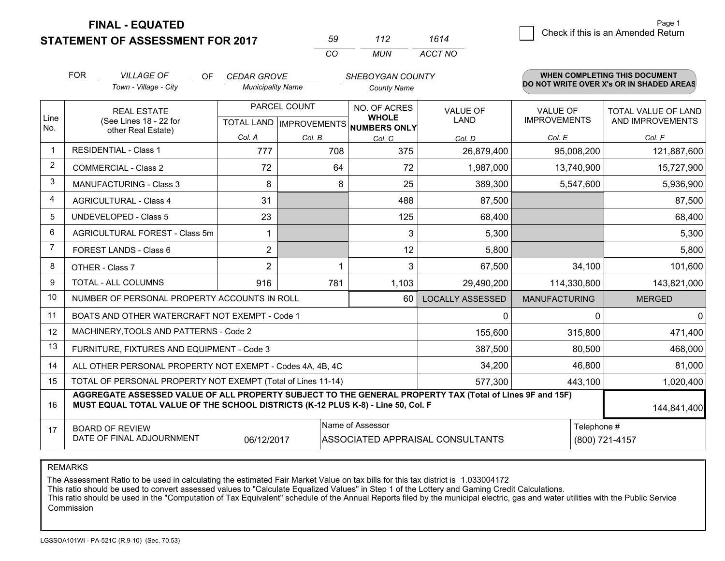**STATEMENT OF ASSESSMENT FOR 2017 FINAL - EQUATED**

| hu | 112 | 1614    |
|----|-----|---------|
| rη | MUN | ACCT NO |

|                | <b>FOR</b>                                                                                                                                                                                   | <b>VILLAGE OF</b><br><b>OF</b>                 | <b>CEDAR GROVE</b>                                  |         | SHEBOYGAN COUNTY             |                                |                                        | WHEN COMPLETING THIS DOCUMENT            |
|----------------|----------------------------------------------------------------------------------------------------------------------------------------------------------------------------------------------|------------------------------------------------|-----------------------------------------------------|---------|------------------------------|--------------------------------|----------------------------------------|------------------------------------------|
|                |                                                                                                                                                                                              | Town - Village - City                          | <b>Municipality Name</b>                            |         | <b>County Name</b>           |                                |                                        | DO NOT WRITE OVER X's OR IN SHADED AREAS |
| Line           | <b>REAL ESTATE</b><br>(See Lines 18 - 22 for<br>other Real Estate)                                                                                                                           |                                                | PARCEL COUNT<br>TOTAL LAND MPROVEMENTS NUMBERS ONLY |         | NO. OF ACRES<br><b>WHOLE</b> | <b>VALUE OF</b><br><b>LAND</b> | <b>VALUE OF</b><br><b>IMPROVEMENTS</b> | TOTAL VALUE OF LAND<br>AND IMPROVEMENTS  |
| No.            |                                                                                                                                                                                              |                                                | Col. A                                              | Col. B  | Col. C                       | Col. D                         | Col. E                                 | Col. F                                   |
| 1              |                                                                                                                                                                                              | <b>RESIDENTIAL - Class 1</b>                   | 777                                                 | 708     | 375                          | 26,879,400                     | 95,008,200                             | 121,887,600                              |
| $\overline{2}$ |                                                                                                                                                                                              | <b>COMMERCIAL - Class 2</b>                    | 72                                                  | 64      | 72                           | 1,987,000                      | 13,740,900                             | 15,727,900                               |
| 3              |                                                                                                                                                                                              | <b>MANUFACTURING - Class 3</b>                 | 8                                                   | 8       | 25                           | 389,300                        | 5,547,600                              | 5,936,900                                |
| 4              |                                                                                                                                                                                              | <b>AGRICULTURAL - Class 4</b>                  | 31                                                  |         | 488                          | 87,500                         |                                        | 87,500                                   |
| 5              |                                                                                                                                                                                              | <b>UNDEVELOPED - Class 5</b>                   | 23                                                  |         | 125                          | 68,400                         |                                        | 68,400                                   |
| 6              |                                                                                                                                                                                              | AGRICULTURAL FOREST - Class 5m                 |                                                     |         | 3                            | 5,300                          |                                        | 5,300                                    |
| 7              |                                                                                                                                                                                              | FOREST LANDS - Class 6                         | $\overline{2}$                                      |         | 12                           | 5,800                          |                                        | 5,800                                    |
| 8              |                                                                                                                                                                                              | OTHER - Class 7                                | $\overline{2}$                                      |         | 3                            | 67,500                         | 34,100                                 | 101,600                                  |
| 9              | TOTAL - ALL COLUMNS<br>916                                                                                                                                                                   |                                                | 781                                                 | 1,103   | 29,490,200                   | 114,330,800                    | 143,821,000                            |                                          |
| 10             | NUMBER OF PERSONAL PROPERTY ACCOUNTS IN ROLL                                                                                                                                                 |                                                |                                                     |         | 60 <sup>1</sup>              | <b>LOCALLY ASSESSED</b>        | <b>MANUFACTURING</b>                   | <b>MERGED</b>                            |
| 11             |                                                                                                                                                                                              | BOATS AND OTHER WATERCRAFT NOT EXEMPT - Code 1 |                                                     |         |                              | 0                              | $\Omega$                               | $\mathbf{0}$                             |
| 12             |                                                                                                                                                                                              | MACHINERY, TOOLS AND PATTERNS - Code 2         |                                                     |         |                              | 155,600                        | 315,800                                | 471,400                                  |
| 13             |                                                                                                                                                                                              | FURNITURE, FIXTURES AND EQUIPMENT - Code 3     |                                                     | 387,500 | 80,500                       | 468,000                        |                                        |                                          |
| 14             | 34,200<br>ALL OTHER PERSONAL PROPERTY NOT EXEMPT - Codes 4A, 4B, 4C                                                                                                                          |                                                |                                                     |         |                              |                                |                                        | 81,000                                   |
| 15             | TOTAL OF PERSONAL PROPERTY NOT EXEMPT (Total of Lines 11-14)<br>577,300                                                                                                                      |                                                |                                                     |         |                              |                                | 443,100                                | 1,020,400                                |
| 16             | AGGREGATE ASSESSED VALUE OF ALL PROPERTY SUBJECT TO THE GENERAL PROPERTY TAX (Total of Lines 9F and 15F)<br>MUST EQUAL TOTAL VALUE OF THE SCHOOL DISTRICTS (K-12 PLUS K-8) - Line 50, Col. F |                                                |                                                     |         |                              |                                | 144,841,400                            |                                          |
| 17             |                                                                                                                                                                                              | <b>BOARD OF REVIEW</b>                         |                                                     |         | Name of Assessor             |                                | Telephone #                            |                                          |
|                | DATE OF FINAL ADJOURNMENT<br>06/12/2017<br>ASSOCIATED APPRAISAL CONSULTANTS                                                                                                                  |                                                |                                                     |         | (800) 721-4157               |                                |                                        |                                          |

REMARKS

The Assessment Ratio to be used in calculating the estimated Fair Market Value on tax bills for this tax district is 1.033004172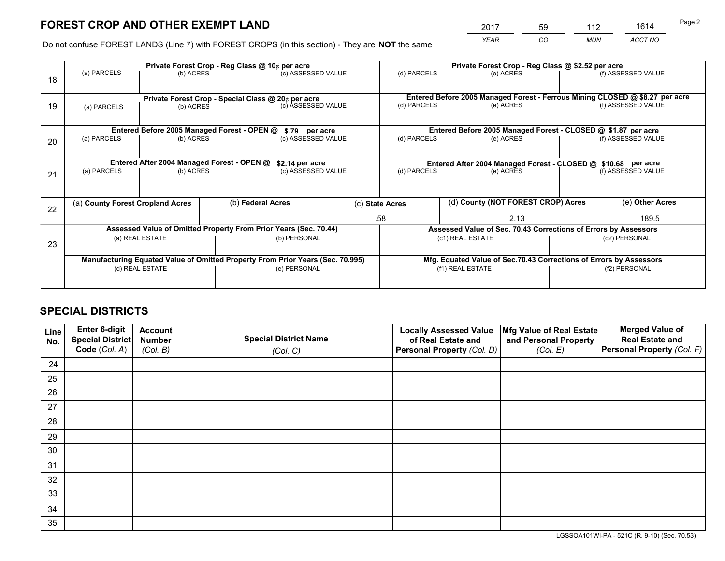*YEAR CO MUN ACCT NO* <sup>2017</sup> <sup>59</sup> <sup>112</sup> <sup>1614</sup>

Do not confuse FOREST LANDS (Line 7) with FOREST CROPS (in this section) - They are **NOT** the same

|    | Private Forest Crop - Reg Class @ 10¢ per acre                                 |                                             |                    |                                                                  |                                                               | Private Forest Crop - Reg Class @ \$2.52 per acre |                                                                              |                    |                    |  |
|----|--------------------------------------------------------------------------------|---------------------------------------------|--------------------|------------------------------------------------------------------|---------------------------------------------------------------|---------------------------------------------------|------------------------------------------------------------------------------|--------------------|--------------------|--|
| 18 | (a) PARCELS                                                                    | (b) ACRES                                   | (c) ASSESSED VALUE |                                                                  | (d) PARCELS                                                   | (e) ACRES                                         |                                                                              | (f) ASSESSED VALUE |                    |  |
|    |                                                                                |                                             |                    |                                                                  |                                                               |                                                   |                                                                              |                    |                    |  |
|    | Private Forest Crop - Special Class @ 20¢ per acre                             |                                             |                    |                                                                  |                                                               |                                                   | Entered Before 2005 Managed Forest - Ferrous Mining CLOSED @ \$8.27 per acre |                    |                    |  |
| 19 | (a) PARCELS<br>(b) ACRES                                                       |                                             |                    | (c) ASSESSED VALUE                                               |                                                               | (d) PARCELS                                       | (e) ACRES                                                                    |                    | (f) ASSESSED VALUE |  |
|    |                                                                                |                                             |                    |                                                                  |                                                               |                                                   |                                                                              |                    |                    |  |
|    |                                                                                | Entered Before 2005 Managed Forest - OPEN @ |                    | \$.79 per acre                                                   |                                                               |                                                   | Entered Before 2005 Managed Forest - CLOSED @ \$1.87 per acre                |                    |                    |  |
| 20 | (a) PARCELS                                                                    | (b) ACRES                                   |                    | (c) ASSESSED VALUE                                               |                                                               | (d) PARCELS                                       | (e) ACRES                                                                    |                    | (f) ASSESSED VALUE |  |
|    |                                                                                |                                             |                    |                                                                  |                                                               |                                                   |                                                                              |                    |                    |  |
|    | Entered After 2004 Managed Forest - OPEN @<br>\$2.14 per acre                  |                                             |                    |                                                                  | Entered After 2004 Managed Forest - CLOSED @ \$10.68 per acre |                                                   |                                                                              |                    |                    |  |
| 21 | (a) PARCELS                                                                    | (c) ASSESSED VALUE<br>(b) ACRES             |                    |                                                                  | (d) PARCELS                                                   |                                                   | (e) ACRES                                                                    |                    |                    |  |
|    |                                                                                |                                             |                    |                                                                  |                                                               |                                                   |                                                                              |                    |                    |  |
|    |                                                                                |                                             |                    |                                                                  |                                                               |                                                   | (d) County (NOT FOREST CROP) Acres                                           |                    |                    |  |
| 22 | (a) County Forest Cropland Acres                                               |                                             |                    | (b) Federal Acres                                                |                                                               | (c) State Acres                                   |                                                                              |                    | (e) Other Acres    |  |
|    |                                                                                |                                             |                    |                                                                  |                                                               | .58                                               | 2.13                                                                         |                    | 189.5              |  |
|    |                                                                                |                                             |                    | Assessed Value of Omitted Property From Prior Years (Sec. 70.44) |                                                               |                                                   | Assessed Value of Sec. 70.43 Corrections of Errors by Assessors              |                    |                    |  |
| 23 | (a) REAL ESTATE                                                                |                                             |                    | (b) PERSONAL                                                     |                                                               | (c1) REAL ESTATE                                  | (c2) PERSONAL                                                                |                    |                    |  |
|    |                                                                                |                                             |                    |                                                                  |                                                               |                                                   |                                                                              |                    |                    |  |
|    | Manufacturing Equated Value of Omitted Property From Prior Years (Sec. 70.995) |                                             |                    |                                                                  |                                                               |                                                   | Mfg. Equated Value of Sec.70.43 Corrections of Errors by Assessors           |                    |                    |  |
|    | (e) PERSONAL<br>(d) REAL ESTATE                                                |                                             |                    |                                                                  | (f1) REAL ESTATE<br>(f2) PERSONAL                             |                                                   |                                                                              |                    |                    |  |
|    |                                                                                |                                             |                    |                                                                  |                                                               |                                                   |                                                                              |                    |                    |  |

## **SPECIAL DISTRICTS**

| Line<br>No. | Enter 6-digit<br>Special District<br>Code (Col. A) | <b>Account</b><br><b>Number</b> | <b>Special District Name</b> | <b>Locally Assessed Value</b><br>of Real Estate and | Mfg Value of Real Estate<br>and Personal Property | <b>Merged Value of</b><br><b>Real Estate and</b><br>Personal Property (Col. F) |
|-------------|----------------------------------------------------|---------------------------------|------------------------------|-----------------------------------------------------|---------------------------------------------------|--------------------------------------------------------------------------------|
|             |                                                    | (Col. B)                        | (Col. C)                     | Personal Property (Col. D)                          | (Col. E)                                          |                                                                                |
| 24          |                                                    |                                 |                              |                                                     |                                                   |                                                                                |
| 25          |                                                    |                                 |                              |                                                     |                                                   |                                                                                |
| 26          |                                                    |                                 |                              |                                                     |                                                   |                                                                                |
| 27          |                                                    |                                 |                              |                                                     |                                                   |                                                                                |
| 28          |                                                    |                                 |                              |                                                     |                                                   |                                                                                |
| 29          |                                                    |                                 |                              |                                                     |                                                   |                                                                                |
| 30          |                                                    |                                 |                              |                                                     |                                                   |                                                                                |
| 31          |                                                    |                                 |                              |                                                     |                                                   |                                                                                |
| 32          |                                                    |                                 |                              |                                                     |                                                   |                                                                                |
| 33          |                                                    |                                 |                              |                                                     |                                                   |                                                                                |
| 34          |                                                    |                                 |                              |                                                     |                                                   |                                                                                |
| 35          |                                                    |                                 |                              |                                                     |                                                   |                                                                                |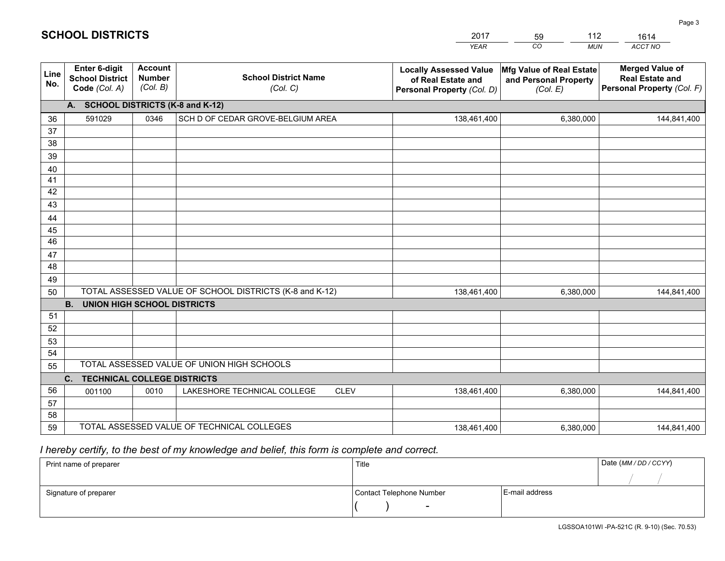|             |                                                          |                                             |                                                         | <b>YEAR</b>                                                                       | CO<br><b>MUN</b>                                              | ACCT NO                                                                        |  |  |
|-------------|----------------------------------------------------------|---------------------------------------------|---------------------------------------------------------|-----------------------------------------------------------------------------------|---------------------------------------------------------------|--------------------------------------------------------------------------------|--|--|
| Line<br>No. | Enter 6-digit<br><b>School District</b><br>Code (Col. A) | <b>Account</b><br><b>Number</b><br>(Col. B) | <b>School District Name</b><br>(Col. C)                 | <b>Locally Assessed Value</b><br>of Real Estate and<br>Personal Property (Col. D) | Mfg Value of Real Estate<br>and Personal Property<br>(Col. E) | <b>Merged Value of</b><br><b>Real Estate and</b><br>Personal Property (Col. F) |  |  |
|             | <b>SCHOOL DISTRICTS (K-8 and K-12)</b><br>A.             |                                             |                                                         |                                                                                   |                                                               |                                                                                |  |  |
| 36          | 591029                                                   | 0346                                        | SCH D OF CEDAR GROVE-BELGIUM AREA                       | 138,461,400                                                                       | 6,380,000                                                     | 144,841,400                                                                    |  |  |
| 37          |                                                          |                                             |                                                         |                                                                                   |                                                               |                                                                                |  |  |
| 38          |                                                          |                                             |                                                         |                                                                                   |                                                               |                                                                                |  |  |
| 39          |                                                          |                                             |                                                         |                                                                                   |                                                               |                                                                                |  |  |
| 40          |                                                          |                                             |                                                         |                                                                                   |                                                               |                                                                                |  |  |
| 41<br>42    |                                                          |                                             |                                                         |                                                                                   |                                                               |                                                                                |  |  |
| 43          |                                                          |                                             |                                                         |                                                                                   |                                                               |                                                                                |  |  |
| 44          |                                                          |                                             |                                                         |                                                                                   |                                                               |                                                                                |  |  |
| 45          |                                                          |                                             |                                                         |                                                                                   |                                                               |                                                                                |  |  |
| 46          |                                                          |                                             |                                                         |                                                                                   |                                                               |                                                                                |  |  |
| 47          |                                                          |                                             |                                                         |                                                                                   |                                                               |                                                                                |  |  |
| 48          |                                                          |                                             |                                                         |                                                                                   |                                                               |                                                                                |  |  |
| 49          |                                                          |                                             |                                                         |                                                                                   |                                                               |                                                                                |  |  |
| 50          |                                                          |                                             | TOTAL ASSESSED VALUE OF SCHOOL DISTRICTS (K-8 and K-12) | 138,461,400                                                                       | 6,380,000                                                     | 144,841,400                                                                    |  |  |
|             | <b>B.</b><br><b>UNION HIGH SCHOOL DISTRICTS</b>          |                                             |                                                         |                                                                                   |                                                               |                                                                                |  |  |
| 51          |                                                          |                                             |                                                         |                                                                                   |                                                               |                                                                                |  |  |
| 52          |                                                          |                                             |                                                         |                                                                                   |                                                               |                                                                                |  |  |
| 53<br>54    |                                                          |                                             |                                                         |                                                                                   |                                                               |                                                                                |  |  |
| 55          |                                                          |                                             | TOTAL ASSESSED VALUE OF UNION HIGH SCHOOLS              |                                                                                   |                                                               |                                                                                |  |  |
|             | C.<br><b>TECHNICAL COLLEGE DISTRICTS</b>                 |                                             |                                                         |                                                                                   |                                                               |                                                                                |  |  |
| 56          | 001100                                                   | 0010                                        | LAKESHORE TECHNICAL COLLEGE<br><b>CLEV</b>              | 138,461,400                                                                       | 6,380,000                                                     | 144,841,400                                                                    |  |  |
| 57          |                                                          |                                             |                                                         |                                                                                   |                                                               |                                                                                |  |  |
| 58          |                                                          |                                             |                                                         |                                                                                   |                                                               |                                                                                |  |  |
| 59          |                                                          |                                             | TOTAL ASSESSED VALUE OF TECHNICAL COLLEGES              | 138,461,400                                                                       | 6,380,000                                                     | 144,841,400                                                                    |  |  |

59

112

 *I hereby certify, to the best of my knowledge and belief, this form is complete and correct.*

**SCHOOL DISTRICTS**

| Print name of preparer | Title                    |                | Date (MM / DD / CCYY) |
|------------------------|--------------------------|----------------|-----------------------|
|                        |                          |                |                       |
| Signature of preparer  | Contact Telephone Number | E-mail address |                       |
|                        | $\sim$                   |                |                       |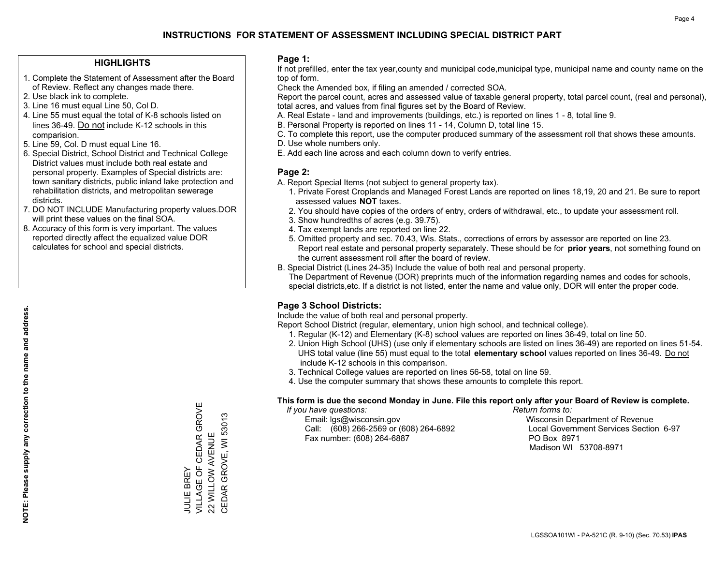## **HIGHLIGHTS**

- 1. Complete the Statement of Assessment after the Board of Review. Reflect any changes made there.
- 2. Use black ink to complete.

**NOTE: Please supply any correction to the name and address.**

NOTE: Please supply any correction to the name and address.

- 3. Line 16 must equal Line 50, Col D.
- 4. Line 55 must equal the total of K-8 schools listed on lines 36-49. Do not include K-12 schools in this comparision.
- 5. Line 59, Col. D must equal Line 16.
- 6. Special District, School District and Technical College District values must include both real estate and personal property. Examples of Special districts are: town sanitary districts, public inland lake protection and rehabilitation districts, and metropolitan sewerage districts.
- 7. DO NOT INCLUDE Manufacturing property values.DOR will print these values on the final SOA.
- 8. Accuracy of this form is very important. The values reported directly affect the equalized value DOR calculates for school and special districts.

#### **Page 1:**

 If not prefilled, enter the tax year,county and municipal code,municipal type, municipal name and county name on the top of form.

Check the Amended box, if filing an amended / corrected SOA.

 Report the parcel count, acres and assessed value of taxable general property, total parcel count, (real and personal), total acres, and values from final figures set by the Board of Review.

- A. Real Estate land and improvements (buildings, etc.) is reported on lines 1 8, total line 9.
- B. Personal Property is reported on lines 11 14, Column D, total line 15.
- C. To complete this report, use the computer produced summary of the assessment roll that shows these amounts.
- D. Use whole numbers only.
- E. Add each line across and each column down to verify entries.

## **Page 2:**

- A. Report Special Items (not subject to general property tax).
- 1. Private Forest Croplands and Managed Forest Lands are reported on lines 18,19, 20 and 21. Be sure to report assessed values **NOT** taxes.
- 2. You should have copies of the orders of entry, orders of withdrawal, etc., to update your assessment roll.
	- 3. Show hundredths of acres (e.g. 39.75).
- 4. Tax exempt lands are reported on line 22.
- 5. Omitted property and sec. 70.43, Wis. Stats., corrections of errors by assessor are reported on line 23. Report real estate and personal property separately. These should be for **prior years**, not something found on the current assessment roll after the board of review.
- B. Special District (Lines 24-35) Include the value of both real and personal property.
- The Department of Revenue (DOR) preprints much of the information regarding names and codes for schools, special districts,etc. If a district is not listed, enter the name and value only, DOR will enter the proper code.

## **Page 3 School Districts:**

Include the value of both real and personal property.

Report School District (regular, elementary, union high school, and technical college).

- 1. Regular (K-12) and Elementary (K-8) school values are reported on lines 36-49, total on line 50.
- 2. Union High School (UHS) (use only if elementary schools are listed on lines 36-49) are reported on lines 51-54. UHS total value (line 55) must equal to the total **elementary school** values reported on lines 36-49. Do notinclude K-12 schools in this comparison.
- 3. Technical College values are reported on lines 56-58, total on line 59.
- 4. Use the computer summary that shows these amounts to complete this report.

#### **This form is due the second Monday in June. File this report only after your Board of Review is complete.**

 *If you have questions: Return forms to:*

 Email: lgs@wisconsin.gov Wisconsin Department of RevenueCall:  $(608)$  266-2569 or  $(608)$  264-6892 Fax number: (608) 264-6887 PO Box 8971

Local Government Services Section 6-97 Madison WI 53708-8971

VILLAGE OF CEDAR GROVE JULIE BREY<br>VILLAGE OF CEDAR GROVE CEDAR GROVE, WI 53013 22 WILLOW AVENUE 22 WILLOW AVENUE JULIE BREY

CEDAR GROVE, WI 53013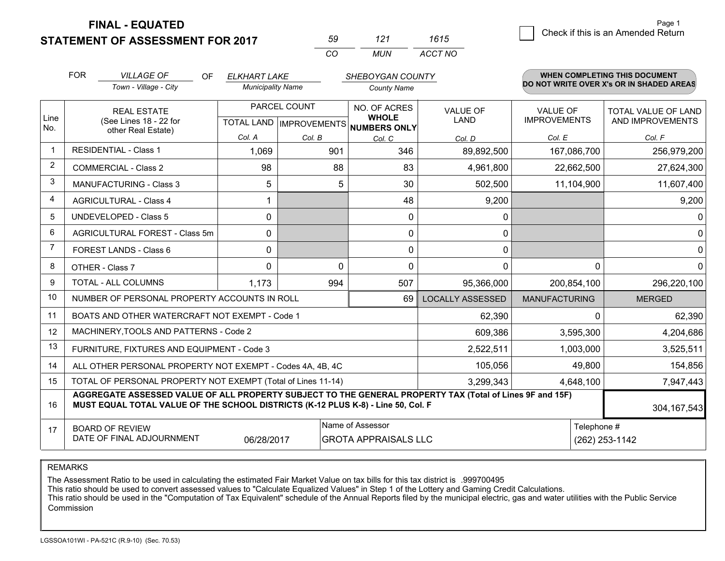**FINAL - EQUATED**

**STATEMENT OF ASSESSMENT FOR 2017** 

| 59  | 121 | 1615    |
|-----|-----|---------|
| rn. | MUN | ACCT NO |

|                | <b>FOR</b>                                                                                                                                                                                   | <b>VILLAGE OF</b><br><b>OF</b>                               | <b>ELKHART LAKE</b>      |                                                      | SHEBOYGAN COUNTY   |                                |                                        | <b>WHEN COMPLETING THIS DOCUMENT</b>     |
|----------------|----------------------------------------------------------------------------------------------------------------------------------------------------------------------------------------------|--------------------------------------------------------------|--------------------------|------------------------------------------------------|--------------------|--------------------------------|----------------------------------------|------------------------------------------|
|                |                                                                                                                                                                                              | Town - Village - City                                        | <b>Municipality Name</b> |                                                      | <b>County Name</b> |                                |                                        | DO NOT WRITE OVER X's OR IN SHADED AREAS |
| Line<br>No.    | <b>REAL ESTATE</b><br>(See Lines 18 - 22 for                                                                                                                                                 |                                                              |                          | PARCEL COUNT<br>TOTAL LAND IMPROVEMENTS NUMBERS ONLY |                    | <b>VALUE OF</b><br><b>LAND</b> | <b>VALUE OF</b><br><b>IMPROVEMENTS</b> | TOTAL VALUE OF LAND<br>AND IMPROVEMENTS  |
|                |                                                                                                                                                                                              | other Real Estate)                                           | Col. A                   | Col. B                                               | Col. C             | Col. D                         | Col. E                                 | Col. F                                   |
|                | <b>RESIDENTIAL - Class 1</b>                                                                                                                                                                 |                                                              | 1,069                    | 901                                                  | 346                | 89,892,500                     | 167,086,700                            | 256,979,200                              |
| 2              |                                                                                                                                                                                              | <b>COMMERCIAL - Class 2</b>                                  | 98                       | 88                                                   | 83                 | 4,961,800                      | 22,662,500                             | 27,624,300                               |
| 3              |                                                                                                                                                                                              | <b>MANUFACTURING - Class 3</b>                               | 5                        | 5                                                    | 30                 | 502,500                        | 11,104,900                             | 11,607,400                               |
| 4              |                                                                                                                                                                                              | <b>AGRICULTURAL - Class 4</b>                                |                          |                                                      | 48                 | 9,200                          |                                        | 9,200                                    |
| 5              |                                                                                                                                                                                              | <b>UNDEVELOPED - Class 5</b>                                 | $\mathbf{0}$             |                                                      | 0                  | 0                              |                                        | $\overline{0}$                           |
| 6              |                                                                                                                                                                                              | AGRICULTURAL FOREST - Class 5m                               | $\mathbf 0$              |                                                      | $\mathbf 0$        | 0                              |                                        | $\overline{0}$                           |
| $\overline{7}$ |                                                                                                                                                                                              | <b>FOREST LANDS - Class 6</b>                                | $\Omega$                 |                                                      | $\Omega$           | $\mathbf{0}$                   |                                        | $\overline{0}$                           |
| 8              |                                                                                                                                                                                              | OTHER - Class 7                                              | $\Omega$                 | $\Omega$                                             | $\Omega$           | 0                              | $\Omega$                               | 0                                        |
| 9              |                                                                                                                                                                                              | TOTAL - ALL COLUMNS                                          | 1,173                    | 994                                                  | 507                | 95,366,000                     | 200,854,100                            | 296,220,100                              |
| 10             |                                                                                                                                                                                              | NUMBER OF PERSONAL PROPERTY ACCOUNTS IN ROLL                 |                          |                                                      | 69                 | <b>LOCALLY ASSESSED</b>        | <b>MANUFACTURING</b>                   | <b>MERGED</b>                            |
| 11             |                                                                                                                                                                                              | BOATS AND OTHER WATERCRAFT NOT EXEMPT - Code 1               |                          |                                                      |                    | 62,390                         | $\Omega$                               | 62,390                                   |
| 12             |                                                                                                                                                                                              | MACHINERY, TOOLS AND PATTERNS - Code 2                       |                          |                                                      |                    | 609,386                        | 3,595,300                              | 4,204,686                                |
| 13             |                                                                                                                                                                                              | FURNITURE, FIXTURES AND EQUIPMENT - Code 3                   |                          |                                                      |                    | 2,522,511                      | 1,003,000                              | 3,525,511                                |
| 14             |                                                                                                                                                                                              | ALL OTHER PERSONAL PROPERTY NOT EXEMPT - Codes 4A, 4B, 4C    |                          |                                                      |                    | 105,056                        | 49,800                                 | 154,856                                  |
| 15             |                                                                                                                                                                                              | TOTAL OF PERSONAL PROPERTY NOT EXEMPT (Total of Lines 11-14) |                          |                                                      |                    | 3,299,343                      | 4,648,100                              | 7,947,443                                |
| 16             | AGGREGATE ASSESSED VALUE OF ALL PROPERTY SUBJECT TO THE GENERAL PROPERTY TAX (Total of Lines 9F and 15F)<br>MUST EQUAL TOTAL VALUE OF THE SCHOOL DISTRICTS (K-12 PLUS K-8) - Line 50, Col. F |                                                              |                          |                                                      |                    |                                | 304, 167, 543                          |                                          |
| 17             | Name of Assessor<br>Telephone #<br><b>BOARD OF REVIEW</b><br>DATE OF FINAL ADJOURNMENT<br><b>GROTA APPRAISALS LLC</b><br>06/28/2017                                                          |                                                              |                          |                                                      |                    |                                | (262) 253-1142                         |                                          |

REMARKS

The Assessment Ratio to be used in calculating the estimated Fair Market Value on tax bills for this tax district is .999700495

This ratio should be used to convert assessed values to "Calculate Equalized Values" in Step 1 of the Lottery and Gaming Credit Calculations.<br>This ratio should be used in the "Computation of Tax Equivalent" schedule of the Commission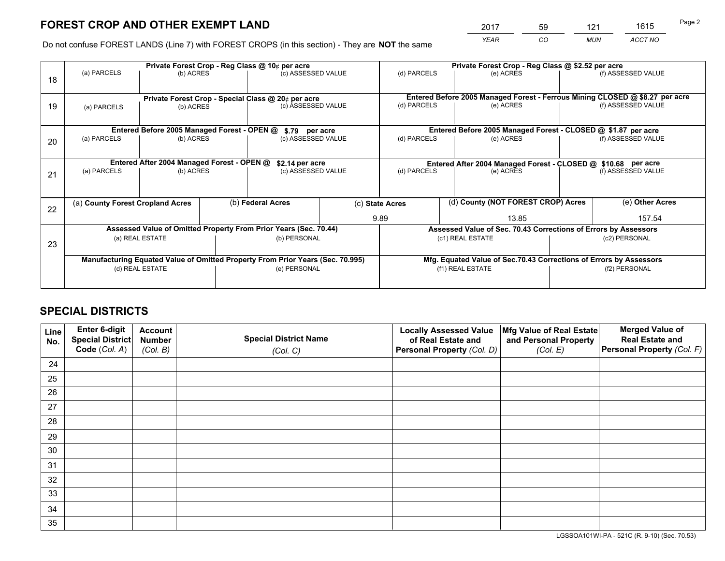*YEAR CO MUN ACCT NO* <sup>2017</sup> <sup>59</sup> <sup>121</sup> <sup>1615</sup>

Do not confuse FOREST LANDS (Line 7) with FOREST CROPS (in this section) - They are **NOT** the same

|    | Private Forest Crop - Reg Class @ 10¢ per acre                                 |                                             |  |                                                                  |  |                                                       | Private Forest Crop - Reg Class @ \$2.52 per acre                            |               |                    |  |
|----|--------------------------------------------------------------------------------|---------------------------------------------|--|------------------------------------------------------------------|--|-------------------------------------------------------|------------------------------------------------------------------------------|---------------|--------------------|--|
| 18 | (a) PARCELS                                                                    | (b) ACRES                                   |  | (c) ASSESSED VALUE                                               |  | (d) PARCELS                                           | (e) ACRES                                                                    |               | (f) ASSESSED VALUE |  |
|    |                                                                                |                                             |  | Private Forest Crop - Special Class @ 20¢ per acre               |  |                                                       | Entered Before 2005 Managed Forest - Ferrous Mining CLOSED @ \$8.27 per acre |               |                    |  |
| 19 | (b) ACRES<br>(a) PARCELS                                                       |                                             |  | (c) ASSESSED VALUE                                               |  | (d) PARCELS                                           | (e) ACRES                                                                    |               | (f) ASSESSED VALUE |  |
|    |                                                                                | Entered Before 2005 Managed Forest - OPEN @ |  |                                                                  |  |                                                       | Entered Before 2005 Managed Forest - CLOSED @ \$1.87 per acre                |               |                    |  |
| 20 | (a) PARCELS<br>(b) ACRES                                                       |                                             |  | \$.79 per acre<br>(c) ASSESSED VALUE                             |  | (d) PARCELS                                           | (e) ACRES                                                                    |               | (f) ASSESSED VALUE |  |
|    |                                                                                | Entered After 2004 Managed Forest - OPEN @  |  | \$2.14 per acre                                                  |  |                                                       | Entered After 2004 Managed Forest - CLOSED @ \$10.68 per acre                |               |                    |  |
| 21 | (a) PARCELS                                                                    | (b) ACRES                                   |  | (c) ASSESSED VALUE                                               |  | (d) PARCELS                                           | (e) ACRES                                                                    |               | (f) ASSESSED VALUE |  |
| 22 | (a) County Forest Cropland Acres                                               |                                             |  | (b) Federal Acres                                                |  | (d) County (NOT FOREST CROP) Acres<br>(c) State Acres |                                                                              |               | (e) Other Acres    |  |
|    |                                                                                |                                             |  |                                                                  |  | 9.89<br>13.85                                         |                                                                              |               | 157.54             |  |
|    |                                                                                |                                             |  | Assessed Value of Omitted Property From Prior Years (Sec. 70.44) |  |                                                       | Assessed Value of Sec. 70.43 Corrections of Errors by Assessors              |               |                    |  |
| 23 | (a) REAL ESTATE                                                                |                                             |  | (b) PERSONAL                                                     |  | (c1) REAL ESTATE                                      |                                                                              |               | (c2) PERSONAL      |  |
|    | Manufacturing Equated Value of Omitted Property From Prior Years (Sec. 70.995) |                                             |  |                                                                  |  |                                                       | Mfg. Equated Value of Sec.70.43 Corrections of Errors by Assessors           |               |                    |  |
|    | (d) REAL ESTATE                                                                |                                             |  | (e) PERSONAL                                                     |  | (f1) REAL ESTATE                                      |                                                                              | (f2) PERSONAL |                    |  |
|    |                                                                                |                                             |  |                                                                  |  |                                                       |                                                                              |               |                    |  |

## **SPECIAL DISTRICTS**

| Line<br>No. | Enter 6-digit<br>Special District<br>Code (Col. A) | <b>Account</b><br><b>Number</b> | <b>Special District Name</b> | <b>Locally Assessed Value</b><br>of Real Estate and | Mfg Value of Real Estate<br>and Personal Property | <b>Merged Value of</b><br><b>Real Estate and</b><br>Personal Property (Col. F) |
|-------------|----------------------------------------------------|---------------------------------|------------------------------|-----------------------------------------------------|---------------------------------------------------|--------------------------------------------------------------------------------|
|             |                                                    | (Col. B)                        | (Col. C)                     | Personal Property (Col. D)                          | (Col. E)                                          |                                                                                |
| 24          |                                                    |                                 |                              |                                                     |                                                   |                                                                                |
| 25          |                                                    |                                 |                              |                                                     |                                                   |                                                                                |
| 26          |                                                    |                                 |                              |                                                     |                                                   |                                                                                |
| 27          |                                                    |                                 |                              |                                                     |                                                   |                                                                                |
| 28          |                                                    |                                 |                              |                                                     |                                                   |                                                                                |
| 29          |                                                    |                                 |                              |                                                     |                                                   |                                                                                |
| 30          |                                                    |                                 |                              |                                                     |                                                   |                                                                                |
| 31          |                                                    |                                 |                              |                                                     |                                                   |                                                                                |
| 32          |                                                    |                                 |                              |                                                     |                                                   |                                                                                |
| 33          |                                                    |                                 |                              |                                                     |                                                   |                                                                                |
| 34          |                                                    |                                 |                              |                                                     |                                                   |                                                                                |
| 35          |                                                    |                                 |                              |                                                     |                                                   |                                                                                |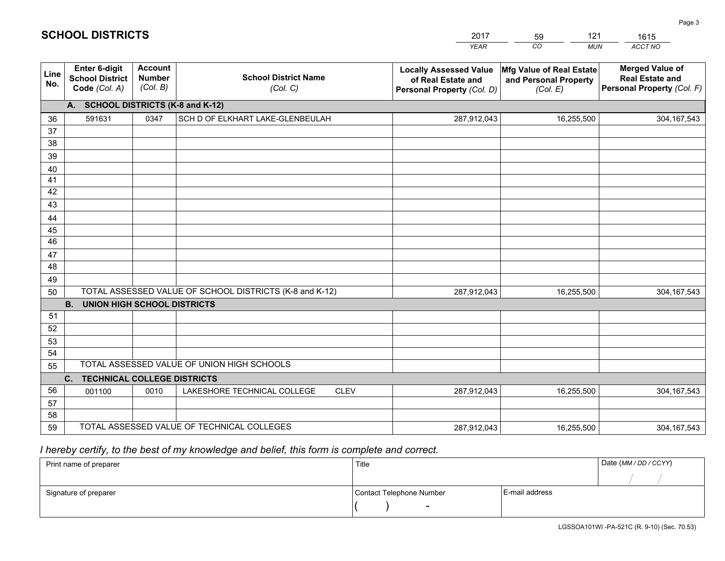|             |                                                                 |                                             |                                                         | <b>YEAR</b>                                                                       | CO<br><b>MUN</b>                                              | <b>ACCT NO</b>                                                                 |
|-------------|-----------------------------------------------------------------|---------------------------------------------|---------------------------------------------------------|-----------------------------------------------------------------------------------|---------------------------------------------------------------|--------------------------------------------------------------------------------|
| Line<br>No. | <b>Enter 6-digit</b><br><b>School District</b><br>Code (Col. A) | <b>Account</b><br><b>Number</b><br>(Col. B) | <b>School District Name</b><br>(Col. C)                 | <b>Locally Assessed Value</b><br>of Real Estate and<br>Personal Property (Col. D) | Mfg Value of Real Estate<br>and Personal Property<br>(Col. E) | <b>Merged Value of</b><br><b>Real Estate and</b><br>Personal Property (Col. F) |
|             | A. SCHOOL DISTRICTS (K-8 and K-12)                              |                                             |                                                         |                                                                                   |                                                               |                                                                                |
| 36          | 591631                                                          | 0347                                        | SCH D OF ELKHART LAKE-GLENBEULAH                        | 287,912,043                                                                       | 16,255,500                                                    | 304, 167, 543                                                                  |
| 37          |                                                                 |                                             |                                                         |                                                                                   |                                                               |                                                                                |
| 38          |                                                                 |                                             |                                                         |                                                                                   |                                                               |                                                                                |
| 39          |                                                                 |                                             |                                                         |                                                                                   |                                                               |                                                                                |
| 40          |                                                                 |                                             |                                                         |                                                                                   |                                                               |                                                                                |
| 41<br>42    |                                                                 |                                             |                                                         |                                                                                   |                                                               |                                                                                |
| 43          |                                                                 |                                             |                                                         |                                                                                   |                                                               |                                                                                |
| 44          |                                                                 |                                             |                                                         |                                                                                   |                                                               |                                                                                |
| 45          |                                                                 |                                             |                                                         |                                                                                   |                                                               |                                                                                |
| 46          |                                                                 |                                             |                                                         |                                                                                   |                                                               |                                                                                |
| 47          |                                                                 |                                             |                                                         |                                                                                   |                                                               |                                                                                |
| 48          |                                                                 |                                             |                                                         |                                                                                   |                                                               |                                                                                |
| 49          |                                                                 |                                             |                                                         |                                                                                   |                                                               |                                                                                |
| 50          |                                                                 |                                             | TOTAL ASSESSED VALUE OF SCHOOL DISTRICTS (K-8 and K-12) | 287,912,043                                                                       | 16,255,500                                                    | 304, 167, 543                                                                  |
|             | <b>B.</b><br><b>UNION HIGH SCHOOL DISTRICTS</b>                 |                                             |                                                         |                                                                                   |                                                               |                                                                                |
| 51          |                                                                 |                                             |                                                         |                                                                                   |                                                               |                                                                                |
| 52          |                                                                 |                                             |                                                         |                                                                                   |                                                               |                                                                                |
| 53          |                                                                 |                                             |                                                         |                                                                                   |                                                               |                                                                                |
| 54          |                                                                 |                                             | TOTAL ASSESSED VALUE OF UNION HIGH SCHOOLS              |                                                                                   |                                                               |                                                                                |
| 55          | C.<br><b>TECHNICAL COLLEGE DISTRICTS</b>                        |                                             |                                                         |                                                                                   |                                                               |                                                                                |
| 56          | 001100                                                          | 0010                                        | LAKESHORE TECHNICAL COLLEGE<br><b>CLEV</b>              | 287,912,043                                                                       | 16,255,500                                                    | 304, 167, 543                                                                  |
| 57          |                                                                 |                                             |                                                         |                                                                                   |                                                               |                                                                                |
| 58          |                                                                 |                                             |                                                         |                                                                                   |                                                               |                                                                                |
| 59          |                                                                 |                                             | TOTAL ASSESSED VALUE OF TECHNICAL COLLEGES              | 287,912,043                                                                       | 16,255,500                                                    | 304, 167, 543                                                                  |

59

121

## *I hereby certify, to the best of my knowledge and belief, this form is complete and correct.*

**SCHOOL DISTRICTS**

| Print name of preparer | Title                    |                | Date (MM / DD / CCYY) |
|------------------------|--------------------------|----------------|-----------------------|
|                        |                          |                |                       |
| Signature of preparer  | Contact Telephone Number | E-mail address |                       |
|                        | $\sim$                   |                |                       |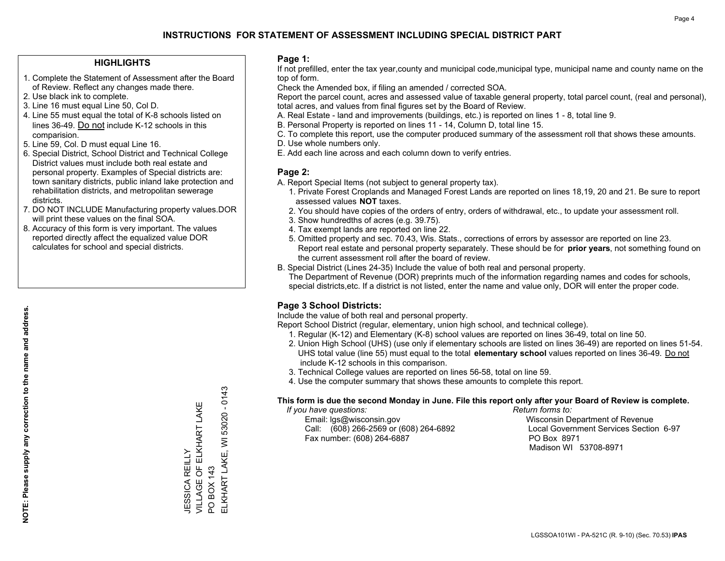## **HIGHLIGHTS**

- 1. Complete the Statement of Assessment after the Board of Review. Reflect any changes made there.
- 2. Use black ink to complete.
- 3. Line 16 must equal Line 50, Col D.
- 4. Line 55 must equal the total of K-8 schools listed on lines 36-49. Do not include K-12 schools in this comparision.
- 5. Line 59, Col. D must equal Line 16.
- 6. Special District, School District and Technical College District values must include both real estate and personal property. Examples of Special districts are: town sanitary districts, public inland lake protection and rehabilitation districts, and metropolitan sewerage districts.
- 7. DO NOT INCLUDE Manufacturing property values.DOR will print these values on the final SOA.
- 8. Accuracy of this form is very important. The values reported directly affect the equalized value DOR calculates for school and special districts.

#### **Page 1:**

 If not prefilled, enter the tax year,county and municipal code,municipal type, municipal name and county name on the top of form.

Check the Amended box, if filing an amended / corrected SOA.

 Report the parcel count, acres and assessed value of taxable general property, total parcel count, (real and personal), total acres, and values from final figures set by the Board of Review.

- A. Real Estate land and improvements (buildings, etc.) is reported on lines 1 8, total line 9.
- B. Personal Property is reported on lines 11 14, Column D, total line 15.
- C. To complete this report, use the computer produced summary of the assessment roll that shows these amounts.
- D. Use whole numbers only.
- E. Add each line across and each column down to verify entries.

## **Page 2:**

- A. Report Special Items (not subject to general property tax).
- 1. Private Forest Croplands and Managed Forest Lands are reported on lines 18,19, 20 and 21. Be sure to report assessed values **NOT** taxes.
- 2. You should have copies of the orders of entry, orders of withdrawal, etc., to update your assessment roll.
	- 3. Show hundredths of acres (e.g. 39.75).
- 4. Tax exempt lands are reported on line 22.
- 5. Omitted property and sec. 70.43, Wis. Stats., corrections of errors by assessor are reported on line 23. Report real estate and personal property separately. These should be for **prior years**, not something found on the current assessment roll after the board of review.
- B. Special District (Lines 24-35) Include the value of both real and personal property.

 The Department of Revenue (DOR) preprints much of the information regarding names and codes for schools, special districts,etc. If a district is not listed, enter the name and value only, DOR will enter the proper code.

## **Page 3 School Districts:**

Include the value of both real and personal property.

Report School District (regular, elementary, union high school, and technical college).

- 1. Regular (K-12) and Elementary (K-8) school values are reported on lines 36-49, total on line 50.
- 2. Union High School (UHS) (use only if elementary schools are listed on lines 36-49) are reported on lines 51-54. UHS total value (line 55) must equal to the total **elementary school** values reported on lines 36-49. Do notinclude K-12 schools in this comparison.
- 3. Technical College values are reported on lines 56-58, total on line 59.
- 4. Use the computer summary that shows these amounts to complete this report.

#### **This form is due the second Monday in June. File this report only after your Board of Review is complete.**

 *If you have questions: Return forms to:*

 Email: lgs@wisconsin.gov Wisconsin Department of RevenueCall:  $(608)$  266-2569 or  $(608)$  264-6892 Fax number: (608) 264-6887 PO Box 8971

Local Government Services Section 6-97 Madison WI 53708-8971

53020 - 0143 ELKHART LAKE, WI 53020 - 0143 VILLAGE OF ELKHART LAKE JESSICA REILLY<br>VILLAGE OF ELKHART LAKE ELKHART LAKE, WI JESSICA REILLY PO BOX 143 PO BOX 143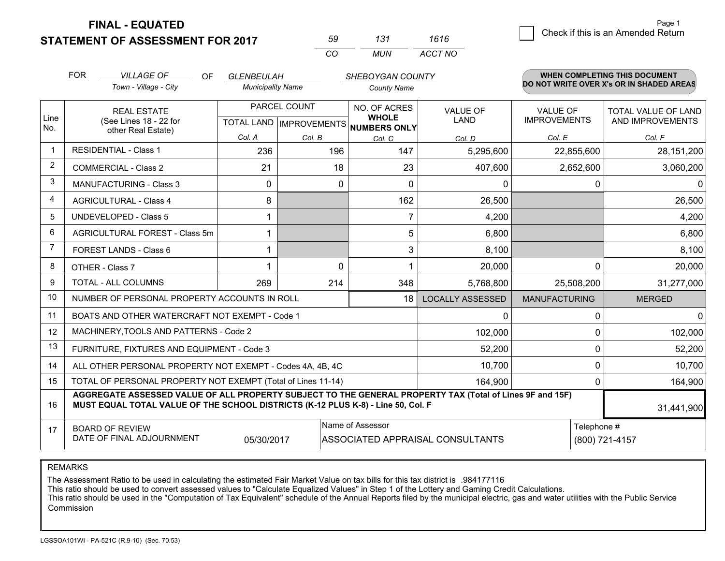**STATEMENT OF ASSESSMENT FOR 2017 FINAL - EQUATED**

| 59. | 131  | 1616    |
|-----|------|---------|
| cо  | MUN. | ACCT NO |

|                | <b>FOR</b>                                                                                                                                                                                   | <b>VILLAGE OF</b><br>OF                                                                                  | <b>GLENBEULAH</b>        |                              | SHEBOYGAN COUNTY               |                                                                   |                                         | WHEN COMPLETING THIS DOCUMENT            |
|----------------|----------------------------------------------------------------------------------------------------------------------------------------------------------------------------------------------|----------------------------------------------------------------------------------------------------------|--------------------------|------------------------------|--------------------------------|-------------------------------------------------------------------|-----------------------------------------|------------------------------------------|
|                |                                                                                                                                                                                              | Town - Village - City                                                                                    | <b>Municipality Name</b> |                              | <b>County Name</b>             |                                                                   |                                         | DO NOT WRITE OVER X's OR IN SHADED AREAS |
| Line           |                                                                                                                                                                                              | PARCEL COUNT<br><b>REAL ESTATE</b><br>(See Lines 18 - 22 for<br>TOTAL LAND   IMPROVEMENTS   NUMBERS ONLY |                          | NO. OF ACRES<br><b>WHOLE</b> | <b>VALUE OF</b><br><b>LAND</b> | <b>VALUE OF</b><br><b>IMPROVEMENTS</b>                            | TOTAL VALUE OF LAND<br>AND IMPROVEMENTS |                                          |
| No.            |                                                                                                                                                                                              | other Real Estate)                                                                                       | Col. A                   | Col. B                       | Col. C                         | Col. D                                                            | Col. E                                  | Col. F                                   |
|                |                                                                                                                                                                                              | <b>RESIDENTIAL - Class 1</b>                                                                             | 236                      | 196                          | 147                            | 5,295,600                                                         | 22,855,600                              | 28,151,200                               |
| 2              |                                                                                                                                                                                              | <b>COMMERCIAL - Class 2</b>                                                                              | 21                       | 18                           | 23                             | 407,600                                                           | 2,652,600                               | 3,060,200                                |
| 3              |                                                                                                                                                                                              | <b>MANUFACTURING - Class 3</b>                                                                           | 0                        | 0                            | $\mathbf{0}$                   | 0                                                                 | $\Omega$                                | $\mathbf{0}$                             |
| 4              |                                                                                                                                                                                              | <b>AGRICULTURAL - Class 4</b>                                                                            | 8                        |                              | 162                            | 26,500                                                            |                                         | 26,500                                   |
| 5              |                                                                                                                                                                                              | UNDEVELOPED - Class 5                                                                                    |                          |                              | $\overline{7}$                 | 4,200                                                             |                                         | 4,200                                    |
| 6              |                                                                                                                                                                                              | AGRICULTURAL FOREST - Class 5m                                                                           |                          |                              | 5                              | 6,800                                                             |                                         | 6,800                                    |
| $\overline{7}$ |                                                                                                                                                                                              | FOREST LANDS - Class 6                                                                                   |                          |                              | 3                              | 8,100                                                             |                                         | 8,100                                    |
| 8              |                                                                                                                                                                                              | OTHER - Class 7                                                                                          |                          | $\Omega$                     |                                | 20,000                                                            | $\Omega$                                | 20,000                                   |
| 9              |                                                                                                                                                                                              | TOTAL - ALL COLUMNS                                                                                      | 269                      | 214                          | 348                            | 5,768,800                                                         | 25,508,200                              | 31,277,000                               |
| 10             |                                                                                                                                                                                              | NUMBER OF PERSONAL PROPERTY ACCOUNTS IN ROLL                                                             |                          |                              | 18                             | <b>LOCALLY ASSESSED</b>                                           | <b>MANUFACTURING</b>                    | <b>MERGED</b>                            |
| 11             |                                                                                                                                                                                              | BOATS AND OTHER WATERCRAFT NOT EXEMPT - Code 1                                                           |                          |                              |                                | 0                                                                 | $\Omega$                                | $\Omega$                                 |
| 12             |                                                                                                                                                                                              | MACHINERY, TOOLS AND PATTERNS - Code 2                                                                   |                          |                              |                                | 102,000                                                           | 0                                       | 102,000                                  |
| 13             |                                                                                                                                                                                              | FURNITURE, FIXTURES AND EQUIPMENT - Code 3                                                               |                          |                              |                                | 52,200                                                            | $\mathbf 0$                             | 52,200                                   |
| 14             |                                                                                                                                                                                              | ALL OTHER PERSONAL PROPERTY NOT EXEMPT - Codes 4A, 4B, 4C                                                |                          |                              |                                | 10,700                                                            | 0                                       | 10,700                                   |
| 15             |                                                                                                                                                                                              | TOTAL OF PERSONAL PROPERTY NOT EXEMPT (Total of Lines 11-14)                                             |                          |                              |                                | 164,900                                                           | $\Omega$                                | 164,900                                  |
| 16             | AGGREGATE ASSESSED VALUE OF ALL PROPERTY SUBJECT TO THE GENERAL PROPERTY TAX (Total of Lines 9F and 15F)<br>MUST EQUAL TOTAL VALUE OF THE SCHOOL DISTRICTS (K-12 PLUS K-8) - Line 50, Col. F |                                                                                                          |                          |                              |                                |                                                                   | 31,441,900                              |                                          |
| 17             |                                                                                                                                                                                              | <b>BOARD OF REVIEW</b><br>DATE OF FINAL ADJOURNMENT                                                      | 05/30/2017               |                              | Name of Assessor               | Telephone #<br>(800) 721-4157<br>ASSOCIATED APPRAISAL CONSULTANTS |                                         |                                          |

REMARKS

The Assessment Ratio to be used in calculating the estimated Fair Market Value on tax bills for this tax district is .984177116

This ratio should be used to convert assessed values to "Calculate Equalized Values" in Step 1 of the Lottery and Gaming Credit Calculations.<br>This ratio should be used in the "Computation of Tax Equivalent" schedule of the Commission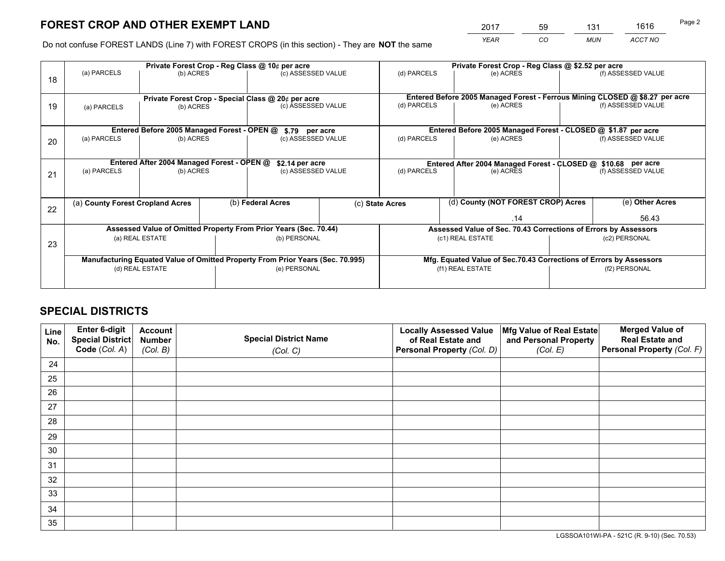*YEAR CO MUN ACCT NO* <sup>2017</sup> <sup>59</sup> <sup>131</sup> <sup>1616</sup>

Do not confuse FOREST LANDS (Line 7) with FOREST CROPS (in this section) - They are **NOT** the same

|    | Private Forest Crop - Reg Class @ 10¢ per acre                                 |           |  |                                                                  |                                                               |                                                                                           | Private Forest Crop - Reg Class @ \$2.52 per acre                  |                                                                 |                    |                                                                              |
|----|--------------------------------------------------------------------------------|-----------|--|------------------------------------------------------------------|---------------------------------------------------------------|-------------------------------------------------------------------------------------------|--------------------------------------------------------------------|-----------------------------------------------------------------|--------------------|------------------------------------------------------------------------------|
| 18 | (a) PARCELS                                                                    | (b) ACRES |  | (c) ASSESSED VALUE                                               |                                                               | (d) PARCELS                                                                               |                                                                    | (e) ACRES                                                       |                    | (f) ASSESSED VALUE                                                           |
|    |                                                                                |           |  | Private Forest Crop - Special Class @ 20¢ per acre               |                                                               |                                                                                           |                                                                    |                                                                 |                    | Entered Before 2005 Managed Forest - Ferrous Mining CLOSED @ \$8.27 per acre |
| 19 | (a) PARCELS                                                                    | (b) ACRES |  | (c) ASSESSED VALUE                                               |                                                               | (d) PARCELS                                                                               |                                                                    | (e) ACRES                                                       |                    | (f) ASSESSED VALUE                                                           |
|    |                                                                                |           |  |                                                                  |                                                               |                                                                                           |                                                                    |                                                                 |                    |                                                                              |
| 20 | Entered Before 2005 Managed Forest - OPEN @<br>(a) PARCELS<br>(b) ACRES        |           |  | \$.79 per acre<br>(c) ASSESSED VALUE                             |                                                               | Entered Before 2005 Managed Forest - CLOSED @ \$1.87 per acre<br>(d) PARCELS<br>(e) ACRES |                                                                    |                                                                 | (f) ASSESSED VALUE |                                                                              |
|    | Entered After 2004 Managed Forest - OPEN @<br>\$2.14 per acre                  |           |  |                                                                  | Entered After 2004 Managed Forest - CLOSED @ \$10.68 per acre |                                                                                           |                                                                    |                                                                 |                    |                                                                              |
| 21 | (a) PARCELS<br>(b) ACRES                                                       |           |  | (c) ASSESSED VALUE                                               |                                                               | (d) PARCELS<br>(e) ACRES                                                                  |                                                                    |                                                                 | (f) ASSESSED VALUE |                                                                              |
|    |                                                                                |           |  |                                                                  |                                                               |                                                                                           |                                                                    |                                                                 |                    |                                                                              |
| 22 | (a) County Forest Cropland Acres                                               |           |  | (b) Federal Acres                                                |                                                               | (d) County (NOT FOREST CROP) Acres<br>(c) State Acres                                     |                                                                    |                                                                 |                    | (e) Other Acres                                                              |
|    |                                                                                |           |  |                                                                  |                                                               |                                                                                           |                                                                    | .14                                                             |                    | 56.43                                                                        |
|    |                                                                                |           |  | Assessed Value of Omitted Property From Prior Years (Sec. 70.44) |                                                               |                                                                                           |                                                                    | Assessed Value of Sec. 70.43 Corrections of Errors by Assessors |                    |                                                                              |
| 23 | (a) REAL ESTATE                                                                |           |  | (b) PERSONAL                                                     |                                                               | (c1) REAL ESTATE                                                                          |                                                                    |                                                                 | (c2) PERSONAL      |                                                                              |
|    | Manufacturing Equated Value of Omitted Property From Prior Years (Sec. 70.995) |           |  |                                                                  |                                                               |                                                                                           | Mfg. Equated Value of Sec.70.43 Corrections of Errors by Assessors |                                                                 |                    |                                                                              |
|    | (d) REAL ESTATE                                                                |           |  | (e) PERSONAL                                                     |                                                               | (f1) REAL ESTATE                                                                          |                                                                    |                                                                 | (f2) PERSONAL      |                                                                              |
|    |                                                                                |           |  |                                                                  |                                                               |                                                                                           |                                                                    |                                                                 |                    |                                                                              |

## **SPECIAL DISTRICTS**

| Line<br>No. | Enter 6-digit<br>Special District<br>Code (Col. A) | <b>Account</b><br><b>Number</b> | <b>Special District Name</b> | <b>Locally Assessed Value</b><br>of Real Estate and | Mfg Value of Real Estate<br>and Personal Property | <b>Merged Value of</b><br><b>Real Estate and</b><br>Personal Property (Col. F) |
|-------------|----------------------------------------------------|---------------------------------|------------------------------|-----------------------------------------------------|---------------------------------------------------|--------------------------------------------------------------------------------|
|             |                                                    | (Col. B)                        | (Col. C)                     | Personal Property (Col. D)                          | (Col. E)                                          |                                                                                |
| 24          |                                                    |                                 |                              |                                                     |                                                   |                                                                                |
| 25          |                                                    |                                 |                              |                                                     |                                                   |                                                                                |
| 26          |                                                    |                                 |                              |                                                     |                                                   |                                                                                |
| 27          |                                                    |                                 |                              |                                                     |                                                   |                                                                                |
| 28          |                                                    |                                 |                              |                                                     |                                                   |                                                                                |
| 29          |                                                    |                                 |                              |                                                     |                                                   |                                                                                |
| 30          |                                                    |                                 |                              |                                                     |                                                   |                                                                                |
| 31          |                                                    |                                 |                              |                                                     |                                                   |                                                                                |
| 32          |                                                    |                                 |                              |                                                     |                                                   |                                                                                |
| 33          |                                                    |                                 |                              |                                                     |                                                   |                                                                                |
| 34          |                                                    |                                 |                              |                                                     |                                                   |                                                                                |
| 35          |                                                    |                                 |                              |                                                     |                                                   |                                                                                |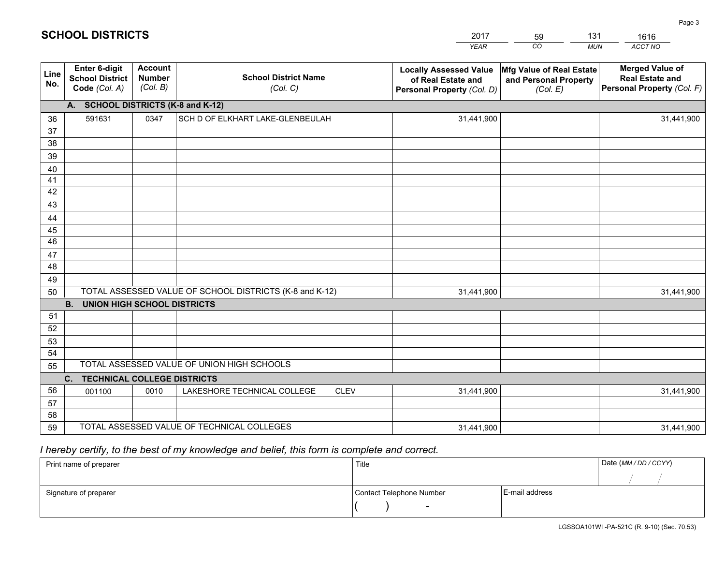|             |                                                          |                                             |                                                         | <b>YEAR</b>                                                                       | CO<br><b>MUN</b>                                              | ACCT NO                                                                        |
|-------------|----------------------------------------------------------|---------------------------------------------|---------------------------------------------------------|-----------------------------------------------------------------------------------|---------------------------------------------------------------|--------------------------------------------------------------------------------|
| Line<br>No. | Enter 6-digit<br><b>School District</b><br>Code (Col. A) | <b>Account</b><br><b>Number</b><br>(Col. B) | <b>School District Name</b><br>(Col. C)                 | <b>Locally Assessed Value</b><br>of Real Estate and<br>Personal Property (Col. D) | Mfg Value of Real Estate<br>and Personal Property<br>(Col. E) | <b>Merged Value of</b><br><b>Real Estate and</b><br>Personal Property (Col. F) |
|             | A. SCHOOL DISTRICTS (K-8 and K-12)                       |                                             |                                                         |                                                                                   |                                                               |                                                                                |
| 36          | 591631                                                   | 0347                                        | SCH D OF ELKHART LAKE-GLENBEULAH                        | 31,441,900                                                                        |                                                               | 31,441,900                                                                     |
| 37          |                                                          |                                             |                                                         |                                                                                   |                                                               |                                                                                |
| 38          |                                                          |                                             |                                                         |                                                                                   |                                                               |                                                                                |
| 39          |                                                          |                                             |                                                         |                                                                                   |                                                               |                                                                                |
| 40          |                                                          |                                             |                                                         |                                                                                   |                                                               |                                                                                |
| 41          |                                                          |                                             |                                                         |                                                                                   |                                                               |                                                                                |
| 42          |                                                          |                                             |                                                         |                                                                                   |                                                               |                                                                                |
| 43          |                                                          |                                             |                                                         |                                                                                   |                                                               |                                                                                |
| 44          |                                                          |                                             |                                                         |                                                                                   |                                                               |                                                                                |
| 45<br>46    |                                                          |                                             |                                                         |                                                                                   |                                                               |                                                                                |
|             |                                                          |                                             |                                                         |                                                                                   |                                                               |                                                                                |
| 47<br>48    |                                                          |                                             |                                                         |                                                                                   |                                                               |                                                                                |
| 49          |                                                          |                                             |                                                         |                                                                                   |                                                               |                                                                                |
| 50          |                                                          |                                             | TOTAL ASSESSED VALUE OF SCHOOL DISTRICTS (K-8 and K-12) | 31,441,900                                                                        |                                                               | 31,441,900                                                                     |
|             | B <sub>1</sub><br><b>UNION HIGH SCHOOL DISTRICTS</b>     |                                             |                                                         |                                                                                   |                                                               |                                                                                |
| 51          |                                                          |                                             |                                                         |                                                                                   |                                                               |                                                                                |
| 52          |                                                          |                                             |                                                         |                                                                                   |                                                               |                                                                                |
| 53          |                                                          |                                             |                                                         |                                                                                   |                                                               |                                                                                |
| 54          |                                                          |                                             |                                                         |                                                                                   |                                                               |                                                                                |
| 55          |                                                          |                                             | TOTAL ASSESSED VALUE OF UNION HIGH SCHOOLS              |                                                                                   |                                                               |                                                                                |
|             | C. TECHNICAL COLLEGE DISTRICTS                           |                                             |                                                         |                                                                                   |                                                               |                                                                                |
| 56          | 001100                                                   | 0010                                        | LAKESHORE TECHNICAL COLLEGE<br><b>CLEV</b>              | 31,441,900                                                                        |                                                               | 31,441,900                                                                     |
| 57          |                                                          |                                             |                                                         |                                                                                   |                                                               |                                                                                |
| 58          |                                                          |                                             |                                                         |                                                                                   |                                                               |                                                                                |
| 59          |                                                          |                                             | TOTAL ASSESSED VALUE OF TECHNICAL COLLEGES              | 31,441,900                                                                        |                                                               | 31,441,900                                                                     |

59

131

## *I hereby certify, to the best of my knowledge and belief, this form is complete and correct.*

**SCHOOL DISTRICTS**

| Print name of preparer | Title                    |                | Date (MM / DD / CCYY) |
|------------------------|--------------------------|----------------|-----------------------|
|                        |                          |                |                       |
| Signature of preparer  | Contact Telephone Number | E-mail address |                       |
|                        | $\sim$                   |                |                       |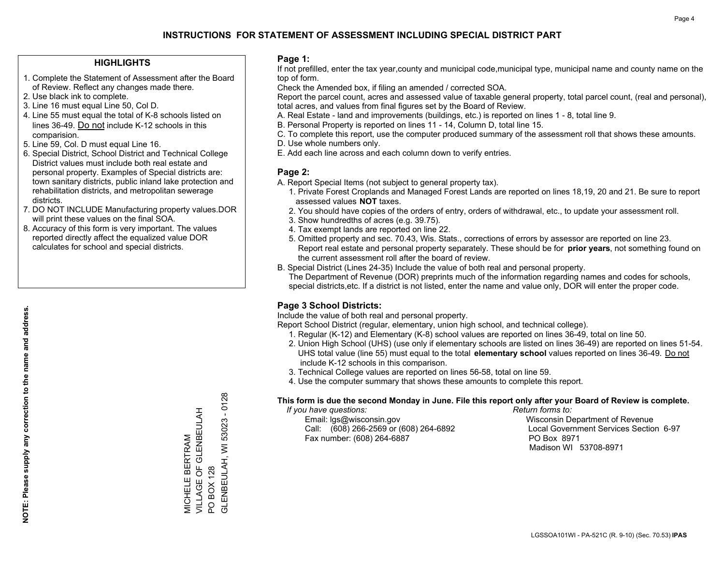## **HIGHLIGHTS**

- 1. Complete the Statement of Assessment after the Board of Review. Reflect any changes made there.
- 2. Use black ink to complete.
- 3. Line 16 must equal Line 50, Col D.
- 4. Line 55 must equal the total of K-8 schools listed on lines 36-49. Do not include K-12 schools in this comparision.
- 5. Line 59, Col. D must equal Line 16.
- 6. Special District, School District and Technical College District values must include both real estate and personal property. Examples of Special districts are: town sanitary districts, public inland lake protection and rehabilitation districts, and metropolitan sewerage districts.
- 7. DO NOT INCLUDE Manufacturing property values.DOR will print these values on the final SOA.

MICHELE BERTRAM

VILLAGE OF GLENBEULAH

MICHELE BERTRAM<br>VILLAGE OF GLENBEULAH<br>PO BOX 128

PO BOX 128

GLENBEULAH, WI 53023 - 0128

GLENBEULAH, WI 53023

 $-0128$ 

 8. Accuracy of this form is very important. The values reported directly affect the equalized value DOR calculates for school and special districts.

### **Page 1:**

 If not prefilled, enter the tax year,county and municipal code,municipal type, municipal name and county name on the top of form.

Check the Amended box, if filing an amended / corrected SOA.

 Report the parcel count, acres and assessed value of taxable general property, total parcel count, (real and personal), total acres, and values from final figures set by the Board of Review.

- A. Real Estate land and improvements (buildings, etc.) is reported on lines 1 8, total line 9.
- B. Personal Property is reported on lines 11 14, Column D, total line 15.
- C. To complete this report, use the computer produced summary of the assessment roll that shows these amounts.
- D. Use whole numbers only.
- E. Add each line across and each column down to verify entries.

## **Page 2:**

- A. Report Special Items (not subject to general property tax).
- 1. Private Forest Croplands and Managed Forest Lands are reported on lines 18,19, 20 and 21. Be sure to report assessed values **NOT** taxes.
- 2. You should have copies of the orders of entry, orders of withdrawal, etc., to update your assessment roll.
	- 3. Show hundredths of acres (e.g. 39.75).
- 4. Tax exempt lands are reported on line 22.
- 5. Omitted property and sec. 70.43, Wis. Stats., corrections of errors by assessor are reported on line 23. Report real estate and personal property separately. These should be for **prior years**, not something found on the current assessment roll after the board of review.
- B. Special District (Lines 24-35) Include the value of both real and personal property.

 The Department of Revenue (DOR) preprints much of the information regarding names and codes for schools, special districts,etc. If a district is not listed, enter the name and value only, DOR will enter the proper code.

## **Page 3 School Districts:**

Include the value of both real and personal property.

Report School District (regular, elementary, union high school, and technical college).

- 1. Regular (K-12) and Elementary (K-8) school values are reported on lines 36-49, total on line 50.
- 2. Union High School (UHS) (use only if elementary schools are listed on lines 36-49) are reported on lines 51-54. UHS total value (line 55) must equal to the total **elementary school** values reported on lines 36-49. Do notinclude K-12 schools in this comparison.
- 3. Technical College values are reported on lines 56-58, total on line 59.
- 4. Use the computer summary that shows these amounts to complete this report.

#### **This form is due the second Monday in June. File this report only after your Board of Review is complete.**

 *If you have questions: Return forms to:*

 Email: lgs@wisconsin.gov Wisconsin Department of RevenueCall:  $(608)$  266-2569 or  $(608)$  264-6892 Fax number: (608) 264-6887 PO Box 8971

Local Government Services Section 6-97 Madison WI 53708-8971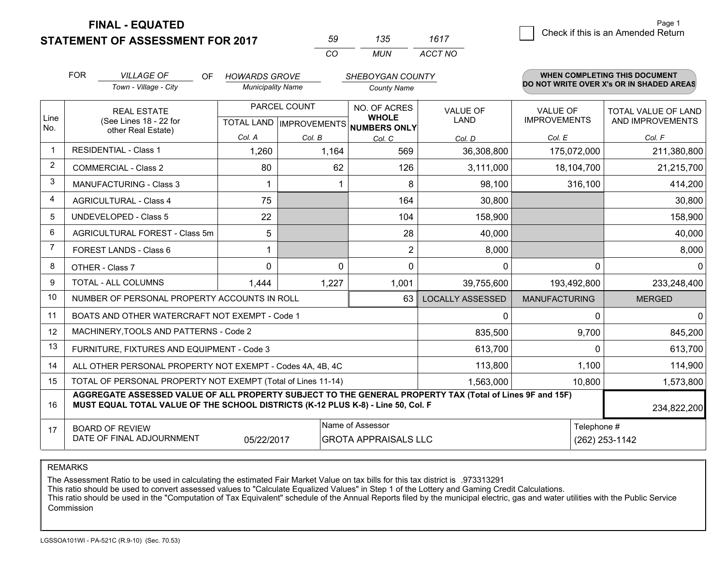**STATEMENT OF ASSESSMENT FOR 2017** 

**FINAL - EQUATED**

| 59 | 135 | 1617    |
|----|-----|---------|
| ΓO | MUN | ACCT NO |

|                | <b>FOR</b><br><b>VILLAGE OF</b><br><b>OF</b><br><b>HOWARDS GROVE</b><br><b>SHEBOYGAN COUNTY</b><br>Town - Village - City<br><b>Municipality Name</b><br><b>County Name</b>                   |                                                              |            | WHEN COMPLETING THIS DOCUMENT<br>DO NOT WRITE OVER X's OR IN SHADED AREAS |                                                                      |                                |                                 |                                                |  |
|----------------|----------------------------------------------------------------------------------------------------------------------------------------------------------------------------------------------|--------------------------------------------------------------|------------|---------------------------------------------------------------------------|----------------------------------------------------------------------|--------------------------------|---------------------------------|------------------------------------------------|--|
|                |                                                                                                                                                                                              |                                                              |            |                                                                           |                                                                      |                                |                                 |                                                |  |
| Line           | <b>REAL ESTATE</b><br>(See Lines 18 - 22 for                                                                                                                                                 |                                                              |            | PARCEL COUNT                                                              | NO. OF ACRES<br><b>WHOLE</b><br>TOTAL LAND IMPROVEMENTS NUMBERS ONLY | <b>VALUE OF</b><br><b>LAND</b> | VALUE OF<br><b>IMPROVEMENTS</b> | <b>TOTAL VALUE OF LAND</b><br>AND IMPROVEMENTS |  |
| No.            |                                                                                                                                                                                              | other Real Estate)                                           | Col. A     | Col. B                                                                    | Col. C                                                               | Col. D                         | Col. E                          | Col. F                                         |  |
| -1             | <b>RESIDENTIAL - Class 1</b>                                                                                                                                                                 |                                                              | 1,260      | 1,164                                                                     | 569                                                                  | 36,308,800                     | 175,072,000                     | 211,380,800                                    |  |
| $\overline{2}$ |                                                                                                                                                                                              | <b>COMMERCIAL - Class 2</b>                                  | 80         | 62                                                                        | 126                                                                  | 3,111,000                      | 18,104,700                      | 21,215,700                                     |  |
| 3              |                                                                                                                                                                                              | <b>MANUFACTURING - Class 3</b>                               |            |                                                                           | 8                                                                    | 98,100                         | 316,100                         | 414,200                                        |  |
| 4              |                                                                                                                                                                                              | <b>AGRICULTURAL - Class 4</b>                                | 75         |                                                                           | 164                                                                  | 30,800                         |                                 | 30,800                                         |  |
| 5              |                                                                                                                                                                                              | <b>UNDEVELOPED - Class 5</b>                                 | 22         |                                                                           | 104                                                                  | 158,900                        |                                 | 158,900                                        |  |
| 6              |                                                                                                                                                                                              | AGRICULTURAL FOREST - Class 5m                               | 5          |                                                                           | 28                                                                   | 40,000                         |                                 | 40,000                                         |  |
| 7              |                                                                                                                                                                                              | FOREST LANDS - Class 6                                       | 1          |                                                                           | $\overline{2}$                                                       | 8,000                          |                                 | 8,000                                          |  |
| 8              |                                                                                                                                                                                              | OTHER - Class 7                                              | 0          | 0                                                                         | $\Omega$                                                             | 0                              | $\Omega$                        | $\mathbf{0}$                                   |  |
| 9              |                                                                                                                                                                                              | TOTAL - ALL COLUMNS                                          | 1,444      | 1,227                                                                     | 1,001                                                                | 39,755,600                     | 193,492,800                     | 233,248,400                                    |  |
| 10             |                                                                                                                                                                                              | NUMBER OF PERSONAL PROPERTY ACCOUNTS IN ROLL                 |            |                                                                           | 63                                                                   | <b>LOCALLY ASSESSED</b>        | <b>MANUFACTURING</b>            | <b>MERGED</b>                                  |  |
| 11             |                                                                                                                                                                                              | BOATS AND OTHER WATERCRAFT NOT EXEMPT - Code 1               |            |                                                                           |                                                                      | 0                              | 0                               | $\mathbf 0$                                    |  |
| 12             |                                                                                                                                                                                              | MACHINERY, TOOLS AND PATTERNS - Code 2                       |            |                                                                           |                                                                      | 835,500                        | 9,700                           | 845,200                                        |  |
| 13             |                                                                                                                                                                                              | FURNITURE, FIXTURES AND EQUIPMENT - Code 3                   |            |                                                                           |                                                                      | 613,700                        | $\Omega$                        | 613,700                                        |  |
| 14             |                                                                                                                                                                                              | ALL OTHER PERSONAL PROPERTY NOT EXEMPT - Codes 4A, 4B, 4C    |            |                                                                           |                                                                      | 113,800                        | 1,100                           | 114,900                                        |  |
| 15             |                                                                                                                                                                                              | TOTAL OF PERSONAL PROPERTY NOT EXEMPT (Total of Lines 11-14) |            |                                                                           |                                                                      | 1,563,000                      | 10,800                          | 1,573,800                                      |  |
| 16             | AGGREGATE ASSESSED VALUE OF ALL PROPERTY SUBJECT TO THE GENERAL PROPERTY TAX (Total of Lines 9F and 15F)<br>MUST EQUAL TOTAL VALUE OF THE SCHOOL DISTRICTS (K-12 PLUS K-8) - Line 50, Col. F |                                                              |            |                                                                           |                                                                      |                                | 234,822,200                     |                                                |  |
| 17             |                                                                                                                                                                                              | <b>BOARD OF REVIEW</b>                                       |            |                                                                           | Name of Assessor                                                     |                                |                                 | Telephone #                                    |  |
|                |                                                                                                                                                                                              | DATE OF FINAL ADJOURNMENT                                    | 05/22/2017 |                                                                           | <b>GROTA APPRAISALS LLC</b>                                          |                                |                                 | (262) 253-1142                                 |  |

REMARKS

The Assessment Ratio to be used in calculating the estimated Fair Market Value on tax bills for this tax district is .973313291

This ratio should be used to convert assessed values to "Calculate Equalized Values" in Step 1 of the Lottery and Gaming Credit Calculations.<br>This ratio should be used in the "Computation of Tax Equivalent" schedule of the Commission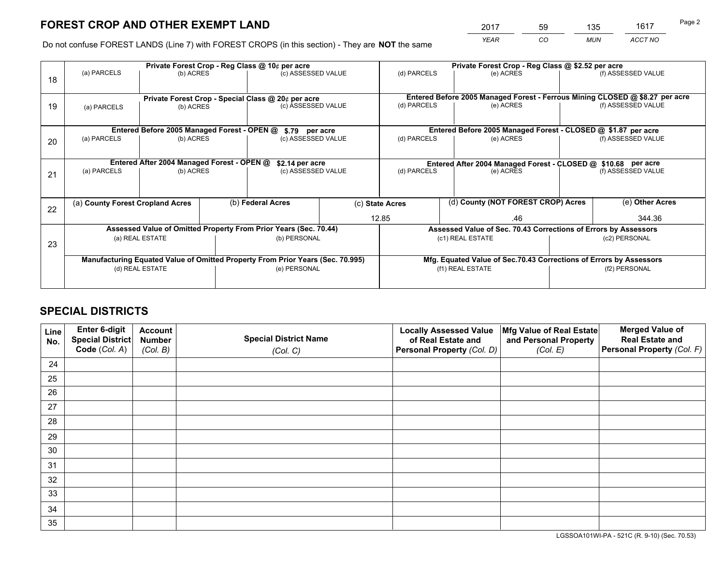*YEAR CO MUN ACCT NO* <sup>2017</sup> <sup>59</sup> <sup>135</sup> <sup>1617</sup>

Do not confuse FOREST LANDS (Line 7) with FOREST CROPS (in this section) - They are **NOT** the same

|    | Private Forest Crop - Reg Class @ 10¢ per acre                                 |                                             |  |                                                                  |              |                                                                    | Private Forest Crop - Reg Class @ \$2.52 per acre                            |  |                    |  |
|----|--------------------------------------------------------------------------------|---------------------------------------------|--|------------------------------------------------------------------|--------------|--------------------------------------------------------------------|------------------------------------------------------------------------------|--|--------------------|--|
| 18 | (a) PARCELS                                                                    | (b) ACRES                                   |  | (c) ASSESSED VALUE                                               |              | (d) PARCELS                                                        | (e) ACRES                                                                    |  | (f) ASSESSED VALUE |  |
|    | Private Forest Crop - Special Class @ 20¢ per acre                             |                                             |  |                                                                  |              |                                                                    | Entered Before 2005 Managed Forest - Ferrous Mining CLOSED @ \$8.27 per acre |  |                    |  |
| 19 | (a) PARCELS                                                                    | (b) ACRES                                   |  | (c) ASSESSED VALUE                                               |              | (d) PARCELS                                                        | (e) ACRES                                                                    |  | (f) ASSESSED VALUE |  |
|    |                                                                                | Entered Before 2005 Managed Forest - OPEN @ |  | \$.79 per acre                                                   |              |                                                                    | Entered Before 2005 Managed Forest - CLOSED @ \$1.87 per acre                |  |                    |  |
| 20 | (a) PARCELS<br>(b) ACRES                                                       |                                             |  | (c) ASSESSED VALUE                                               |              | (d) PARCELS                                                        | (e) ACRES                                                                    |  | (f) ASSESSED VALUE |  |
|    | Entered After 2004 Managed Forest - OPEN @<br>\$2.14 per acre                  |                                             |  |                                                                  |              | Entered After 2004 Managed Forest - CLOSED @ \$10.68 per acre      |                                                                              |  |                    |  |
| 21 | (a) PARCELS                                                                    | (b) ACRES                                   |  | (c) ASSESSED VALUE                                               |              | (d) PARCELS                                                        | (e) ACRES                                                                    |  | (f) ASSESSED VALUE |  |
| 22 | (a) County Forest Cropland Acres                                               |                                             |  | (b) Federal Acres                                                |              | (d) County (NOT FOREST CROP) Acres<br>(c) State Acres              |                                                                              |  | (e) Other Acres    |  |
|    |                                                                                |                                             |  |                                                                  | 12.85<br>.46 |                                                                    | 344.36                                                                       |  |                    |  |
|    |                                                                                |                                             |  | Assessed Value of Omitted Property From Prior Years (Sec. 70.44) |              |                                                                    | Assessed Value of Sec. 70.43 Corrections of Errors by Assessors              |  |                    |  |
| 23 | (a) REAL ESTATE                                                                |                                             |  | (b) PERSONAL                                                     |              | (c1) REAL ESTATE                                                   |                                                                              |  | (c2) PERSONAL      |  |
|    | Manufacturing Equated Value of Omitted Property From Prior Years (Sec. 70.995) |                                             |  |                                                                  |              | Mfg. Equated Value of Sec.70.43 Corrections of Errors by Assessors |                                                                              |  |                    |  |
|    |                                                                                | (d) REAL ESTATE                             |  | (e) PERSONAL                                                     |              | (f1) REAL ESTATE                                                   |                                                                              |  | (f2) PERSONAL      |  |
|    |                                                                                |                                             |  |                                                                  |              |                                                                    |                                                                              |  |                    |  |

## **SPECIAL DISTRICTS**

| Line<br>No. | Enter 6-digit<br>Special District<br>Code (Col. A) | <b>Account</b><br><b>Number</b> | <b>Special District Name</b> | <b>Locally Assessed Value</b><br>of Real Estate and | Mfg Value of Real Estate<br>and Personal Property | <b>Merged Value of</b><br><b>Real Estate and</b><br>Personal Property (Col. F) |
|-------------|----------------------------------------------------|---------------------------------|------------------------------|-----------------------------------------------------|---------------------------------------------------|--------------------------------------------------------------------------------|
|             |                                                    | (Col. B)                        | (Col. C)                     | Personal Property (Col. D)                          | (Col. E)                                          |                                                                                |
| 24          |                                                    |                                 |                              |                                                     |                                                   |                                                                                |
| 25          |                                                    |                                 |                              |                                                     |                                                   |                                                                                |
| 26          |                                                    |                                 |                              |                                                     |                                                   |                                                                                |
| 27          |                                                    |                                 |                              |                                                     |                                                   |                                                                                |
| 28          |                                                    |                                 |                              |                                                     |                                                   |                                                                                |
| 29          |                                                    |                                 |                              |                                                     |                                                   |                                                                                |
| 30          |                                                    |                                 |                              |                                                     |                                                   |                                                                                |
| 31          |                                                    |                                 |                              |                                                     |                                                   |                                                                                |
| 32          |                                                    |                                 |                              |                                                     |                                                   |                                                                                |
| 33          |                                                    |                                 |                              |                                                     |                                                   |                                                                                |
| 34          |                                                    |                                 |                              |                                                     |                                                   |                                                                                |
| 35          |                                                    |                                 |                              |                                                     |                                                   |                                                                                |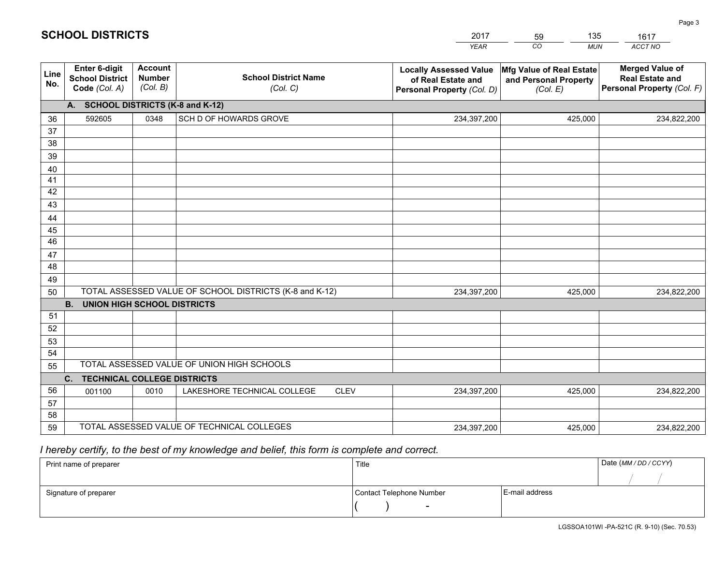|                 |                                                          |                                             |                                                         | <b>YEAR</b>                                                                       | CO<br><b>MUN</b>                                              | ACCT NO                                                                        |
|-----------------|----------------------------------------------------------|---------------------------------------------|---------------------------------------------------------|-----------------------------------------------------------------------------------|---------------------------------------------------------------|--------------------------------------------------------------------------------|
| Line<br>No.     | Enter 6-digit<br><b>School District</b><br>Code (Col. A) | <b>Account</b><br><b>Number</b><br>(Col. B) | <b>School District Name</b><br>(Col. C)                 | <b>Locally Assessed Value</b><br>of Real Estate and<br>Personal Property (Col. D) | Mfg Value of Real Estate<br>and Personal Property<br>(Col. E) | <b>Merged Value of</b><br><b>Real Estate and</b><br>Personal Property (Col. F) |
|                 | A. SCHOOL DISTRICTS (K-8 and K-12)                       |                                             |                                                         |                                                                                   |                                                               |                                                                                |
| 36              | 592605                                                   | 0348                                        | SCH D OF HOWARDS GROVE                                  | 234,397,200                                                                       | 425,000                                                       | 234,822,200                                                                    |
| 37              |                                                          |                                             |                                                         |                                                                                   |                                                               |                                                                                |
| 38              |                                                          |                                             |                                                         |                                                                                   |                                                               |                                                                                |
| 39              |                                                          |                                             |                                                         |                                                                                   |                                                               |                                                                                |
| 40              |                                                          |                                             |                                                         |                                                                                   |                                                               |                                                                                |
| 41<br>42        |                                                          |                                             |                                                         |                                                                                   |                                                               |                                                                                |
| 43              |                                                          |                                             |                                                         |                                                                                   |                                                               |                                                                                |
| 44              |                                                          |                                             |                                                         |                                                                                   |                                                               |                                                                                |
| 45              |                                                          |                                             |                                                         |                                                                                   |                                                               |                                                                                |
| $\overline{46}$ |                                                          |                                             |                                                         |                                                                                   |                                                               |                                                                                |
| 47              |                                                          |                                             |                                                         |                                                                                   |                                                               |                                                                                |
| 48              |                                                          |                                             |                                                         |                                                                                   |                                                               |                                                                                |
| 49              |                                                          |                                             |                                                         |                                                                                   |                                                               |                                                                                |
| 50              |                                                          |                                             | TOTAL ASSESSED VALUE OF SCHOOL DISTRICTS (K-8 and K-12) | 234,397,200                                                                       | 425,000                                                       | 234,822,200                                                                    |
|                 | <b>B.</b><br><b>UNION HIGH SCHOOL DISTRICTS</b>          |                                             |                                                         |                                                                                   |                                                               |                                                                                |
| 51              |                                                          |                                             |                                                         |                                                                                   |                                                               |                                                                                |
| 52              |                                                          |                                             |                                                         |                                                                                   |                                                               |                                                                                |
| 53<br>54        |                                                          |                                             |                                                         |                                                                                   |                                                               |                                                                                |
| 55              |                                                          |                                             | TOTAL ASSESSED VALUE OF UNION HIGH SCHOOLS              |                                                                                   |                                                               |                                                                                |
|                 | C.<br><b>TECHNICAL COLLEGE DISTRICTS</b>                 |                                             |                                                         |                                                                                   |                                                               |                                                                                |
| 56              | 001100                                                   | 0010                                        | LAKESHORE TECHNICAL COLLEGE<br><b>CLEV</b>              | 234,397,200                                                                       | 425,000                                                       | 234,822,200                                                                    |
| 57              |                                                          |                                             |                                                         |                                                                                   |                                                               |                                                                                |
| 58              |                                                          |                                             |                                                         |                                                                                   |                                                               |                                                                                |
| 59              |                                                          |                                             | TOTAL ASSESSED VALUE OF TECHNICAL COLLEGES              | 234,397,200                                                                       | 425,000                                                       | 234,822,200                                                                    |

59

135

 *I hereby certify, to the best of my knowledge and belief, this form is complete and correct.*

**SCHOOL DISTRICTS**

| Print name of preparer | Title                    |                | Date (MM / DD / CCYY) |
|------------------------|--------------------------|----------------|-----------------------|
|                        |                          |                |                       |
| Signature of preparer  | Contact Telephone Number | E-mail address |                       |
|                        | $\sim$                   |                |                       |

Page 3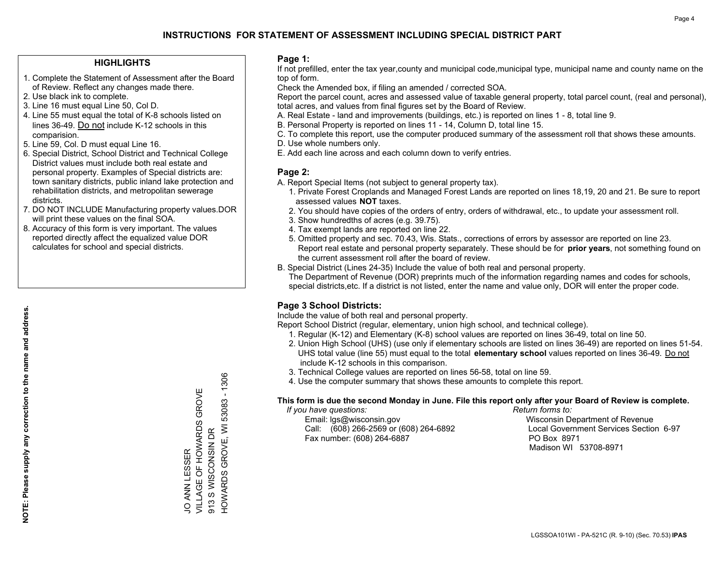## **HIGHLIGHTS**

- 1. Complete the Statement of Assessment after the Board of Review. Reflect any changes made there.
- 2. Use black ink to complete.
- 3. Line 16 must equal Line 50, Col D.
- 4. Line 55 must equal the total of K-8 schools listed on lines 36-49. Do not include K-12 schools in this comparision.
- 5. Line 59, Col. D must equal Line 16.
- 6. Special District, School District and Technical College District values must include both real estate and personal property. Examples of Special districts are: town sanitary districts, public inland lake protection and rehabilitation districts, and metropolitan sewerage districts.
- 7. DO NOT INCLUDE Manufacturing property values.DOR will print these values on the final SOA.
- 8. Accuracy of this form is very important. The values reported directly affect the equalized value DOR calculates for school and special districts.

### **Page 1:**

 If not prefilled, enter the tax year,county and municipal code,municipal type, municipal name and county name on the top of form.

Check the Amended box, if filing an amended / corrected SOA.

 Report the parcel count, acres and assessed value of taxable general property, total parcel count, (real and personal), total acres, and values from final figures set by the Board of Review.

- A. Real Estate land and improvements (buildings, etc.) is reported on lines 1 8, total line 9.
- B. Personal Property is reported on lines 11 14, Column D, total line 15.
- C. To complete this report, use the computer produced summary of the assessment roll that shows these amounts.
- D. Use whole numbers only.
- E. Add each line across and each column down to verify entries.

## **Page 2:**

- A. Report Special Items (not subject to general property tax).
- 1. Private Forest Croplands and Managed Forest Lands are reported on lines 18,19, 20 and 21. Be sure to report assessed values **NOT** taxes.
- 2. You should have copies of the orders of entry, orders of withdrawal, etc., to update your assessment roll.
	- 3. Show hundredths of acres (e.g. 39.75).
- 4. Tax exempt lands are reported on line 22.
- 5. Omitted property and sec. 70.43, Wis. Stats., corrections of errors by assessor are reported on line 23. Report real estate and personal property separately. These should be for **prior years**, not something found on the current assessment roll after the board of review.
- B. Special District (Lines 24-35) Include the value of both real and personal property.
- The Department of Revenue (DOR) preprints much of the information regarding names and codes for schools, special districts,etc. If a district is not listed, enter the name and value only, DOR will enter the proper code.

## **Page 3 School Districts:**

Include the value of both real and personal property.

Report School District (regular, elementary, union high school, and technical college).

- 1. Regular (K-12) and Elementary (K-8) school values are reported on lines 36-49, total on line 50.
- 2. Union High School (UHS) (use only if elementary schools are listed on lines 36-49) are reported on lines 51-54. UHS total value (line 55) must equal to the total **elementary school** values reported on lines 36-49. Do notinclude K-12 schools in this comparison.
- 3. Technical College values are reported on lines 56-58, total on line 59.
- 4. Use the computer summary that shows these amounts to complete this report.

#### **This form is due the second Monday in June. File this report only after your Board of Review is complete.**

 *If you have questions: Return forms to:*

 Email: lgs@wisconsin.gov Wisconsin Department of RevenueCall:  $(608)$  266-2569 or  $(608)$  264-6892 Fax number: (608) 264-6887 PO Box 8971

Local Government Services Section 6-97 Madison WI 53708-8971

**NOTE: Please supply any correction to the name and address.** NOTE: Please supply any correction to the name and address.

HOWARDS GROVE, WI 53083 - 1306 HOWARDS GROVE, WI 53083 - 1306 VILLAGE OF HOWARDS GROVE JO ANN LESSER<br>VILLAGE OF HOWARDS GROVE 913 S WISCONSIN DR 913 S WISCONSIN DR JO ANN LESSER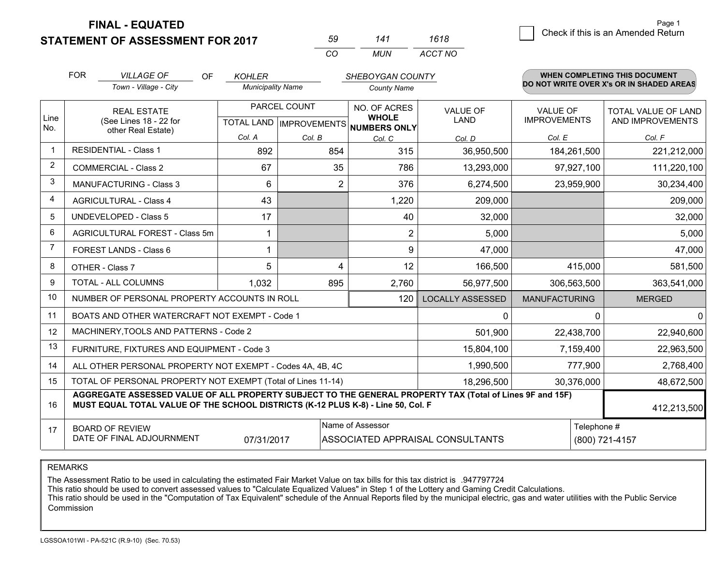**FINAL - EQUATED**

**STATEMENT OF ASSESSMENT FOR 2017** 

| 59  | 141 | 1618    |
|-----|-----|---------|
| CO. | MUN | ACCT NO |

|                | <b>FOR</b>                                                                                                                                                                                   | <b>VILLAGE OF</b><br><b>OF</b>                               | <b>KOHLER</b>            |              | SHEBOYGAN COUNTY                                                     |                                |                                        | WHEN COMPLETING THIS DOCUMENT            |
|----------------|----------------------------------------------------------------------------------------------------------------------------------------------------------------------------------------------|--------------------------------------------------------------|--------------------------|--------------|----------------------------------------------------------------------|--------------------------------|----------------------------------------|------------------------------------------|
|                |                                                                                                                                                                                              | Town - Village - City                                        | <b>Municipality Name</b> |              | <b>County Name</b>                                                   |                                |                                        | DO NOT WRITE OVER X's OR IN SHADED AREAS |
| Line           |                                                                                                                                                                                              | <b>REAL ESTATE</b><br>(See Lines 18 - 22 for                 |                          | PARCEL COUNT | NO. OF ACRES<br><b>WHOLE</b><br>TOTAL LAND IMPROVEMENTS NUMBERS ONLY | <b>VALUE OF</b><br><b>LAND</b> | <b>VALUE OF</b><br><b>IMPROVEMENTS</b> | TOTAL VALUE OF LAND<br>AND IMPROVEMENTS  |
| No.            |                                                                                                                                                                                              | other Real Estate)                                           | Col. A                   | Col. B       | Col. C                                                               | Col. D                         | Col. E                                 | Col. F                                   |
|                |                                                                                                                                                                                              | <b>RESIDENTIAL - Class 1</b>                                 | 892                      | 854          | 315                                                                  | 36,950,500                     | 184,261,500                            | 221,212,000                              |
| 2              |                                                                                                                                                                                              | <b>COMMERCIAL - Class 2</b>                                  | 67                       | 35           | 786                                                                  | 13,293,000                     | 97,927,100                             | 111,220,100                              |
| 3              |                                                                                                                                                                                              | <b>MANUFACTURING - Class 3</b>                               | 6                        | 2            | 376                                                                  | 6,274,500                      | 23,959,900                             | 30,234,400                               |
| 4              |                                                                                                                                                                                              | <b>AGRICULTURAL - Class 4</b>                                | 43                       |              | 1,220                                                                | 209,000                        |                                        | 209,000                                  |
| 5              |                                                                                                                                                                                              | <b>UNDEVELOPED - Class 5</b>                                 | 17                       |              | 40                                                                   | 32,000                         |                                        | 32,000                                   |
| 6              |                                                                                                                                                                                              | AGRICULTURAL FOREST - Class 5m                               | 1                        |              | $\overline{2}$                                                       | 5,000                          |                                        | 5,000                                    |
| $\overline{7}$ |                                                                                                                                                                                              | FOREST LANDS - Class 6                                       | 1                        |              | 9                                                                    | 47,000                         |                                        | 47,000                                   |
| 8              |                                                                                                                                                                                              | OTHER - Class 7                                              | 5                        | 4            | 12                                                                   | 166,500                        | 415,000                                | 581,500                                  |
| 9              |                                                                                                                                                                                              | <b>TOTAL - ALL COLUMNS</b>                                   | 1,032                    | 895          | 2,760                                                                | 56,977,500                     | 306,563,500                            | 363,541,000                              |
| 10             |                                                                                                                                                                                              | NUMBER OF PERSONAL PROPERTY ACCOUNTS IN ROLL                 |                          |              | 120                                                                  | <b>LOCALLY ASSESSED</b>        | <b>MANUFACTURING</b>                   | <b>MERGED</b>                            |
| 11             |                                                                                                                                                                                              | BOATS AND OTHER WATERCRAFT NOT EXEMPT - Code 1               |                          |              |                                                                      | 0                              |                                        | $\Omega$<br>$\mathbf{0}$                 |
| 12             |                                                                                                                                                                                              | MACHINERY, TOOLS AND PATTERNS - Code 2                       |                          |              |                                                                      | 501,900                        | 22,438,700                             | 22,940,600                               |
| 13             |                                                                                                                                                                                              | FURNITURE, FIXTURES AND EQUIPMENT - Code 3                   |                          |              |                                                                      | 15,804,100                     | 7,159,400                              | 22,963,500                               |
| 14             |                                                                                                                                                                                              | ALL OTHER PERSONAL PROPERTY NOT EXEMPT - Codes 4A, 4B, 4C    |                          |              |                                                                      | 1,990,500                      | 777,900                                | 2,768,400                                |
| 15             |                                                                                                                                                                                              | TOTAL OF PERSONAL PROPERTY NOT EXEMPT (Total of Lines 11-14) |                          | 18,296,500   | 30,376,000                                                           | 48,672,500                     |                                        |                                          |
| 16             | AGGREGATE ASSESSED VALUE OF ALL PROPERTY SUBJECT TO THE GENERAL PROPERTY TAX (Total of Lines 9F and 15F)<br>MUST EQUAL TOTAL VALUE OF THE SCHOOL DISTRICTS (K-12 PLUS K-8) - Line 50, Col. F |                                                              |                          |              |                                                                      |                                | 412,213,500                            |                                          |
| 17             | Name of Assessor<br><b>BOARD OF REVIEW</b><br>DATE OF FINAL ADJOURNMENT<br>ASSOCIATED APPRAISAL CONSULTANTS<br>07/31/2017                                                                    |                                                              |                          |              |                                                                      |                                | Telephone #<br>(800) 721-4157          |                                          |

#### REMARKS

The Assessment Ratio to be used in calculating the estimated Fair Market Value on tax bills for this tax district is .947797724<br>This ratio should be used to convert assessed values to "Calculate Equalized Values" in Step 1 Commission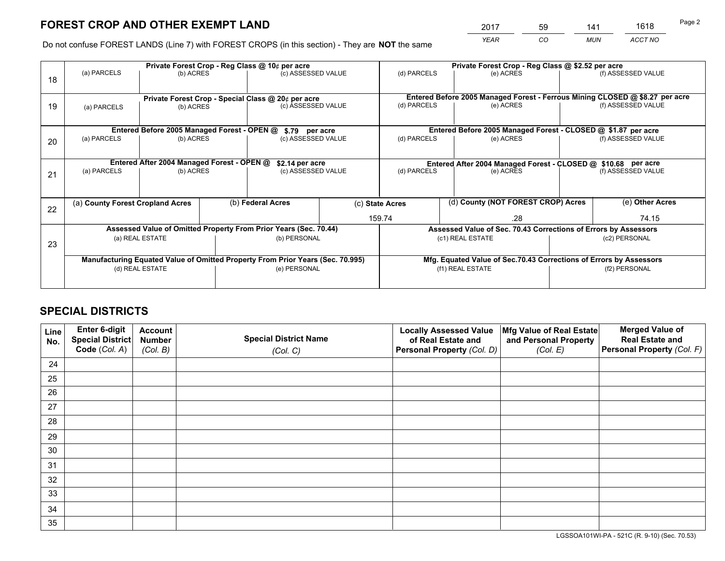*YEAR CO MUN ACCT NO* <sup>2017</sup> <sup>59</sup> <sup>141</sup> <sup>1618</sup>

Do not confuse FOREST LANDS (Line 7) with FOREST CROPS (in this section) - They are **NOT** the same

|    |                                                    |                                             |  | Private Forest Crop - Reg Class @ 10¢ per acre                                 | Private Forest Crop - Reg Class @ \$2.52 per acre |                                                                              |                                                                    |               |                    |  |
|----|----------------------------------------------------|---------------------------------------------|--|--------------------------------------------------------------------------------|---------------------------------------------------|------------------------------------------------------------------------------|--------------------------------------------------------------------|---------------|--------------------|--|
| 18 | (a) PARCELS                                        | (b) ACRES                                   |  | (c) ASSESSED VALUE                                                             |                                                   | (d) PARCELS                                                                  | (e) ACRES                                                          |               | (f) ASSESSED VALUE |  |
|    |                                                    |                                             |  |                                                                                |                                                   |                                                                              |                                                                    |               |                    |  |
|    | Private Forest Crop - Special Class @ 20¢ per acre |                                             |  |                                                                                |                                                   | Entered Before 2005 Managed Forest - Ferrous Mining CLOSED @ \$8.27 per acre |                                                                    |               |                    |  |
| 19 | (a) PARCELS                                        | (b) ACRES                                   |  | (c) ASSESSED VALUE                                                             |                                                   | (d) PARCELS                                                                  | (e) ACRES                                                          |               | (f) ASSESSED VALUE |  |
|    |                                                    |                                             |  |                                                                                |                                                   |                                                                              |                                                                    |               |                    |  |
|    |                                                    | Entered Before 2005 Managed Forest - OPEN @ |  | \$.79 per acre                                                                 |                                                   |                                                                              | Entered Before 2005 Managed Forest - CLOSED @ \$1.87 per acre      |               |                    |  |
| 20 | (a) PARCELS                                        | (b) ACRES                                   |  | (c) ASSESSED VALUE                                                             |                                                   | (d) PARCELS                                                                  | (e) ACRES                                                          |               | (f) ASSESSED VALUE |  |
|    |                                                    |                                             |  |                                                                                |                                                   |                                                                              |                                                                    |               |                    |  |
|    | Entered After 2004 Managed Forest - OPEN @         |                                             |  |                                                                                | \$2.14 per acre                                   |                                                                              | Entered After 2004 Managed Forest - CLOSED @ \$10.68 per acre      |               |                    |  |
| 21 | (a) PARCELS                                        | (b) ACRES                                   |  | (c) ASSESSED VALUE                                                             |                                                   | (d) PARCELS<br>(e) ACRES                                                     |                                                                    |               | (f) ASSESSED VALUE |  |
|    |                                                    |                                             |  |                                                                                |                                                   |                                                                              |                                                                    |               |                    |  |
|    |                                                    |                                             |  |                                                                                |                                                   |                                                                              | (d) County (NOT FOREST CROP) Acres                                 |               |                    |  |
| 22 | (a) County Forest Cropland Acres                   |                                             |  | (b) Federal Acres                                                              |                                                   | (c) State Acres                                                              |                                                                    |               | (e) Other Acres    |  |
|    |                                                    |                                             |  |                                                                                | 159.74<br>.28                                     |                                                                              |                                                                    | 74.15         |                    |  |
|    |                                                    |                                             |  | Assessed Value of Omitted Property From Prior Years (Sec. 70.44)               |                                                   |                                                                              | Assessed Value of Sec. 70.43 Corrections of Errors by Assessors    |               |                    |  |
| 23 |                                                    | (a) REAL ESTATE                             |  | (b) PERSONAL                                                                   |                                                   |                                                                              | (c1) REAL ESTATE                                                   |               | (c2) PERSONAL      |  |
|    |                                                    |                                             |  |                                                                                |                                                   |                                                                              |                                                                    |               |                    |  |
|    |                                                    |                                             |  | Manufacturing Equated Value of Omitted Property From Prior Years (Sec. 70.995) |                                                   |                                                                              | Mfg. Equated Value of Sec.70.43 Corrections of Errors by Assessors |               |                    |  |
|    | (d) REAL ESTATE                                    |                                             |  | (e) PERSONAL                                                                   |                                                   | (f1) REAL ESTATE                                                             |                                                                    | (f2) PERSONAL |                    |  |
|    |                                                    |                                             |  |                                                                                |                                                   |                                                                              |                                                                    |               |                    |  |

## **SPECIAL DISTRICTS**

| Line<br>No. | Enter 6-digit<br><b>Special District</b> | <b>Account</b><br><b>Number</b> | <b>Special District Name</b> | <b>Locally Assessed Value</b><br>of Real Estate and | Mfg Value of Real Estate<br>and Personal Property | <b>Merged Value of</b><br><b>Real Estate and</b> |
|-------------|------------------------------------------|---------------------------------|------------------------------|-----------------------------------------------------|---------------------------------------------------|--------------------------------------------------|
|             | Code (Col. A)                            | (Col. B)                        | (Col. C)                     | Personal Property (Col. D)                          | (Col. E)                                          | Personal Property (Col. F)                       |
| 24          |                                          |                                 |                              |                                                     |                                                   |                                                  |
| 25          |                                          |                                 |                              |                                                     |                                                   |                                                  |
| 26          |                                          |                                 |                              |                                                     |                                                   |                                                  |
| 27          |                                          |                                 |                              |                                                     |                                                   |                                                  |
| 28          |                                          |                                 |                              |                                                     |                                                   |                                                  |
| 29          |                                          |                                 |                              |                                                     |                                                   |                                                  |
| 30          |                                          |                                 |                              |                                                     |                                                   |                                                  |
| 31          |                                          |                                 |                              |                                                     |                                                   |                                                  |
| 32          |                                          |                                 |                              |                                                     |                                                   |                                                  |
| 33          |                                          |                                 |                              |                                                     |                                                   |                                                  |
| 34          |                                          |                                 |                              |                                                     |                                                   |                                                  |
| 35          |                                          |                                 |                              |                                                     |                                                   |                                                  |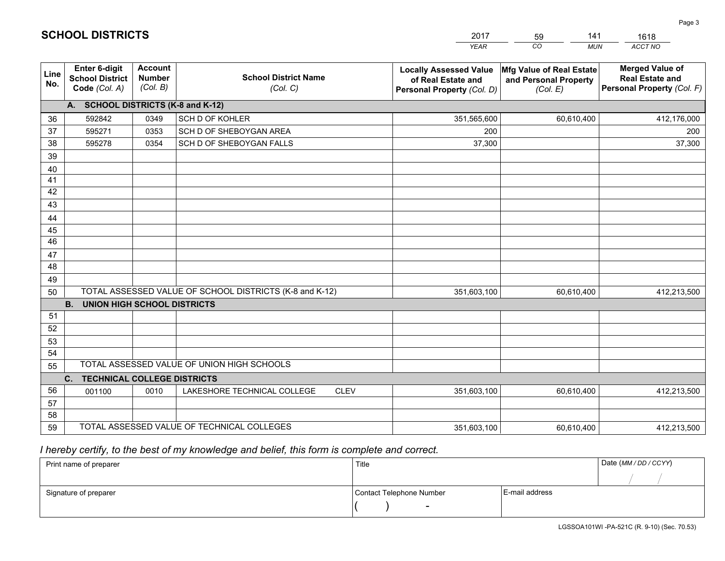|             |                                                                 |                                             |                                                         | <b>YEAR</b>                                                                       | CO<br><b>MUN</b>                                              | ACCT NO                                                                        |
|-------------|-----------------------------------------------------------------|---------------------------------------------|---------------------------------------------------------|-----------------------------------------------------------------------------------|---------------------------------------------------------------|--------------------------------------------------------------------------------|
| Line<br>No. | <b>Enter 6-digit</b><br><b>School District</b><br>Code (Col. A) | <b>Account</b><br><b>Number</b><br>(Col. B) | <b>School District Name</b><br>(Col. C)                 | <b>Locally Assessed Value</b><br>of Real Estate and<br>Personal Property (Col. D) | Mfg Value of Real Estate<br>and Personal Property<br>(Col. E) | <b>Merged Value of</b><br><b>Real Estate and</b><br>Personal Property (Col. F) |
|             | A. SCHOOL DISTRICTS (K-8 and K-12)                              |                                             |                                                         |                                                                                   |                                                               |                                                                                |
| 36          | 592842                                                          | 0349                                        | SCH D OF KOHLER                                         | 351,565,600                                                                       | 60,610,400                                                    | 412,176,000                                                                    |
| 37          | 595271                                                          | 0353                                        | SCH D OF SHEBOYGAN AREA                                 | 200                                                                               |                                                               | 200                                                                            |
| 38          | 595278                                                          | 0354                                        | SCH D OF SHEBOYGAN FALLS                                | 37,300                                                                            |                                                               | 37,300                                                                         |
| 39          |                                                                 |                                             |                                                         |                                                                                   |                                                               |                                                                                |
| 40          |                                                                 |                                             |                                                         |                                                                                   |                                                               |                                                                                |
| 41          |                                                                 |                                             |                                                         |                                                                                   |                                                               |                                                                                |
| 42          |                                                                 |                                             |                                                         |                                                                                   |                                                               |                                                                                |
| 43          |                                                                 |                                             |                                                         |                                                                                   |                                                               |                                                                                |
| 44          |                                                                 |                                             |                                                         |                                                                                   |                                                               |                                                                                |
| 45          |                                                                 |                                             |                                                         |                                                                                   |                                                               |                                                                                |
| 46          |                                                                 |                                             |                                                         |                                                                                   |                                                               |                                                                                |
| 47<br>48    |                                                                 |                                             |                                                         |                                                                                   |                                                               |                                                                                |
|             |                                                                 |                                             |                                                         |                                                                                   |                                                               |                                                                                |
| 49<br>50    |                                                                 |                                             | TOTAL ASSESSED VALUE OF SCHOOL DISTRICTS (K-8 and K-12) | 351,603,100                                                                       | 60,610,400                                                    | 412,213,500                                                                    |
|             | <b>B.</b><br><b>UNION HIGH SCHOOL DISTRICTS</b>                 |                                             |                                                         |                                                                                   |                                                               |                                                                                |
| 51          |                                                                 |                                             |                                                         |                                                                                   |                                                               |                                                                                |
| 52          |                                                                 |                                             |                                                         |                                                                                   |                                                               |                                                                                |
| 53          |                                                                 |                                             |                                                         |                                                                                   |                                                               |                                                                                |
| 54          |                                                                 |                                             |                                                         |                                                                                   |                                                               |                                                                                |
| 55          |                                                                 |                                             | TOTAL ASSESSED VALUE OF UNION HIGH SCHOOLS              |                                                                                   |                                                               |                                                                                |
|             | C.<br><b>TECHNICAL COLLEGE DISTRICTS</b>                        |                                             |                                                         |                                                                                   |                                                               |                                                                                |
| 56          | 001100                                                          | 0010                                        | LAKESHORE TECHNICAL COLLEGE<br><b>CLEV</b>              | 351,603,100                                                                       | 60,610,400                                                    | 412,213,500                                                                    |
| 57          |                                                                 |                                             |                                                         |                                                                                   |                                                               |                                                                                |
| 58          |                                                                 |                                             |                                                         |                                                                                   |                                                               |                                                                                |
| 59          |                                                                 |                                             | TOTAL ASSESSED VALUE OF TECHNICAL COLLEGES              | 351,603,100                                                                       | 60,610,400                                                    | 412,213,500                                                                    |

59

141

1618

 *I hereby certify, to the best of my knowledge and belief, this form is complete and correct.*

**SCHOOL DISTRICTS**

| Print name of preparer | Title                    |                | Date (MM/DD/CCYY) |
|------------------------|--------------------------|----------------|-------------------|
|                        |                          |                |                   |
| Signature of preparer  | Contact Telephone Number | E-mail address |                   |
|                        | $\overline{\phantom{a}}$ |                |                   |

Page 3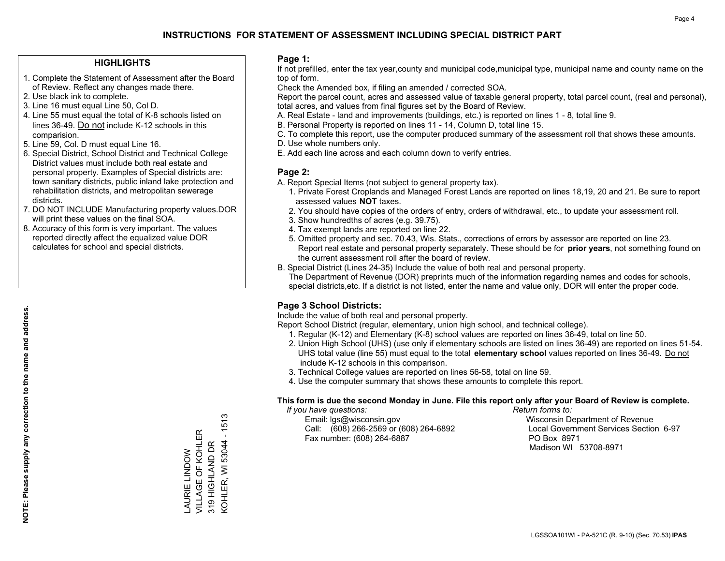## **HIGHLIGHTS**

- 1. Complete the Statement of Assessment after the Board of Review. Reflect any changes made there.
- 2. Use black ink to complete.
- 3. Line 16 must equal Line 50, Col D.
- 4. Line 55 must equal the total of K-8 schools listed on lines 36-49. Do not include K-12 schools in this comparision.
- 5. Line 59, Col. D must equal Line 16.
- 6. Special District, School District and Technical College District values must include both real estate and personal property. Examples of Special districts are: town sanitary districts, public inland lake protection and rehabilitation districts, and metropolitan sewerage districts.
- 7. DO NOT INCLUDE Manufacturing property values.DOR will print these values on the final SOA.
- 8. Accuracy of this form is very important. The values reported directly affect the equalized value DOR calculates for school and special districts.

### **Page 1:**

 If not prefilled, enter the tax year,county and municipal code,municipal type, municipal name and county name on the top of form.

Check the Amended box, if filing an amended / corrected SOA.

 Report the parcel count, acres and assessed value of taxable general property, total parcel count, (real and personal), total acres, and values from final figures set by the Board of Review.

- A. Real Estate land and improvements (buildings, etc.) is reported on lines 1 8, total line 9.
- B. Personal Property is reported on lines 11 14, Column D, total line 15.
- C. To complete this report, use the computer produced summary of the assessment roll that shows these amounts.
- D. Use whole numbers only.
- E. Add each line across and each column down to verify entries.

### **Page 2:**

- A. Report Special Items (not subject to general property tax).
- 1. Private Forest Croplands and Managed Forest Lands are reported on lines 18,19, 20 and 21. Be sure to report assessed values **NOT** taxes.
- 2. You should have copies of the orders of entry, orders of withdrawal, etc., to update your assessment roll.
	- 3. Show hundredths of acres (e.g. 39.75).
- 4. Tax exempt lands are reported on line 22.
- 5. Omitted property and sec. 70.43, Wis. Stats., corrections of errors by assessor are reported on line 23. Report real estate and personal property separately. These should be for **prior years**, not something found on the current assessment roll after the board of review.
- B. Special District (Lines 24-35) Include the value of both real and personal property.
- The Department of Revenue (DOR) preprints much of the information regarding names and codes for schools, special districts,etc. If a district is not listed, enter the name and value only, DOR will enter the proper code.

## **Page 3 School Districts:**

Include the value of both real and personal property.

Report School District (regular, elementary, union high school, and technical college).

- 1. Regular (K-12) and Elementary (K-8) school values are reported on lines 36-49, total on line 50.
- 2. Union High School (UHS) (use only if elementary schools are listed on lines 36-49) are reported on lines 51-54. UHS total value (line 55) must equal to the total **elementary school** values reported on lines 36-49. Do notinclude K-12 schools in this comparison.
- 3. Technical College values are reported on lines 56-58, total on line 59.
- 4. Use the computer summary that shows these amounts to complete this report.

#### **This form is due the second Monday in June. File this report only after your Board of Review is complete.**

 *If you have questions: Return forms to:*

 Email: lgs@wisconsin.gov Wisconsin Department of RevenueCall:  $(608)$  266-2569 or  $(608)$  264-6892 Fax number: (608) 264-6887 PO Box 8971

Local Government Services Section 6-97 Madison WI 53708-8971

 $-1513$ KOHLER, WI 53044 - 1513 VILLAGE OF KOHLER VILLAGE OF KOHLER KOHLER, WI 53044 319 HIGHLAND DR 319 HIGHLAND DR **AURIE LINDOW** LAURIE LINDOW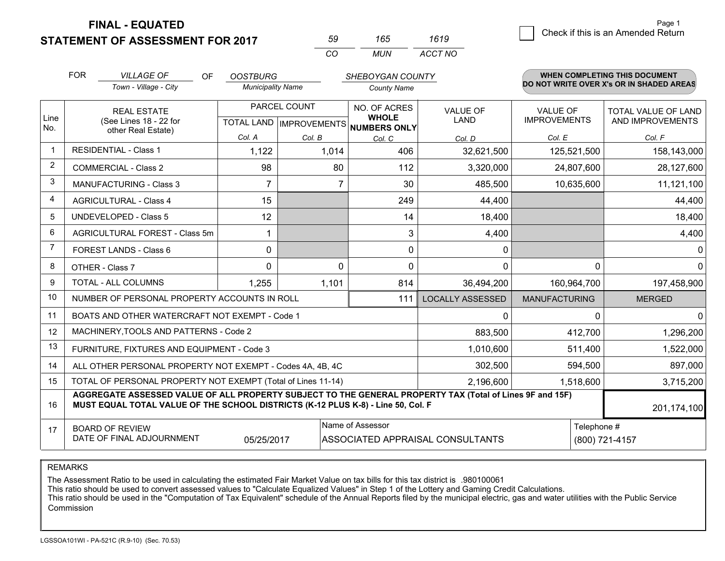**FINAL - EQUATED**

**STATEMENT OF ASSESSMENT FOR 2017** 

| nu       | 165   | 1619    |
|----------|-------|---------|
| $\cdots$ | MI IN | ACCT NO |

|             | <b>FOR</b>                                                                                                                                                                                   | <b>VILLAGE OF</b><br>OF                                      | <b>OOSTBURG</b>          |                                           | <b>SHEBOYGAN COUNTY</b>                      |                         |                                        | <b>WHEN COMPLETING THIS DOCUMENT</b>           |
|-------------|----------------------------------------------------------------------------------------------------------------------------------------------------------------------------------------------|--------------------------------------------------------------|--------------------------|-------------------------------------------|----------------------------------------------|-------------------------|----------------------------------------|------------------------------------------------|
|             |                                                                                                                                                                                              | Town - Village - City                                        | <b>Municipality Name</b> |                                           | <b>County Name</b>                           |                         |                                        | DO NOT WRITE OVER X's OR IN SHADED AREAS       |
| Line<br>No. |                                                                                                                                                                                              | <b>REAL ESTATE</b><br>(See Lines 18 - 22 for                 |                          | PARCEL COUNT<br>TOTAL LAND   IMPROVEMENTS | NO. OF ACRES<br><b>WHOLE</b><br>NUMBERS ONLY | <b>VALUE OF</b><br>LAND | <b>VALUE OF</b><br><b>IMPROVEMENTS</b> | <b>TOTAL VALUE OF LAND</b><br>AND IMPROVEMENTS |
|             |                                                                                                                                                                                              | other Real Estate)                                           | Col. A                   | Col. B                                    | Col. C                                       | Col. D                  | Col. E                                 | Col. F                                         |
| 1           |                                                                                                                                                                                              | <b>RESIDENTIAL - Class 1</b>                                 | 1,122                    | 1,014                                     | 406                                          | 32,621,500              | 125,521,500                            | 158,143,000                                    |
| 2           |                                                                                                                                                                                              | <b>COMMERCIAL - Class 2</b>                                  | 98                       | 80                                        | 112                                          | 3,320,000               | 24,807,600                             | 28,127,600                                     |
| 3           |                                                                                                                                                                                              | MANUFACTURING - Class 3                                      | 7                        | 7                                         | 30                                           | 485,500                 | 10,635,600                             | 11,121,100                                     |
| 4           |                                                                                                                                                                                              | <b>AGRICULTURAL - Class 4</b>                                | 15                       |                                           | 249                                          | 44,400                  |                                        | 44,400                                         |
| 5           |                                                                                                                                                                                              | <b>UNDEVELOPED - Class 5</b>                                 | 12                       |                                           | 14                                           | 18,400                  |                                        | 18,400                                         |
| 6           |                                                                                                                                                                                              | AGRICULTURAL FOREST - Class 5m                               |                          |                                           | 3                                            | 4,400                   |                                        | 4,400                                          |
| 7           |                                                                                                                                                                                              | FOREST LANDS - Class 6                                       | 0                        |                                           | 0                                            | 0                       |                                        | $\mathbf 0$                                    |
| 8           |                                                                                                                                                                                              | OTHER - Class 7                                              | $\Omega$                 | $\Omega$                                  | $\Omega$                                     | $\Omega$                | $\Omega$                               | $\mathbf{0}$                                   |
| 9           |                                                                                                                                                                                              | TOTAL - ALL COLUMNS                                          | 1,255                    | 1,101                                     | 814                                          | 36,494,200              | 160,964,700                            | 197,458,900                                    |
| 10          |                                                                                                                                                                                              | NUMBER OF PERSONAL PROPERTY ACCOUNTS IN ROLL                 |                          |                                           | 111                                          | <b>LOCALLY ASSESSED</b> | <b>MANUFACTURING</b>                   | <b>MERGED</b>                                  |
| 11          |                                                                                                                                                                                              | BOATS AND OTHER WATERCRAFT NOT EXEMPT - Code 1               |                          |                                           |                                              | 0                       | $\Omega$                               | $\mathbf 0$                                    |
| 12          |                                                                                                                                                                                              | MACHINERY, TOOLS AND PATTERNS - Code 2                       |                          |                                           |                                              | 883,500                 | 412,700                                | 1,296,200                                      |
| 13          |                                                                                                                                                                                              | FURNITURE, FIXTURES AND EQUIPMENT - Code 3                   |                          |                                           |                                              | 1,010,600               | 511,400                                | 1,522,000                                      |
| 14          |                                                                                                                                                                                              | ALL OTHER PERSONAL PROPERTY NOT EXEMPT - Codes 4A, 4B, 4C    |                          |                                           |                                              | 302,500                 | 594,500                                | 897,000                                        |
| 15          |                                                                                                                                                                                              | TOTAL OF PERSONAL PROPERTY NOT EXEMPT (Total of Lines 11-14) |                          |                                           |                                              | 2,196,600               | 1,518,600                              | 3,715,200                                      |
| 16          | AGGREGATE ASSESSED VALUE OF ALL PROPERTY SUBJECT TO THE GENERAL PROPERTY TAX (Total of Lines 9F and 15F)<br>MUST EQUAL TOTAL VALUE OF THE SCHOOL DISTRICTS (K-12 PLUS K-8) - Line 50, Col. F |                                                              |                          |                                           |                                              |                         | 201,174,100                            |                                                |
| 17          | Name of Assessor<br>Telephone #<br><b>BOARD OF REVIEW</b><br>DATE OF FINAL ADJOURNMENT<br>05/25/2017<br>ASSOCIATED APPRAISAL CONSULTANTS<br>(800) 721-4157                                   |                                                              |                          |                                           |                                              |                         |                                        |                                                |

REMARKS

The Assessment Ratio to be used in calculating the estimated Fair Market Value on tax bills for this tax district is .980100061<br>This ratio should be used to convert assessed values to "Calculate Equalized Values" in Step 1 Commission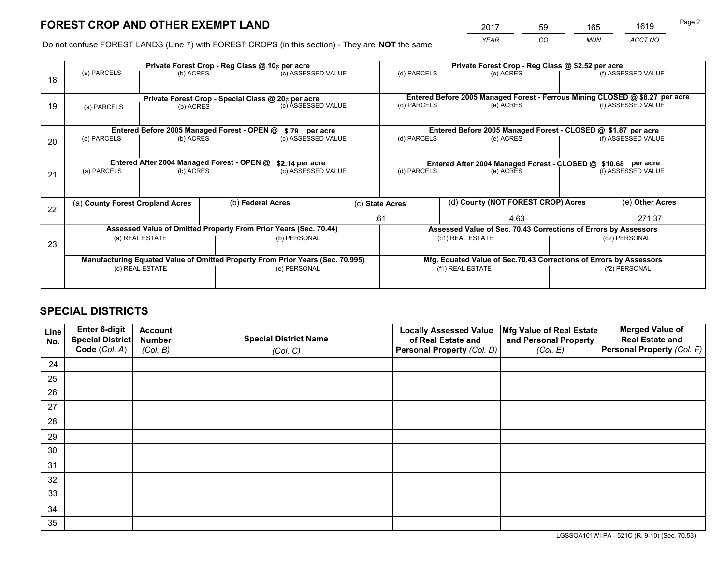*YEAR CO MUN ACCT NO* <sup>2017</sup> <sup>59</sup> <sup>165</sup> <sup>1619</sup>

Do not confuse FOREST LANDS (Line 7) with FOREST CROPS (in this section) - They are **NOT** the same

|    |                                                                                |                                             |                    | Private Forest Crop - Reg Class @ 10¢ per acre                   |             | Private Forest Crop - Reg Class @ \$2.52 per acre             |                                                                              |                    |                    |  |
|----|--------------------------------------------------------------------------------|---------------------------------------------|--------------------|------------------------------------------------------------------|-------------|---------------------------------------------------------------|------------------------------------------------------------------------------|--------------------|--------------------|--|
| 18 | (a) PARCELS                                                                    | (b) ACRES                                   |                    | (c) ASSESSED VALUE                                               |             | (d) PARCELS                                                   | (e) ACRES                                                                    |                    | (f) ASSESSED VALUE |  |
|    | Private Forest Crop - Special Class @ 20¢ per acre                             |                                             |                    |                                                                  |             |                                                               | Entered Before 2005 Managed Forest - Ferrous Mining CLOSED @ \$8.27 per acre |                    |                    |  |
| 19 | (b) ACRES<br>(a) PARCELS                                                       |                                             | (c) ASSESSED VALUE |                                                                  | (d) PARCELS | (e) ACRES                                                     |                                                                              | (f) ASSESSED VALUE |                    |  |
|    |                                                                                | Entered Before 2005 Managed Forest - OPEN @ |                    | \$.79 per acre                                                   |             |                                                               | Entered Before 2005 Managed Forest - CLOSED @ \$1.87 per acre                |                    |                    |  |
| 20 | (a) PARCELS<br>(b) ACRES                                                       |                                             |                    | (c) ASSESSED VALUE                                               |             | (d) PARCELS                                                   | (e) ACRES                                                                    |                    | (f) ASSESSED VALUE |  |
|    |                                                                                | Entered After 2004 Managed Forest - OPEN @  |                    | \$2.14 per acre                                                  |             | Entered After 2004 Managed Forest - CLOSED @ \$10.68 per acre |                                                                              |                    |                    |  |
| 21 | (a) PARCELS                                                                    | (b) ACRES                                   |                    | (c) ASSESSED VALUE                                               |             | (d) PARCELS                                                   | (e) ACRES                                                                    |                    | (f) ASSESSED VALUE |  |
|    | (a) County Forest Cropland Acres                                               |                                             |                    | (b) Federal Acres                                                |             | (d) County (NOT FOREST CROP) Acres<br>(c) State Acres         |                                                                              |                    | (e) Other Acres    |  |
| 22 |                                                                                |                                             |                    |                                                                  |             |                                                               |                                                                              |                    |                    |  |
|    |                                                                                |                                             |                    |                                                                  | .61<br>4.63 |                                                               |                                                                              | 271.37             |                    |  |
|    |                                                                                |                                             |                    | Assessed Value of Omitted Property From Prior Years (Sec. 70.44) |             |                                                               | Assessed Value of Sec. 70.43 Corrections of Errors by Assessors              |                    |                    |  |
| 23 | (a) REAL ESTATE                                                                |                                             |                    | (b) PERSONAL                                                     |             | (c1) REAL ESTATE                                              |                                                                              | (c2) PERSONAL      |                    |  |
|    | Manufacturing Equated Value of Omitted Property From Prior Years (Sec. 70.995) |                                             |                    |                                                                  |             |                                                               | Mfg. Equated Value of Sec.70.43 Corrections of Errors by Assessors           |                    |                    |  |
|    | (d) REAL ESTATE                                                                |                                             |                    | (e) PERSONAL                                                     |             |                                                               | (f1) REAL ESTATE                                                             |                    | (f2) PERSONAL      |  |
|    |                                                                                |                                             |                    |                                                                  |             |                                                               |                                                                              |                    |                    |  |

## **SPECIAL DISTRICTS**

| Line<br>No. | Enter 6-digit<br>Special District<br>Code (Col. A) | <b>Account</b><br><b>Number</b> | <b>Special District Name</b> | <b>Locally Assessed Value</b><br>of Real Estate and | Mfg Value of Real Estate<br>and Personal Property | <b>Merged Value of</b><br><b>Real Estate and</b><br>Personal Property (Col. F) |
|-------------|----------------------------------------------------|---------------------------------|------------------------------|-----------------------------------------------------|---------------------------------------------------|--------------------------------------------------------------------------------|
|             |                                                    | (Col. B)                        | (Col. C)                     | Personal Property (Col. D)                          | (Col. E)                                          |                                                                                |
| 24          |                                                    |                                 |                              |                                                     |                                                   |                                                                                |
| 25          |                                                    |                                 |                              |                                                     |                                                   |                                                                                |
| 26          |                                                    |                                 |                              |                                                     |                                                   |                                                                                |
| 27          |                                                    |                                 |                              |                                                     |                                                   |                                                                                |
| 28          |                                                    |                                 |                              |                                                     |                                                   |                                                                                |
| 29          |                                                    |                                 |                              |                                                     |                                                   |                                                                                |
| 30          |                                                    |                                 |                              |                                                     |                                                   |                                                                                |
| 31          |                                                    |                                 |                              |                                                     |                                                   |                                                                                |
| 32          |                                                    |                                 |                              |                                                     |                                                   |                                                                                |
| 33          |                                                    |                                 |                              |                                                     |                                                   |                                                                                |
| 34          |                                                    |                                 |                              |                                                     |                                                   |                                                                                |
| 35          |                                                    |                                 |                              |                                                     |                                                   |                                                                                |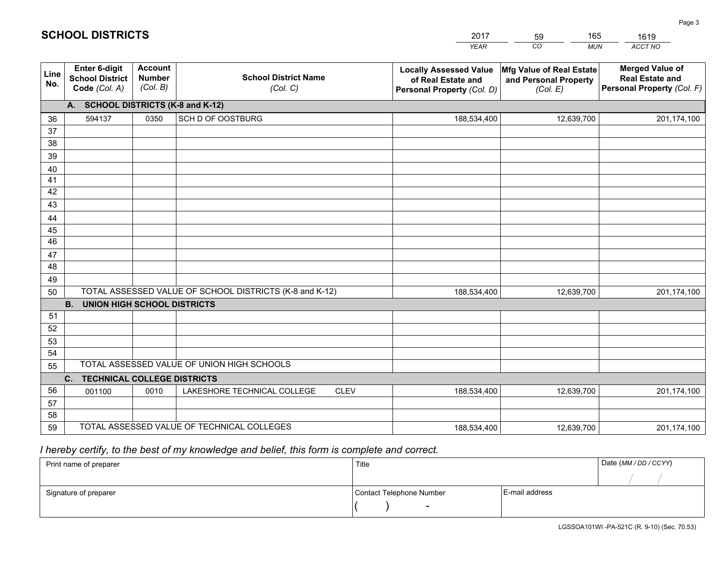|             |                                                                 |                                             |                                                         | <b>YEAR</b>                                                                       | CO<br><b>MUN</b>                                              | ACCT NO                                                                        |
|-------------|-----------------------------------------------------------------|---------------------------------------------|---------------------------------------------------------|-----------------------------------------------------------------------------------|---------------------------------------------------------------|--------------------------------------------------------------------------------|
| Line<br>No. | <b>Enter 6-digit</b><br><b>School District</b><br>Code (Col. A) | <b>Account</b><br><b>Number</b><br>(Col. B) | <b>School District Name</b><br>(Col. C)                 | <b>Locally Assessed Value</b><br>of Real Estate and<br>Personal Property (Col. D) | Mfg Value of Real Estate<br>and Personal Property<br>(Col. E) | <b>Merged Value of</b><br><b>Real Estate and</b><br>Personal Property (Col. F) |
|             | A. SCHOOL DISTRICTS (K-8 and K-12)                              |                                             |                                                         |                                                                                   |                                                               |                                                                                |
| 36          | 594137                                                          | 0350                                        | <b>SCH D OF OOSTBURG</b>                                | 188,534,400                                                                       | 12,639,700                                                    | 201,174,100                                                                    |
| 37          |                                                                 |                                             |                                                         |                                                                                   |                                                               |                                                                                |
| 38          |                                                                 |                                             |                                                         |                                                                                   |                                                               |                                                                                |
| 39          |                                                                 |                                             |                                                         |                                                                                   |                                                               |                                                                                |
| 40          |                                                                 |                                             |                                                         |                                                                                   |                                                               |                                                                                |
| 41<br>42    |                                                                 |                                             |                                                         |                                                                                   |                                                               |                                                                                |
| 43          |                                                                 |                                             |                                                         |                                                                                   |                                                               |                                                                                |
| 44          |                                                                 |                                             |                                                         |                                                                                   |                                                               |                                                                                |
| 45          |                                                                 |                                             |                                                         |                                                                                   |                                                               |                                                                                |
| 46          |                                                                 |                                             |                                                         |                                                                                   |                                                               |                                                                                |
| 47          |                                                                 |                                             |                                                         |                                                                                   |                                                               |                                                                                |
| 48          |                                                                 |                                             |                                                         |                                                                                   |                                                               |                                                                                |
| 49          |                                                                 |                                             |                                                         |                                                                                   |                                                               |                                                                                |
| 50          |                                                                 |                                             | TOTAL ASSESSED VALUE OF SCHOOL DISTRICTS (K-8 and K-12) | 188,534,400                                                                       | 12,639,700                                                    | 201,174,100                                                                    |
|             | <b>B. UNION HIGH SCHOOL DISTRICTS</b>                           |                                             |                                                         |                                                                                   |                                                               |                                                                                |
| 51          |                                                                 |                                             |                                                         |                                                                                   |                                                               |                                                                                |
| 52          |                                                                 |                                             |                                                         |                                                                                   |                                                               |                                                                                |
| 53<br>54    |                                                                 |                                             |                                                         |                                                                                   |                                                               |                                                                                |
| 55          |                                                                 |                                             | TOTAL ASSESSED VALUE OF UNION HIGH SCHOOLS              |                                                                                   |                                                               |                                                                                |
|             | C.<br><b>TECHNICAL COLLEGE DISTRICTS</b>                        |                                             |                                                         |                                                                                   |                                                               |                                                                                |
| 56          | 001100                                                          | 0010                                        | LAKESHORE TECHNICAL COLLEGE<br><b>CLEV</b>              | 188,534,400                                                                       | 12,639,700                                                    | 201,174,100                                                                    |
| 57          |                                                                 |                                             |                                                         |                                                                                   |                                                               |                                                                                |
| 58          |                                                                 |                                             |                                                         |                                                                                   |                                                               |                                                                                |
| 59          |                                                                 |                                             | TOTAL ASSESSED VALUE OF TECHNICAL COLLEGES              | 188,534,400                                                                       | 12,639,700                                                    | 201,174,100                                                                    |

59

165

 *I hereby certify, to the best of my knowledge and belief, this form is complete and correct.*

**SCHOOL DISTRICTS**

| Print name of preparer | Title                    |                | Date (MM / DD / CCYY) |
|------------------------|--------------------------|----------------|-----------------------|
|                        |                          |                |                       |
| Signature of preparer  | Contact Telephone Number | E-mail address |                       |
|                        | $\sim$                   |                |                       |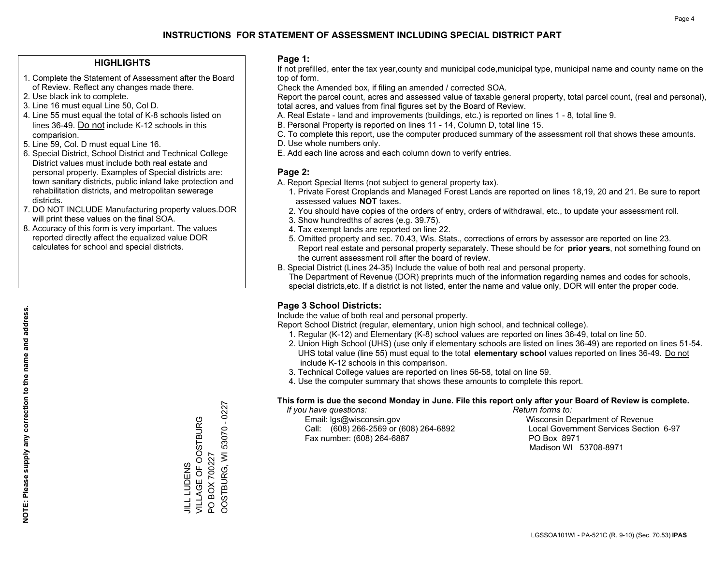## **HIGHLIGHTS**

- 1. Complete the Statement of Assessment after the Board of Review. Reflect any changes made there.
- 2. Use black ink to complete.
- 3. Line 16 must equal Line 50, Col D.
- 4. Line 55 must equal the total of K-8 schools listed on lines 36-49. Do not include K-12 schools in this comparision.
- 5. Line 59, Col. D must equal Line 16.
- 6. Special District, School District and Technical College District values must include both real estate and personal property. Examples of Special districts are: town sanitary districts, public inland lake protection and rehabilitation districts, and metropolitan sewerage districts.
- 7. DO NOT INCLUDE Manufacturing property values.DOR will print these values on the final SOA.

JILL LUDENS

VILLAGE OF OOSTBURG

JILL LUDENS<br>VILLAGE OF OOSTBURG

PO BOX 700227

 $\overline{S}$ 

BOX 700227

OOSTBURG, WI 53070 - 0227

OOSTBURG, WI 53070 - 0227

 8. Accuracy of this form is very important. The values reported directly affect the equalized value DOR calculates for school and special districts.

### **Page 1:**

 If not prefilled, enter the tax year,county and municipal code,municipal type, municipal name and county name on the top of form.

Check the Amended box, if filing an amended / corrected SOA.

 Report the parcel count, acres and assessed value of taxable general property, total parcel count, (real and personal), total acres, and values from final figures set by the Board of Review.

- A. Real Estate land and improvements (buildings, etc.) is reported on lines 1 8, total line 9.
- B. Personal Property is reported on lines 11 14, Column D, total line 15.
- C. To complete this report, use the computer produced summary of the assessment roll that shows these amounts.
- D. Use whole numbers only.
- E. Add each line across and each column down to verify entries.

## **Page 2:**

- A. Report Special Items (not subject to general property tax).
- 1. Private Forest Croplands and Managed Forest Lands are reported on lines 18,19, 20 and 21. Be sure to report assessed values **NOT** taxes.
- 2. You should have copies of the orders of entry, orders of withdrawal, etc., to update your assessment roll.
	- 3. Show hundredths of acres (e.g. 39.75).
- 4. Tax exempt lands are reported on line 22.
- 5. Omitted property and sec. 70.43, Wis. Stats., corrections of errors by assessor are reported on line 23. Report real estate and personal property separately. These should be for **prior years**, not something found on the current assessment roll after the board of review.
- B. Special District (Lines 24-35) Include the value of both real and personal property.
- The Department of Revenue (DOR) preprints much of the information regarding names and codes for schools, special districts,etc. If a district is not listed, enter the name and value only, DOR will enter the proper code.

## **Page 3 School Districts:**

Include the value of both real and personal property.

Report School District (regular, elementary, union high school, and technical college).

- 1. Regular (K-12) and Elementary (K-8) school values are reported on lines 36-49, total on line 50.
- 2. Union High School (UHS) (use only if elementary schools are listed on lines 36-49) are reported on lines 51-54. UHS total value (line 55) must equal to the total **elementary school** values reported on lines 36-49. Do notinclude K-12 schools in this comparison.
- 3. Technical College values are reported on lines 56-58, total on line 59.
- 4. Use the computer summary that shows these amounts to complete this report.

#### **This form is due the second Monday in June. File this report only after your Board of Review is complete.**

 *If you have questions: Return forms to:*

 Email: lgs@wisconsin.gov Wisconsin Department of RevenueCall:  $(608)$  266-2569 or  $(608)$  264-6892 Fax number: (608) 264-6887 PO Box 8971

Local Government Services Section 6-97 Madison WI 53708-8971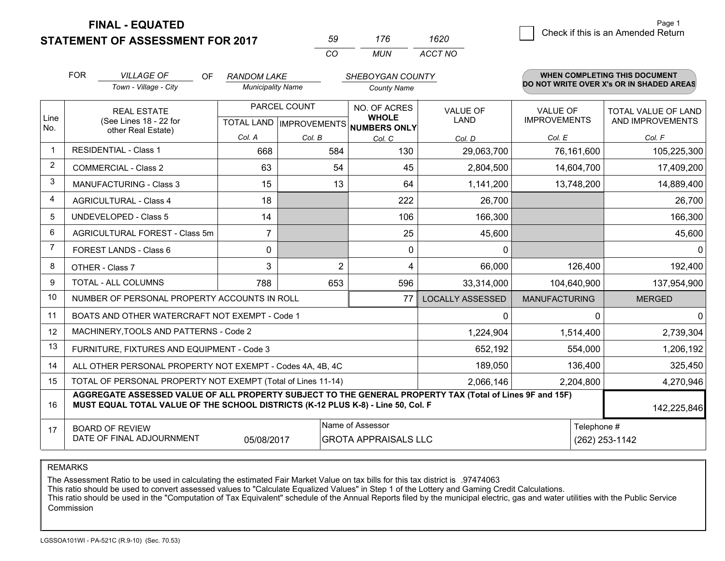**STATEMENT OF ASSESSMENT FOR 2017** 

**FINAL - EQUATED**

| 50 | 176   | 1620    |
|----|-------|---------|
| rη | MI IN | ACCT NO |

|                         | <b>FOR</b><br><b>VILLAGE OF</b><br>OF<br><b>RANDOM LAKE</b>                                                                                                                                  |                                                              | SHEBOYGAN COUNTY         |                |                                          | WHEN COMPLETING THIS DOCUMENT  |                                        |                                          |
|-------------------------|----------------------------------------------------------------------------------------------------------------------------------------------------------------------------------------------|--------------------------------------------------------------|--------------------------|----------------|------------------------------------------|--------------------------------|----------------------------------------|------------------------------------------|
|                         |                                                                                                                                                                                              | Town - Village - City                                        | <b>Municipality Name</b> |                | <b>County Name</b>                       |                                |                                        | DO NOT WRITE OVER X's OR IN SHADED AREAS |
| Line                    |                                                                                                                                                                                              | <b>REAL ESTATE</b><br>(See Lines 18 - 22 for                 |                          | PARCEL COUNT   | NO. OF ACRES<br><b>WHOLE</b>             | <b>VALUE OF</b><br><b>LAND</b> | <b>VALUE OF</b><br><b>IMPROVEMENTS</b> | TOTAL VALUE OF LAND<br>AND IMPROVEMENTS  |
| No.                     |                                                                                                                                                                                              | other Real Estate)                                           |                          |                | TOTAL LAND   IMPROVEMENTS   NUMBERS ONLY |                                |                                        |                                          |
| $\mathbf 1$             |                                                                                                                                                                                              | <b>RESIDENTIAL - Class 1</b>                                 | Col. A                   | Col. B         | Col. C                                   | Col. D                         | Col. E                                 | Col. F                                   |
|                         |                                                                                                                                                                                              |                                                              | 668                      | 584            | 130                                      | 29,063,700                     | 76,161,600                             | 105,225,300                              |
| $\overline{2}$          |                                                                                                                                                                                              | <b>COMMERCIAL - Class 2</b>                                  | 63                       | 54             | 45                                       | 2,804,500                      | 14,604,700                             | 17,409,200                               |
| 3                       |                                                                                                                                                                                              | <b>MANUFACTURING - Class 3</b>                               | 15                       | 13             | 64                                       | 1,141,200                      | 13,748,200                             | 14,889,400                               |
| $\overline{\mathbf{4}}$ |                                                                                                                                                                                              | <b>AGRICULTURAL - Class 4</b>                                | 18                       |                | 222                                      | 26,700                         |                                        | 26,700                                   |
| 5                       |                                                                                                                                                                                              | <b>UNDEVELOPED - Class 5</b>                                 | 14                       |                | 106                                      | 166,300                        |                                        | 166,300                                  |
| 6                       |                                                                                                                                                                                              | AGRICULTURAL FOREST - Class 5m                               | $\overline{7}$           |                | 25                                       | 45,600                         |                                        | 45,600                                   |
| $\overline{7}$          |                                                                                                                                                                                              | FOREST LANDS - Class 6                                       | 0                        |                | $\Omega$                                 | $\Omega$                       |                                        | $\Omega$                                 |
| 8                       |                                                                                                                                                                                              | OTHER - Class 7                                              | 3                        | $\overline{2}$ | 4                                        | 66,000                         | 126,400                                | 192,400                                  |
| 9                       |                                                                                                                                                                                              | TOTAL - ALL COLUMNS                                          | 788                      | 653            | 596                                      | 33,314,000                     | 104,640,900                            | 137,954,900                              |
| 10                      |                                                                                                                                                                                              | NUMBER OF PERSONAL PROPERTY ACCOUNTS IN ROLL                 |                          |                | 77                                       | <b>LOCALLY ASSESSED</b>        | <b>MANUFACTURING</b>                   | <b>MERGED</b>                            |
| 11                      |                                                                                                                                                                                              | BOATS AND OTHER WATERCRAFT NOT EXEMPT - Code 1               |                          |                |                                          | $\Omega$                       | 0                                      | $\Omega$                                 |
| 12                      |                                                                                                                                                                                              | MACHINERY, TOOLS AND PATTERNS - Code 2                       |                          |                |                                          | 1,224,904                      | 1,514,400                              | 2,739,304                                |
| 13                      |                                                                                                                                                                                              | FURNITURE, FIXTURES AND EQUIPMENT - Code 3                   |                          |                |                                          | 652,192                        | 554,000                                | 1,206,192                                |
| 14                      |                                                                                                                                                                                              | ALL OTHER PERSONAL PROPERTY NOT EXEMPT - Codes 4A, 4B, 4C    |                          |                |                                          | 189,050                        | 136,400                                | 325,450                                  |
| 15                      |                                                                                                                                                                                              | TOTAL OF PERSONAL PROPERTY NOT EXEMPT (Total of Lines 11-14) |                          |                |                                          | 2,066,146                      | 2,204,800                              | 4,270,946                                |
| 16                      | AGGREGATE ASSESSED VALUE OF ALL PROPERTY SUBJECT TO THE GENERAL PROPERTY TAX (Total of Lines 9F and 15F)<br>MUST EQUAL TOTAL VALUE OF THE SCHOOL DISTRICTS (K-12 PLUS K-8) - Line 50, Col. F |                                                              |                          |                |                                          |                                | 142,225,846                            |                                          |
| 17                      |                                                                                                                                                                                              | <b>BOARD OF REVIEW</b>                                       |                          |                | Name of Assessor                         |                                | Telephone #                            |                                          |
|                         |                                                                                                                                                                                              | DATE OF FINAL ADJOURNMENT                                    | 05/08/2017               |                | <b>GROTA APPRAISALS LLC</b>              |                                |                                        | (262) 253-1142                           |

REMARKS

The Assessment Ratio to be used in calculating the estimated Fair Market Value on tax bills for this tax district is .97474063

This ratio should be used to convert assessed values to "Calculate Equalized Values" in Step 1 of the Lottery and Gaming Credit Calculations.<br>This ratio should be used in the "Computation of Tax Equivalent" schedule of the Commission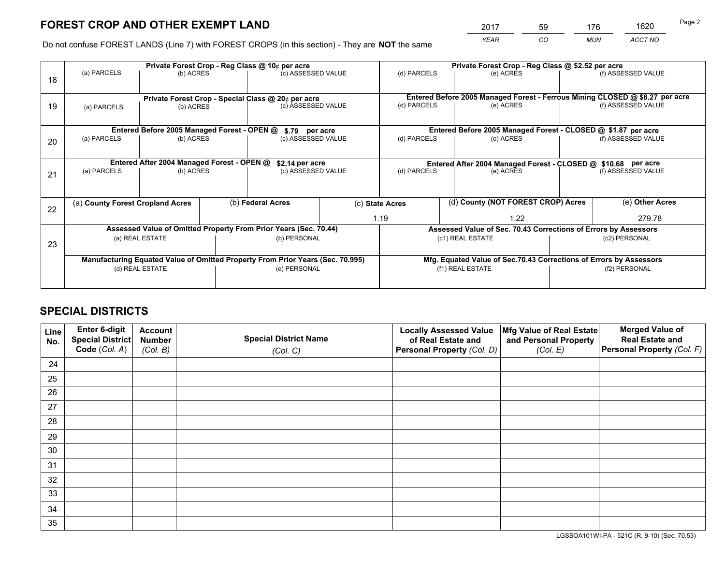*YEAR CO MUN ACCT NO* <sup>2017</sup> <sup>59</sup> <sup>176</sup> <sup>1620</sup>

Do not confuse FOREST LANDS (Line 7) with FOREST CROPS (in this section) - They are **NOT** the same

|    | Private Forest Crop - Reg Class @ 10¢ per acre                                 |                                             |  |                                                                  |      | Private Forest Crop - Reg Class @ \$2.52 per acre             |                                                               |  |                                                                              |  |
|----|--------------------------------------------------------------------------------|---------------------------------------------|--|------------------------------------------------------------------|------|---------------------------------------------------------------|---------------------------------------------------------------|--|------------------------------------------------------------------------------|--|
| 18 | (a) PARCELS                                                                    | (b) ACRES                                   |  | (c) ASSESSED VALUE                                               |      | (d) PARCELS                                                   | (e) ACRES                                                     |  | (f) ASSESSED VALUE                                                           |  |
|    | Private Forest Crop - Special Class @ 20¢ per acre                             |                                             |  |                                                                  |      |                                                               |                                                               |  | Entered Before 2005 Managed Forest - Ferrous Mining CLOSED @ \$8.27 per acre |  |
| 19 | (b) ACRES<br>(a) PARCELS                                                       |                                             |  | (c) ASSESSED VALUE                                               |      | (d) PARCELS                                                   | (e) ACRES                                                     |  | (f) ASSESSED VALUE                                                           |  |
|    |                                                                                | Entered Before 2005 Managed Forest - OPEN @ |  | \$.79 per acre                                                   |      |                                                               | Entered Before 2005 Managed Forest - CLOSED @ \$1.87 per acre |  |                                                                              |  |
|    | (a) PARCELS                                                                    | (b) ACRES                                   |  | (c) ASSESSED VALUE                                               |      | (d) PARCELS                                                   | (e) ACRES                                                     |  | (f) ASSESSED VALUE                                                           |  |
| 20 |                                                                                |                                             |  |                                                                  |      |                                                               |                                                               |  |                                                                              |  |
|    | Entered After 2004 Managed Forest - OPEN @<br>\$2.14 per acre                  |                                             |  |                                                                  |      | Entered After 2004 Managed Forest - CLOSED @ \$10.68 per acre |                                                               |  |                                                                              |  |
| 21 | (a) PARCELS                                                                    | (b) ACRES                                   |  | (c) ASSESSED VALUE                                               |      | (d) PARCELS<br>(e) ACRES                                      |                                                               |  | (f) ASSESSED VALUE                                                           |  |
|    |                                                                                |                                             |  |                                                                  |      |                                                               |                                                               |  |                                                                              |  |
| 22 | (a) County Forest Cropland Acres                                               |                                             |  | (b) Federal Acres                                                |      | (d) County (NOT FOREST CROP) Acres<br>(c) State Acres         |                                                               |  | (e) Other Acres                                                              |  |
|    |                                                                                |                                             |  |                                                                  | 1.19 |                                                               | 1.22                                                          |  | 279.78                                                                       |  |
|    |                                                                                |                                             |  | Assessed Value of Omitted Property From Prior Years (Sec. 70.44) |      |                                                               |                                                               |  | Assessed Value of Sec. 70.43 Corrections of Errors by Assessors              |  |
| 23 |                                                                                | (a) REAL ESTATE                             |  | (b) PERSONAL                                                     |      |                                                               | (c1) REAL ESTATE                                              |  | (c2) PERSONAL                                                                |  |
|    |                                                                                |                                             |  |                                                                  |      |                                                               |                                                               |  |                                                                              |  |
|    | Manufacturing Equated Value of Omitted Property From Prior Years (Sec. 70.995) |                                             |  |                                                                  |      |                                                               |                                                               |  | Mfg. Equated Value of Sec.70.43 Corrections of Errors by Assessors           |  |
|    | (d) REAL ESTATE                                                                |                                             |  | (e) PERSONAL                                                     |      |                                                               | (f1) REAL ESTATE                                              |  | (f2) PERSONAL                                                                |  |
|    |                                                                                |                                             |  |                                                                  |      |                                                               |                                                               |  |                                                                              |  |

## **SPECIAL DISTRICTS**

| Line<br>No. | Enter 6-digit<br><b>Special District</b> | <b>Account</b><br><b>Number</b> | <b>Special District Name</b> | <b>Locally Assessed Value</b><br>of Real Estate and | Mfg Value of Real Estate<br>and Personal Property | <b>Merged Value of</b><br><b>Real Estate and</b> |
|-------------|------------------------------------------|---------------------------------|------------------------------|-----------------------------------------------------|---------------------------------------------------|--------------------------------------------------|
|             | Code (Col. A)                            | (Col. B)                        | (Col. C)                     | Personal Property (Col. D)                          | (Col. E)                                          | Personal Property (Col. F)                       |
| 24          |                                          |                                 |                              |                                                     |                                                   |                                                  |
| 25          |                                          |                                 |                              |                                                     |                                                   |                                                  |
| 26          |                                          |                                 |                              |                                                     |                                                   |                                                  |
| 27          |                                          |                                 |                              |                                                     |                                                   |                                                  |
| 28          |                                          |                                 |                              |                                                     |                                                   |                                                  |
| 29          |                                          |                                 |                              |                                                     |                                                   |                                                  |
| 30          |                                          |                                 |                              |                                                     |                                                   |                                                  |
| 31          |                                          |                                 |                              |                                                     |                                                   |                                                  |
| 32          |                                          |                                 |                              |                                                     |                                                   |                                                  |
| 33          |                                          |                                 |                              |                                                     |                                                   |                                                  |
| 34          |                                          |                                 |                              |                                                     |                                                   |                                                  |
| 35          |                                          |                                 |                              |                                                     |                                                   |                                                  |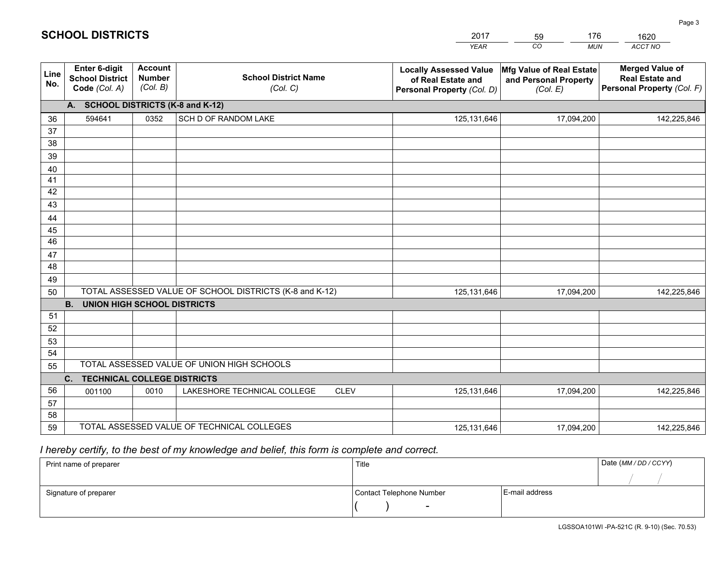|             |                                                                 |                                             |                                                         | <b>YEAR</b>                                                                       | CO<br><b>MUN</b>                                              | <b>ACCT NO</b>                                                                 |
|-------------|-----------------------------------------------------------------|---------------------------------------------|---------------------------------------------------------|-----------------------------------------------------------------------------------|---------------------------------------------------------------|--------------------------------------------------------------------------------|
| Line<br>No. | <b>Enter 6-digit</b><br><b>School District</b><br>Code (Col. A) | <b>Account</b><br><b>Number</b><br>(Col. B) | <b>School District Name</b><br>(Col. C)                 | <b>Locally Assessed Value</b><br>of Real Estate and<br>Personal Property (Col. D) | Mfg Value of Real Estate<br>and Personal Property<br>(Col. E) | <b>Merged Value of</b><br><b>Real Estate and</b><br>Personal Property (Col. F) |
|             | A. SCHOOL DISTRICTS (K-8 and K-12)                              |                                             |                                                         |                                                                                   |                                                               |                                                                                |
| 36          | 594641                                                          | 0352                                        | SCH D OF RANDOM LAKE                                    | 125, 131, 646                                                                     | 17,094,200                                                    | 142,225,846                                                                    |
| 37          |                                                                 |                                             |                                                         |                                                                                   |                                                               |                                                                                |
| 38          |                                                                 |                                             |                                                         |                                                                                   |                                                               |                                                                                |
| 39          |                                                                 |                                             |                                                         |                                                                                   |                                                               |                                                                                |
| 40          |                                                                 |                                             |                                                         |                                                                                   |                                                               |                                                                                |
| 41          |                                                                 |                                             |                                                         |                                                                                   |                                                               |                                                                                |
| 42          |                                                                 |                                             |                                                         |                                                                                   |                                                               |                                                                                |
| 43          |                                                                 |                                             |                                                         |                                                                                   |                                                               |                                                                                |
| 44<br>45    |                                                                 |                                             |                                                         |                                                                                   |                                                               |                                                                                |
| 46          |                                                                 |                                             |                                                         |                                                                                   |                                                               |                                                                                |
| 47          |                                                                 |                                             |                                                         |                                                                                   |                                                               |                                                                                |
| 48          |                                                                 |                                             |                                                         |                                                                                   |                                                               |                                                                                |
| 49          |                                                                 |                                             |                                                         |                                                                                   |                                                               |                                                                                |
| 50          |                                                                 |                                             | TOTAL ASSESSED VALUE OF SCHOOL DISTRICTS (K-8 and K-12) | 125,131,646                                                                       | 17,094,200                                                    | 142,225,846                                                                    |
|             | <b>B.</b><br><b>UNION HIGH SCHOOL DISTRICTS</b>                 |                                             |                                                         |                                                                                   |                                                               |                                                                                |
| 51          |                                                                 |                                             |                                                         |                                                                                   |                                                               |                                                                                |
| 52          |                                                                 |                                             |                                                         |                                                                                   |                                                               |                                                                                |
| 53          |                                                                 |                                             |                                                         |                                                                                   |                                                               |                                                                                |
| 54          |                                                                 |                                             |                                                         |                                                                                   |                                                               |                                                                                |
| 55          |                                                                 |                                             | TOTAL ASSESSED VALUE OF UNION HIGH SCHOOLS              |                                                                                   |                                                               |                                                                                |
|             | C.<br><b>TECHNICAL COLLEGE DISTRICTS</b>                        |                                             |                                                         |                                                                                   |                                                               |                                                                                |
| 56          | 001100                                                          | 0010                                        | LAKESHORE TECHNICAL COLLEGE<br><b>CLEV</b>              | 125,131,646                                                                       | 17,094,200                                                    | 142,225,846                                                                    |
| 57          |                                                                 |                                             |                                                         |                                                                                   |                                                               |                                                                                |
| 58<br>59    |                                                                 |                                             | TOTAL ASSESSED VALUE OF TECHNICAL COLLEGES              |                                                                                   |                                                               |                                                                                |
|             |                                                                 |                                             |                                                         | 125,131,646                                                                       | 17,094,200                                                    | 142,225,846                                                                    |

59

176

 *I hereby certify, to the best of my knowledge and belief, this form is complete and correct.*

**SCHOOL DISTRICTS**

| Print name of preparer | Title                    |                | Date (MM / DD / CCYY) |
|------------------------|--------------------------|----------------|-----------------------|
|                        |                          |                |                       |
| Signature of preparer  | Contact Telephone Number | E-mail address |                       |
|                        | $\sim$                   |                |                       |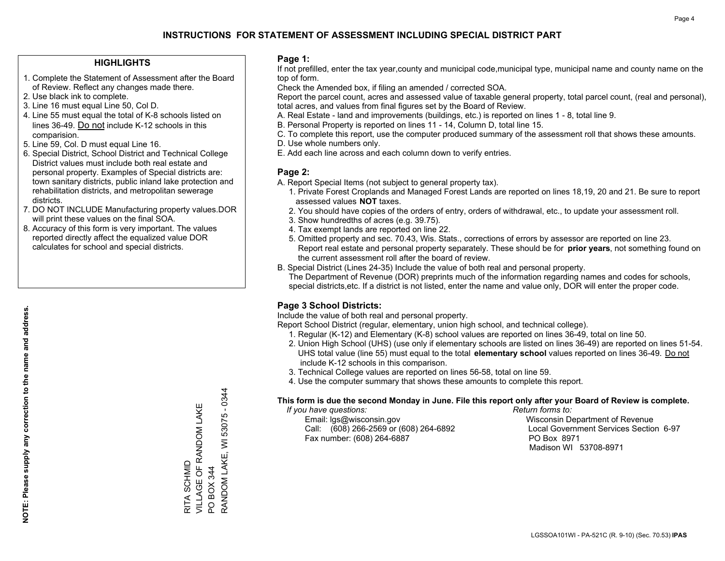## **HIGHLIGHTS**

- 1. Complete the Statement of Assessment after the Board of Review. Reflect any changes made there.
- 2. Use black ink to complete.
- 3. Line 16 must equal Line 50, Col D.
- 4. Line 55 must equal the total of K-8 schools listed on lines 36-49. Do not include K-12 schools in this comparision.
- 5. Line 59, Col. D must equal Line 16.
- 6. Special District, School District and Technical College District values must include both real estate and personal property. Examples of Special districts are: town sanitary districts, public inland lake protection and rehabilitation districts, and metropolitan sewerage districts.
- 7. DO NOT INCLUDE Manufacturing property values.DOR will print these values on the final SOA.
- 8. Accuracy of this form is very important. The values reported directly affect the equalized value DOR calculates for school and special districts.

#### **Page 1:**

 If not prefilled, enter the tax year,county and municipal code,municipal type, municipal name and county name on the top of form.

Check the Amended box, if filing an amended / corrected SOA.

 Report the parcel count, acres and assessed value of taxable general property, total parcel count, (real and personal), total acres, and values from final figures set by the Board of Review.

- A. Real Estate land and improvements (buildings, etc.) is reported on lines 1 8, total line 9.
- B. Personal Property is reported on lines 11 14, Column D, total line 15.
- C. To complete this report, use the computer produced summary of the assessment roll that shows these amounts.
- D. Use whole numbers only.
- E. Add each line across and each column down to verify entries.

## **Page 2:**

- A. Report Special Items (not subject to general property tax).
- 1. Private Forest Croplands and Managed Forest Lands are reported on lines 18,19, 20 and 21. Be sure to report assessed values **NOT** taxes.
- 2. You should have copies of the orders of entry, orders of withdrawal, etc., to update your assessment roll.
	- 3. Show hundredths of acres (e.g. 39.75).
- 4. Tax exempt lands are reported on line 22.
- 5. Omitted property and sec. 70.43, Wis. Stats., corrections of errors by assessor are reported on line 23. Report real estate and personal property separately. These should be for **prior years**, not something found on the current assessment roll after the board of review.
- B. Special District (Lines 24-35) Include the value of both real and personal property.

 The Department of Revenue (DOR) preprints much of the information regarding names and codes for schools, special districts,etc. If a district is not listed, enter the name and value only, DOR will enter the proper code.

## **Page 3 School Districts:**

Include the value of both real and personal property.

Report School District (regular, elementary, union high school, and technical college).

- 1. Regular (K-12) and Elementary (K-8) school values are reported on lines 36-49, total on line 50.
- 2. Union High School (UHS) (use only if elementary schools are listed on lines 36-49) are reported on lines 51-54. UHS total value (line 55) must equal to the total **elementary school** values reported on lines 36-49. Do notinclude K-12 schools in this comparison.
- 3. Technical College values are reported on lines 56-58, total on line 59.
- 4. Use the computer summary that shows these amounts to complete this report.

#### **This form is due the second Monday in June. File this report only after your Board of Review is complete.**

 *If you have questions: Return forms to:*

 Email: lgs@wisconsin.gov Wisconsin Department of RevenueCall:  $(608)$  266-2569 or  $(608)$  264-6892 Fax number: (608) 264-6887 PO Box 8971

Local Government Services Section 6-97 Madison WI 53708-8971

RANDOM LAKE, WI 53075 - 0344 RANDOM LAKE, WI 53075 - 0344 VILLAGE OF RANDOM LAKE VILLAGE OF RANDOM LAKE RITA SCHMID RITA SCHMID PO BOX 344 PO BOX 344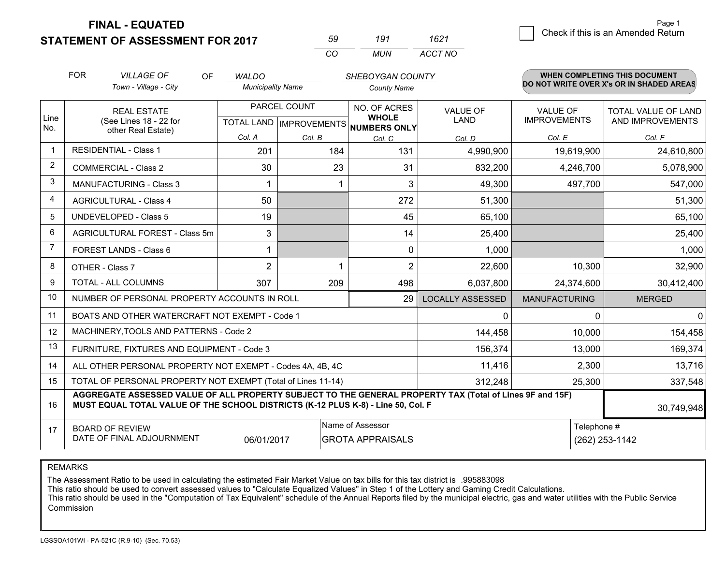**FINAL - EQUATED**

**STATEMENT OF ASSESSMENT FOR 2017** 

| ഹ        | 191 | 1621    |
|----------|-----|---------|
| $\alpha$ | MUN | ACCT NO |

|             | <b>FOR</b>                                                                                                                                                                                   | <b>VILLAGE OF</b><br><b>OF</b>                               | <b>WALDO</b>             |                                                  | <b>SHEBOYGAN COUNTY</b>                      |                         |                                        | <b>WHEN COMPLETING THIS DOCUMENT</b>     |
|-------------|----------------------------------------------------------------------------------------------------------------------------------------------------------------------------------------------|--------------------------------------------------------------|--------------------------|--------------------------------------------------|----------------------------------------------|-------------------------|----------------------------------------|------------------------------------------|
|             |                                                                                                                                                                                              | Town - Village - City                                        | <b>Municipality Name</b> |                                                  | <b>County Name</b>                           |                         |                                        | DO NOT WRITE OVER X's OR IN SHADED AREAS |
| Line<br>No. |                                                                                                                                                                                              | <b>REAL ESTATE</b><br>(See Lines 18 - 22 for                 |                          | PARCEL COUNT<br><b>TOTAL LAND   IMPROVEMENTS</b> | NO. OF ACRES<br><b>WHOLE</b><br>NUMBERS ONLY | VALUE OF<br><b>LAND</b> | <b>VALUE OF</b><br><b>IMPROVEMENTS</b> | TOTAL VALUE OF LAND<br>AND IMPROVEMENTS  |
|             | other Real Estate)                                                                                                                                                                           | Col. A                                                       | Col. B                   | Col. C                                           | Col. D                                       | Col. E                  | Col. F                                 |                                          |
| -1          |                                                                                                                                                                                              | <b>RESIDENTIAL - Class 1</b>                                 | 201                      | 184                                              | 131                                          | 4,990,900               | 19,619,900                             | 24,610,800                               |
| 2           |                                                                                                                                                                                              | <b>COMMERCIAL - Class 2</b>                                  | 30                       | 23                                               | 31                                           | 832,200                 | 4,246,700                              | 5,078,900                                |
| 3           |                                                                                                                                                                                              | <b>MANUFACTURING - Class 3</b>                               |                          |                                                  | 3                                            | 49,300                  | 497,700                                | 547,000                                  |
| 4           |                                                                                                                                                                                              | <b>AGRICULTURAL - Class 4</b>                                | 50                       |                                                  | 272                                          | 51,300                  |                                        | 51,300                                   |
| 5           |                                                                                                                                                                                              | <b>UNDEVELOPED - Class 5</b>                                 | 19                       |                                                  | 45                                           | 65,100                  |                                        | 65,100                                   |
| 6           |                                                                                                                                                                                              | AGRICULTURAL FOREST - Class 5m                               | 3                        |                                                  | 14                                           | 25,400                  |                                        | 25,400                                   |
| 7           |                                                                                                                                                                                              | FOREST LANDS - Class 6                                       |                          |                                                  | $\mathbf{0}$                                 | 1,000                   |                                        | 1,000                                    |
| 8           |                                                                                                                                                                                              | OTHER - Class 7                                              | $\overline{2}$           |                                                  | $\overline{2}$                               | 22,600                  | 10,300                                 | 32,900                                   |
| 9           |                                                                                                                                                                                              | TOTAL - ALL COLUMNS                                          | 307                      | 209                                              | 498                                          | 6,037,800               | 24,374,600                             | 30,412,400                               |
| 10          |                                                                                                                                                                                              | NUMBER OF PERSONAL PROPERTY ACCOUNTS IN ROLL                 |                          |                                                  | 29                                           | <b>LOCALLY ASSESSED</b> | <b>MANUFACTURING</b>                   | <b>MERGED</b>                            |
| 11          |                                                                                                                                                                                              | BOATS AND OTHER WATERCRAFT NOT EXEMPT - Code 1               |                          |                                                  |                                              | $\mathbf{0}$            | 0                                      | 0                                        |
| 12          |                                                                                                                                                                                              | MACHINERY, TOOLS AND PATTERNS - Code 2                       |                          |                                                  |                                              | 144,458                 | 10,000                                 | 154,458                                  |
| 13          |                                                                                                                                                                                              | FURNITURE, FIXTURES AND EQUIPMENT - Code 3                   |                          |                                                  |                                              | 156,374                 | 13,000                                 | 169,374                                  |
| 14          |                                                                                                                                                                                              | ALL OTHER PERSONAL PROPERTY NOT EXEMPT - Codes 4A, 4B, 4C    |                          |                                                  |                                              | 11,416                  | 2,300                                  | 13,716                                   |
| 15          |                                                                                                                                                                                              | TOTAL OF PERSONAL PROPERTY NOT EXEMPT (Total of Lines 11-14) |                          |                                                  |                                              | 312,248                 | 25,300                                 | 337,548                                  |
| 16          | AGGREGATE ASSESSED VALUE OF ALL PROPERTY SUBJECT TO THE GENERAL PROPERTY TAX (Total of Lines 9F and 15F)<br>MUST EQUAL TOTAL VALUE OF THE SCHOOL DISTRICTS (K-12 PLUS K-8) - Line 50, Col. F |                                                              |                          |                                                  |                                              |                         | 30,749,948                             |                                          |
| 17          | Name of Assessor<br>Telephone #<br><b>BOARD OF REVIEW</b><br>DATE OF FINAL ADJOURNMENT<br>06/01/2017<br><b>GROTA APPRAISALS</b><br>(262) 253-1142                                            |                                                              |                          |                                                  |                                              |                         |                                        |                                          |

REMARKS

The Assessment Ratio to be used in calculating the estimated Fair Market Value on tax bills for this tax district is .995883098<br>This ratio should be used to convert assessed values to "Calculate Equalized Values" in Step 1 Commission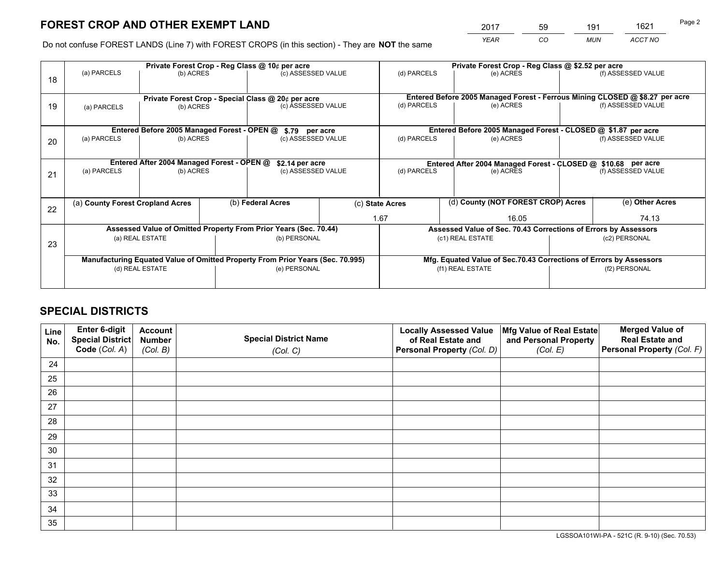*YEAR CO MUN ACCT NO* <sup>2017</sup> <sup>59</sup> <sup>191</sup> <sup>1621</sup>

Do not confuse FOREST LANDS (Line 7) with FOREST CROPS (in this section) - They are **NOT** the same

|    |                                                                                |                                                                 |  | Private Forest Crop - Reg Class @ 10¢ per acre                   |  | Private Forest Crop - Reg Class @ \$2.52 per acre             |                  |  |                                                                              |       |
|----|--------------------------------------------------------------------------------|-----------------------------------------------------------------|--|------------------------------------------------------------------|--|---------------------------------------------------------------|------------------|--|------------------------------------------------------------------------------|-------|
| 18 | (a) PARCELS                                                                    | (b) ACRES                                                       |  | (c) ASSESSED VALUE                                               |  | (d) PARCELS                                                   | (e) ACRES        |  | (f) ASSESSED VALUE                                                           |       |
|    |                                                                                |                                                                 |  |                                                                  |  |                                                               |                  |  | Entered Before 2005 Managed Forest - Ferrous Mining CLOSED @ \$8.27 per acre |       |
| 19 | (a) PARCELS                                                                    | Private Forest Crop - Special Class @ 20¢ per acre<br>(b) ACRES |  | (c) ASSESSED VALUE                                               |  | (d) PARCELS                                                   | (e) ACRES        |  | (f) ASSESSED VALUE                                                           |       |
|    |                                                                                | Entered Before 2005 Managed Forest - OPEN @                     |  | \$.79 per acre                                                   |  |                                                               |                  |  | Entered Before 2005 Managed Forest - CLOSED @ \$1.87 per acre                |       |
|    | (a) PARCELS                                                                    | (b) ACRES                                                       |  | (c) ASSESSED VALUE                                               |  | (d) PARCELS                                                   | (e) ACRES        |  | (f) ASSESSED VALUE                                                           |       |
| 20 |                                                                                |                                                                 |  |                                                                  |  |                                                               |                  |  |                                                                              |       |
|    |                                                                                | Entered After 2004 Managed Forest - OPEN @                      |  | \$2.14 per acre                                                  |  | Entered After 2004 Managed Forest - CLOSED @ \$10.68 per acre |                  |  |                                                                              |       |
| 21 | (a) PARCELS                                                                    | (b) ACRES                                                       |  | (c) ASSESSED VALUE                                               |  | (d) PARCELS<br>(e) ACRES                                      |                  |  | (f) ASSESSED VALUE                                                           |       |
|    |                                                                                |                                                                 |  |                                                                  |  |                                                               |                  |  |                                                                              |       |
| 22 | (a) County Forest Cropland Acres                                               |                                                                 |  | (b) Federal Acres                                                |  | (d) County (NOT FOREST CROP) Acres<br>(c) State Acres         |                  |  | (e) Other Acres                                                              |       |
|    |                                                                                |                                                                 |  |                                                                  |  | 1.67<br>16.05                                                 |                  |  |                                                                              | 74.13 |
|    |                                                                                |                                                                 |  | Assessed Value of Omitted Property From Prior Years (Sec. 70.44) |  |                                                               |                  |  | Assessed Value of Sec. 70.43 Corrections of Errors by Assessors              |       |
| 23 |                                                                                | (a) REAL ESTATE                                                 |  | (b) PERSONAL                                                     |  |                                                               | (c1) REAL ESTATE |  | (c2) PERSONAL                                                                |       |
|    |                                                                                |                                                                 |  |                                                                  |  |                                                               |                  |  |                                                                              |       |
|    | Manufacturing Equated Value of Omitted Property From Prior Years (Sec. 70.995) |                                                                 |  |                                                                  |  |                                                               |                  |  | Mfg. Equated Value of Sec.70.43 Corrections of Errors by Assessors           |       |
|    |                                                                                | (d) REAL ESTATE                                                 |  | (e) PERSONAL                                                     |  |                                                               | (f1) REAL ESTATE |  | (f2) PERSONAL                                                                |       |
|    |                                                                                |                                                                 |  |                                                                  |  |                                                               |                  |  |                                                                              |       |

## **SPECIAL DISTRICTS**

| Line<br>No. | Enter 6-digit<br><b>Special District</b> | <b>Account</b><br><b>Number</b> | <b>Special District Name</b> | <b>Locally Assessed Value</b><br>of Real Estate and | Mfg Value of Real Estate<br>and Personal Property | <b>Merged Value of</b><br><b>Real Estate and</b> |
|-------------|------------------------------------------|---------------------------------|------------------------------|-----------------------------------------------------|---------------------------------------------------|--------------------------------------------------|
|             | Code (Col. A)                            | (Col. B)                        | (Col. C)                     | Personal Property (Col. D)                          | (Col. E)                                          | Personal Property (Col. F)                       |
| 24          |                                          |                                 |                              |                                                     |                                                   |                                                  |
| 25          |                                          |                                 |                              |                                                     |                                                   |                                                  |
| 26          |                                          |                                 |                              |                                                     |                                                   |                                                  |
| 27          |                                          |                                 |                              |                                                     |                                                   |                                                  |
| 28          |                                          |                                 |                              |                                                     |                                                   |                                                  |
| 29          |                                          |                                 |                              |                                                     |                                                   |                                                  |
| 30          |                                          |                                 |                              |                                                     |                                                   |                                                  |
| 31          |                                          |                                 |                              |                                                     |                                                   |                                                  |
| 32          |                                          |                                 |                              |                                                     |                                                   |                                                  |
| 33          |                                          |                                 |                              |                                                     |                                                   |                                                  |
| 34          |                                          |                                 |                              |                                                     |                                                   |                                                  |
| 35          |                                          |                                 |                              |                                                     |                                                   |                                                  |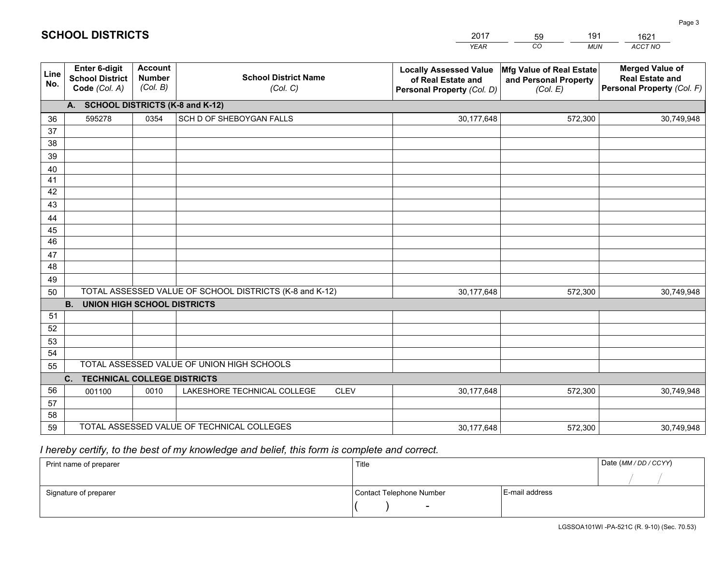|             |                                                                 |                                             |                                                         | <b>YEAR</b>                                                                       | CO<br><b>MUN</b>                                              | ACCT NO                                                                        |
|-------------|-----------------------------------------------------------------|---------------------------------------------|---------------------------------------------------------|-----------------------------------------------------------------------------------|---------------------------------------------------------------|--------------------------------------------------------------------------------|
| Line<br>No. | <b>Enter 6-digit</b><br><b>School District</b><br>Code (Col. A) | <b>Account</b><br><b>Number</b><br>(Col. B) | <b>School District Name</b><br>(Col. C)                 | <b>Locally Assessed Value</b><br>of Real Estate and<br>Personal Property (Col. D) | Mfg Value of Real Estate<br>and Personal Property<br>(Col. E) | <b>Merged Value of</b><br><b>Real Estate and</b><br>Personal Property (Col. F) |
|             | A. SCHOOL DISTRICTS (K-8 and K-12)                              |                                             |                                                         |                                                                                   |                                                               |                                                                                |
| 36          | 595278                                                          | 0354                                        | SCH D OF SHEBOYGAN FALLS                                | 30,177,648                                                                        | 572,300                                                       | 30,749,948                                                                     |
| 37          |                                                                 |                                             |                                                         |                                                                                   |                                                               |                                                                                |
| 38          |                                                                 |                                             |                                                         |                                                                                   |                                                               |                                                                                |
| 39          |                                                                 |                                             |                                                         |                                                                                   |                                                               |                                                                                |
| 40          |                                                                 |                                             |                                                         |                                                                                   |                                                               |                                                                                |
| 41<br>42    |                                                                 |                                             |                                                         |                                                                                   |                                                               |                                                                                |
| 43          |                                                                 |                                             |                                                         |                                                                                   |                                                               |                                                                                |
| 44          |                                                                 |                                             |                                                         |                                                                                   |                                                               |                                                                                |
| 45          |                                                                 |                                             |                                                         |                                                                                   |                                                               |                                                                                |
| 46          |                                                                 |                                             |                                                         |                                                                                   |                                                               |                                                                                |
| 47          |                                                                 |                                             |                                                         |                                                                                   |                                                               |                                                                                |
| 48          |                                                                 |                                             |                                                         |                                                                                   |                                                               |                                                                                |
| 49          |                                                                 |                                             |                                                         |                                                                                   |                                                               |                                                                                |
| 50          |                                                                 |                                             | TOTAL ASSESSED VALUE OF SCHOOL DISTRICTS (K-8 and K-12) | 30,177,648                                                                        | 572,300                                                       | 30,749,948                                                                     |
|             | <b>B. UNION HIGH SCHOOL DISTRICTS</b>                           |                                             |                                                         |                                                                                   |                                                               |                                                                                |
| 51<br>52    |                                                                 |                                             |                                                         |                                                                                   |                                                               |                                                                                |
| 53          |                                                                 |                                             |                                                         |                                                                                   |                                                               |                                                                                |
| 54          |                                                                 |                                             |                                                         |                                                                                   |                                                               |                                                                                |
| 55          |                                                                 |                                             | TOTAL ASSESSED VALUE OF UNION HIGH SCHOOLS              |                                                                                   |                                                               |                                                                                |
|             | C.<br><b>TECHNICAL COLLEGE DISTRICTS</b>                        |                                             |                                                         |                                                                                   |                                                               |                                                                                |
| 56          | 001100                                                          | 0010                                        | LAKESHORE TECHNICAL COLLEGE<br><b>CLEV</b>              | 30,177,648                                                                        | 572,300                                                       | 30,749,948                                                                     |
| 57          |                                                                 |                                             |                                                         |                                                                                   |                                                               |                                                                                |
| 58          |                                                                 |                                             |                                                         |                                                                                   |                                                               |                                                                                |
| 59          |                                                                 |                                             | TOTAL ASSESSED VALUE OF TECHNICAL COLLEGES              | 30,177,648                                                                        | 572,300                                                       | 30,749,948                                                                     |

59

191

 *I hereby certify, to the best of my knowledge and belief, this form is complete and correct.*

**SCHOOL DISTRICTS**

| Print name of preparer | Title                    |                | Date (MM / DD / CCYY) |
|------------------------|--------------------------|----------------|-----------------------|
|                        |                          |                |                       |
| Signature of preparer  | Contact Telephone Number | E-mail address |                       |
|                        | $\sim$                   |                |                       |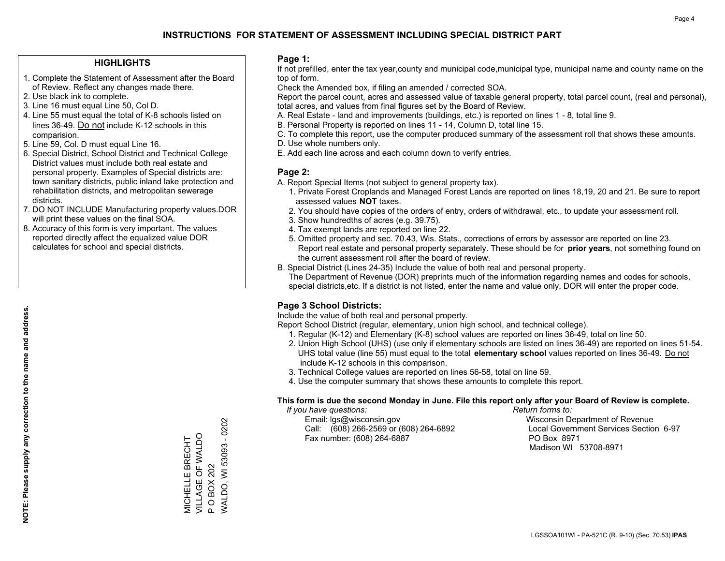## **HIGHLIGHTS**

- 1. Complete the Statement of Assessment after the Board of Review. Reflect any changes made there.
- 2. Use black ink to complete.
- 3. Line 16 must equal Line 50, Col D.
- 4. Line 55 must equal the total of K-8 schools listed on lines 36-49. Do not include K-12 schools in this comparision.
- 5. Line 59, Col. D must equal Line 16.
- 6. Special District, School District and Technical College District values must include both real estate and personal property. Examples of Special districts are: town sanitary districts, public inland lake protection and rehabilitation districts, and metropolitan sewerage districts.
- 7. DO NOT INCLUDE Manufacturing property values.DOR will print these values on the final SOA.

MICHELLE BRECHT VILLAGE OF WALDO

MICHELLE BRECHT<br>VILLAGE OF WALDO

P O BOX 202

P O BOX 202

WALDO, WI 53093 - 0202

**WALDO, WI 53093 - 0202** 

 8. Accuracy of this form is very important. The values reported directly affect the equalized value DOR calculates for school and special districts.

### **Page 1:**

 If not prefilled, enter the tax year,county and municipal code,municipal type, municipal name and county name on the top of form.

Check the Amended box, if filing an amended / corrected SOA.

 Report the parcel count, acres and assessed value of taxable general property, total parcel count, (real and personal), total acres, and values from final figures set by the Board of Review.

- A. Real Estate land and improvements (buildings, etc.) is reported on lines 1 8, total line 9.
- B. Personal Property is reported on lines 11 14, Column D, total line 15.
- C. To complete this report, use the computer produced summary of the assessment roll that shows these amounts.
- D. Use whole numbers only.
- E. Add each line across and each column down to verify entries.

## **Page 2:**

- A. Report Special Items (not subject to general property tax).
- 1. Private Forest Croplands and Managed Forest Lands are reported on lines 18,19, 20 and 21. Be sure to report assessed values **NOT** taxes.
- 2. You should have copies of the orders of entry, orders of withdrawal, etc., to update your assessment roll.
	- 3. Show hundredths of acres (e.g. 39.75).
- 4. Tax exempt lands are reported on line 22.
- 5. Omitted property and sec. 70.43, Wis. Stats., corrections of errors by assessor are reported on line 23. Report real estate and personal property separately. These should be for **prior years**, not something found on the current assessment roll after the board of review.
- B. Special District (Lines 24-35) Include the value of both real and personal property.

 The Department of Revenue (DOR) preprints much of the information regarding names and codes for schools, special districts,etc. If a district is not listed, enter the name and value only, DOR will enter the proper code.

## **Page 3 School Districts:**

Include the value of both real and personal property.

Report School District (regular, elementary, union high school, and technical college).

- 1. Regular (K-12) and Elementary (K-8) school values are reported on lines 36-49, total on line 50.
- 2. Union High School (UHS) (use only if elementary schools are listed on lines 36-49) are reported on lines 51-54. UHS total value (line 55) must equal to the total **elementary school** values reported on lines 36-49. Do notinclude K-12 schools in this comparison.
- 3. Technical College values are reported on lines 56-58, total on line 59.
- 4. Use the computer summary that shows these amounts to complete this report.

#### **This form is due the second Monday in June. File this report only after your Board of Review is complete.**

 *If you have questions: Return forms to:*

 Email: lgs@wisconsin.gov Wisconsin Department of RevenueCall:  $(608)$  266-2569 or  $(608)$  264-6892 Fax number: (608) 264-6887 PO Box 8971

Local Government Services Section 6-97 Madison WI 53708-8971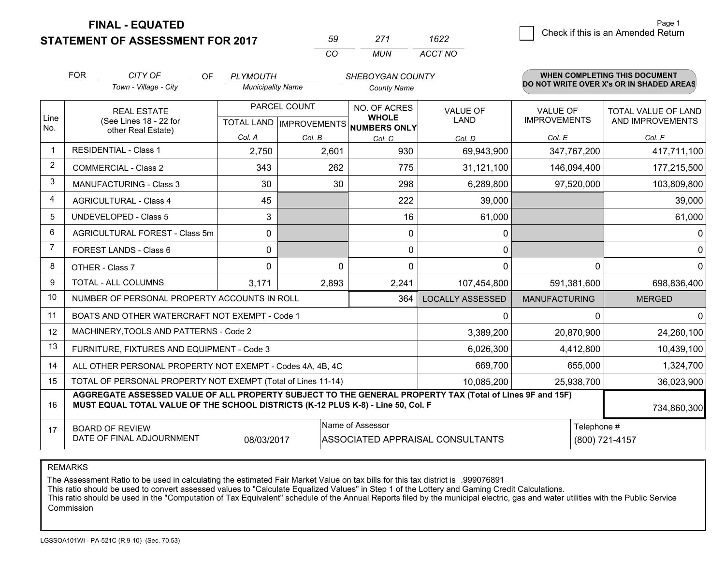**FINAL - EQUATED**

**STATEMENT OF ASSESSMENT FOR 2017** 

| 50       | 271  | 1622    |
|----------|------|---------|
| $\cdots$ | MUN. | ACCT NO |

|                | <b>FOR</b>                                                                                                                                                                                   | CITY OF<br>OF                                                | <b>PLYMOUTH</b>          |        | SHEBOYGAN COUNTY                     |                         |                      | <b>WHEN COMPLETING THIS DOCUMENT</b>     |
|----------------|----------------------------------------------------------------------------------------------------------------------------------------------------------------------------------------------|--------------------------------------------------------------|--------------------------|--------|--------------------------------------|-------------------------|----------------------|------------------------------------------|
|                |                                                                                                                                                                                              | Town - Village - City                                        | <b>Municipality Name</b> |        | <b>County Name</b>                   |                         |                      | DO NOT WRITE OVER X's OR IN SHADED AREAS |
| Line           |                                                                                                                                                                                              | <b>REAL ESTATE</b>                                           | PARCEL COUNT             |        | NO. OF ACRES<br><b>WHOLE</b>         | <b>VALUE OF</b>         | <b>VALUE OF</b>      | <b>TOTAL VALUE OF LAND</b>               |
| No.            |                                                                                                                                                                                              | (See Lines 18 - 22 for<br>other Real Estate)                 |                          |        | TOTAL LAND IMPROVEMENTS NUMBERS ONLY | LAND                    | <b>IMPROVEMENTS</b>  | AND IMPROVEMENTS                         |
|                |                                                                                                                                                                                              |                                                              | Col. A                   | Col. B | Col. C                               | Col. D                  | Col. E               | Col. F                                   |
| $\mathbf 1$    |                                                                                                                                                                                              | <b>RESIDENTIAL - Class 1</b>                                 | 2,750                    | 2,601  | 930                                  | 69,943,900              | 347,767,200          | 417,711,100                              |
| 2              |                                                                                                                                                                                              | <b>COMMERCIAL - Class 2</b>                                  | 343                      | 262    | 775                                  | 31,121,100              | 146,094,400          | 177,215,500                              |
| 3              |                                                                                                                                                                                              | <b>MANUFACTURING - Class 3</b>                               | 30                       | 30     | 298                                  | 6,289,800               | 97,520,000           | 103,809,800                              |
| 4              |                                                                                                                                                                                              | <b>AGRICULTURAL - Class 4</b>                                | 45                       |        | 222                                  | 39,000                  |                      | 39,000                                   |
| 5              |                                                                                                                                                                                              | <b>UNDEVELOPED - Class 5</b>                                 | 3                        |        | 16                                   | 61,000                  |                      | 61,000                                   |
| 6              | AGRICULTURAL FOREST - Class 5m                                                                                                                                                               |                                                              | 0                        |        | 0                                    | 0                       |                      | 0                                        |
| $\overline{7}$ | FOREST LANDS - Class 6                                                                                                                                                                       |                                                              | $\mathbf{0}$             |        | $\Omega$                             | 0                       |                      | $\mathbf{0}$                             |
| 8              |                                                                                                                                                                                              | OTHER - Class 7                                              | $\mathbf 0$              | 0      | $\Omega$                             | 0                       | $\Omega$             | $\mathbf 0$                              |
| 9              |                                                                                                                                                                                              | TOTAL - ALL COLUMNS                                          | 3,171                    | 2,893  | 2,241                                | 107,454,800             | 591,381,600          | 698,836,400                              |
| 10             |                                                                                                                                                                                              | NUMBER OF PERSONAL PROPERTY ACCOUNTS IN ROLL                 |                          |        | 364                                  | <b>LOCALLY ASSESSED</b> | <b>MANUFACTURING</b> | <b>MERGED</b>                            |
| 11             |                                                                                                                                                                                              | BOATS AND OTHER WATERCRAFT NOT EXEMPT - Code 1               |                          |        |                                      | 0                       | $\Omega$             | 0                                        |
| 12             |                                                                                                                                                                                              | MACHINERY, TOOLS AND PATTERNS - Code 2                       |                          |        |                                      | 3,389,200               | 20,870,900           | 24,260,100                               |
| 13             |                                                                                                                                                                                              | FURNITURE, FIXTURES AND EQUIPMENT - Code 3                   |                          |        |                                      | 6,026,300               | 4,412,800            | 10,439,100                               |
| 14             |                                                                                                                                                                                              | ALL OTHER PERSONAL PROPERTY NOT EXEMPT - Codes 4A, 4B, 4C    |                          |        |                                      | 669,700                 | 655,000              | 1,324,700                                |
| 15             |                                                                                                                                                                                              | TOTAL OF PERSONAL PROPERTY NOT EXEMPT (Total of Lines 11-14) |                          |        |                                      | 10,085,200              | 25,938,700           | 36,023,900                               |
| 16             | AGGREGATE ASSESSED VALUE OF ALL PROPERTY SUBJECT TO THE GENERAL PROPERTY TAX (Total of Lines 9F and 15F)<br>MUST EQUAL TOTAL VALUE OF THE SCHOOL DISTRICTS (K-12 PLUS K-8) - Line 50, Col. F |                                                              |                          |        |                                      |                         | 734,860,300          |                                          |
| 17             |                                                                                                                                                                                              | <b>BOARD OF REVIEW</b>                                       |                          |        | Name of Assessor                     |                         | Telephone #          |                                          |
|                | DATE OF FINAL ADJOURNMENT<br>08/03/2017<br>ASSOCIATED APPRAISAL CONSULTANTS<br>(800) 721-4157                                                                                                |                                                              |                          |        |                                      |                         |                      |                                          |

REMARKS

The Assessment Ratio to be used in calculating the estimated Fair Market Value on tax bills for this tax district is .999076891

This ratio should be used to convert assessed values to "Calculate Equalized Values" in Step 1 of the Lottery and Gaming Credit Calculations.<br>This ratio should be used in the "Computation of Tax Equivalent" schedule of the Commission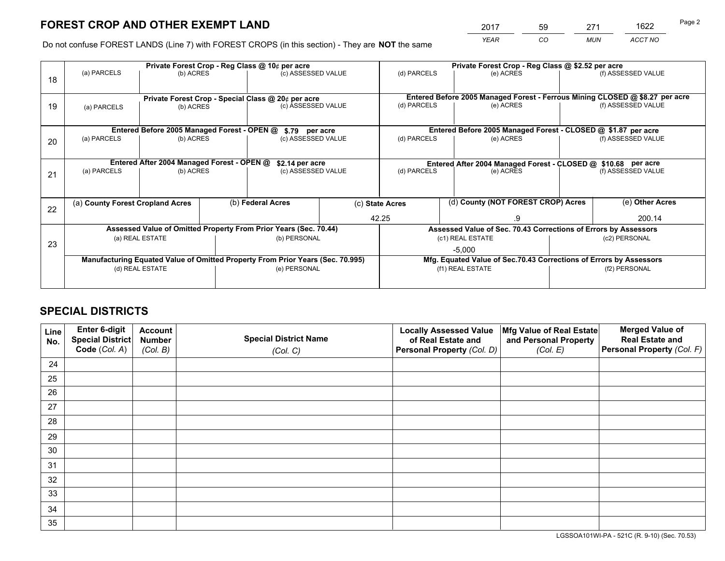*YEAR CO MUN ACCT NO* 2017 59 271 1622

Do not confuse FOREST LANDS (Line 7) with FOREST CROPS (in this section) - They are **NOT** the same

|    |                                                                                |                                             |  | Private Forest Crop - Reg Class @ 10¢ per acre                   |       | Private Forest Crop - Reg Class @ \$2.52 per acre             |                                                                              |  |                    |  |
|----|--------------------------------------------------------------------------------|---------------------------------------------|--|------------------------------------------------------------------|-------|---------------------------------------------------------------|------------------------------------------------------------------------------|--|--------------------|--|
| 18 | (a) PARCELS                                                                    | (b) ACRES                                   |  | (c) ASSESSED VALUE                                               |       | (d) PARCELS                                                   | (e) ACRES                                                                    |  | (f) ASSESSED VALUE |  |
|    |                                                                                |                                             |  | Private Forest Crop - Special Class @ 20¢ per acre               |       |                                                               | Entered Before 2005 Managed Forest - Ferrous Mining CLOSED @ \$8.27 per acre |  |                    |  |
| 19 | (b) ACRES<br>(a) PARCELS                                                       |                                             |  | (c) ASSESSED VALUE                                               |       | (d) PARCELS                                                   | (e) ACRES                                                                    |  | (f) ASSESSED VALUE |  |
|    |                                                                                | Entered Before 2005 Managed Forest - OPEN @ |  | \$.79 per acre                                                   |       |                                                               | Entered Before 2005 Managed Forest - CLOSED @ \$1.87 per acre                |  |                    |  |
| 20 | (a) PARCELS<br>(b) ACRES                                                       |                                             |  | (c) ASSESSED VALUE                                               |       | (d) PARCELS<br>(e) ACRES                                      |                                                                              |  | (f) ASSESSED VALUE |  |
|    | Entered After 2004 Managed Forest - OPEN @<br>\$2.14 per acre                  |                                             |  |                                                                  |       | Entered After 2004 Managed Forest - CLOSED @ \$10.68 per acre |                                                                              |  |                    |  |
| 21 | (a) PARCELS                                                                    | (b) ACRES                                   |  | (c) ASSESSED VALUE                                               |       | (d) PARCELS                                                   | (e) ACRES                                                                    |  | (f) ASSESSED VALUE |  |
| 22 | (a) County Forest Cropland Acres                                               |                                             |  | (b) Federal Acres                                                |       | (d) County (NOT FOREST CROP) Acres<br>(c) State Acres         |                                                                              |  | (e) Other Acres    |  |
|    |                                                                                |                                             |  |                                                                  | 42.25 |                                                               | .9                                                                           |  | 200.14             |  |
|    |                                                                                |                                             |  | Assessed Value of Omitted Property From Prior Years (Sec. 70.44) |       |                                                               | Assessed Value of Sec. 70.43 Corrections of Errors by Assessors              |  |                    |  |
| 23 |                                                                                | (a) REAL ESTATE                             |  | (b) PERSONAL                                                     |       |                                                               | (c1) REAL ESTATE                                                             |  | (c2) PERSONAL      |  |
|    |                                                                                |                                             |  |                                                                  |       |                                                               | $-5,000$                                                                     |  |                    |  |
|    | Manufacturing Equated Value of Omitted Property From Prior Years (Sec. 70.995) |                                             |  |                                                                  |       |                                                               | Mfg. Equated Value of Sec.70.43 Corrections of Errors by Assessors           |  |                    |  |
|    |                                                                                | (d) REAL ESTATE                             |  | (e) PERSONAL                                                     |       | (f1) REAL ESTATE                                              |                                                                              |  | (f2) PERSONAL      |  |
|    |                                                                                |                                             |  |                                                                  |       |                                                               |                                                                              |  |                    |  |

## **SPECIAL DISTRICTS**

| Line<br>No. | Enter 6-digit<br>Special District<br>Code (Col. A) | <b>Account</b><br><b>Number</b> | <b>Special District Name</b> | <b>Locally Assessed Value</b><br>of Real Estate and | Mfg Value of Real Estate<br>and Personal Property | <b>Merged Value of</b><br><b>Real Estate and</b><br>Personal Property (Col. F) |
|-------------|----------------------------------------------------|---------------------------------|------------------------------|-----------------------------------------------------|---------------------------------------------------|--------------------------------------------------------------------------------|
|             |                                                    | (Col. B)                        | (Col. C)                     | Personal Property (Col. D)                          | (Col. E)                                          |                                                                                |
| 24          |                                                    |                                 |                              |                                                     |                                                   |                                                                                |
| 25          |                                                    |                                 |                              |                                                     |                                                   |                                                                                |
| 26          |                                                    |                                 |                              |                                                     |                                                   |                                                                                |
| 27          |                                                    |                                 |                              |                                                     |                                                   |                                                                                |
| 28          |                                                    |                                 |                              |                                                     |                                                   |                                                                                |
| 29          |                                                    |                                 |                              |                                                     |                                                   |                                                                                |
| 30          |                                                    |                                 |                              |                                                     |                                                   |                                                                                |
| 31          |                                                    |                                 |                              |                                                     |                                                   |                                                                                |
| 32          |                                                    |                                 |                              |                                                     |                                                   |                                                                                |
| 33          |                                                    |                                 |                              |                                                     |                                                   |                                                                                |
| 34          |                                                    |                                 |                              |                                                     |                                                   |                                                                                |
| 35          |                                                    |                                 |                              |                                                     |                                                   |                                                                                |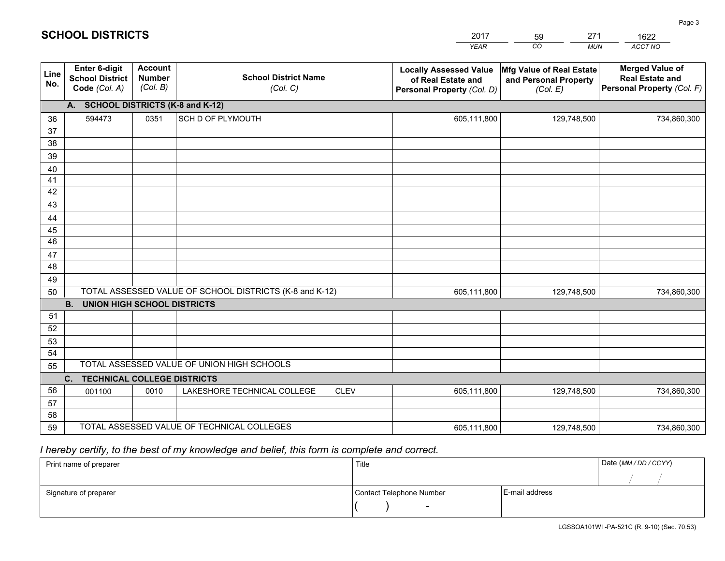|             |                                                          |                                             |                                                         | YEAR                                                                              | CO.<br><b>MUN</b>                                             | ACCT NO                                                                        |
|-------------|----------------------------------------------------------|---------------------------------------------|---------------------------------------------------------|-----------------------------------------------------------------------------------|---------------------------------------------------------------|--------------------------------------------------------------------------------|
| Line<br>No. | Enter 6-digit<br><b>School District</b><br>Code (Col. A) | <b>Account</b><br><b>Number</b><br>(Col. B) | <b>School District Name</b><br>(Col. C)                 | <b>Locally Assessed Value</b><br>of Real Estate and<br>Personal Property (Col. D) | Mfg Value of Real Estate<br>and Personal Property<br>(Col. E) | <b>Merged Value of</b><br><b>Real Estate and</b><br>Personal Property (Col. F) |
|             | A. SCHOOL DISTRICTS (K-8 and K-12)                       |                                             |                                                         |                                                                                   |                                                               |                                                                                |
| 36          | 594473                                                   | 0351                                        | SCH D OF PLYMOUTH                                       | 605,111,800                                                                       | 129,748,500                                                   | 734,860,300                                                                    |
| 37          |                                                          |                                             |                                                         |                                                                                   |                                                               |                                                                                |
| 38          |                                                          |                                             |                                                         |                                                                                   |                                                               |                                                                                |
| 39          |                                                          |                                             |                                                         |                                                                                   |                                                               |                                                                                |
| 40          |                                                          |                                             |                                                         |                                                                                   |                                                               |                                                                                |
| 41<br>42    |                                                          |                                             |                                                         |                                                                                   |                                                               |                                                                                |
| 43          |                                                          |                                             |                                                         |                                                                                   |                                                               |                                                                                |
| 44          |                                                          |                                             |                                                         |                                                                                   |                                                               |                                                                                |
| 45          |                                                          |                                             |                                                         |                                                                                   |                                                               |                                                                                |
| 46          |                                                          |                                             |                                                         |                                                                                   |                                                               |                                                                                |
| 47          |                                                          |                                             |                                                         |                                                                                   |                                                               |                                                                                |
| 48          |                                                          |                                             |                                                         |                                                                                   |                                                               |                                                                                |
| 49          |                                                          |                                             |                                                         |                                                                                   |                                                               |                                                                                |
| 50          |                                                          |                                             | TOTAL ASSESSED VALUE OF SCHOOL DISTRICTS (K-8 and K-12) | 605,111,800                                                                       | 129,748,500                                                   | 734,860,300                                                                    |
|             | <b>B.</b><br>UNION HIGH SCHOOL DISTRICTS                 |                                             |                                                         |                                                                                   |                                                               |                                                                                |
| 51          |                                                          |                                             |                                                         |                                                                                   |                                                               |                                                                                |
| 52          |                                                          |                                             |                                                         |                                                                                   |                                                               |                                                                                |
| 53          |                                                          |                                             |                                                         |                                                                                   |                                                               |                                                                                |
| 54          |                                                          |                                             | TOTAL ASSESSED VALUE OF UNION HIGH SCHOOLS              |                                                                                   |                                                               |                                                                                |
| 55          |                                                          |                                             |                                                         |                                                                                   |                                                               |                                                                                |
| 56          | C.<br><b>TECHNICAL COLLEGE DISTRICTS</b>                 |                                             | LAKESHORE TECHNICAL COLLEGE<br><b>CLEV</b>              |                                                                                   |                                                               |                                                                                |
| 57          | 001100                                                   | 0010                                        |                                                         | 605,111,800                                                                       | 129,748,500                                                   | 734,860,300                                                                    |
| 58          |                                                          |                                             |                                                         |                                                                                   |                                                               |                                                                                |
| 59          |                                                          |                                             | TOTAL ASSESSED VALUE OF TECHNICAL COLLEGES              | 605,111,800                                                                       | 129,748,500                                                   | 734,860,300                                                                    |
|             |                                                          |                                             |                                                         |                                                                                   |                                                               |                                                                                |

59

271

 *I hereby certify, to the best of my knowledge and belief, this form is complete and correct.*

**SCHOOL DISTRICTS**

| Print name of preparer | Title                    |                | Date (MM / DD / CCYY) |
|------------------------|--------------------------|----------------|-----------------------|
|                        |                          |                |                       |
| Signature of preparer  | Contact Telephone Number | E-mail address |                       |
|                        | $\sim$                   |                |                       |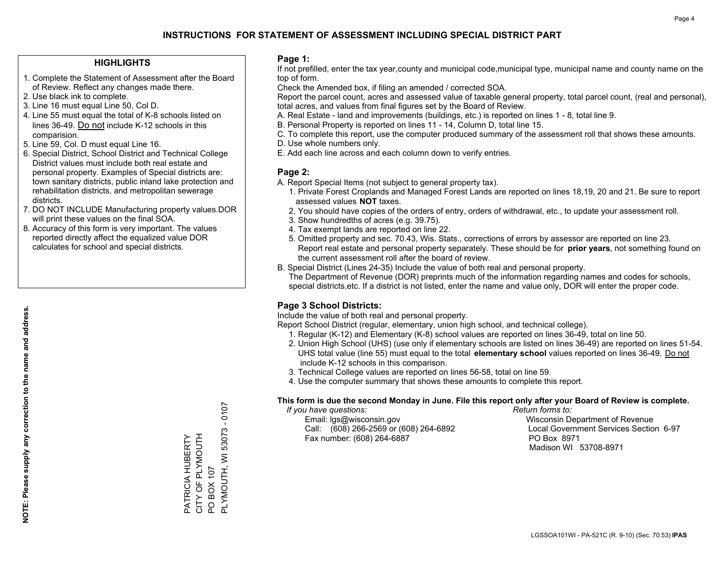## **HIGHLIGHTS**

- 1. Complete the Statement of Assessment after the Board of Review. Reflect any changes made there.
- 2. Use black ink to complete.
- 3. Line 16 must equal Line 50, Col D.
- 4. Line 55 must equal the total of K-8 schools listed on lines 36-49. Do not include K-12 schools in this comparision.
- 5. Line 59, Col. D must equal Line 16.
- 6. Special District, School District and Technical College District values must include both real estate and personal property. Examples of Special districts are: town sanitary districts, public inland lake protection and rehabilitation districts, and metropolitan sewerage districts.
- 7. DO NOT INCLUDE Manufacturing property values.DOR will print these values on the final SOA.
- 8. Accuracy of this form is very important. The values reported directly affect the equalized value DOR calculates for school and special districts.

### **Page 1:**

 If not prefilled, enter the tax year,county and municipal code,municipal type, municipal name and county name on the top of form.

Check the Amended box, if filing an amended / corrected SOA.

 Report the parcel count, acres and assessed value of taxable general property, total parcel count, (real and personal), total acres, and values from final figures set by the Board of Review.

- A. Real Estate land and improvements (buildings, etc.) is reported on lines 1 8, total line 9.
- B. Personal Property is reported on lines 11 14, Column D, total line 15.
- C. To complete this report, use the computer produced summary of the assessment roll that shows these amounts.
- D. Use whole numbers only.
- E. Add each line across and each column down to verify entries.

## **Page 2:**

- A. Report Special Items (not subject to general property tax).
- 1. Private Forest Croplands and Managed Forest Lands are reported on lines 18,19, 20 and 21. Be sure to report assessed values **NOT** taxes.
- 2. You should have copies of the orders of entry, orders of withdrawal, etc., to update your assessment roll.
	- 3. Show hundredths of acres (e.g. 39.75).
- 4. Tax exempt lands are reported on line 22.
- 5. Omitted property and sec. 70.43, Wis. Stats., corrections of errors by assessor are reported on line 23. Report real estate and personal property separately. These should be for **prior years**, not something found on the current assessment roll after the board of review.
- B. Special District (Lines 24-35) Include the value of both real and personal property.
- The Department of Revenue (DOR) preprints much of the information regarding names and codes for schools, special districts,etc. If a district is not listed, enter the name and value only, DOR will enter the proper code.

## **Page 3 School Districts:**

Include the value of both real and personal property.

Report School District (regular, elementary, union high school, and technical college).

- 1. Regular (K-12) and Elementary (K-8) school values are reported on lines 36-49, total on line 50.
- 2. Union High School (UHS) (use only if elementary schools are listed on lines 36-49) are reported on lines 51-54. UHS total value (line 55) must equal to the total **elementary school** values reported on lines 36-49. Do notinclude K-12 schools in this comparison.
- 3. Technical College values are reported on lines 56-58, total on line 59.
- 4. Use the computer summary that shows these amounts to complete this report.

#### **This form is due the second Monday in June. File this report only after your Board of Review is complete.**

 *If you have questions: Return forms to:*

 Email: lgs@wisconsin.gov Wisconsin Department of RevenueCall:  $(608)$  266-2569 or  $(608)$  264-6892 Fax number: (608) 264-6887 PO Box 8971

Local Government Services Section 6-97 Madison WI 53708-8971

 $-0107$ PLYMOUTH, WI 53073 - 0107 PLYMOUTH, WI 53073 CITY OF PLYMOUTH PATRICIA HUBERTY<br>CITY OF PLYMOUTH PATRICIA HUBERTY PO BOX 107 PO BOX 107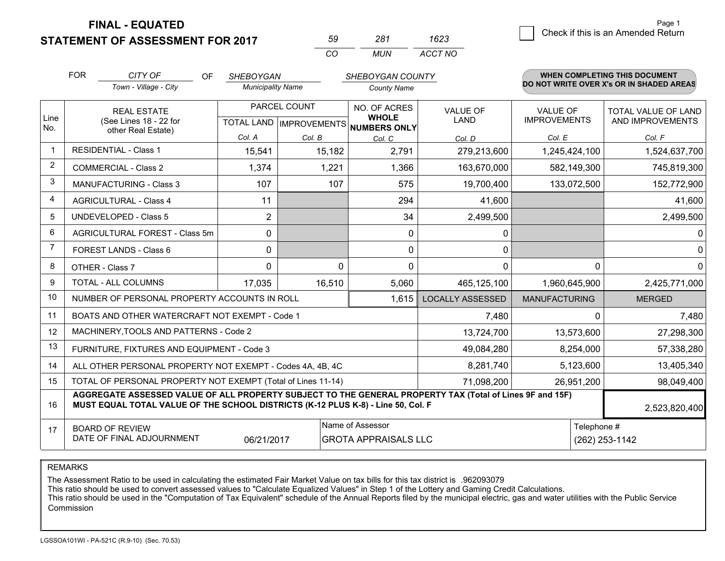**FINAL - EQUATED**

**STATEMENT OF ASSESSMENT FOR 2017** 

| 50       | ר אי | 1623    |
|----------|------|---------|
| $\cdots$ | MUN. | ACCT NO |

|                | <b>FOR</b>                                                                                                           | CITY OF<br>OF                                                                                                                                                                                | <b>SHEBOYGAN</b>                                    |          | SHEBOYGAN COUNTY             |                         |                                        | WHEN COMPLETING THIS DOCUMENT                  |
|----------------|----------------------------------------------------------------------------------------------------------------------|----------------------------------------------------------------------------------------------------------------------------------------------------------------------------------------------|-----------------------------------------------------|----------|------------------------------|-------------------------|----------------------------------------|------------------------------------------------|
|                |                                                                                                                      | Town - Village - City                                                                                                                                                                        | <b>Municipality Name</b>                            |          | <b>County Name</b>           |                         |                                        | DO NOT WRITE OVER X's OR IN SHADED AREAS       |
| Line           | <b>REAL ESTATE</b><br>(See Lines 18 - 22 for<br>other Real Estate)                                                   |                                                                                                                                                                                              | PARCEL COUNT<br>TOTAL LAND MPROVEMENTS NUMBERS ONLY |          | NO. OF ACRES<br><b>WHOLE</b> | <b>VALUE OF</b><br>LAND | <b>VALUE OF</b><br><b>IMPROVEMENTS</b> | <b>TOTAL VALUE OF LAND</b><br>AND IMPROVEMENTS |
| No.            |                                                                                                                      |                                                                                                                                                                                              | Col. A                                              | Col. B   |                              |                         | Col. E                                 | Col. F                                         |
|                |                                                                                                                      | <b>RESIDENTIAL - Class 1</b>                                                                                                                                                                 | 15,541                                              | 15,182   | Col. C<br>2,791              | Col. D<br>279,213,600   | 1,245,424,100                          | 1,524,637,700                                  |
| 2              |                                                                                                                      | <b>COMMERCIAL - Class 2</b>                                                                                                                                                                  | 1,374                                               | 1,221    | 1,366                        | 163,670,000             | 582,149,300                            | 745,819,300                                    |
| 3              |                                                                                                                      | <b>MANUFACTURING - Class 3</b>                                                                                                                                                               | 107                                                 | 107      | 575                          | 19,700,400              | 133,072,500                            | 152,772,900                                    |
| 4              |                                                                                                                      | <b>AGRICULTURAL - Class 4</b>                                                                                                                                                                | 11                                                  |          | 294                          | 41,600                  |                                        | 41,600                                         |
| 5              |                                                                                                                      | <b>UNDEVELOPED - Class 5</b>                                                                                                                                                                 | 2                                                   |          | 34                           | 2,499,500               |                                        | 2,499,500                                      |
| 6              |                                                                                                                      | AGRICULTURAL FOREST - Class 5m                                                                                                                                                               | $\mathbf 0$                                         |          | 0                            | 0                       |                                        | 0                                              |
| $\overline{7}$ | FOREST LANDS - Class 6                                                                                               |                                                                                                                                                                                              | $\mathbf{0}$                                        |          | $\mathbf{0}$                 | $\mathbf{0}$            |                                        | $\mathbf 0$                                    |
| 8              | OTHER - Class 7                                                                                                      |                                                                                                                                                                                              | $\Omega$                                            | $\Omega$ | 0                            | $\Omega$                |                                        | $\Omega$<br>$\Omega$                           |
| 9              | TOTAL - ALL COLUMNS                                                                                                  |                                                                                                                                                                                              | 17,035                                              | 16,510   | 5,060                        | 465,125,100             | 1,960,645,900                          | 2,425,771,000                                  |
| 10             | NUMBER OF PERSONAL PROPERTY ACCOUNTS IN ROLL<br>1,615                                                                |                                                                                                                                                                                              |                                                     |          |                              | <b>LOCALLY ASSESSED</b> | <b>MANUFACTURING</b>                   | <b>MERGED</b>                                  |
| 11             |                                                                                                                      | BOATS AND OTHER WATERCRAFT NOT EXEMPT - Code 1                                                                                                                                               |                                                     |          | 7,480                        |                         | 7,480<br>0                             |                                                |
| 12             |                                                                                                                      | MACHINERY, TOOLS AND PATTERNS - Code 2                                                                                                                                                       |                                                     |          |                              | 13,724,700              | 13,573,600                             | 27,298,300                                     |
| 13             | FURNITURE, FIXTURES AND EQUIPMENT - Code 3                                                                           |                                                                                                                                                                                              |                                                     |          |                              | 49,084,280              | 8,254,000                              | 57,338,280                                     |
| 14             |                                                                                                                      | ALL OTHER PERSONAL PROPERTY NOT EXEMPT - Codes 4A, 4B, 4C                                                                                                                                    |                                                     |          | 8,281,740                    | 5,123,600               | 13,405,340                             |                                                |
| 15             | TOTAL OF PERSONAL PROPERTY NOT EXEMPT (Total of Lines 11-14)                                                         |                                                                                                                                                                                              |                                                     |          |                              | 71,098,200              | 26,951,200                             | 98,049,400                                     |
| 16             |                                                                                                                      | AGGREGATE ASSESSED VALUE OF ALL PROPERTY SUBJECT TO THE GENERAL PROPERTY TAX (Total of Lines 9F and 15F)<br>MUST EQUAL TOTAL VALUE OF THE SCHOOL DISTRICTS (K-12 PLUS K-8) - Line 50, Col. F |                                                     |          |                              |                         | 2,523,820,400                          |                                                |
| 17             | Name of Assessor<br><b>BOARD OF REVIEW</b><br>DATE OF FINAL ADJOURNMENT<br>06/21/2017<br><b>GROTA APPRAISALS LLC</b> |                                                                                                                                                                                              |                                                     |          |                              |                         | Telephone #<br>(262) 253-1142          |                                                |

REMARKS

The Assessment Ratio to be used in calculating the estimated Fair Market Value on tax bills for this tax district is .962093079<br>This ratio should be used to convert assessed values to "Calculate Equalized Values" in Step 1 Commission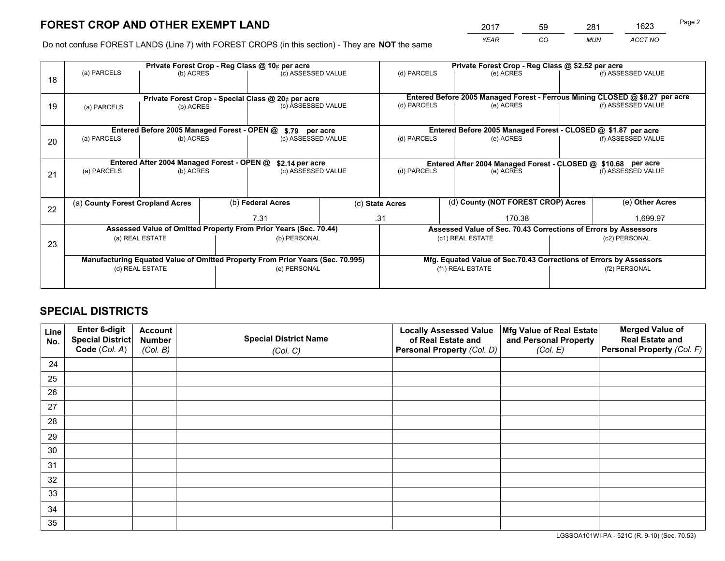*YEAR CO MUN ACCT NO* <sup>2017</sup> <sup>59</sup> <sup>281</sup> <sup>1623</sup>

Do not confuse FOREST LANDS (Line 7) with FOREST CROPS (in this section) - They are **NOT** the same

|    | Private Forest Crop - Reg Class @ 10¢ per acre                                 |                                             |              |                                                    |                  | Private Forest Crop - Reg Class @ \$2.52 per acre                  |                                                               |               |                                                                              |  |
|----|--------------------------------------------------------------------------------|---------------------------------------------|--------------|----------------------------------------------------|------------------|--------------------------------------------------------------------|---------------------------------------------------------------|---------------|------------------------------------------------------------------------------|--|
| 18 | (a) PARCELS                                                                    | (b) ACRES                                   |              | (c) ASSESSED VALUE                                 |                  | (d) PARCELS                                                        | (e) ACRES                                                     |               | (f) ASSESSED VALUE                                                           |  |
|    |                                                                                |                                             |              | Private Forest Crop - Special Class @ 20¢ per acre |                  |                                                                    |                                                               |               | Entered Before 2005 Managed Forest - Ferrous Mining CLOSED @ \$8.27 per acre |  |
| 19 | (a) PARCELS                                                                    | (b) ACRES                                   |              | (c) ASSESSED VALUE                                 |                  | (d) PARCELS                                                        | (e) ACRES                                                     |               | (f) ASSESSED VALUE                                                           |  |
|    |                                                                                | Entered Before 2005 Managed Forest - OPEN @ |              |                                                    |                  |                                                                    | Entered Before 2005 Managed Forest - CLOSED @ \$1.87 per acre |               |                                                                              |  |
|    | (a) PARCELS                                                                    | (b) ACRES                                   |              | \$.79 per acre<br>(c) ASSESSED VALUE               |                  | (d) PARCELS<br>(e) ACRES                                           |                                                               |               | (f) ASSESSED VALUE                                                           |  |
| 20 |                                                                                |                                             |              |                                                    |                  |                                                                    |                                                               |               |                                                                              |  |
|    |                                                                                | Entered After 2004 Managed Forest - OPEN @  |              | \$2.14 per acre                                    |                  |                                                                    | Entered After 2004 Managed Forest - CLOSED @ \$10.68 per acre |               |                                                                              |  |
| 21 | (a) PARCELS                                                                    | (b) ACRES                                   |              | (c) ASSESSED VALUE                                 |                  | (d) PARCELS<br>(e) ACRES                                           |                                                               |               | (f) ASSESSED VALUE                                                           |  |
|    |                                                                                |                                             |              |                                                    |                  |                                                                    |                                                               |               |                                                                              |  |
| 22 | (a) County Forest Cropland Acres                                               |                                             |              | (b) Federal Acres                                  |                  | (c) State Acres                                                    | (d) County (NOT FOREST CROP) Acres                            |               | (e) Other Acres                                                              |  |
|    |                                                                                |                                             |              | 7.31                                               |                  | .31<br>170.38                                                      |                                                               |               | 1.699.97                                                                     |  |
|    | Assessed Value of Omitted Property From Prior Years (Sec. 70.44)               |                                             |              |                                                    |                  | Assessed Value of Sec. 70.43 Corrections of Errors by Assessors    |                                                               |               |                                                                              |  |
| 23 | (a) REAL ESTATE                                                                |                                             | (b) PERSONAL |                                                    | (c1) REAL ESTATE |                                                                    |                                                               | (c2) PERSONAL |                                                                              |  |
|    |                                                                                |                                             |              |                                                    |                  |                                                                    |                                                               |               |                                                                              |  |
|    | Manufacturing Equated Value of Omitted Property From Prior Years (Sec. 70.995) |                                             |              |                                                    |                  | Mfg. Equated Value of Sec.70.43 Corrections of Errors by Assessors |                                                               |               |                                                                              |  |
|    |                                                                                | (d) REAL ESTATE                             |              | (e) PERSONAL                                       |                  | (f1) REAL ESTATE                                                   |                                                               |               | (f2) PERSONAL                                                                |  |
|    |                                                                                |                                             |              |                                                    |                  |                                                                    |                                                               |               |                                                                              |  |

## **SPECIAL DISTRICTS**

| Line<br>No. | Enter 6-digit<br>Special District<br>Code (Col. A) | <b>Account</b><br><b>Number</b> | <b>Special District Name</b> | <b>Locally Assessed Value</b><br>of Real Estate and | Mfg Value of Real Estate<br>and Personal Property | <b>Merged Value of</b><br><b>Real Estate and</b><br>Personal Property (Col. F) |
|-------------|----------------------------------------------------|---------------------------------|------------------------------|-----------------------------------------------------|---------------------------------------------------|--------------------------------------------------------------------------------|
|             |                                                    | (Col. B)                        | (Col. C)                     | Personal Property (Col. D)                          | (Col. E)                                          |                                                                                |
| 24          |                                                    |                                 |                              |                                                     |                                                   |                                                                                |
| 25          |                                                    |                                 |                              |                                                     |                                                   |                                                                                |
| 26          |                                                    |                                 |                              |                                                     |                                                   |                                                                                |
| 27          |                                                    |                                 |                              |                                                     |                                                   |                                                                                |
| 28          |                                                    |                                 |                              |                                                     |                                                   |                                                                                |
| 29          |                                                    |                                 |                              |                                                     |                                                   |                                                                                |
| 30          |                                                    |                                 |                              |                                                     |                                                   |                                                                                |
| 31          |                                                    |                                 |                              |                                                     |                                                   |                                                                                |
| 32          |                                                    |                                 |                              |                                                     |                                                   |                                                                                |
| 33          |                                                    |                                 |                              |                                                     |                                                   |                                                                                |
| 34          |                                                    |                                 |                              |                                                     |                                                   |                                                                                |
| 35          |                                                    |                                 |                              |                                                     |                                                   |                                                                                |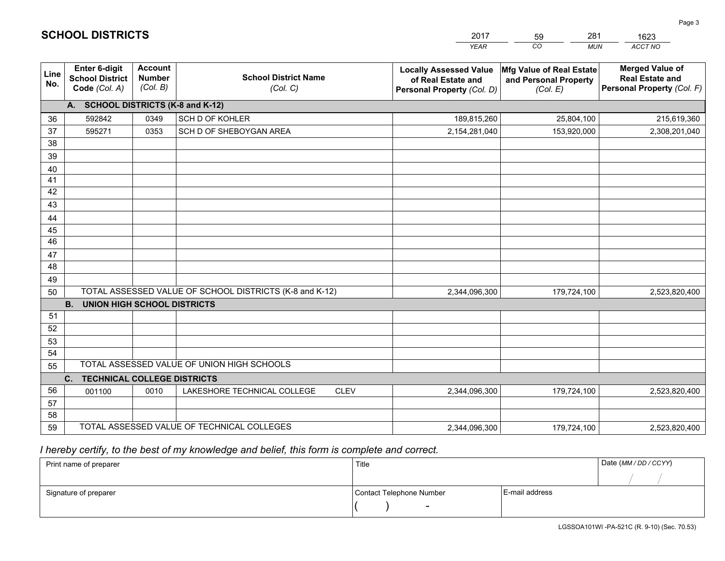|             |                                                                 |                                             |                                                         | <b>YEAR</b>                                                                       | CO<br><b>MUN</b>                                              | ACCT NO                                                                        |  |  |  |  |  |
|-------------|-----------------------------------------------------------------|---------------------------------------------|---------------------------------------------------------|-----------------------------------------------------------------------------------|---------------------------------------------------------------|--------------------------------------------------------------------------------|--|--|--|--|--|
| Line<br>No. | <b>Enter 6-digit</b><br><b>School District</b><br>Code (Col. A) | <b>Account</b><br><b>Number</b><br>(Col. B) | <b>School District Name</b><br>(Col. C)                 | <b>Locally Assessed Value</b><br>of Real Estate and<br>Personal Property (Col. D) | Mfg Value of Real Estate<br>and Personal Property<br>(Col. E) | <b>Merged Value of</b><br><b>Real Estate and</b><br>Personal Property (Col. F) |  |  |  |  |  |
|             | A. SCHOOL DISTRICTS (K-8 and K-12)                              |                                             |                                                         |                                                                                   |                                                               |                                                                                |  |  |  |  |  |
| 36          | 592842                                                          | 0349                                        | SCH D OF KOHLER                                         | 189,815,260                                                                       | 25,804,100                                                    | 215,619,360                                                                    |  |  |  |  |  |
| 37          | 595271                                                          | 0353                                        | SCH D OF SHEBOYGAN AREA                                 | 2,154,281,040                                                                     | 153,920,000                                                   | 2,308,201,040                                                                  |  |  |  |  |  |
| 38          |                                                                 |                                             |                                                         |                                                                                   |                                                               |                                                                                |  |  |  |  |  |
| 39          |                                                                 |                                             |                                                         |                                                                                   |                                                               |                                                                                |  |  |  |  |  |
| 40          |                                                                 |                                             |                                                         |                                                                                   |                                                               |                                                                                |  |  |  |  |  |
| 41          |                                                                 |                                             |                                                         |                                                                                   |                                                               |                                                                                |  |  |  |  |  |
| 42          |                                                                 |                                             |                                                         |                                                                                   |                                                               |                                                                                |  |  |  |  |  |
| 43          |                                                                 |                                             |                                                         |                                                                                   |                                                               |                                                                                |  |  |  |  |  |
| 44          |                                                                 |                                             |                                                         |                                                                                   |                                                               |                                                                                |  |  |  |  |  |
| 45<br>46    |                                                                 |                                             |                                                         |                                                                                   |                                                               |                                                                                |  |  |  |  |  |
| 47          |                                                                 |                                             |                                                         |                                                                                   |                                                               |                                                                                |  |  |  |  |  |
| 48          |                                                                 |                                             |                                                         |                                                                                   |                                                               |                                                                                |  |  |  |  |  |
| 49          |                                                                 |                                             |                                                         |                                                                                   |                                                               |                                                                                |  |  |  |  |  |
| 50          |                                                                 |                                             | TOTAL ASSESSED VALUE OF SCHOOL DISTRICTS (K-8 and K-12) | 2,344,096,300                                                                     | 179,724,100                                                   | 2,523,820,400                                                                  |  |  |  |  |  |
|             | <b>B.</b><br>UNION HIGH SCHOOL DISTRICTS                        |                                             |                                                         |                                                                                   |                                                               |                                                                                |  |  |  |  |  |
| 51          |                                                                 |                                             |                                                         |                                                                                   |                                                               |                                                                                |  |  |  |  |  |
| 52          |                                                                 |                                             |                                                         |                                                                                   |                                                               |                                                                                |  |  |  |  |  |
| 53          |                                                                 |                                             |                                                         |                                                                                   |                                                               |                                                                                |  |  |  |  |  |
| 54          |                                                                 |                                             |                                                         |                                                                                   |                                                               |                                                                                |  |  |  |  |  |
| 55          |                                                                 |                                             | TOTAL ASSESSED VALUE OF UNION HIGH SCHOOLS              |                                                                                   |                                                               |                                                                                |  |  |  |  |  |
|             | C.<br><b>TECHNICAL COLLEGE DISTRICTS</b>                        |                                             |                                                         |                                                                                   |                                                               |                                                                                |  |  |  |  |  |
| 56          | 001100                                                          | 0010                                        | LAKESHORE TECHNICAL COLLEGE<br><b>CLEV</b>              | 2,344,096,300                                                                     | 179,724,100                                                   | 2,523,820,400                                                                  |  |  |  |  |  |
| 57          |                                                                 |                                             |                                                         |                                                                                   |                                                               |                                                                                |  |  |  |  |  |
| 58          |                                                                 |                                             |                                                         |                                                                                   |                                                               |                                                                                |  |  |  |  |  |
| 59          |                                                                 |                                             | TOTAL ASSESSED VALUE OF TECHNICAL COLLEGES              | 2,344,096,300                                                                     | 179,724,100                                                   | 2,523,820,400                                                                  |  |  |  |  |  |

59

281

 *I hereby certify, to the best of my knowledge and belief, this form is complete and correct.*

**SCHOOL DISTRICTS**

| Print name of preparer | Title                    |                | Date (MM / DD / CCYY) |
|------------------------|--------------------------|----------------|-----------------------|
|                        |                          |                |                       |
| Signature of preparer  | Contact Telephone Number | E-mail address |                       |
|                        | $\sim$                   |                |                       |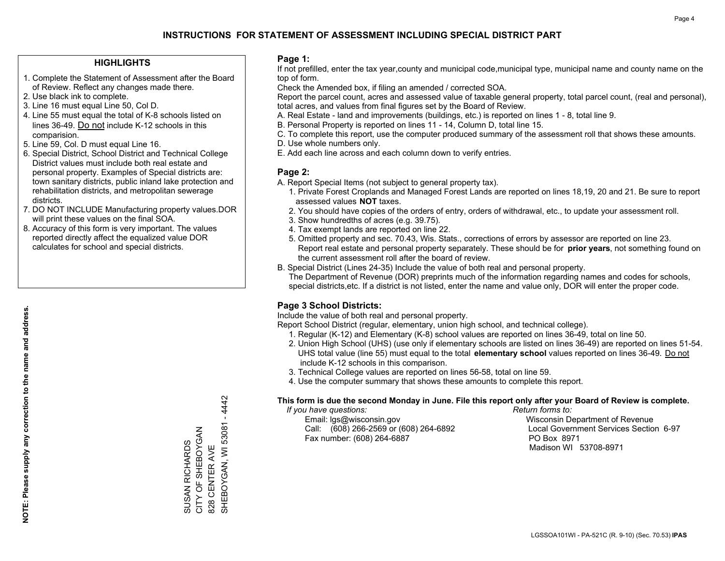## **HIGHLIGHTS**

- 1. Complete the Statement of Assessment after the Board of Review. Reflect any changes made there.
- 2. Use black ink to complete.
- 3. Line 16 must equal Line 50, Col D.
- 4. Line 55 must equal the total of K-8 schools listed on lines 36-49. Do not include K-12 schools in this comparision.
- 5. Line 59, Col. D must equal Line 16.
- 6. Special District, School District and Technical College District values must include both real estate and personal property. Examples of Special districts are: town sanitary districts, public inland lake protection and rehabilitation districts, and metropolitan sewerage districts.
- 7. DO NOT INCLUDE Manufacturing property values.DOR will print these values on the final SOA.
- 8. Accuracy of this form is very important. The values reported directly affect the equalized value DOR calculates for school and special districts.

### **Page 1:**

 If not prefilled, enter the tax year,county and municipal code,municipal type, municipal name and county name on the top of form.

Check the Amended box, if filing an amended / corrected SOA.

 Report the parcel count, acres and assessed value of taxable general property, total parcel count, (real and personal), total acres, and values from final figures set by the Board of Review.

- A. Real Estate land and improvements (buildings, etc.) is reported on lines 1 8, total line 9.
- B. Personal Property is reported on lines 11 14, Column D, total line 15.
- C. To complete this report, use the computer produced summary of the assessment roll that shows these amounts.
- D. Use whole numbers only.
- E. Add each line across and each column down to verify entries.

## **Page 2:**

- A. Report Special Items (not subject to general property tax).
- 1. Private Forest Croplands and Managed Forest Lands are reported on lines 18,19, 20 and 21. Be sure to report assessed values **NOT** taxes.
- 2. You should have copies of the orders of entry, orders of withdrawal, etc., to update your assessment roll.
	- 3. Show hundredths of acres (e.g. 39.75).
- 4. Tax exempt lands are reported on line 22.
- 5. Omitted property and sec. 70.43, Wis. Stats., corrections of errors by assessor are reported on line 23. Report real estate and personal property separately. These should be for **prior years**, not something found on the current assessment roll after the board of review.
- B. Special District (Lines 24-35) Include the value of both real and personal property.
- The Department of Revenue (DOR) preprints much of the information regarding names and codes for schools, special districts,etc. If a district is not listed, enter the name and value only, DOR will enter the proper code.

## **Page 3 School Districts:**

Include the value of both real and personal property.

Report School District (regular, elementary, union high school, and technical college).

- 1. Regular (K-12) and Elementary (K-8) school values are reported on lines 36-49, total on line 50.
- 2. Union High School (UHS) (use only if elementary schools are listed on lines 36-49) are reported on lines 51-54. UHS total value (line 55) must equal to the total **elementary school** values reported on lines 36-49. Do notinclude K-12 schools in this comparison.
- 3. Technical College values are reported on lines 56-58, total on line 59.
- 4. Use the computer summary that shows these amounts to complete this report.

#### **This form is due the second Monday in June. File this report only after your Board of Review is complete.**

 *If you have questions: Return forms to:*

 Email: lgs@wisconsin.gov Wisconsin Department of RevenueCall:  $(608)$  266-2569 or  $(608)$  264-6892 Fax number: (608) 264-6887 PO Box 8971

Local Government Services Section 6-97 Madison WI 53708-8971

LGSSOA101WI - PA-521C (R. 9-10) (Sec. 70.53) **IPAS**

SHEBOYGAN, WI 53081 - 4442 SHEBOYGAN, WI 53081 - 4442 CITY OF SHEBOYGAN SUSAN RICHARDS<br>CITY OF SHEBOYGAN SUSAN RICHARDS 828 CENTER AVE 828 CENTER AVE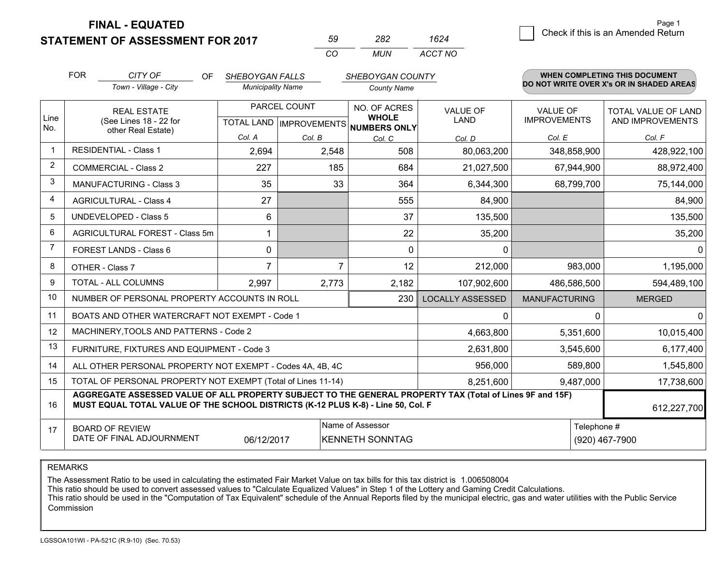**FINAL - EQUATED**

## **STATEMENT OF ASSESSMENT FOR 2017**

| nu | 282 | '624    |
|----|-----|---------|
| rη | MUN | ACCT NO |

|                | <b>FOR</b>                                                                | CITY OF<br><b>OF</b>                                                                                                                                                                                        | <b>SHEBOYGAN FALLS</b>   |                | SHEBOYGAN COUNTY   |                                                      |                             | WHEN COMPLETING THIS DOCUMENT<br>DO NOT WRITE OVER X's OR IN SHADED AREAS |                  |
|----------------|---------------------------------------------------------------------------|-------------------------------------------------------------------------------------------------------------------------------------------------------------------------------------------------------------|--------------------------|----------------|--------------------|------------------------------------------------------|-----------------------------|---------------------------------------------------------------------------|------------------|
|                |                                                                           | Town - Village - City                                                                                                                                                                                       | <b>Municipality Name</b> |                | <b>County Name</b> |                                                      |                             |                                                                           |                  |
|                | <b>REAL ESTATE</b>                                                        |                                                                                                                                                                                                             | PARCEL COUNT             |                | NO. OF ACRES       | <b>VALUE OF</b>                                      | <b>VALUE OF</b>             | TOTAL VALUE OF LAND                                                       |                  |
| Line<br>No.    |                                                                           | (See Lines 18 - 22 for                                                                                                                                                                                      | other Real Estate)       |                |                    | <b>WHOLE</b><br>TOTAL LAND IMPROVEMENTS NUMBERS ONLY | <b>LAND</b>                 | <b>IMPROVEMENTS</b>                                                       | AND IMPROVEMENTS |
|                |                                                                           |                                                                                                                                                                                                             | Col. A                   | Col. B         | Col. C             | Col. D                                               | Col. E                      | Col. F                                                                    |                  |
|                |                                                                           | <b>RESIDENTIAL - Class 1</b>                                                                                                                                                                                | 2,694                    | 2,548          | 508                | 80,063,200                                           | 348,858,900                 | 428,922,100                                                               |                  |
| 2              |                                                                           | <b>COMMERCIAL - Class 2</b>                                                                                                                                                                                 | 227                      | 185            | 684                | 21,027,500                                           | 67,944,900                  | 88,972,400                                                                |                  |
| 3              |                                                                           | <b>MANUFACTURING - Class 3</b>                                                                                                                                                                              | 35                       | 33             | 364                | 6,344,300                                            | 68,799,700                  | 75,144,000                                                                |                  |
| $\overline{4}$ |                                                                           | <b>AGRICULTURAL - Class 4</b>                                                                                                                                                                               | 27                       |                | 555                | 84,900                                               |                             | 84,900                                                                    |                  |
| 5              |                                                                           | <b>UNDEVELOPED - Class 5</b>                                                                                                                                                                                | 6                        |                | 37                 | 135,500                                              |                             | 135,500                                                                   |                  |
| 6              |                                                                           | AGRICULTURAL FOREST - Class 5m                                                                                                                                                                              | 1                        |                | 22                 | 35,200                                               |                             | 35,200                                                                    |                  |
| 7              | FOREST LANDS - Class 6                                                    |                                                                                                                                                                                                             | 0                        |                | $\Omega$           | $\mathbf{0}$                                         |                             | $\Omega$                                                                  |                  |
| 8              | OTHER - Class 7                                                           |                                                                                                                                                                                                             | 7                        | $\overline{7}$ | 12                 | 212,000                                              |                             | 983,000<br>1,195,000                                                      |                  |
| 9              | TOTAL - ALL COLUMNS                                                       |                                                                                                                                                                                                             | 2,997                    | 2,773          | 2,182              | 107,902,600                                          | 486,586,500                 | 594,489,100                                                               |                  |
| 10             | NUMBER OF PERSONAL PROPERTY ACCOUNTS IN ROLL<br>230                       |                                                                                                                                                                                                             |                          |                |                    | <b>LOCALLY ASSESSED</b>                              | <b>MANUFACTURING</b>        | <b>MERGED</b>                                                             |                  |
| 11             |                                                                           | BOATS AND OTHER WATERCRAFT NOT EXEMPT - Code 1                                                                                                                                                              |                          |                | 0                  |                                                      | $\mathbf 0$<br>$\mathbf{0}$ |                                                                           |                  |
| 12             |                                                                           | MACHINERY, TOOLS AND PATTERNS - Code 2                                                                                                                                                                      |                          |                |                    | 4,663,800                                            | 5,351,600                   | 10,015,400                                                                |                  |
| 13             |                                                                           | FURNITURE, FIXTURES AND EQUIPMENT - Code 3                                                                                                                                                                  |                          | 2,631,800      | 3,545,600          | 6,177,400                                            |                             |                                                                           |                  |
| 14             | 956,000<br>ALL OTHER PERSONAL PROPERTY NOT EXEMPT - Codes 4A, 4B, 4C      |                                                                                                                                                                                                             |                          |                |                    |                                                      |                             | 1,545,800<br>589,800                                                      |                  |
| 15             | TOTAL OF PERSONAL PROPERTY NOT EXEMPT (Total of Lines 11-14)<br>8,251,600 |                                                                                                                                                                                                             |                          |                |                    |                                                      | 9,487,000                   | 17,738,600                                                                |                  |
| 16             |                                                                           | AGGREGATE ASSESSED VALUE OF ALL PROPERTY SUBJECT TO THE GENERAL PROPERTY TAX (Total of Lines 9F and 15F)<br>MUST EQUAL TOTAL VALUE OF THE SCHOOL DISTRICTS (K-12 PLUS K-8) - Line 50, Col. F<br>612,227,700 |                          |                |                    |                                                      |                             |                                                                           |                  |
| 17             |                                                                           | <b>BOARD OF REVIEW</b>                                                                                                                                                                                      |                          |                | Name of Assessor   |                                                      |                             | Telephone #                                                               |                  |
|                | DATE OF FINAL ADJOURNMENT<br>06/12/2017<br><b>KENNETH SONNTAG</b>         |                                                                                                                                                                                                             |                          |                |                    | (920) 467-7900                                       |                             |                                                                           |                  |

REMARKS

The Assessment Ratio to be used in calculating the estimated Fair Market Value on tax bills for this tax district is 1.006508004<br>This ratio should be used to convert assessed values to "Calculate Equalized Values" in Step Commission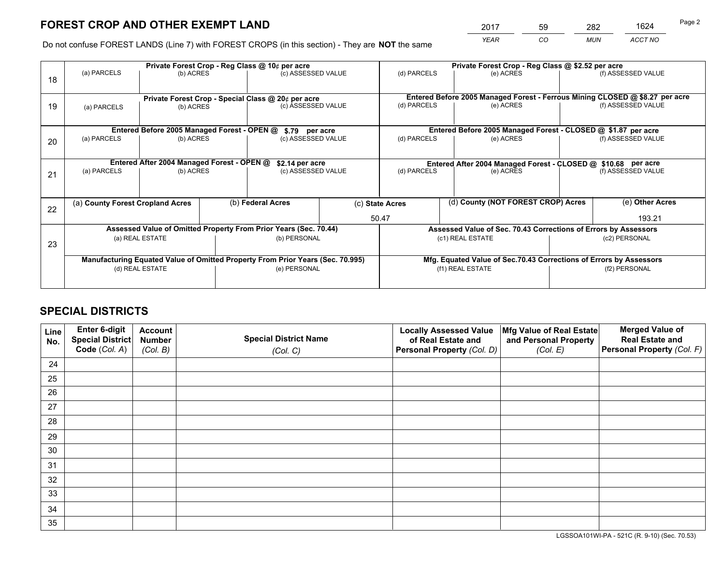# **FOREST CROP AND OTHER EXEMPT LAND**

 *YEAR CO MUN ACCT NO* <sup>2017</sup> <sup>59</sup> <sup>282</sup> <sup>1624</sup> Page 2

Do not confuse FOREST LANDS (Line 7) with FOREST CROPS (in this section) - They are **NOT** the same

|                                                                  | Private Forest Crop - Reg Class @ 10¢ per acre                                                                                                       |                                            |  |                                                    |  | Private Forest Crop - Reg Class @ \$2.52 per acre               |                                                                              |                    |                    |  |
|------------------------------------------------------------------|------------------------------------------------------------------------------------------------------------------------------------------------------|--------------------------------------------|--|----------------------------------------------------|--|-----------------------------------------------------------------|------------------------------------------------------------------------------|--------------------|--------------------|--|
| 18                                                               | (a) PARCELS                                                                                                                                          | (b) ACRES                                  |  | (c) ASSESSED VALUE                                 |  | (d) PARCELS                                                     | (e) ACRES                                                                    |                    | (f) ASSESSED VALUE |  |
|                                                                  |                                                                                                                                                      |                                            |  | Private Forest Crop - Special Class @ 20¢ per acre |  |                                                                 | Entered Before 2005 Managed Forest - Ferrous Mining CLOSED @ \$8.27 per acre |                    |                    |  |
| 19                                                               | (b) ACRES<br>(a) PARCELS                                                                                                                             |                                            |  | (c) ASSESSED VALUE                                 |  | (d) PARCELS                                                     | (e) ACRES                                                                    |                    | (f) ASSESSED VALUE |  |
|                                                                  |                                                                                                                                                      |                                            |  |                                                    |  |                                                                 | Entered Before 2005 Managed Forest - CLOSED @ \$1.87 per acre                |                    |                    |  |
| 20                                                               | Entered Before 2005 Managed Forest - OPEN @<br>(a) PARCELS<br>(b) ACRES                                                                              |                                            |  | \$.79 per acre<br>(c) ASSESSED VALUE               |  | (d) PARCELS<br>(e) ACRES                                        |                                                                              |                    | (f) ASSESSED VALUE |  |
|                                                                  |                                                                                                                                                      | Entered After 2004 Managed Forest - OPEN @ |  | \$2.14 per acre                                    |  |                                                                 | Entered After 2004 Managed Forest - CLOSED @ \$10.68 per acre                |                    |                    |  |
| 21                                                               | (a) PARCELS<br>(b) ACRES                                                                                                                             |                                            |  | (c) ASSESSED VALUE                                 |  | (d) PARCELS<br>(e) ACRES                                        |                                                                              | (f) ASSESSED VALUE |                    |  |
|                                                                  |                                                                                                                                                      |                                            |  |                                                    |  |                                                                 |                                                                              |                    |                    |  |
| 22                                                               | (a) County Forest Cropland Acres                                                                                                                     |                                            |  | (b) Federal Acres                                  |  | (c) State Acres                                                 | (d) County (NOT FOREST CROP) Acres                                           |                    | (e) Other Acres    |  |
|                                                                  |                                                                                                                                                      |                                            |  |                                                    |  | 50.47                                                           |                                                                              | 193.21             |                    |  |
| Assessed Value of Omitted Property From Prior Years (Sec. 70.44) |                                                                                                                                                      |                                            |  |                                                    |  | Assessed Value of Sec. 70.43 Corrections of Errors by Assessors |                                                                              |                    |                    |  |
| 23                                                               |                                                                                                                                                      | (a) REAL ESTATE<br>(b) PERSONAL            |  | (c1) REAL ESTATE<br>(c2) PERSONAL                  |  |                                                                 |                                                                              |                    |                    |  |
|                                                                  | Manufacturing Equated Value of Omitted Property From Prior Years (Sec. 70.995)<br>Mfg. Equated Value of Sec.70.43 Corrections of Errors by Assessors |                                            |  |                                                    |  |                                                                 |                                                                              |                    |                    |  |
|                                                                  | (d) REAL ESTATE                                                                                                                                      |                                            |  | (e) PERSONAL                                       |  | (f1) REAL ESTATE                                                |                                                                              | (f2) PERSONAL      |                    |  |
|                                                                  |                                                                                                                                                      |                                            |  |                                                    |  |                                                                 |                                                                              |                    |                    |  |

## **SPECIAL DISTRICTS**

| Line<br>No. | Enter 6-digit<br><b>Special District</b> | <b>Account</b><br><b>Number</b> | <b>Special District Name</b> | <b>Locally Assessed Value</b><br>of Real Estate and | Mfg Value of Real Estate<br>and Personal Property | <b>Merged Value of</b><br><b>Real Estate and</b> |
|-------------|------------------------------------------|---------------------------------|------------------------------|-----------------------------------------------------|---------------------------------------------------|--------------------------------------------------|
|             | Code (Col. A)                            | (Col. B)                        | (Col. C)                     | Personal Property (Col. D)                          | (Col. E)                                          | Personal Property (Col. F)                       |
| 24          |                                          |                                 |                              |                                                     |                                                   |                                                  |
| 25          |                                          |                                 |                              |                                                     |                                                   |                                                  |
| 26          |                                          |                                 |                              |                                                     |                                                   |                                                  |
| 27          |                                          |                                 |                              |                                                     |                                                   |                                                  |
| 28          |                                          |                                 |                              |                                                     |                                                   |                                                  |
| 29          |                                          |                                 |                              |                                                     |                                                   |                                                  |
| 30          |                                          |                                 |                              |                                                     |                                                   |                                                  |
| 31          |                                          |                                 |                              |                                                     |                                                   |                                                  |
| 32          |                                          |                                 |                              |                                                     |                                                   |                                                  |
| 33          |                                          |                                 |                              |                                                     |                                                   |                                                  |
| 34          |                                          |                                 |                              |                                                     |                                                   |                                                  |
| 35          |                                          |                                 |                              |                                                     |                                                   |                                                  |

LGSSOA101WI-PA - 521C (R. 9-10) (Sec. 70.53)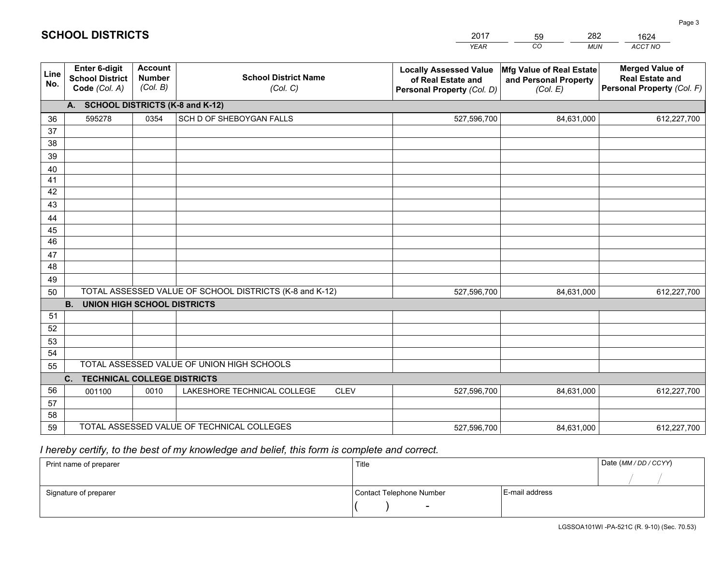|             |                                                                                        |                                             |                                                         | <b>YEAR</b>                                                                       | CO<br><b>MUN</b>                                              | ACCT NO                                                                        |  |  |
|-------------|----------------------------------------------------------------------------------------|---------------------------------------------|---------------------------------------------------------|-----------------------------------------------------------------------------------|---------------------------------------------------------------|--------------------------------------------------------------------------------|--|--|
| Line<br>No. | Enter 6-digit<br><b>School District</b><br>Code (Col. A)                               | <b>Account</b><br><b>Number</b><br>(Col. B) | <b>School District Name</b><br>(Col. C)                 | <b>Locally Assessed Value</b><br>of Real Estate and<br>Personal Property (Col. D) | Mfg Value of Real Estate<br>and Personal Property<br>(Col. E) | <b>Merged Value of</b><br><b>Real Estate and</b><br>Personal Property (Col. F) |  |  |
|             | A. SCHOOL DISTRICTS (K-8 and K-12)                                                     |                                             |                                                         |                                                                                   |                                                               |                                                                                |  |  |
| 36          | 595278                                                                                 | 0354                                        | SCH D OF SHEBOYGAN FALLS                                | 527,596,700                                                                       | 84,631,000                                                    | 612,227,700                                                                    |  |  |
| 37          |                                                                                        |                                             |                                                         |                                                                                   |                                                               |                                                                                |  |  |
| 38          |                                                                                        |                                             |                                                         |                                                                                   |                                                               |                                                                                |  |  |
| 39          |                                                                                        |                                             |                                                         |                                                                                   |                                                               |                                                                                |  |  |
| 40          |                                                                                        |                                             |                                                         |                                                                                   |                                                               |                                                                                |  |  |
| 41<br>42    |                                                                                        |                                             |                                                         |                                                                                   |                                                               |                                                                                |  |  |
| 43          |                                                                                        |                                             |                                                         |                                                                                   |                                                               |                                                                                |  |  |
| 44          |                                                                                        |                                             |                                                         |                                                                                   |                                                               |                                                                                |  |  |
| 45          |                                                                                        |                                             |                                                         |                                                                                   |                                                               |                                                                                |  |  |
| 46          |                                                                                        |                                             |                                                         |                                                                                   |                                                               |                                                                                |  |  |
| 47          |                                                                                        |                                             |                                                         |                                                                                   |                                                               |                                                                                |  |  |
| 48          |                                                                                        |                                             |                                                         |                                                                                   |                                                               |                                                                                |  |  |
| 49          |                                                                                        |                                             |                                                         |                                                                                   |                                                               |                                                                                |  |  |
| 50          |                                                                                        |                                             | TOTAL ASSESSED VALUE OF SCHOOL DISTRICTS (K-8 and K-12) | 527,596,700                                                                       | 84,631,000                                                    | 612,227,700                                                                    |  |  |
|             | <b>B.</b><br><b>UNION HIGH SCHOOL DISTRICTS</b>                                        |                                             |                                                         |                                                                                   |                                                               |                                                                                |  |  |
| 51          |                                                                                        |                                             |                                                         |                                                                                   |                                                               |                                                                                |  |  |
| 52          |                                                                                        |                                             |                                                         |                                                                                   |                                                               |                                                                                |  |  |
| 53          |                                                                                        |                                             |                                                         |                                                                                   |                                                               |                                                                                |  |  |
| 54          |                                                                                        |                                             |                                                         |                                                                                   |                                                               |                                                                                |  |  |
|             | TOTAL ASSESSED VALUE OF UNION HIGH SCHOOLS<br>55<br><b>TECHNICAL COLLEGE DISTRICTS</b> |                                             |                                                         |                                                                                   |                                                               |                                                                                |  |  |
|             | C.                                                                                     |                                             |                                                         |                                                                                   |                                                               |                                                                                |  |  |
| 56<br>57    | 001100                                                                                 | 0010                                        | LAKESHORE TECHNICAL COLLEGE<br><b>CLEV</b>              | 527,596,700                                                                       | 84,631,000                                                    | 612,227,700                                                                    |  |  |
| 58          |                                                                                        |                                             |                                                         |                                                                                   |                                                               |                                                                                |  |  |
| 59          |                                                                                        |                                             | TOTAL ASSESSED VALUE OF TECHNICAL COLLEGES              | 527,596,700                                                                       | 84,631,000                                                    | 612,227,700                                                                    |  |  |

2017

59

282

 *I hereby certify, to the best of my knowledge and belief, this form is complete and correct.*

**SCHOOL DISTRICTS**

| Print name of preparer | Title                    |                | Date (MM / DD / CCYY) |
|------------------------|--------------------------|----------------|-----------------------|
|                        |                          |                |                       |
| Signature of preparer  | Contact Telephone Number | E-mail address |                       |
|                        | $\overline{\phantom{0}}$ |                |                       |

1624